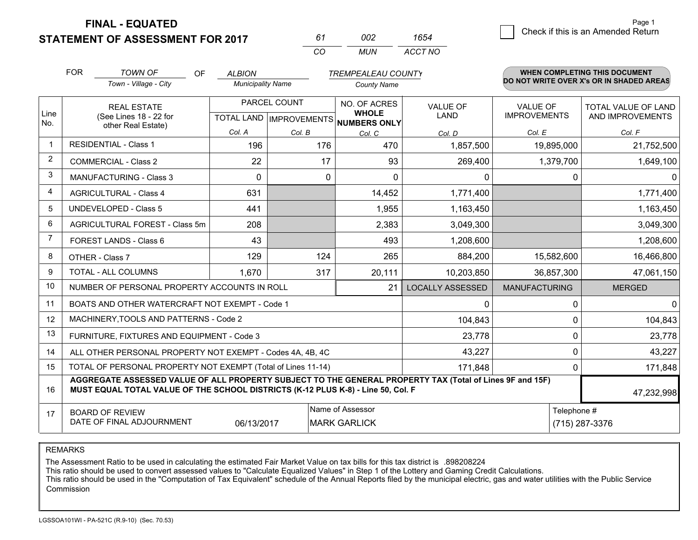**STATEMENT OF ASSESSMENT FOR 2017** 

*CO MUN <sup>61</sup> <sup>002</sup> ACCT NO1654*

 $\overline{a}$  Check if this is an Amended Return Page 1

|                | <b>FOR</b><br><b>TOWN OF</b><br>OF<br><b>ALBION</b><br><b>TREMPEALEAU COUNTY</b>                                                                                                             |                                                              |                          |              |                                                                      |                                |                                 | WHEN COMPLETING THIS DOCUMENT<br>DO NOT WRITE OVER X's OR IN SHADED AREAS |  |
|----------------|----------------------------------------------------------------------------------------------------------------------------------------------------------------------------------------------|--------------------------------------------------------------|--------------------------|--------------|----------------------------------------------------------------------|--------------------------------|---------------------------------|---------------------------------------------------------------------------|--|
|                |                                                                                                                                                                                              | Town - Village - City                                        | <b>Municipality Name</b> |              | <b>County Name</b>                                                   |                                |                                 |                                                                           |  |
| Line<br>No.    |                                                                                                                                                                                              | <b>REAL ESTATE</b><br>(See Lines 18 - 22 for                 |                          | PARCEL COUNT | NO. OF ACRES<br><b>WHOLE</b><br>TOTAL LAND IMPROVEMENTS NUMBERS ONLY | <b>VALUE OF</b><br><b>LAND</b> | VALUE OF<br><b>IMPROVEMENTS</b> | <b>TOTAL VALUE OF LAND</b><br>AND IMPROVEMENTS                            |  |
|                |                                                                                                                                                                                              | other Real Estate)                                           | Col. A                   | Col. B       | Col. C                                                               | Col. D                         | Col. E                          | Col. F                                                                    |  |
|                |                                                                                                                                                                                              | <b>RESIDENTIAL - Class 1</b>                                 | 196                      | 176          | 470                                                                  | 1,857,500                      | 19,895,000                      | 21,752,500                                                                |  |
| 2              |                                                                                                                                                                                              | <b>COMMERCIAL - Class 2</b>                                  | 22                       | 17           | 93                                                                   | 269,400                        | 1,379,700                       | 1,649,100                                                                 |  |
| 3              |                                                                                                                                                                                              | <b>MANUFACTURING - Class 3</b>                               | $\Omega$                 | $\Omega$     | $\Omega$                                                             | 0                              | 0                               | $\mathbf{0}$                                                              |  |
| 4              |                                                                                                                                                                                              | <b>AGRICULTURAL - Class 4</b>                                | 631                      |              | 14,452                                                               | 1,771,400                      |                                 | 1,771,400                                                                 |  |
| 5              |                                                                                                                                                                                              | <b>UNDEVELOPED - Class 5</b>                                 | 441                      |              | 1,955                                                                | 1,163,450                      |                                 | 1,163,450                                                                 |  |
| 6              |                                                                                                                                                                                              | AGRICULTURAL FOREST - Class 5m                               | 208                      |              | 2,383                                                                | 3,049,300                      |                                 | 3,049,300                                                                 |  |
| $\overline{7}$ |                                                                                                                                                                                              | FOREST LANDS - Class 6                                       | 43                       |              | 493                                                                  | 1,208,600                      |                                 | 1,208,600                                                                 |  |
| 8              |                                                                                                                                                                                              | OTHER - Class 7                                              | 129                      | 124          | 265                                                                  | 884,200                        | 15,582,600                      | 16,466,800                                                                |  |
| 9              |                                                                                                                                                                                              | TOTAL - ALL COLUMNS                                          | 1,670                    | 317          | 20,111                                                               | 10,203,850                     | 36,857,300                      | 47,061,150                                                                |  |
| 10             |                                                                                                                                                                                              | NUMBER OF PERSONAL PROPERTY ACCOUNTS IN ROLL                 |                          |              | 21                                                                   | <b>LOCALLY ASSESSED</b>        | <b>MANUFACTURING</b>            | <b>MERGED</b>                                                             |  |
| 11             |                                                                                                                                                                                              | BOATS AND OTHER WATERCRAFT NOT EXEMPT - Code 1               |                          |              |                                                                      | 0                              | 0                               | $\mathbf 0$                                                               |  |
| 12             |                                                                                                                                                                                              | MACHINERY, TOOLS AND PATTERNS - Code 2                       |                          |              |                                                                      | 104,843                        | $\Omega$                        | 104,843                                                                   |  |
| 13             |                                                                                                                                                                                              | FURNITURE, FIXTURES AND EQUIPMENT - Code 3                   |                          |              |                                                                      | 23,778                         | $\mathbf 0$                     | 23,778                                                                    |  |
| 14             |                                                                                                                                                                                              | ALL OTHER PERSONAL PROPERTY NOT EXEMPT - Codes 4A, 4B, 4C    |                          |              |                                                                      | 43,227                         | 0                               | 43,227                                                                    |  |
| 15             |                                                                                                                                                                                              | TOTAL OF PERSONAL PROPERTY NOT EXEMPT (Total of Lines 11-14) |                          |              |                                                                      | 171,848                        | $\Omega$                        | 171,848                                                                   |  |
| 16             | AGGREGATE ASSESSED VALUE OF ALL PROPERTY SUBJECT TO THE GENERAL PROPERTY TAX (Total of Lines 9F and 15F)<br>MUST EQUAL TOTAL VALUE OF THE SCHOOL DISTRICTS (K-12 PLUS K-8) - Line 50, Col. F |                                                              |                          |              |                                                                      |                                |                                 | 47,232,998                                                                |  |
| 17             |                                                                                                                                                                                              | <b>BOARD OF REVIEW</b><br>DATE OF FINAL ADJOURNMENT          | 06/13/2017               |              | Name of Assessor<br><b>MARK GARLICK</b>                              |                                | Telephone #                     | (715) 287-3376                                                            |  |

REMARKS

The Assessment Ratio to be used in calculating the estimated Fair Market Value on tax bills for this tax district is .898208224<br>This ratio should be used to convert assessed values to "Calculate Equalized Values" in Step 1 Commission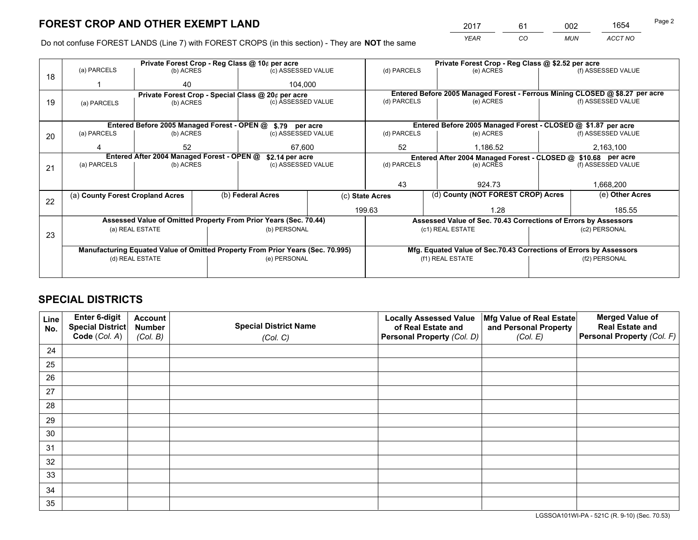*YEAR CO MUN ACCT NO* <sup>2017</sup> <sup>61</sup> <sup>002</sup> <sup>1654</sup>

Do not confuse FOREST LANDS (Line 7) with FOREST CROPS (in this section) - They are **NOT** the same

|    |                                  |                                            |                                                                                | Private Forest Crop - Reg Class @ 10¢ per acre                   |                 | Private Forest Crop - Reg Class @ \$2.52 per acre             |                                    |                                                                    |                                                                              |                                                                 |  |
|----|----------------------------------|--------------------------------------------|--------------------------------------------------------------------------------|------------------------------------------------------------------|-----------------|---------------------------------------------------------------|------------------------------------|--------------------------------------------------------------------|------------------------------------------------------------------------------|-----------------------------------------------------------------|--|
| 18 | (a) PARCELS                      | (b) ACRES                                  |                                                                                | (c) ASSESSED VALUE                                               |                 | (d) PARCELS                                                   |                                    | (e) ACRES                                                          |                                                                              | (f) ASSESSED VALUE                                              |  |
|    |                                  | 40                                         |                                                                                | 104.000                                                          |                 |                                                               |                                    |                                                                    |                                                                              |                                                                 |  |
|    |                                  |                                            |                                                                                | Private Forest Crop - Special Class @ 20¢ per acre               |                 |                                                               |                                    |                                                                    | Entered Before 2005 Managed Forest - Ferrous Mining CLOSED @ \$8.27 per acre |                                                                 |  |
| 19 | (a) PARCELS                      | (b) ACRES                                  |                                                                                | (c) ASSESSED VALUE                                               |                 | (d) PARCELS                                                   |                                    | (e) ACRES                                                          |                                                                              | (f) ASSESSED VALUE                                              |  |
|    |                                  |                                            |                                                                                |                                                                  |                 |                                                               |                                    |                                                                    |                                                                              |                                                                 |  |
|    |                                  |                                            |                                                                                | Entered Before 2005 Managed Forest - OPEN @ \$.79 per acre       |                 |                                                               |                                    |                                                                    |                                                                              | Entered Before 2005 Managed Forest - CLOSED @ \$1.87 per acre   |  |
| 20 | (a) PARCELS<br>(b) ACRES         |                                            |                                                                                | (c) ASSESSED VALUE                                               |                 | (d) PARCELS                                                   |                                    | (e) ACRES                                                          |                                                                              | (f) ASSESSED VALUE                                              |  |
|    | 52                               |                                            |                                                                                | 67.600                                                           |                 | 52                                                            |                                    | 1.186.52                                                           |                                                                              | 2,163,100                                                       |  |
|    |                                  | Entered After 2004 Managed Forest - OPEN @ |                                                                                | \$2.14 per acre                                                  |                 | Entered After 2004 Managed Forest - CLOSED @ \$10.68 per acre |                                    |                                                                    |                                                                              |                                                                 |  |
| 21 | (a) PARCELS                      | (b) ACRES                                  |                                                                                | (c) ASSESSED VALUE                                               |                 | (d) PARCELS                                                   |                                    | (e) ACRES                                                          |                                                                              | (f) ASSESSED VALUE                                              |  |
|    |                                  |                                            |                                                                                |                                                                  |                 |                                                               |                                    |                                                                    |                                                                              |                                                                 |  |
|    |                                  |                                            |                                                                                |                                                                  |                 | 43                                                            |                                    | 924.73                                                             |                                                                              | 1,668,200                                                       |  |
|    | (a) County Forest Cropland Acres |                                            |                                                                                | (b) Federal Acres                                                | (c) State Acres |                                                               | (d) County (NOT FOREST CROP) Acres |                                                                    | (e) Other Acres                                                              |                                                                 |  |
| 22 |                                  |                                            |                                                                                |                                                                  |                 |                                                               |                                    |                                                                    |                                                                              |                                                                 |  |
|    |                                  |                                            |                                                                                |                                                                  |                 | 199.63<br>1.28                                                |                                    |                                                                    | 185.55                                                                       |                                                                 |  |
|    |                                  |                                            |                                                                                | Assessed Value of Omitted Property From Prior Years (Sec. 70.44) |                 |                                                               |                                    |                                                                    |                                                                              | Assessed Value of Sec. 70.43 Corrections of Errors by Assessors |  |
| 23 | (a) REAL ESTATE                  |                                            |                                                                                | (b) PERSONAL                                                     |                 | (c1) REAL ESTATE                                              |                                    |                                                                    |                                                                              | (c2) PERSONAL                                                   |  |
|    |                                  |                                            |                                                                                |                                                                  |                 |                                                               |                                    |                                                                    |                                                                              |                                                                 |  |
|    |                                  |                                            | Manufacturing Equated Value of Omitted Property From Prior Years (Sec. 70.995) |                                                                  |                 |                                                               |                                    | Mfg. Equated Value of Sec.70.43 Corrections of Errors by Assessors |                                                                              |                                                                 |  |
|    | (d) REAL ESTATE                  |                                            |                                                                                | (e) PERSONAL                                                     |                 |                                                               | (f1) REAL ESTATE                   |                                                                    |                                                                              | (f2) PERSONAL                                                   |  |
|    |                                  |                                            |                                                                                |                                                                  |                 |                                                               |                                    |                                                                    |                                                                              |                                                                 |  |

## **SPECIAL DISTRICTS**

| Line<br>No. | Enter 6-digit<br>Special District<br>Code (Col. A) | <b>Account</b><br><b>Number</b> | <b>Special District Name</b> | <b>Locally Assessed Value</b><br>of Real Estate and | Mfg Value of Real Estate<br>and Personal Property | <b>Merged Value of</b><br><b>Real Estate and</b><br>Personal Property (Col. F) |
|-------------|----------------------------------------------------|---------------------------------|------------------------------|-----------------------------------------------------|---------------------------------------------------|--------------------------------------------------------------------------------|
|             |                                                    | (Col. B)                        | (Col. C)                     | Personal Property (Col. D)                          | (Col. E)                                          |                                                                                |
| 24          |                                                    |                                 |                              |                                                     |                                                   |                                                                                |
| 25          |                                                    |                                 |                              |                                                     |                                                   |                                                                                |
| 26          |                                                    |                                 |                              |                                                     |                                                   |                                                                                |
| 27          |                                                    |                                 |                              |                                                     |                                                   |                                                                                |
| 28          |                                                    |                                 |                              |                                                     |                                                   |                                                                                |
| 29          |                                                    |                                 |                              |                                                     |                                                   |                                                                                |
| 30          |                                                    |                                 |                              |                                                     |                                                   |                                                                                |
| 31          |                                                    |                                 |                              |                                                     |                                                   |                                                                                |
| 32          |                                                    |                                 |                              |                                                     |                                                   |                                                                                |
| 33          |                                                    |                                 |                              |                                                     |                                                   |                                                                                |
| 34          |                                                    |                                 |                              |                                                     |                                                   |                                                                                |
| 35          |                                                    |                                 |                              |                                                     |                                                   |                                                                                |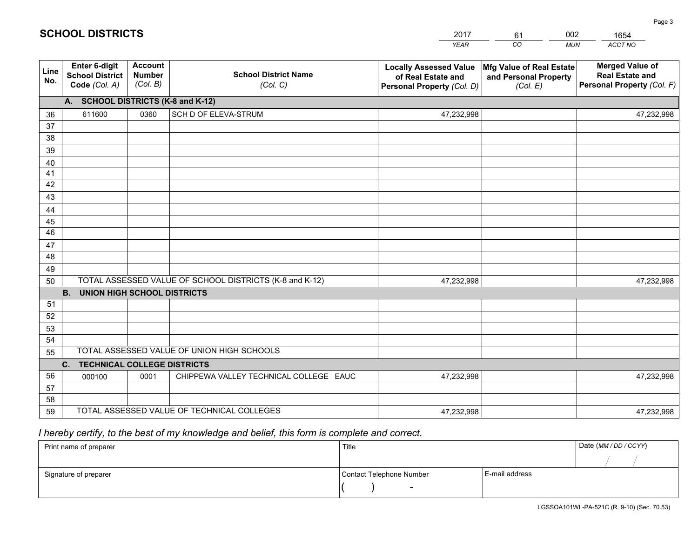|             |                                                                 |                                             |                                                         | <b>YEAR</b>                                                                       | CO<br><b>MUN</b>                                              | ACCT NO                                                                        |
|-------------|-----------------------------------------------------------------|---------------------------------------------|---------------------------------------------------------|-----------------------------------------------------------------------------------|---------------------------------------------------------------|--------------------------------------------------------------------------------|
| Line<br>No. | <b>Enter 6-digit</b><br><b>School District</b><br>Code (Col. A) | <b>Account</b><br><b>Number</b><br>(Col. B) | <b>School District Name</b><br>(Col. C)                 | <b>Locally Assessed Value</b><br>of Real Estate and<br>Personal Property (Col. D) | Mfg Value of Real Estate<br>and Personal Property<br>(Col. E) | <b>Merged Value of</b><br><b>Real Estate and</b><br>Personal Property (Col. F) |
|             | A. SCHOOL DISTRICTS (K-8 and K-12)                              |                                             |                                                         |                                                                                   |                                                               |                                                                                |
| 36          | 611600                                                          | 0360                                        | SCH D OF ELEVA-STRUM                                    | 47,232,998                                                                        |                                                               | 47,232,998                                                                     |
| 37          |                                                                 |                                             |                                                         |                                                                                   |                                                               |                                                                                |
| 38          |                                                                 |                                             |                                                         |                                                                                   |                                                               |                                                                                |
| 39          |                                                                 |                                             |                                                         |                                                                                   |                                                               |                                                                                |
| 40          |                                                                 |                                             |                                                         |                                                                                   |                                                               |                                                                                |
| 41          |                                                                 |                                             |                                                         |                                                                                   |                                                               |                                                                                |
| 42<br>43    |                                                                 |                                             |                                                         |                                                                                   |                                                               |                                                                                |
|             |                                                                 |                                             |                                                         |                                                                                   |                                                               |                                                                                |
| 44<br>45    |                                                                 |                                             |                                                         |                                                                                   |                                                               |                                                                                |
| 46          |                                                                 |                                             |                                                         |                                                                                   |                                                               |                                                                                |
| 47          |                                                                 |                                             |                                                         |                                                                                   |                                                               |                                                                                |
| 48          |                                                                 |                                             |                                                         |                                                                                   |                                                               |                                                                                |
| 49          |                                                                 |                                             |                                                         |                                                                                   |                                                               |                                                                                |
| 50          |                                                                 |                                             | TOTAL ASSESSED VALUE OF SCHOOL DISTRICTS (K-8 and K-12) | 47,232,998                                                                        |                                                               | 47,232,998                                                                     |
|             | <b>B.</b><br><b>UNION HIGH SCHOOL DISTRICTS</b>                 |                                             |                                                         |                                                                                   |                                                               |                                                                                |
| 51          |                                                                 |                                             |                                                         |                                                                                   |                                                               |                                                                                |
| 52          |                                                                 |                                             |                                                         |                                                                                   |                                                               |                                                                                |
| 53          |                                                                 |                                             |                                                         |                                                                                   |                                                               |                                                                                |
| 54          |                                                                 |                                             |                                                         |                                                                                   |                                                               |                                                                                |
| 55          |                                                                 |                                             | TOTAL ASSESSED VALUE OF UNION HIGH SCHOOLS              |                                                                                   |                                                               |                                                                                |
|             | C.<br><b>TECHNICAL COLLEGE DISTRICTS</b>                        |                                             |                                                         |                                                                                   |                                                               |                                                                                |
| 56          | 000100                                                          | 0001                                        | CHIPPEWA VALLEY TECHNICAL COLLEGE EAUC                  | 47,232,998                                                                        |                                                               | 47,232,998                                                                     |
| 57          |                                                                 |                                             |                                                         |                                                                                   |                                                               |                                                                                |
| 58          |                                                                 |                                             |                                                         |                                                                                   |                                                               |                                                                                |
| 59          |                                                                 |                                             | TOTAL ASSESSED VALUE OF TECHNICAL COLLEGES              | 47,232,998                                                                        |                                                               | 47,232,998                                                                     |

61

002

 *I hereby certify, to the best of my knowledge and belief, this form is complete and correct.*

**SCHOOL DISTRICTS**

| Print name of preparer | Title                    |                | Date (MM/DD/CCYY) |
|------------------------|--------------------------|----------------|-------------------|
|                        |                          |                |                   |
| Signature of preparer  | Contact Telephone Number | E-mail address |                   |
|                        | $\overline{\phantom{a}}$ |                |                   |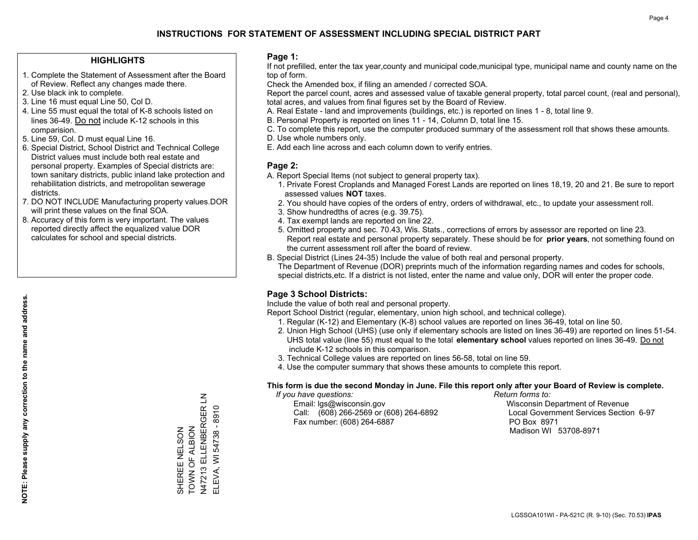## **HIGHLIGHTS**

- 1. Complete the Statement of Assessment after the Board of Review. Reflect any changes made there.
- 2. Use black ink to complete.
- 3. Line 16 must equal Line 50, Col D.
- 4. Line 55 must equal the total of K-8 schools listed on lines 36-49. Do not include K-12 schools in this comparision.
- 5. Line 59, Col. D must equal Line 16.
- 6. Special District, School District and Technical College District values must include both real estate and personal property. Examples of Special districts are: town sanitary districts, public inland lake protection and rehabilitation districts, and metropolitan sewerage districts.
- 7. DO NOT INCLUDE Manufacturing property values.DOR will print these values on the final SOA.

SHEREE NELSON TOWN OF ALBION

SHEREE NELSON<br>TOWN OF ALBION

N47213 ELLENBERGER LN ELEVA, WI 54738 - 8910

N47213 ELLENBERGER LN ELEVA, WI 54738 - 8910

 8. Accuracy of this form is very important. The values reported directly affect the equalized value DOR calculates for school and special districts.

#### **Page 1:**

 If not prefilled, enter the tax year,county and municipal code,municipal type, municipal name and county name on the top of form.

Check the Amended box, if filing an amended / corrected SOA.

 Report the parcel count, acres and assessed value of taxable general property, total parcel count, (real and personal), total acres, and values from final figures set by the Board of Review.

- A. Real Estate land and improvements (buildings, etc.) is reported on lines 1 8, total line 9.
- B. Personal Property is reported on lines 11 14, Column D, total line 15.
- C. To complete this report, use the computer produced summary of the assessment roll that shows these amounts.
- D. Use whole numbers only.
- E. Add each line across and each column down to verify entries.

## **Page 2:**

- A. Report Special Items (not subject to general property tax).
- 1. Private Forest Croplands and Managed Forest Lands are reported on lines 18,19, 20 and 21. Be sure to report assessed values **NOT** taxes.
- 2. You should have copies of the orders of entry, orders of withdrawal, etc., to update your assessment roll.
	- 3. Show hundredths of acres (e.g. 39.75).
- 4. Tax exempt lands are reported on line 22.
- 5. Omitted property and sec. 70.43, Wis. Stats., corrections of errors by assessor are reported on line 23. Report real estate and personal property separately. These should be for **prior years**, not something found on the current assessment roll after the board of review.
- B. Special District (Lines 24-35) Include the value of both real and personal property.
- The Department of Revenue (DOR) preprints much of the information regarding names and codes for schools, special districts,etc. If a district is not listed, enter the name and value only, DOR will enter the proper code.

## **Page 3 School Districts:**

Include the value of both real and personal property.

Report School District (regular, elementary, union high school, and technical college).

- 1. Regular (K-12) and Elementary (K-8) school values are reported on lines 36-49, total on line 50.
- 2. Union High School (UHS) (use only if elementary schools are listed on lines 36-49) are reported on lines 51-54. UHS total value (line 55) must equal to the total **elementary school** values reported on lines 36-49. Do notinclude K-12 schools in this comparison.
- 3. Technical College values are reported on lines 56-58, total on line 59.
- 4. Use the computer summary that shows these amounts to complete this report.

#### **This form is due the second Monday in June. File this report only after your Board of Review is complete.**

 *If you have questions: Return forms to:*

 Email: lgs@wisconsin.gov Wisconsin Department of RevenueCall:  $(608)$  266-2569 or  $(608)$  264-6892 Fax number: (608) 264-6887 PO Box 8971

Local Government Services Section 6-97 Madison WI 53708-8971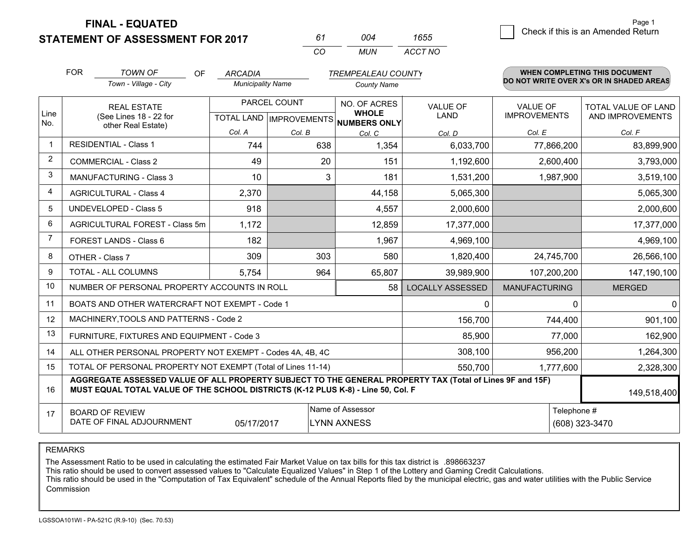**STATEMENT OF ASSESSMENT FOR 2017** 

*CO MUN <sup>61</sup> <sup>004</sup> ACCT NO1655*

 $\overline{5}$  Check if this is an Amended Return Page 1

|                | <b>FOR</b>                                                                                                                                                                                   | <b>TOWN OF</b><br>OF                                         | <b>ARCADIA</b>           |              | <b>TREMPEALEAU COUNTY</b>                                            |                                |                                 | WHEN COMPLETING THIS DOCUMENT                  |
|----------------|----------------------------------------------------------------------------------------------------------------------------------------------------------------------------------------------|--------------------------------------------------------------|--------------------------|--------------|----------------------------------------------------------------------|--------------------------------|---------------------------------|------------------------------------------------|
|                |                                                                                                                                                                                              | Town - Village - City                                        | <b>Municipality Name</b> |              | <b>County Name</b>                                                   |                                |                                 | DO NOT WRITE OVER X's OR IN SHADED AREAS       |
| Line<br>No.    |                                                                                                                                                                                              | <b>REAL ESTATE</b><br>(See Lines 18 - 22 for                 |                          | PARCEL COUNT | NO. OF ACRES<br><b>WHOLE</b><br>TOTAL LAND IMPROVEMENTS NUMBERS ONLY | <b>VALUE OF</b><br><b>LAND</b> | VALUE OF<br><b>IMPROVEMENTS</b> | <b>TOTAL VALUE OF LAND</b><br>AND IMPROVEMENTS |
|                |                                                                                                                                                                                              | other Real Estate)                                           | Col. A                   | Col. B       | Col. C                                                               | Col. D                         | Col. E                          | Col. F                                         |
|                |                                                                                                                                                                                              | <b>RESIDENTIAL - Class 1</b>                                 | 744                      | 638          | 1,354                                                                | 6,033,700                      | 77,866,200                      | 83,899,900                                     |
| 2              |                                                                                                                                                                                              | <b>COMMERCIAL - Class 2</b>                                  | 49                       | 20           | 151                                                                  | 1,192,600                      | 2,600,400                       | 3,793,000                                      |
| 3              |                                                                                                                                                                                              | <b>MANUFACTURING - Class 3</b>                               | 10                       | 3            | 181                                                                  | 1,531,200                      | 1,987,900                       | 3,519,100                                      |
| 4              |                                                                                                                                                                                              | <b>AGRICULTURAL - Class 4</b>                                | 2,370                    |              | 44,158                                                               | 5,065,300                      |                                 | 5,065,300                                      |
| 5              |                                                                                                                                                                                              | UNDEVELOPED - Class 5                                        | 918                      |              | 4,557                                                                | 2,000,600                      |                                 | 2,000,600                                      |
| 6              |                                                                                                                                                                                              | AGRICULTURAL FOREST - Class 5m                               | 1,172                    |              | 12,859                                                               | 17,377,000                     |                                 | 17,377,000                                     |
| $\overline{7}$ |                                                                                                                                                                                              | FOREST LANDS - Class 6                                       | 182                      |              | 1,967                                                                | 4,969,100                      |                                 | 4,969,100                                      |
| 8              |                                                                                                                                                                                              | OTHER - Class 7                                              | 309                      | 303          | 580                                                                  | 1,820,400                      | 24,745,700                      | 26,566,100                                     |
| 9              |                                                                                                                                                                                              | TOTAL - ALL COLUMNS                                          | 5,754                    | 964          | 65,807                                                               | 39,989,900                     | 107,200,200                     | 147,190,100                                    |
| 10             |                                                                                                                                                                                              | NUMBER OF PERSONAL PROPERTY ACCOUNTS IN ROLL                 |                          |              | 58                                                                   | <b>LOCALLY ASSESSED</b>        | <b>MANUFACTURING</b>            | <b>MERGED</b>                                  |
| 11             |                                                                                                                                                                                              | BOATS AND OTHER WATERCRAFT NOT EXEMPT - Code 1               |                          |              |                                                                      | 0                              | 0                               | $\mathbf 0$                                    |
| 12             |                                                                                                                                                                                              | MACHINERY, TOOLS AND PATTERNS - Code 2                       |                          |              |                                                                      | 156,700                        | 744,400                         | 901,100                                        |
| 13             |                                                                                                                                                                                              | FURNITURE, FIXTURES AND EQUIPMENT - Code 3                   |                          |              |                                                                      | 85,900                         | 77,000                          | 162,900                                        |
| 14             |                                                                                                                                                                                              | ALL OTHER PERSONAL PROPERTY NOT EXEMPT - Codes 4A, 4B, 4C    |                          |              |                                                                      | 308,100                        | 956,200                         | 1,264,300                                      |
| 15             |                                                                                                                                                                                              | TOTAL OF PERSONAL PROPERTY NOT EXEMPT (Total of Lines 11-14) |                          |              |                                                                      | 550,700                        | 1,777,600                       | 2,328,300                                      |
| 16             | AGGREGATE ASSESSED VALUE OF ALL PROPERTY SUBJECT TO THE GENERAL PROPERTY TAX (Total of Lines 9F and 15F)<br>MUST EQUAL TOTAL VALUE OF THE SCHOOL DISTRICTS (K-12 PLUS K-8) - Line 50, Col. F |                                                              |                          |              |                                                                      |                                |                                 | 149,518,400                                    |
| 17             |                                                                                                                                                                                              | <b>BOARD OF REVIEW</b><br>DATE OF FINAL ADJOURNMENT          | 05/17/2017               |              | Name of Assessor<br>LYNN AXNESS                                      |                                | Telephone #                     | (608) 323-3470                                 |

REMARKS

The Assessment Ratio to be used in calculating the estimated Fair Market Value on tax bills for this tax district is .898663237<br>This ratio should be used to convert assessed values to "Calculate Equalized Values" in Step 1 Commission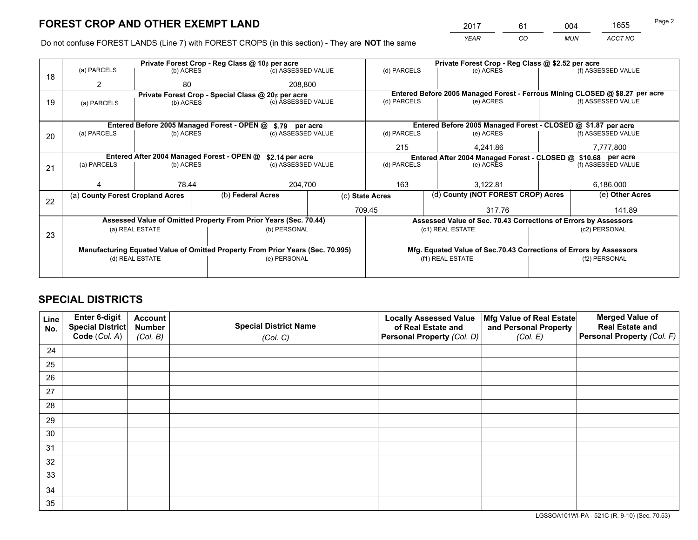*YEAR CO MUN ACCT NO* <sup>2017</sup> <sup>61</sup> <sup>004</sup> <sup>1655</sup>

Do not confuse FOREST LANDS (Line 7) with FOREST CROPS (in this section) - They are **NOT** the same

|    |                                  | Private Forest Crop - Reg Class @ 10¢ per acre                                 |  |                                                    |     |                                                               |                                                                              | Private Forest Crop - Reg Class @ \$2.52 per acre               |                                                                    |                    |
|----|----------------------------------|--------------------------------------------------------------------------------|--|----------------------------------------------------|-----|---------------------------------------------------------------|------------------------------------------------------------------------------|-----------------------------------------------------------------|--------------------------------------------------------------------|--------------------|
| 18 | (a) PARCELS                      | (b) ACRES                                                                      |  | (c) ASSESSED VALUE                                 |     | (d) PARCELS                                                   |                                                                              | (e) ACRES                                                       |                                                                    | (f) ASSESSED VALUE |
|    | 2                                | 80                                                                             |  | 208.800                                            |     |                                                               |                                                                              |                                                                 |                                                                    |                    |
|    |                                  |                                                                                |  | Private Forest Crop - Special Class @ 20¢ per acre |     |                                                               | Entered Before 2005 Managed Forest - Ferrous Mining CLOSED @ \$8.27 per acre |                                                                 |                                                                    |                    |
| 19 | (a) PARCELS                      | (b) ACRES                                                                      |  | (c) ASSESSED VALUE                                 |     | (d) PARCELS                                                   |                                                                              | (e) ACRES                                                       |                                                                    | (f) ASSESSED VALUE |
|    |                                  |                                                                                |  |                                                    |     |                                                               |                                                                              |                                                                 |                                                                    |                    |
|    |                                  | Entered Before 2005 Managed Forest - OPEN @ \$.79 per acre                     |  |                                                    |     |                                                               |                                                                              | Entered Before 2005 Managed Forest - CLOSED @ \$1.87 per acre   |                                                                    |                    |
| 20 | (a) PARCELS                      | (b) ACRES                                                                      |  | (c) ASSESSED VALUE                                 |     | (d) PARCELS                                                   |                                                                              | (e) ACRES                                                       |                                                                    | (f) ASSESSED VALUE |
|    |                                  |                                                                                |  |                                                    |     | 215                                                           |                                                                              | 4.241.86                                                        |                                                                    | 7,777,800          |
|    |                                  | Entered After 2004 Managed Forest - OPEN @                                     |  | \$2.14 per acre                                    |     | Entered After 2004 Managed Forest - CLOSED @ \$10.68 per acre |                                                                              |                                                                 |                                                                    |                    |
| 21 | (a) PARCELS                      | (b) ACRES                                                                      |  | (c) ASSESSED VALUE                                 |     | (d) PARCELS                                                   |                                                                              | (e) ACRES                                                       |                                                                    | (f) ASSESSED VALUE |
|    |                                  |                                                                                |  |                                                    |     |                                                               |                                                                              |                                                                 |                                                                    |                    |
|    |                                  | 78.44                                                                          |  | 204,700                                            | 163 |                                                               | 3.122.81                                                                     |                                                                 | 6,186,000                                                          |                    |
| 22 | (a) County Forest Cropland Acres |                                                                                |  | (b) Federal Acres                                  |     | (c) State Acres                                               |                                                                              | (d) County (NOT FOREST CROP) Acres                              |                                                                    | (e) Other Acres    |
|    |                                  |                                                                                |  |                                                    |     | 709.45<br>317.76                                              |                                                                              | 141.89                                                          |                                                                    |                    |
|    |                                  | Assessed Value of Omitted Property From Prior Years (Sec. 70.44)               |  |                                                    |     |                                                               |                                                                              | Assessed Value of Sec. 70.43 Corrections of Errors by Assessors |                                                                    |                    |
| 23 |                                  | (a) REAL ESTATE                                                                |  | (b) PERSONAL                                       |     |                                                               | (c1) REAL ESTATE                                                             |                                                                 | (c2) PERSONAL                                                      |                    |
|    |                                  |                                                                                |  |                                                    |     |                                                               |                                                                              |                                                                 |                                                                    |                    |
|    |                                  | Manufacturing Equated Value of Omitted Property From Prior Years (Sec. 70.995) |  |                                                    |     |                                                               |                                                                              |                                                                 | Mfg. Equated Value of Sec.70.43 Corrections of Errors by Assessors |                    |
|    |                                  | (d) REAL ESTATE                                                                |  | (e) PERSONAL                                       |     |                                                               | (f1) REAL ESTATE                                                             |                                                                 | (f2) PERSONAL                                                      |                    |
|    |                                  |                                                                                |  |                                                    |     |                                                               |                                                                              |                                                                 |                                                                    |                    |
|    |                                  |                                                                                |  |                                                    |     |                                                               |                                                                              |                                                                 |                                                                    |                    |

## **SPECIAL DISTRICTS**

| Line<br>No. | Enter 6-digit<br><b>Special District</b> | <b>Account</b><br><b>Number</b> | <b>Special District Name</b> | <b>Locally Assessed Value</b><br>of Real Estate and | Mfg Value of Real Estate<br>and Personal Property | <b>Merged Value of</b><br><b>Real Estate and</b> |
|-------------|------------------------------------------|---------------------------------|------------------------------|-----------------------------------------------------|---------------------------------------------------|--------------------------------------------------|
|             | Code (Col. A)                            | (Col. B)                        | (Col. C)                     | Personal Property (Col. D)                          | (Col. E)                                          | Personal Property (Col. F)                       |
| 24          |                                          |                                 |                              |                                                     |                                                   |                                                  |
| 25          |                                          |                                 |                              |                                                     |                                                   |                                                  |
| 26          |                                          |                                 |                              |                                                     |                                                   |                                                  |
| 27          |                                          |                                 |                              |                                                     |                                                   |                                                  |
| 28          |                                          |                                 |                              |                                                     |                                                   |                                                  |
| 29          |                                          |                                 |                              |                                                     |                                                   |                                                  |
| 30          |                                          |                                 |                              |                                                     |                                                   |                                                  |
| 31          |                                          |                                 |                              |                                                     |                                                   |                                                  |
| 32          |                                          |                                 |                              |                                                     |                                                   |                                                  |
| 33          |                                          |                                 |                              |                                                     |                                                   |                                                  |
| 34          |                                          |                                 |                              |                                                     |                                                   |                                                  |
| 35          |                                          |                                 |                              |                                                     |                                                   |                                                  |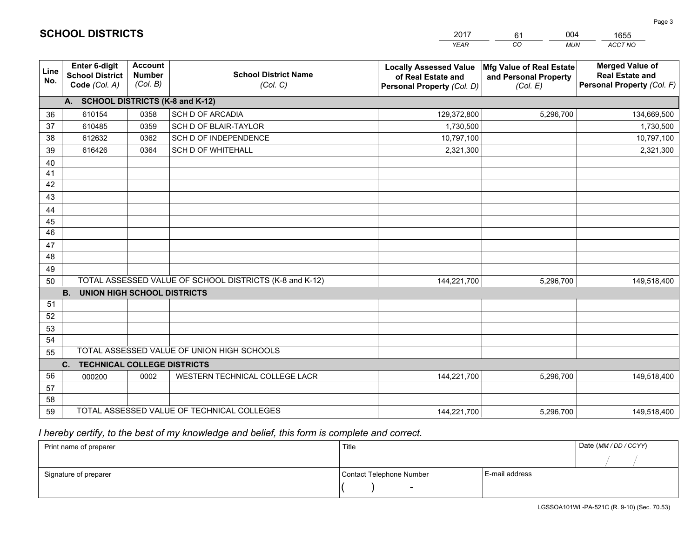|             |                                                                 |                                             |                                                         | <b>YEAR</b>                                                                       | CO<br><b>MUN</b>                                              | ACCT NO                                                                        |
|-------------|-----------------------------------------------------------------|---------------------------------------------|---------------------------------------------------------|-----------------------------------------------------------------------------------|---------------------------------------------------------------|--------------------------------------------------------------------------------|
| Line<br>No. | <b>Enter 6-digit</b><br><b>School District</b><br>Code (Col. A) | <b>Account</b><br><b>Number</b><br>(Col. B) | <b>School District Name</b><br>(Col. C)                 | <b>Locally Assessed Value</b><br>of Real Estate and<br>Personal Property (Col. D) | Mfg Value of Real Estate<br>and Personal Property<br>(Col. E) | <b>Merged Value of</b><br><b>Real Estate and</b><br>Personal Property (Col. F) |
|             | A. SCHOOL DISTRICTS (K-8 and K-12)                              |                                             |                                                         |                                                                                   |                                                               |                                                                                |
| 36          | 610154                                                          | 0358                                        | <b>SCH D OF ARCADIA</b>                                 | 129,372,800                                                                       | 5,296,700                                                     | 134,669,500                                                                    |
| 37          | 610485                                                          | 0359                                        | SCH D OF BLAIR-TAYLOR                                   | 1,730,500                                                                         |                                                               | 1,730,500                                                                      |
| 38          | 612632                                                          | 0362                                        | SCH D OF INDEPENDENCE                                   | 10,797,100                                                                        |                                                               | 10,797,100                                                                     |
| 39          | 616426                                                          | 0364                                        | <b>SCH D OF WHITEHALL</b>                               | 2,321,300                                                                         |                                                               | 2,321,300                                                                      |
| 40          |                                                                 |                                             |                                                         |                                                                                   |                                                               |                                                                                |
| 41          |                                                                 |                                             |                                                         |                                                                                   |                                                               |                                                                                |
| 42          |                                                                 |                                             |                                                         |                                                                                   |                                                               |                                                                                |
| 43          |                                                                 |                                             |                                                         |                                                                                   |                                                               |                                                                                |
| 44          |                                                                 |                                             |                                                         |                                                                                   |                                                               |                                                                                |
| 45          |                                                                 |                                             |                                                         |                                                                                   |                                                               |                                                                                |
| 46          |                                                                 |                                             |                                                         |                                                                                   |                                                               |                                                                                |
| 47          |                                                                 |                                             |                                                         |                                                                                   |                                                               |                                                                                |
| 48          |                                                                 |                                             |                                                         |                                                                                   |                                                               |                                                                                |
| 49          |                                                                 |                                             |                                                         |                                                                                   |                                                               |                                                                                |
| 50          |                                                                 |                                             | TOTAL ASSESSED VALUE OF SCHOOL DISTRICTS (K-8 and K-12) | 144,221,700                                                                       | 5,296,700                                                     | 149,518,400                                                                    |
|             | <b>B.</b><br><b>UNION HIGH SCHOOL DISTRICTS</b>                 |                                             |                                                         |                                                                                   |                                                               |                                                                                |
| 51          |                                                                 |                                             |                                                         |                                                                                   |                                                               |                                                                                |
| 52          |                                                                 |                                             |                                                         |                                                                                   |                                                               |                                                                                |
| 53          |                                                                 |                                             |                                                         |                                                                                   |                                                               |                                                                                |
| 54          |                                                                 |                                             |                                                         |                                                                                   |                                                               |                                                                                |
| 55          |                                                                 |                                             | TOTAL ASSESSED VALUE OF UNION HIGH SCHOOLS              |                                                                                   |                                                               |                                                                                |
|             | C.<br><b>TECHNICAL COLLEGE DISTRICTS</b>                        |                                             |                                                         |                                                                                   |                                                               |                                                                                |
| 56          | 000200                                                          | 0002                                        | WESTERN TECHNICAL COLLEGE LACR                          | 144,221,700                                                                       | 5,296,700                                                     | 149,518,400                                                                    |
| 57          |                                                                 |                                             |                                                         |                                                                                   |                                                               |                                                                                |
| 58          |                                                                 |                                             |                                                         |                                                                                   |                                                               |                                                                                |
| 59          |                                                                 |                                             | TOTAL ASSESSED VALUE OF TECHNICAL COLLEGES              | 144,221,700                                                                       | 5,296,700                                                     | 149,518,400                                                                    |

61

004

 *I hereby certify, to the best of my knowledge and belief, this form is complete and correct.*

**SCHOOL DISTRICTS**

| Print name of preparer | Title                    |                | Date (MM / DD / CCYY) |
|------------------------|--------------------------|----------------|-----------------------|
|                        |                          |                |                       |
| Signature of preparer  | Contact Telephone Number | E-mail address |                       |
|                        | $\sim$                   |                |                       |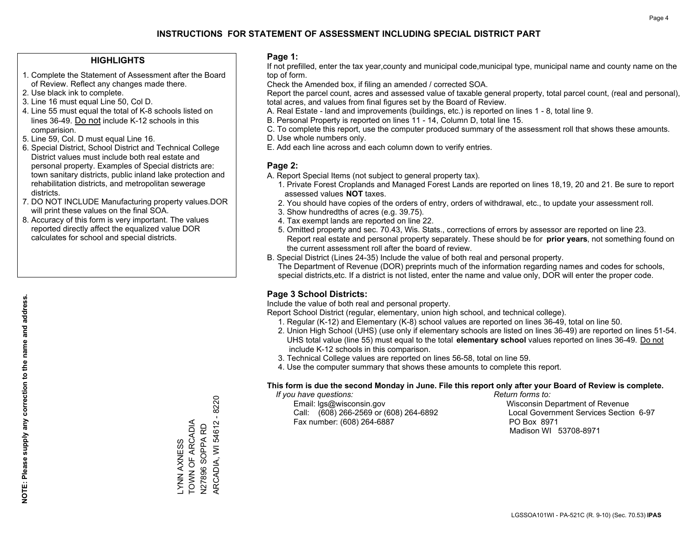## **HIGHLIGHTS**

- 1. Complete the Statement of Assessment after the Board of Review. Reflect any changes made there.
- 2. Use black ink to complete.
- 3. Line 16 must equal Line 50, Col D.
- 4. Line 55 must equal the total of K-8 schools listed on lines 36-49. Do not include K-12 schools in this comparision.
- 5. Line 59, Col. D must equal Line 16.
- 6. Special District, School District and Technical College District values must include both real estate and personal property. Examples of Special districts are: town sanitary districts, public inland lake protection and rehabilitation districts, and metropolitan sewerage districts.
- 7. DO NOT INCLUDE Manufacturing property values.DOR will print these values on the final SOA.
- 8. Accuracy of this form is very important. The values reported directly affect the equalized value DOR calculates for school and special districts.

#### **Page 1:**

 If not prefilled, enter the tax year,county and municipal code,municipal type, municipal name and county name on the top of form.

Check the Amended box, if filing an amended / corrected SOA.

 Report the parcel count, acres and assessed value of taxable general property, total parcel count, (real and personal), total acres, and values from final figures set by the Board of Review.

- A. Real Estate land and improvements (buildings, etc.) is reported on lines 1 8, total line 9.
- B. Personal Property is reported on lines 11 14, Column D, total line 15.
- C. To complete this report, use the computer produced summary of the assessment roll that shows these amounts.
- D. Use whole numbers only.
- E. Add each line across and each column down to verify entries.

## **Page 2:**

- A. Report Special Items (not subject to general property tax).
- 1. Private Forest Croplands and Managed Forest Lands are reported on lines 18,19, 20 and 21. Be sure to report assessed values **NOT** taxes.
- 2. You should have copies of the orders of entry, orders of withdrawal, etc., to update your assessment roll.
	- 3. Show hundredths of acres (e.g. 39.75).
- 4. Tax exempt lands are reported on line 22.
- 5. Omitted property and sec. 70.43, Wis. Stats., corrections of errors by assessor are reported on line 23. Report real estate and personal property separately. These should be for **prior years**, not something found on the current assessment roll after the board of review.
- B. Special District (Lines 24-35) Include the value of both real and personal property.

 The Department of Revenue (DOR) preprints much of the information regarding names and codes for schools, special districts,etc. If a district is not listed, enter the name and value only, DOR will enter the proper code.

## **Page 3 School Districts:**

Include the value of both real and personal property.

Report School District (regular, elementary, union high school, and technical college).

- 1. Regular (K-12) and Elementary (K-8) school values are reported on lines 36-49, total on line 50.
- 2. Union High School (UHS) (use only if elementary schools are listed on lines 36-49) are reported on lines 51-54. UHS total value (line 55) must equal to the total **elementary school** values reported on lines 36-49. Do notinclude K-12 schools in this comparison.
- 3. Technical College values are reported on lines 56-58, total on line 59.
- 4. Use the computer summary that shows these amounts to complete this report.

#### **This form is due the second Monday in June. File this report only after your Board of Review is complete.**

 *If you have questions: Return forms to:*

 Email: lgs@wisconsin.gov Wisconsin Department of RevenueCall:  $(608)$  266-2569 or  $(608)$  264-6892 Fax number: (608) 264-6887 PO Box 8971

Local Government Services Section 6-97 Madison WI 53708-8971

TOWN OF ARCADIA TOWN OF ARCADIA N27896 SOPPA RD N27896 SOPPA RD YNN AXNESS LYNN AXNESS

ARCADIA, WI 54612 - 8220

ARCADIA, WI 54612 - 8220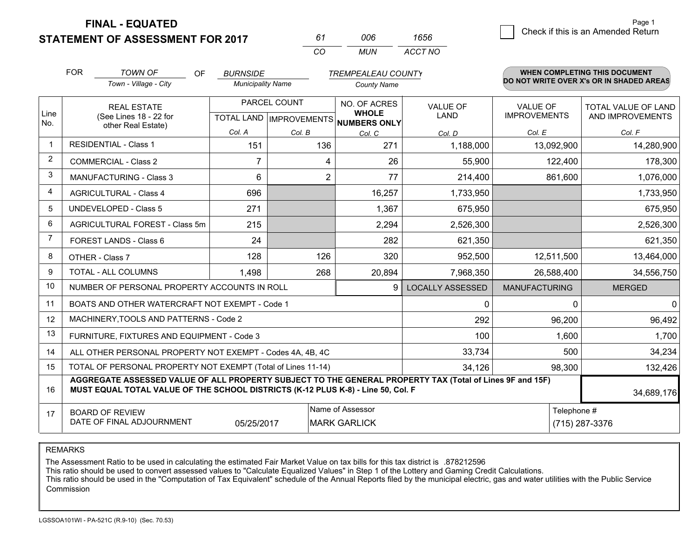**STATEMENT OF ASSESSMENT FOR 2017** 

*CO MUN <sup>61</sup> <sup>006</sup> ACCT NO1656*

|                | <b>FOR</b>                                                                       | <b>TOWN OF</b><br>OF                                                                                     | <b>BURNSIDE</b>          |               | <b>TREMPEALEAU COUNTY</b>               |                         |                                        | <b>WHEN COMPLETING THIS DOCUMENT</b>           |  |
|----------------|----------------------------------------------------------------------------------|----------------------------------------------------------------------------------------------------------|--------------------------|---------------|-----------------------------------------|-------------------------|----------------------------------------|------------------------------------------------|--|
|                |                                                                                  | Town - Village - City                                                                                    | <b>Municipality Name</b> |               | <b>County Name</b>                      |                         |                                        | DO NOT WRITE OVER X's OR IN SHADED AREAS       |  |
| Line           |                                                                                  | <b>REAL ESTATE</b><br>(See Lines 18 - 22 for                                                             |                          | PARCEL COUNT  | NO. OF ACRES<br><b>WHOLE</b>            | <b>VALUE OF</b><br>LAND | <b>VALUE OF</b><br><b>IMPROVEMENTS</b> | <b>TOTAL VALUE OF LAND</b><br>AND IMPROVEMENTS |  |
| No.            |                                                                                  | other Real Estate)                                                                                       | Col. A                   |               | TOTAL LAND MPROVEMENTS NUMBERS ONLY     |                         | Col. E                                 |                                                |  |
| -1             |                                                                                  | <b>RESIDENTIAL - Class 1</b>                                                                             | 151                      | Col. B<br>136 | Col. C<br>271                           | Col. D<br>1,188,000     | 13,092,900                             | Col. F<br>14,280,900                           |  |
| $\overline{2}$ |                                                                                  | <b>COMMERCIAL - Class 2</b>                                                                              | 7                        | 4             | 26                                      | 55,900                  | 122,400                                | 178,300                                        |  |
| 3              |                                                                                  | <b>MANUFACTURING - Class 3</b>                                                                           | 6                        | 2             | 77                                      | 214,400                 | 861,600                                | 1,076,000                                      |  |
| 4              |                                                                                  | <b>AGRICULTURAL - Class 4</b>                                                                            | 696                      |               | 16,257                                  | 1,733,950               |                                        | 1,733,950                                      |  |
| 5              |                                                                                  | <b>UNDEVELOPED - Class 5</b>                                                                             | 271                      |               | 1,367                                   | 675,950                 |                                        | 675,950                                        |  |
| 6              |                                                                                  | AGRICULTURAL FOREST - Class 5m                                                                           | 215                      |               | 2,294                                   | 2,526,300               |                                        | 2,526,300                                      |  |
| $\overline{7}$ |                                                                                  | FOREST LANDS - Class 6                                                                                   | 24                       |               | 282                                     | 621,350                 |                                        | 621,350                                        |  |
| 8              |                                                                                  | OTHER - Class 7                                                                                          | 128                      | 126           | 320                                     | 952,500                 | 12,511,500                             | 13,464,000                                     |  |
| 9              |                                                                                  | TOTAL - ALL COLUMNS                                                                                      | 1,498                    | 268           | 20,894                                  | 7,968,350               | 26,588,400                             | 34,556,750                                     |  |
| 10             |                                                                                  | NUMBER OF PERSONAL PROPERTY ACCOUNTS IN ROLL                                                             |                          |               | 9                                       | <b>LOCALLY ASSESSED</b> | <b>MANUFACTURING</b>                   | <b>MERGED</b>                                  |  |
| 11             |                                                                                  | BOATS AND OTHER WATERCRAFT NOT EXEMPT - Code 1                                                           |                          |               |                                         | $\mathbf{0}$            | $\mathbf 0$                            | $\mathbf 0$                                    |  |
| 12             |                                                                                  | MACHINERY, TOOLS AND PATTERNS - Code 2                                                                   |                          |               |                                         | 292                     | 96,200                                 | 96,492                                         |  |
| 13             |                                                                                  | FURNITURE, FIXTURES AND EQUIPMENT - Code 3                                                               |                          |               |                                         | 100                     | 1,600                                  | 1,700                                          |  |
| 14             |                                                                                  | ALL OTHER PERSONAL PROPERTY NOT EXEMPT - Codes 4A, 4B, 4C                                                |                          |               |                                         | 33,734                  | 500                                    | 34,234                                         |  |
| 15             |                                                                                  | TOTAL OF PERSONAL PROPERTY NOT EXEMPT (Total of Lines 11-14)                                             |                          |               |                                         | 34,126                  | 98,300                                 | 132,426                                        |  |
| 16             | MUST EQUAL TOTAL VALUE OF THE SCHOOL DISTRICTS (K-12 PLUS K-8) - Line 50, Col. F | AGGREGATE ASSESSED VALUE OF ALL PROPERTY SUBJECT TO THE GENERAL PROPERTY TAX (Total of Lines 9F and 15F) | 34,689,176               |               |                                         |                         |                                        |                                                |  |
| 17             |                                                                                  | <b>BOARD OF REVIEW</b><br>DATE OF FINAL ADJOURNMENT                                                      | 05/25/2017               |               | Name of Assessor<br><b>MARK GARLICK</b> |                         | Telephone #                            | (715) 287-3376                                 |  |

REMARKS

The Assessment Ratio to be used in calculating the estimated Fair Market Value on tax bills for this tax district is .878212596<br>This ratio should be used to convert assessed values to "Calculate Equalized Values" in Step 1 Commission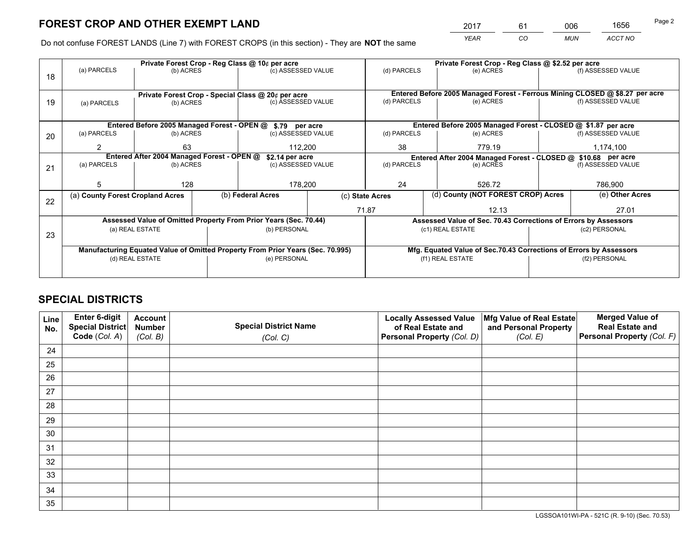*YEAR CO MUN ACCT NO* <sup>2017</sup> <sup>61</sup> <sup>006</sup> <sup>1656</sup>

Do not confuse FOREST LANDS (Line 7) with FOREST CROPS (in this section) - They are **NOT** the same

|    |                                            |                 |  | Private Forest Crop - Reg Class @ 10¢ per acre                                 |  | Private Forest Crop - Reg Class @ \$2.52 per acre                            |                                                                    |  |                    |  |
|----|--------------------------------------------|-----------------|--|--------------------------------------------------------------------------------|--|------------------------------------------------------------------------------|--------------------------------------------------------------------|--|--------------------|--|
| 18 | (a) PARCELS                                | (b) ACRES       |  | (c) ASSESSED VALUE                                                             |  | (d) PARCELS                                                                  | (e) ACRES                                                          |  | (f) ASSESSED VALUE |  |
|    |                                            |                 |  | Private Forest Crop - Special Class @ 20¢ per acre                             |  | Entered Before 2005 Managed Forest - Ferrous Mining CLOSED @ \$8.27 per acre |                                                                    |  |                    |  |
| 19 | (a) PARCELS                                | (b) ACRES       |  | (c) ASSESSED VALUE                                                             |  | (d) PARCELS                                                                  | (e) ACRES                                                          |  | (f) ASSESSED VALUE |  |
|    |                                            |                 |  |                                                                                |  |                                                                              |                                                                    |  |                    |  |
|    |                                            |                 |  | Entered Before 2005 Managed Forest - OPEN @ \$.79 per acre                     |  |                                                                              | Entered Before 2005 Managed Forest - CLOSED @ \$1.87 per acre      |  |                    |  |
| 20 | (a) PARCELS                                | (b) ACRES       |  | (c) ASSESSED VALUE                                                             |  | (d) PARCELS                                                                  | (e) ACRES                                                          |  | (f) ASSESSED VALUE |  |
|    | 63<br>2                                    |                 |  | 112,200                                                                        |  | 38                                                                           | 779.19                                                             |  | 1,174,100          |  |
|    | Entered After 2004 Managed Forest - OPEN @ |                 |  | \$2.14 per acre                                                                |  | Entered After 2004 Managed Forest - CLOSED @ \$10.68 per acre                |                                                                    |  |                    |  |
| 21 | (a) PARCELS                                | (b) ACRES       |  | (c) ASSESSED VALUE                                                             |  | (d) PARCELS                                                                  | (e) ACRES                                                          |  | (f) ASSESSED VALUE |  |
|    |                                            |                 |  |                                                                                |  |                                                                              |                                                                    |  |                    |  |
|    | 5                                          | 128             |  | 178,200                                                                        |  | 24                                                                           | 526.72                                                             |  | 786,900            |  |
| 22 | (a) County Forest Cropland Acres           |                 |  | (b) Federal Acres                                                              |  | (c) State Acres                                                              | (d) County (NOT FOREST CROP) Acres                                 |  | (e) Other Acres    |  |
|    |                                            |                 |  |                                                                                |  | 71.87                                                                        | 12.13                                                              |  | 27.01              |  |
|    |                                            |                 |  | Assessed Value of Omitted Property From Prior Years (Sec. 70.44)               |  |                                                                              | Assessed Value of Sec. 70.43 Corrections of Errors by Assessors    |  |                    |  |
|    |                                            | (a) REAL ESTATE |  | (b) PERSONAL                                                                   |  |                                                                              | (c1) REAL ESTATE                                                   |  | (c2) PERSONAL      |  |
| 23 |                                            |                 |  |                                                                                |  |                                                                              |                                                                    |  |                    |  |
|    |                                            |                 |  | Manufacturing Equated Value of Omitted Property From Prior Years (Sec. 70.995) |  |                                                                              | Mfg. Equated Value of Sec.70.43 Corrections of Errors by Assessors |  |                    |  |
|    |                                            | (d) REAL ESTATE |  | (e) PERSONAL                                                                   |  |                                                                              | (f1) REAL ESTATE                                                   |  | (f2) PERSONAL      |  |
|    |                                            |                 |  |                                                                                |  |                                                                              |                                                                    |  |                    |  |
|    |                                            |                 |  |                                                                                |  |                                                                              |                                                                    |  |                    |  |

## **SPECIAL DISTRICTS**

| Line<br>No. | Enter 6-digit<br><b>Special District</b> | <b>Account</b><br><b>Number</b> | <b>Special District Name</b> | <b>Locally Assessed Value</b><br>of Real Estate and | Mfg Value of Real Estate<br>and Personal Property | <b>Merged Value of</b><br><b>Real Estate and</b> |
|-------------|------------------------------------------|---------------------------------|------------------------------|-----------------------------------------------------|---------------------------------------------------|--------------------------------------------------|
|             | Code (Col. A)                            | (Col. B)                        | (Col. C)                     | Personal Property (Col. D)                          | (Col. E)                                          | Personal Property (Col. F)                       |
| 24          |                                          |                                 |                              |                                                     |                                                   |                                                  |
| 25          |                                          |                                 |                              |                                                     |                                                   |                                                  |
| 26          |                                          |                                 |                              |                                                     |                                                   |                                                  |
| 27          |                                          |                                 |                              |                                                     |                                                   |                                                  |
| 28          |                                          |                                 |                              |                                                     |                                                   |                                                  |
| 29          |                                          |                                 |                              |                                                     |                                                   |                                                  |
| 30          |                                          |                                 |                              |                                                     |                                                   |                                                  |
| 31          |                                          |                                 |                              |                                                     |                                                   |                                                  |
| 32          |                                          |                                 |                              |                                                     |                                                   |                                                  |
| 33          |                                          |                                 |                              |                                                     |                                                   |                                                  |
| 34          |                                          |                                 |                              |                                                     |                                                   |                                                  |
| 35          |                                          |                                 |                              |                                                     |                                                   |                                                  |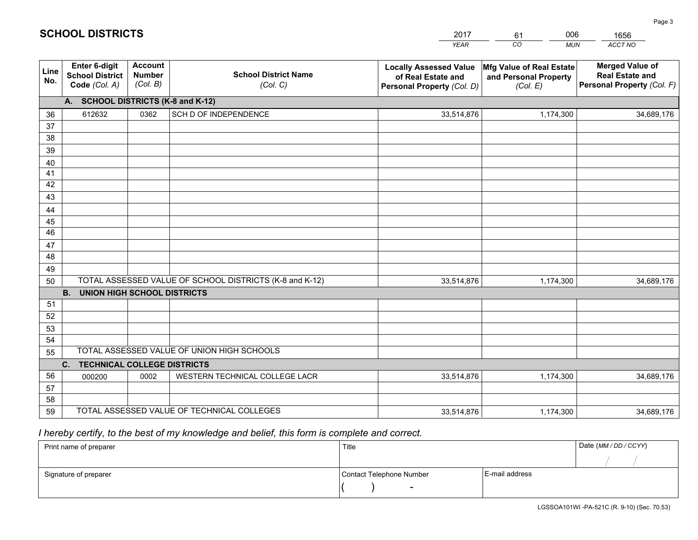|             |                                                                 |                                             |                                                         | <b>YEAR</b>                                                                       | CO<br><b>MUN</b>                                              | ACCT NO                                                                        |
|-------------|-----------------------------------------------------------------|---------------------------------------------|---------------------------------------------------------|-----------------------------------------------------------------------------------|---------------------------------------------------------------|--------------------------------------------------------------------------------|
| Line<br>No. | <b>Enter 6-digit</b><br><b>School District</b><br>Code (Col. A) | <b>Account</b><br><b>Number</b><br>(Col. B) | <b>School District Name</b><br>(Col. C)                 | <b>Locally Assessed Value</b><br>of Real Estate and<br>Personal Property (Col. D) | Mfg Value of Real Estate<br>and Personal Property<br>(Col. E) | <b>Merged Value of</b><br><b>Real Estate and</b><br>Personal Property (Col. F) |
|             | A. SCHOOL DISTRICTS (K-8 and K-12)                              |                                             |                                                         |                                                                                   |                                                               |                                                                                |
| 36          | 612632                                                          | 0362                                        | SCH D OF INDEPENDENCE                                   | 33,514,876                                                                        | 1,174,300                                                     | 34,689,176                                                                     |
| 37          |                                                                 |                                             |                                                         |                                                                                   |                                                               |                                                                                |
| 38          |                                                                 |                                             |                                                         |                                                                                   |                                                               |                                                                                |
| 39          |                                                                 |                                             |                                                         |                                                                                   |                                                               |                                                                                |
| 40          |                                                                 |                                             |                                                         |                                                                                   |                                                               |                                                                                |
| 41<br>42    |                                                                 |                                             |                                                         |                                                                                   |                                                               |                                                                                |
| 43          |                                                                 |                                             |                                                         |                                                                                   |                                                               |                                                                                |
| 44          |                                                                 |                                             |                                                         |                                                                                   |                                                               |                                                                                |
| 45          |                                                                 |                                             |                                                         |                                                                                   |                                                               |                                                                                |
| 46          |                                                                 |                                             |                                                         |                                                                                   |                                                               |                                                                                |
| 47          |                                                                 |                                             |                                                         |                                                                                   |                                                               |                                                                                |
| 48          |                                                                 |                                             |                                                         |                                                                                   |                                                               |                                                                                |
| 49          |                                                                 |                                             |                                                         |                                                                                   |                                                               |                                                                                |
| 50          |                                                                 |                                             | TOTAL ASSESSED VALUE OF SCHOOL DISTRICTS (K-8 and K-12) | 33,514,876                                                                        | 1,174,300                                                     | 34,689,176                                                                     |
|             | <b>B. UNION HIGH SCHOOL DISTRICTS</b>                           |                                             |                                                         |                                                                                   |                                                               |                                                                                |
| 51          |                                                                 |                                             |                                                         |                                                                                   |                                                               |                                                                                |
| 52          |                                                                 |                                             |                                                         |                                                                                   |                                                               |                                                                                |
| 53<br>54    |                                                                 |                                             |                                                         |                                                                                   |                                                               |                                                                                |
| 55          |                                                                 |                                             | TOTAL ASSESSED VALUE OF UNION HIGH SCHOOLS              |                                                                                   |                                                               |                                                                                |
|             | C.<br><b>TECHNICAL COLLEGE DISTRICTS</b>                        |                                             |                                                         |                                                                                   |                                                               |                                                                                |
| 56          | 000200                                                          | 0002                                        | WESTERN TECHNICAL COLLEGE LACR                          | 33,514,876                                                                        | 1,174,300                                                     | 34,689,176                                                                     |
| 57          |                                                                 |                                             |                                                         |                                                                                   |                                                               |                                                                                |
| 58          |                                                                 |                                             |                                                         |                                                                                   |                                                               |                                                                                |
| 59          |                                                                 |                                             | TOTAL ASSESSED VALUE OF TECHNICAL COLLEGES              | 33,514,876                                                                        | 1,174,300                                                     | 34,689,176                                                                     |

61

006

 *I hereby certify, to the best of my knowledge and belief, this form is complete and correct.*

**SCHOOL DISTRICTS**

| Print name of preparer | Title                    |                | Date (MM/DD/CCYY) |
|------------------------|--------------------------|----------------|-------------------|
|                        |                          |                |                   |
| Signature of preparer  | Contact Telephone Number | E-mail address |                   |
|                        | $\overline{\phantom{a}}$ |                |                   |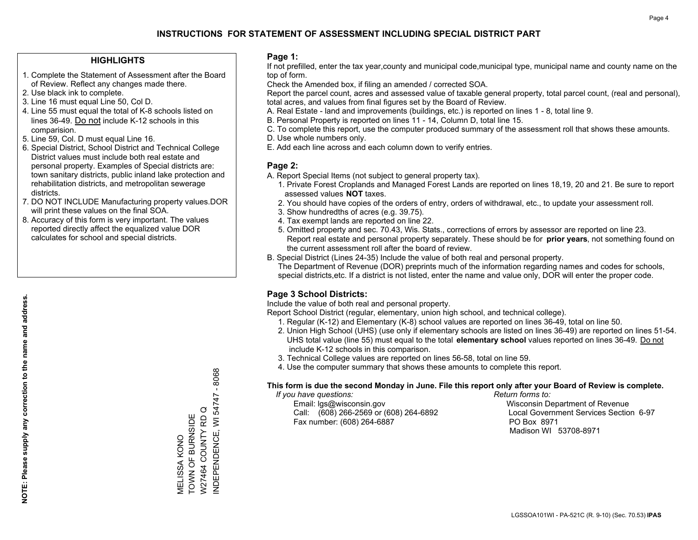## **HIGHLIGHTS**

- 1. Complete the Statement of Assessment after the Board of Review. Reflect any changes made there.
- 2. Use black ink to complete.
- 3. Line 16 must equal Line 50, Col D.
- 4. Line 55 must equal the total of K-8 schools listed on lines 36-49. Do not include K-12 schools in this comparision.
- 5. Line 59, Col. D must equal Line 16.
- 6. Special District, School District and Technical College District values must include both real estate and personal property. Examples of Special districts are: town sanitary districts, public inland lake protection and rehabilitation districts, and metropolitan sewerage districts.
- 7. DO NOT INCLUDE Manufacturing property values.DOR will print these values on the final SOA.

MELISSA KONO TOWN OF BURNSIDE W27464 COUNTY RD Q INDEPENDENCE, WI 54747 - 8068

NDEPENDENCE, WI 54747 - 8068

W27464 COUNTY RDQ MELISSA KONO<br>TOWN OF BURNSIDE

 8. Accuracy of this form is very important. The values reported directly affect the equalized value DOR calculates for school and special districts.

#### **Page 1:**

 If not prefilled, enter the tax year,county and municipal code,municipal type, municipal name and county name on the top of form.

Check the Amended box, if filing an amended / corrected SOA.

 Report the parcel count, acres and assessed value of taxable general property, total parcel count, (real and personal), total acres, and values from final figures set by the Board of Review.

- A. Real Estate land and improvements (buildings, etc.) is reported on lines 1 8, total line 9.
- B. Personal Property is reported on lines 11 14, Column D, total line 15.
- C. To complete this report, use the computer produced summary of the assessment roll that shows these amounts.
- D. Use whole numbers only.
- E. Add each line across and each column down to verify entries.

#### **Page 2:**

- A. Report Special Items (not subject to general property tax).
- 1. Private Forest Croplands and Managed Forest Lands are reported on lines 18,19, 20 and 21. Be sure to report assessed values **NOT** taxes.
- 2. You should have copies of the orders of entry, orders of withdrawal, etc., to update your assessment roll.
	- 3. Show hundredths of acres (e.g. 39.75).
- 4. Tax exempt lands are reported on line 22.
- 5. Omitted property and sec. 70.43, Wis. Stats., corrections of errors by assessor are reported on line 23. Report real estate and personal property separately. These should be for **prior years**, not something found on the current assessment roll after the board of review.
- B. Special District (Lines 24-35) Include the value of both real and personal property.
- The Department of Revenue (DOR) preprints much of the information regarding names and codes for schools, special districts,etc. If a district is not listed, enter the name and value only, DOR will enter the proper code.

## **Page 3 School Districts:**

Include the value of both real and personal property.

Report School District (regular, elementary, union high school, and technical college).

- 1. Regular (K-12) and Elementary (K-8) school values are reported on lines 36-49, total on line 50.
- 2. Union High School (UHS) (use only if elementary schools are listed on lines 36-49) are reported on lines 51-54. UHS total value (line 55) must equal to the total **elementary school** values reported on lines 36-49. Do notinclude K-12 schools in this comparison.
- 3. Technical College values are reported on lines 56-58, total on line 59.
- 4. Use the computer summary that shows these amounts to complete this report.

#### **This form is due the second Monday in June. File this report only after your Board of Review is complete.**

 *If you have questions: Return forms to:*

 Email: lgs@wisconsin.gov Wisconsin Department of RevenueCall:  $(608)$  266-2569 or  $(608)$  264-6892 Fax number: (608) 264-6887 PO Box 8971

Local Government Services Section 6-97 Madison WI 53708-8971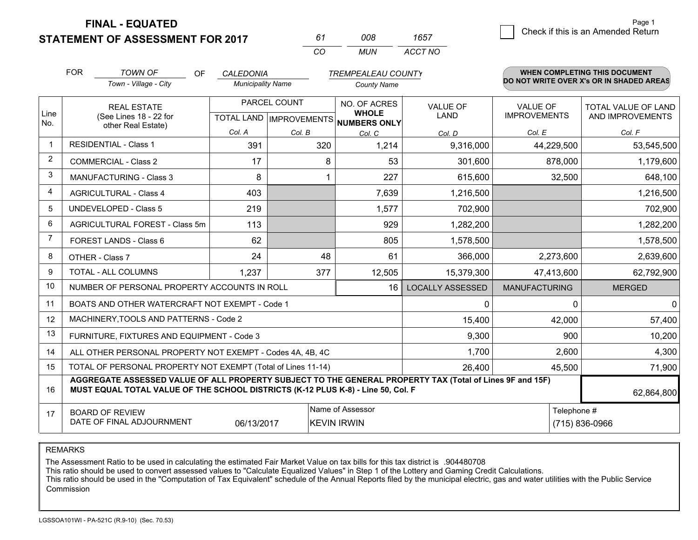**STATEMENT OF ASSESSMENT FOR 2017** 

| 61 | nnr  | 1657    |
|----|------|---------|
| Γn | MUN. | ACCT NO |

|                | <b>FOR</b>                                                                                                                                   | <b>TOWN OF</b><br>OF                                                                                                                                                                         | <b>CALEDONIA</b>         |              | <b>TREMPEALEAU COUNTY</b>                                                |                         |                                        | <b>WHEN COMPLETING THIS DOCUMENT</b>           |
|----------------|----------------------------------------------------------------------------------------------------------------------------------------------|----------------------------------------------------------------------------------------------------------------------------------------------------------------------------------------------|--------------------------|--------------|--------------------------------------------------------------------------|-------------------------|----------------------------------------|------------------------------------------------|
|                |                                                                                                                                              | Town - Village - City                                                                                                                                                                        | <b>Municipality Name</b> |              | <b>County Name</b>                                                       |                         |                                        | DO NOT WRITE OVER X's OR IN SHADED AREAS       |
| Line           | <b>REAL ESTATE</b><br>(See Lines 18 - 22 for                                                                                                 |                                                                                                                                                                                              |                          | PARCEL COUNT | NO. OF ACRES<br><b>WHOLE</b><br>TOTAL LAND   IMPROVEMENTS   NUMBERS ONLY | VALUE OF<br>LAND        | <b>VALUE OF</b><br><b>IMPROVEMENTS</b> | <b>TOTAL VALUE OF LAND</b><br>AND IMPROVEMENTS |
| No.            | other Real Estate)                                                                                                                           | Col. A                                                                                                                                                                                       | Col. B                   | Col. C       | Col. D                                                                   | Col. E                  | Col. F                                 |                                                |
| 1              |                                                                                                                                              | <b>RESIDENTIAL - Class 1</b>                                                                                                                                                                 | 391                      | 320          | 1,214                                                                    | 9,316,000               | 44,229,500                             | 53,545,500                                     |
| 2              |                                                                                                                                              | <b>COMMERCIAL - Class 2</b>                                                                                                                                                                  | 17                       | 8            | 53                                                                       | 301,600                 | 878,000                                | 1,179,600                                      |
| 3              |                                                                                                                                              | <b>MANUFACTURING - Class 3</b>                                                                                                                                                               | 8                        |              | 227                                                                      | 615,600                 | 32,500                                 | 648,100                                        |
| 4              |                                                                                                                                              | <b>AGRICULTURAL - Class 4</b>                                                                                                                                                                | 403                      |              | 7,639                                                                    | 1,216,500               |                                        | 1,216,500                                      |
| 5              |                                                                                                                                              | <b>UNDEVELOPED - Class 5</b>                                                                                                                                                                 | 219                      |              | 1,577                                                                    | 702,900                 |                                        | 702,900                                        |
| 6              |                                                                                                                                              | AGRICULTURAL FOREST - Class 5m                                                                                                                                                               | 113                      |              | 929                                                                      | 1,282,200               |                                        | 1,282,200                                      |
| $\overline{7}$ |                                                                                                                                              | FOREST LANDS - Class 6                                                                                                                                                                       | 62                       |              | 805                                                                      | 1,578,500               |                                        | 1,578,500                                      |
| 8              |                                                                                                                                              | OTHER - Class 7                                                                                                                                                                              | 24                       | 48           | 61                                                                       | 366,000                 | 2,273,600                              | 2,639,600                                      |
| 9              |                                                                                                                                              | TOTAL - ALL COLUMNS                                                                                                                                                                          | 1,237                    | 377          | 12,505                                                                   | 15,379,300              | 47,413,600                             | 62,792,900                                     |
| 10             |                                                                                                                                              | NUMBER OF PERSONAL PROPERTY ACCOUNTS IN ROLL                                                                                                                                                 |                          |              | 16                                                                       | <b>LOCALLY ASSESSED</b> | <b>MANUFACTURING</b>                   | <b>MERGED</b>                                  |
| 11             |                                                                                                                                              | BOATS AND OTHER WATERCRAFT NOT EXEMPT - Code 1                                                                                                                                               |                          |              |                                                                          | 0                       | $\Omega$                               | $\mathbf{0}$                                   |
| 12             |                                                                                                                                              | MACHINERY, TOOLS AND PATTERNS - Code 2                                                                                                                                                       |                          |              |                                                                          | 15,400                  | 42,000                                 | 57,400                                         |
| 13             |                                                                                                                                              | FURNITURE, FIXTURES AND EQUIPMENT - Code 3                                                                                                                                                   |                          |              |                                                                          | 9,300                   | 900                                    | 10,200                                         |
| 14             |                                                                                                                                              | ALL OTHER PERSONAL PROPERTY NOT EXEMPT - Codes 4A, 4B, 4C                                                                                                                                    |                          |              |                                                                          | 1,700                   | 2,600                                  | 4,300                                          |
| 15             | TOTAL OF PERSONAL PROPERTY NOT EXEMPT (Total of Lines 11-14)                                                                                 |                                                                                                                                                                                              |                          |              |                                                                          | 26,400                  | 45,500                                 | 71,900                                         |
| 16             |                                                                                                                                              | AGGREGATE ASSESSED VALUE OF ALL PROPERTY SUBJECT TO THE GENERAL PROPERTY TAX (Total of Lines 9F and 15F)<br>MUST EQUAL TOTAL VALUE OF THE SCHOOL DISTRICTS (K-12 PLUS K-8) - Line 50, Col. F |                          |              |                                                                          |                         |                                        | 62,864,800                                     |
| 17             | Name of Assessor<br>Telephone #<br><b>BOARD OF REVIEW</b><br>DATE OF FINAL ADJOURNMENT<br>06/13/2017<br><b>KEVIN IRWIN</b><br>(715) 836-0966 |                                                                                                                                                                                              |                          |              |                                                                          |                         |                                        |                                                |

REMARKS

The Assessment Ratio to be used in calculating the estimated Fair Market Value on tax bills for this tax district is .904480708<br>This ratio should be used to convert assessed values to "Calculate Equalized Values" in Step 1 Commission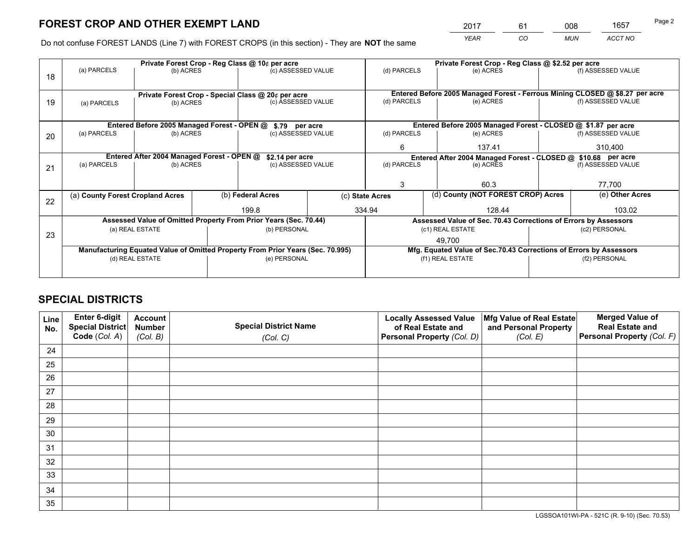*YEAR CO MUN ACCT NO* <sup>2017</sup> <sup>61</sup> <sup>008</sup> <sup>1657</sup>

Do not confuse FOREST LANDS (Line 7) with FOREST CROPS (in this section) - They are **NOT** the same

|    | Private Forest Crop - Reg Class @ 10¢ per acre                                 |                                             |  |                                                                  |        | Private Forest Crop - Reg Class @ \$2.52 per acre                            |                                                                    |                    |                    |
|----|--------------------------------------------------------------------------------|---------------------------------------------|--|------------------------------------------------------------------|--------|------------------------------------------------------------------------------|--------------------------------------------------------------------|--------------------|--------------------|
| 18 | (a) PARCELS                                                                    | (b) ACRES                                   |  | (c) ASSESSED VALUE                                               |        | (d) PARCELS                                                                  | (e) ACRES                                                          |                    | (f) ASSESSED VALUE |
|    |                                                                                |                                             |  |                                                                  |        |                                                                              |                                                                    |                    |                    |
|    |                                                                                |                                             |  | Private Forest Crop - Special Class @ 20¢ per acre               |        | Entered Before 2005 Managed Forest - Ferrous Mining CLOSED @ \$8.27 per acre |                                                                    |                    |                    |
| 19 | (b) ACRES<br>(a) PARCELS                                                       |                                             |  | (c) ASSESSED VALUE                                               |        | (d) PARCELS                                                                  | (e) ACRES                                                          |                    | (f) ASSESSED VALUE |
|    |                                                                                |                                             |  |                                                                  |        |                                                                              |                                                                    |                    |                    |
|    |                                                                                | Entered Before 2005 Managed Forest - OPEN @ |  | \$.79 per acre                                                   |        |                                                                              | Entered Before 2005 Managed Forest - CLOSED @ \$1.87 per acre      |                    |                    |
| 20 | (a) PARCELS                                                                    | (b) ACRES                                   |  | (c) ASSESSED VALUE                                               |        | (d) PARCELS                                                                  | (e) ACRES                                                          |                    | (f) ASSESSED VALUE |
|    |                                                                                |                                             |  | 6.                                                               | 137.41 |                                                                              | 310,400                                                            |                    |                    |
|    | Entered After 2004 Managed Forest - OPEN @<br>\$2.14 per acre                  |                                             |  |                                                                  |        | Entered After 2004 Managed Forest - CLOSED @ \$10.68 per acre                |                                                                    |                    |                    |
| 21 | (a) PARCELS                                                                    | (b) ACRES                                   |  | (c) ASSESSED VALUE                                               |        | (d) PARCELS<br>(e) ACRES                                                     |                                                                    | (f) ASSESSED VALUE |                    |
|    |                                                                                |                                             |  |                                                                  |        |                                                                              |                                                                    |                    |                    |
|    |                                                                                |                                             |  |                                                                  |        | 3                                                                            | 60.3                                                               |                    | 77,700             |
| 22 | (a) County Forest Cropland Acres                                               |                                             |  | (b) Federal Acres                                                |        | (d) County (NOT FOREST CROP) Acres<br>(c) State Acres                        |                                                                    |                    | (e) Other Acres    |
|    |                                                                                |                                             |  | 199.8                                                            |        | 334.94                                                                       | 128.44                                                             |                    |                    |
|    |                                                                                |                                             |  | Assessed Value of Omitted Property From Prior Years (Sec. 70.44) |        |                                                                              | Assessed Value of Sec. 70.43 Corrections of Errors by Assessors    |                    |                    |
| 23 |                                                                                | (a) REAL ESTATE                             |  | (b) PERSONAL                                                     |        |                                                                              | (c1) REAL ESTATE                                                   |                    | (c2) PERSONAL      |
|    |                                                                                |                                             |  | 49.700                                                           |        |                                                                              |                                                                    |                    |                    |
|    | Manufacturing Equated Value of Omitted Property From Prior Years (Sec. 70.995) |                                             |  |                                                                  |        |                                                                              | Mfg. Equated Value of Sec.70.43 Corrections of Errors by Assessors |                    |                    |
|    | (d) REAL ESTATE                                                                |                                             |  | (e) PERSONAL                                                     |        | (f1) REAL ESTATE                                                             |                                                                    | (f2) PERSONAL      |                    |
|    |                                                                                |                                             |  |                                                                  |        |                                                                              |                                                                    |                    |                    |

## **SPECIAL DISTRICTS**

| Line<br>No. | Enter 6-digit<br>Special District<br>Code (Col. A) | <b>Account</b><br><b>Number</b><br>(Col. B) | <b>Special District Name</b><br>(Col. C) | <b>Locally Assessed Value</b><br>of Real Estate and<br>Personal Property (Col. D) | Mfg Value of Real Estate<br>and Personal Property<br>(Col. E) | <b>Merged Value of</b><br><b>Real Estate and</b><br>Personal Property (Col. F) |
|-------------|----------------------------------------------------|---------------------------------------------|------------------------------------------|-----------------------------------------------------------------------------------|---------------------------------------------------------------|--------------------------------------------------------------------------------|
| 24          |                                                    |                                             |                                          |                                                                                   |                                                               |                                                                                |
| 25          |                                                    |                                             |                                          |                                                                                   |                                                               |                                                                                |
| 26          |                                                    |                                             |                                          |                                                                                   |                                                               |                                                                                |
| 27          |                                                    |                                             |                                          |                                                                                   |                                                               |                                                                                |
| 28          |                                                    |                                             |                                          |                                                                                   |                                                               |                                                                                |
| 29          |                                                    |                                             |                                          |                                                                                   |                                                               |                                                                                |
| 30          |                                                    |                                             |                                          |                                                                                   |                                                               |                                                                                |
| 31          |                                                    |                                             |                                          |                                                                                   |                                                               |                                                                                |
| 32          |                                                    |                                             |                                          |                                                                                   |                                                               |                                                                                |
| 33          |                                                    |                                             |                                          |                                                                                   |                                                               |                                                                                |
| 34          |                                                    |                                             |                                          |                                                                                   |                                                               |                                                                                |
| 35          |                                                    |                                             |                                          |                                                                                   |                                                               |                                                                                |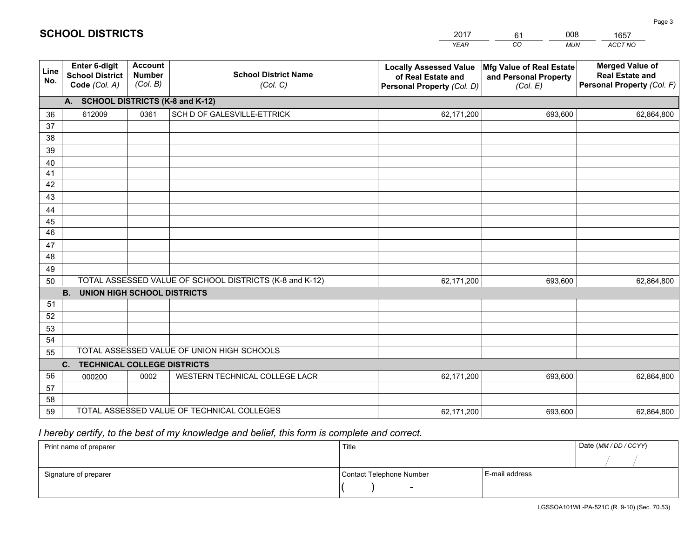|             |                                                          |                                             |                                                         | <b>YEAR</b>                                                                       | CO<br><b>MUN</b>                                              | ACCT NO                                                                        |
|-------------|----------------------------------------------------------|---------------------------------------------|---------------------------------------------------------|-----------------------------------------------------------------------------------|---------------------------------------------------------------|--------------------------------------------------------------------------------|
| Line<br>No. | Enter 6-digit<br><b>School District</b><br>Code (Col. A) | <b>Account</b><br><b>Number</b><br>(Col. B) | <b>School District Name</b><br>(Col. C)                 | <b>Locally Assessed Value</b><br>of Real Estate and<br>Personal Property (Col. D) | Mfg Value of Real Estate<br>and Personal Property<br>(Col. E) | <b>Merged Value of</b><br><b>Real Estate and</b><br>Personal Property (Col. F) |
|             | A. SCHOOL DISTRICTS (K-8 and K-12)                       |                                             |                                                         |                                                                                   |                                                               |                                                                                |
| 36          | 612009                                                   | 0361                                        | SCH D OF GALESVILLE-ETTRICK                             | 62,171,200                                                                        | 693,600                                                       | 62,864,800                                                                     |
| 37          |                                                          |                                             |                                                         |                                                                                   |                                                               |                                                                                |
| 38          |                                                          |                                             |                                                         |                                                                                   |                                                               |                                                                                |
| 39          |                                                          |                                             |                                                         |                                                                                   |                                                               |                                                                                |
| 40          |                                                          |                                             |                                                         |                                                                                   |                                                               |                                                                                |
| 41          |                                                          |                                             |                                                         |                                                                                   |                                                               |                                                                                |
| 42          |                                                          |                                             |                                                         |                                                                                   |                                                               |                                                                                |
| 43          |                                                          |                                             |                                                         |                                                                                   |                                                               |                                                                                |
| 44          |                                                          |                                             |                                                         |                                                                                   |                                                               |                                                                                |
| 45<br>46    |                                                          |                                             |                                                         |                                                                                   |                                                               |                                                                                |
| 47          |                                                          |                                             |                                                         |                                                                                   |                                                               |                                                                                |
| 48          |                                                          |                                             |                                                         |                                                                                   |                                                               |                                                                                |
| 49          |                                                          |                                             |                                                         |                                                                                   |                                                               |                                                                                |
| 50          |                                                          |                                             | TOTAL ASSESSED VALUE OF SCHOOL DISTRICTS (K-8 and K-12) | 62,171,200                                                                        | 693,600                                                       | 62,864,800                                                                     |
|             | <b>B.</b><br><b>UNION HIGH SCHOOL DISTRICTS</b>          |                                             |                                                         |                                                                                   |                                                               |                                                                                |
| 51          |                                                          |                                             |                                                         |                                                                                   |                                                               |                                                                                |
| 52          |                                                          |                                             |                                                         |                                                                                   |                                                               |                                                                                |
| 53          |                                                          |                                             |                                                         |                                                                                   |                                                               |                                                                                |
| 54          |                                                          |                                             |                                                         |                                                                                   |                                                               |                                                                                |
| 55          |                                                          |                                             | TOTAL ASSESSED VALUE OF UNION HIGH SCHOOLS              |                                                                                   |                                                               |                                                                                |
|             | $C_{1}$<br><b>TECHNICAL COLLEGE DISTRICTS</b>            |                                             |                                                         |                                                                                   |                                                               |                                                                                |
| 56          | 000200                                                   | 0002                                        | WESTERN TECHNICAL COLLEGE LACR                          | 62,171,200                                                                        | 693,600                                                       | 62,864,800                                                                     |
| 57          |                                                          |                                             |                                                         |                                                                                   |                                                               |                                                                                |
| 58          |                                                          |                                             |                                                         |                                                                                   |                                                               |                                                                                |
| 59          |                                                          |                                             | TOTAL ASSESSED VALUE OF TECHNICAL COLLEGES              | 62,171,200                                                                        | 693,600                                                       | 62,864,800                                                                     |

61

008

# *I hereby certify, to the best of my knowledge and belief, this form is complete and correct.*

**SCHOOL DISTRICTS**

| Print name of preparer | Title                    |                | Date (MM / DD / CCYY) |
|------------------------|--------------------------|----------------|-----------------------|
|                        |                          |                |                       |
| Signature of preparer  | Contact Telephone Number | E-mail address |                       |
|                        | $\overline{\phantom{0}}$ |                |                       |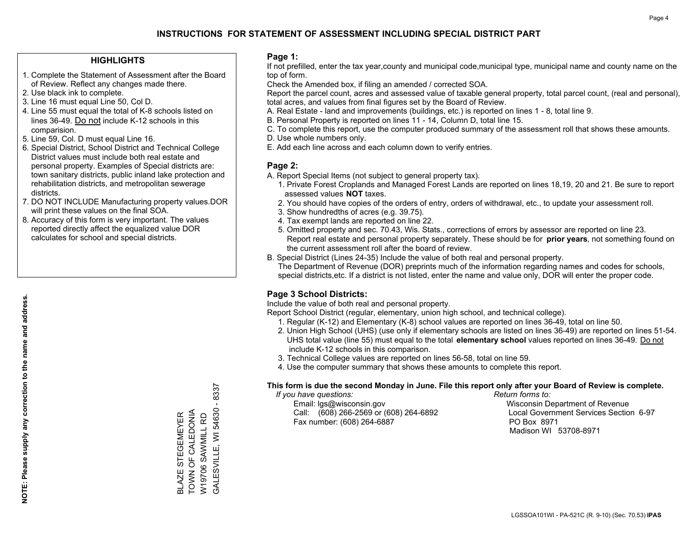## **HIGHLIGHTS**

- 1. Complete the Statement of Assessment after the Board of Review. Reflect any changes made there.
- 2. Use black ink to complete.
- 3. Line 16 must equal Line 50, Col D.
- 4. Line 55 must equal the total of K-8 schools listed on lines 36-49. Do not include K-12 schools in this comparision.
- 5. Line 59, Col. D must equal Line 16.
- 6. Special District, School District and Technical College District values must include both real estate and personal property. Examples of Special districts are: town sanitary districts, public inland lake protection and rehabilitation districts, and metropolitan sewerage districts.
- 7. DO NOT INCLUDE Manufacturing property values.DOR will print these values on the final SOA.
- 8. Accuracy of this form is very important. The values reported directly affect the equalized value DOR calculates for school and special districts.

#### **Page 1:**

 If not prefilled, enter the tax year,county and municipal code,municipal type, municipal name and county name on the top of form.

Check the Amended box, if filing an amended / corrected SOA.

 Report the parcel count, acres and assessed value of taxable general property, total parcel count, (real and personal), total acres, and values from final figures set by the Board of Review.

- A. Real Estate land and improvements (buildings, etc.) is reported on lines 1 8, total line 9.
- B. Personal Property is reported on lines 11 14, Column D, total line 15.
- C. To complete this report, use the computer produced summary of the assessment roll that shows these amounts.
- D. Use whole numbers only.
- E. Add each line across and each column down to verify entries.

## **Page 2:**

- A. Report Special Items (not subject to general property tax).
- 1. Private Forest Croplands and Managed Forest Lands are reported on lines 18,19, 20 and 21. Be sure to report assessed values **NOT** taxes.
- 2. You should have copies of the orders of entry, orders of withdrawal, etc., to update your assessment roll.
	- 3. Show hundredths of acres (e.g. 39.75).
- 4. Tax exempt lands are reported on line 22.
- 5. Omitted property and sec. 70.43, Wis. Stats., corrections of errors by assessor are reported on line 23. Report real estate and personal property separately. These should be for **prior years**, not something found on the current assessment roll after the board of review.
- B. Special District (Lines 24-35) Include the value of both real and personal property.

 The Department of Revenue (DOR) preprints much of the information regarding names and codes for schools, special districts,etc. If a district is not listed, enter the name and value only, DOR will enter the proper code.

## **Page 3 School Districts:**

Include the value of both real and personal property.

Report School District (regular, elementary, union high school, and technical college).

- 1. Regular (K-12) and Elementary (K-8) school values are reported on lines 36-49, total on line 50.
- 2. Union High School (UHS) (use only if elementary schools are listed on lines 36-49) are reported on lines 51-54. UHS total value (line 55) must equal to the total **elementary school** values reported on lines 36-49. Do notinclude K-12 schools in this comparison.
- 3. Technical College values are reported on lines 56-58, total on line 59.
- 4. Use the computer summary that shows these amounts to complete this report.

#### **This form is due the second Monday in June. File this report only after your Board of Review is complete.**

 *If you have questions: Return forms to:*

 Email: lgs@wisconsin.gov Wisconsin Department of RevenueCall:  $(608)$  266-2569 or  $(608)$  264-6892 Fax number: (608) 264-6887 PO Box 8971

Local Government Services Section 6-97 Madison WI 53708-8971

8337 GALESVILLE, WI 54630 - 8337  $\mathbf{I}$ BLAZE STEGEMEYER<br>TOWN OF CALEDONIA<br>W19706 SAWMILL RD TOWN OF CALEDONIA **GALESVILLE, WI 54630** BLAZE STEGEMEYER W19706 SAWMILL RD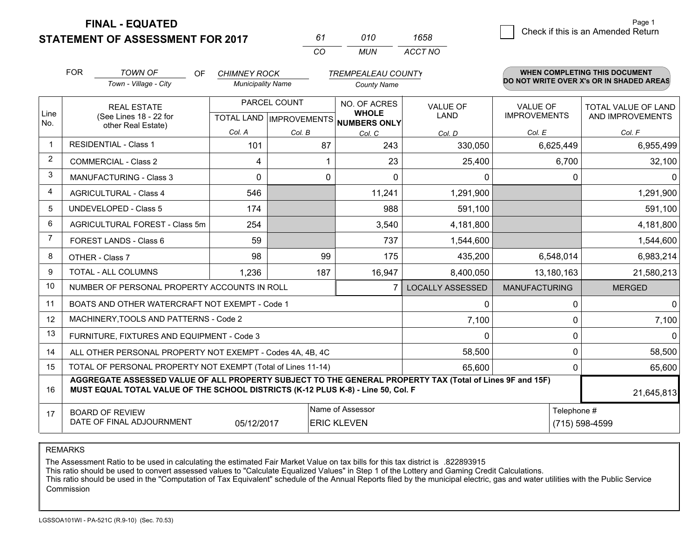**STATEMENT OF ASSESSMENT FOR 2017** 

| 61  | 010 | 1658    |
|-----|-----|---------|
| CO. | MUN | ACCT NO |

|                | <b>FOR</b>                                                                                                                                                                                   | <b>TOWN OF</b><br><b>OF</b>                               | <b>CHIMNEY ROCK</b>                                  |        | <b>TREMPEALEAU COUNTY</b>    |                                |                                 | WHEN COMPLETING THIS DOCUMENT                  |
|----------------|----------------------------------------------------------------------------------------------------------------------------------------------------------------------------------------------|-----------------------------------------------------------|------------------------------------------------------|--------|------------------------------|--------------------------------|---------------------------------|------------------------------------------------|
|                |                                                                                                                                                                                              | Town - Village - City                                     | <b>Municipality Name</b>                             |        | <b>County Name</b>           |                                |                                 | DO NOT WRITE OVER X's OR IN SHADED AREAS       |
| Line<br>No.    |                                                                                                                                                                                              | <b>REAL ESTATE</b><br>(See Lines 18 - 22 for              | PARCEL COUNT<br>TOTAL LAND IMPROVEMENTS NUMBERS ONLY |        | NO. OF ACRES<br><b>WHOLE</b> | <b>VALUE OF</b><br><b>LAND</b> | VALUE OF<br><b>IMPROVEMENTS</b> | <b>TOTAL VALUE OF LAND</b><br>AND IMPROVEMENTS |
|                |                                                                                                                                                                                              | other Real Estate)                                        | Col. A                                               | Col. B | Col. C                       | Col. D                         | Col. E                          | Col. F                                         |
| -1             |                                                                                                                                                                                              | <b>RESIDENTIAL - Class 1</b>                              | 101                                                  | 87     | 243                          | 330,050                        | 6,625,449                       | 6,955,499                                      |
| $\overline{2}$ |                                                                                                                                                                                              | <b>COMMERCIAL - Class 2</b>                               | 4                                                    |        | 23                           | 25,400                         | 6,700                           | 32,100                                         |
| 3              |                                                                                                                                                                                              | <b>MANUFACTURING - Class 3</b>                            | 0                                                    | 0      | $\Omega$                     | 0                              | $\Omega$                        | $\mathbf{0}$                                   |
| 4              |                                                                                                                                                                                              | <b>AGRICULTURAL - Class 4</b>                             | 546                                                  |        | 11,241                       | 1,291,900                      |                                 | 1,291,900                                      |
| 5              |                                                                                                                                                                                              | <b>UNDEVELOPED - Class 5</b>                              | 174                                                  |        | 988                          | 591,100                        |                                 | 591,100                                        |
| 6              |                                                                                                                                                                                              | AGRICULTURAL FOREST - Class 5m                            | 254                                                  |        | 3,540                        | 4,181,800                      |                                 | 4,181,800                                      |
| 7              |                                                                                                                                                                                              | FOREST LANDS - Class 6                                    | 59                                                   |        | 737                          | 1,544,600                      |                                 | 1,544,600                                      |
| 8              |                                                                                                                                                                                              | OTHER - Class 7                                           | 98                                                   | 99     | 175                          | 435,200                        | 6,548,014                       | 6,983,214                                      |
| 9              |                                                                                                                                                                                              | TOTAL - ALL COLUMNS                                       | 1,236                                                | 187    | 16,947                       | 8,400,050                      | 13,180,163                      | 21,580,213                                     |
| 10             |                                                                                                                                                                                              | NUMBER OF PERSONAL PROPERTY ACCOUNTS IN ROLL              |                                                      |        |                              | <b>LOCALLY ASSESSED</b>        | <b>MANUFACTURING</b>            | <b>MERGED</b>                                  |
| 11             |                                                                                                                                                                                              | BOATS AND OTHER WATERCRAFT NOT EXEMPT - Code 1            |                                                      |        |                              | 0                              | 0                               | $\mathbf{0}$                                   |
| 12             |                                                                                                                                                                                              | MACHINERY, TOOLS AND PATTERNS - Code 2                    |                                                      |        |                              | 7,100                          | $\mathbf{0}$                    | 7,100                                          |
| 13             |                                                                                                                                                                                              | FURNITURE, FIXTURES AND EQUIPMENT - Code 3                |                                                      |        |                              | 0                              | $\mathbf 0$                     | $\Omega$                                       |
| 14             |                                                                                                                                                                                              | ALL OTHER PERSONAL PROPERTY NOT EXEMPT - Codes 4A, 4B, 4C |                                                      |        |                              | 58,500                         | $\Omega$                        | 58,500                                         |
| 15             | TOTAL OF PERSONAL PROPERTY NOT EXEMPT (Total of Lines 11-14)<br>65,600                                                                                                                       |                                                           |                                                      |        |                              |                                | $\mathbf 0$                     | 65,600                                         |
| 16             | AGGREGATE ASSESSED VALUE OF ALL PROPERTY SUBJECT TO THE GENERAL PROPERTY TAX (Total of Lines 9F and 15F)<br>MUST EQUAL TOTAL VALUE OF THE SCHOOL DISTRICTS (K-12 PLUS K-8) - Line 50, Col. F |                                                           |                                                      |        |                              |                                | 21,645,813                      |                                                |
| 17             | Name of Assessor<br>Telephone #<br><b>BOARD OF REVIEW</b><br>DATE OF FINAL ADJOURNMENT<br>05/12/2017<br><b>ERIC KLEVEN</b>                                                                   |                                                           |                                                      |        |                              |                                | (715) 598-4599                  |                                                |

REMARKS

The Assessment Ratio to be used in calculating the estimated Fair Market Value on tax bills for this tax district is .822893915

This ratio should be used to convert assessed values to "Calculate Equalized Values" in Step 1 of the Lottery and Gaming Credit Calculations.<br>This ratio should be used in the "Computation of Tax Equivalent" schedule of the Commission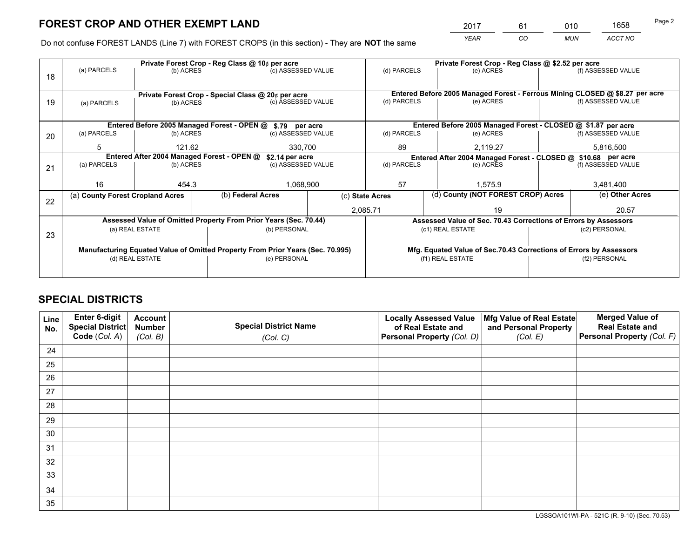*YEAR CO MUN ACCT NO* <sup>2017</sup> <sup>61</sup> <sup>010</sup> <sup>1658</sup>

Do not confuse FOREST LANDS (Line 7) with FOREST CROPS (in this section) - They are **NOT** the same

|                                                               |                            |                                                     |                                              |                                                                     |                                                                                                                                                                                                                                                                                                                                                                                                             | Private Forest Crop - Reg Class @ \$2.52 per acre                        |                               |                                                                                                                                                                                                                                                                                                                              |  |
|---------------------------------------------------------------|----------------------------|-----------------------------------------------------|----------------------------------------------|---------------------------------------------------------------------|-------------------------------------------------------------------------------------------------------------------------------------------------------------------------------------------------------------------------------------------------------------------------------------------------------------------------------------------------------------------------------------------------------------|--------------------------------------------------------------------------|-------------------------------|------------------------------------------------------------------------------------------------------------------------------------------------------------------------------------------------------------------------------------------------------------------------------------------------------------------------------|--|
|                                                               |                            |                                                     |                                              |                                                                     |                                                                                                                                                                                                                                                                                                                                                                                                             | (e) ACRES                                                                |                               | (f) ASSESSED VALUE                                                                                                                                                                                                                                                                                                           |  |
|                                                               |                            |                                                     |                                              |                                                                     |                                                                                                                                                                                                                                                                                                                                                                                                             |                                                                          |                               |                                                                                                                                                                                                                                                                                                                              |  |
|                                                               |                            |                                                     |                                              |                                                                     |                                                                                                                                                                                                                                                                                                                                                                                                             |                                                                          |                               |                                                                                                                                                                                                                                                                                                                              |  |
| 19<br>(b) ACRES<br>(a) PARCELS                                |                            |                                                     |                                              |                                                                     |                                                                                                                                                                                                                                                                                                                                                                                                             |                                                                          | (f) ASSESSED VALUE            |                                                                                                                                                                                                                                                                                                                              |  |
|                                                               |                            |                                                     |                                              |                                                                     |                                                                                                                                                                                                                                                                                                                                                                                                             |                                                                          |                               |                                                                                                                                                                                                                                                                                                                              |  |
|                                                               |                            |                                                     |                                              |                                                                     |                                                                                                                                                                                                                                                                                                                                                                                                             |                                                                          |                               |                                                                                                                                                                                                                                                                                                                              |  |
| (a) PARCELS                                                   |                            |                                                     |                                              |                                                                     | (d) PARCELS                                                                                                                                                                                                                                                                                                                                                                                                 | (e) ACRES                                                                |                               | (f) ASSESSED VALUE                                                                                                                                                                                                                                                                                                           |  |
| 5<br>121.62<br>330,700                                        |                            |                                                     | 89                                           | 2,119.27                                                            |                                                                                                                                                                                                                                                                                                                                                                                                             | 5,816,500                                                                |                               |                                                                                                                                                                                                                                                                                                                              |  |
| Entered After 2004 Managed Forest - OPEN @<br>\$2.14 per acre |                            |                                                     |                                              |                                                                     | Entered After 2004 Managed Forest - CLOSED @ \$10.68 per acre                                                                                                                                                                                                                                                                                                                                               |                                                                          |                               |                                                                                                                                                                                                                                                                                                                              |  |
|                                                               |                            |                                                     |                                              |                                                                     |                                                                                                                                                                                                                                                                                                                                                                                                             | (e) ACRES                                                                |                               | (f) ASSESSED VALUE                                                                                                                                                                                                                                                                                                           |  |
|                                                               |                            |                                                     |                                              |                                                                     |                                                                                                                                                                                                                                                                                                                                                                                                             |                                                                          |                               |                                                                                                                                                                                                                                                                                                                              |  |
| 16                                                            |                            |                                                     |                                              |                                                                     | 57<br>1.575.9                                                                                                                                                                                                                                                                                                                                                                                               |                                                                          | 3,481,400                     |                                                                                                                                                                                                                                                                                                                              |  |
|                                                               |                            |                                                     |                                              |                                                                     |                                                                                                                                                                                                                                                                                                                                                                                                             |                                                                          |                               | (e) Other Acres                                                                                                                                                                                                                                                                                                              |  |
|                                                               |                            |                                                     |                                              |                                                                     |                                                                                                                                                                                                                                                                                                                                                                                                             | 19                                                                       |                               | 20.57                                                                                                                                                                                                                                                                                                                        |  |
|                                                               |                            |                                                     |                                              |                                                                     |                                                                                                                                                                                                                                                                                                                                                                                                             |                                                                          |                               |                                                                                                                                                                                                                                                                                                                              |  |
|                                                               |                            |                                                     |                                              |                                                                     |                                                                                                                                                                                                                                                                                                                                                                                                             |                                                                          | (c2) PERSONAL                 |                                                                                                                                                                                                                                                                                                                              |  |
|                                                               |                            |                                                     |                                              |                                                                     |                                                                                                                                                                                                                                                                                                                                                                                                             |                                                                          |                               |                                                                                                                                                                                                                                                                                                                              |  |
|                                                               |                            |                                                     |                                              |                                                                     |                                                                                                                                                                                                                                                                                                                                                                                                             |                                                                          |                               |                                                                                                                                                                                                                                                                                                                              |  |
| (d) REAL ESTATE                                               |                            |                                                     |                                              |                                                                     | (f1) REAL ESTATE                                                                                                                                                                                                                                                                                                                                                                                            |                                                                          |                               | (f2) PERSONAL                                                                                                                                                                                                                                                                                                                |  |
|                                                               |                            |                                                     |                                              |                                                                     |                                                                                                                                                                                                                                                                                                                                                                                                             |                                                                          |                               |                                                                                                                                                                                                                                                                                                                              |  |
|                                                               | (a) PARCELS<br>(a) PARCELS | (a) County Forest Cropland Acres<br>(a) REAL ESTATE | (b) ACRES<br>(b) ACRES<br>(b) ACRES<br>454.3 | Private Forest Crop - Reg Class @ 10¢ per acre<br>(b) Federal Acres | (c) ASSESSED VALUE<br>Private Forest Crop - Special Class @ 20¢ per acre<br>(c) ASSESSED VALUE<br>Entered Before 2005 Managed Forest - OPEN @ \$.79 per acre<br>(c) ASSESSED VALUE<br>(c) ASSESSED VALUE<br>1,068,900<br>Assessed Value of Omitted Property From Prior Years (Sec. 70.44)<br>(b) PERSONAL<br>Manufacturing Equated Value of Omitted Property From Prior Years (Sec. 70.995)<br>(e) PERSONAL | (d) PARCELS<br>(d) PARCELS<br>(d) PARCELS<br>(c) State Acres<br>2,085.71 | (e) ACRES<br>(c1) REAL ESTATE | Entered Before 2005 Managed Forest - Ferrous Mining CLOSED @ \$8.27 per acre<br>Entered Before 2005 Managed Forest - CLOSED @ \$1.87 per acre<br>(d) County (NOT FOREST CROP) Acres<br>Assessed Value of Sec. 70.43 Corrections of Errors by Assessors<br>Mfg. Equated Value of Sec.70.43 Corrections of Errors by Assessors |  |

## **SPECIAL DISTRICTS**

| Line<br>No. | Enter 6-digit<br>Special District<br>Code (Col. A) | <b>Account</b><br><b>Number</b> | <b>Special District Name</b> | <b>Locally Assessed Value</b><br>of Real Estate and | Mfg Value of Real Estate<br>and Personal Property | <b>Merged Value of</b><br><b>Real Estate and</b><br>Personal Property (Col. F) |
|-------------|----------------------------------------------------|---------------------------------|------------------------------|-----------------------------------------------------|---------------------------------------------------|--------------------------------------------------------------------------------|
|             |                                                    | (Col. B)                        | (Col. C)                     | Personal Property (Col. D)                          | (Col. E)                                          |                                                                                |
| 24          |                                                    |                                 |                              |                                                     |                                                   |                                                                                |
| 25          |                                                    |                                 |                              |                                                     |                                                   |                                                                                |
| 26          |                                                    |                                 |                              |                                                     |                                                   |                                                                                |
| 27          |                                                    |                                 |                              |                                                     |                                                   |                                                                                |
| 28          |                                                    |                                 |                              |                                                     |                                                   |                                                                                |
| 29          |                                                    |                                 |                              |                                                     |                                                   |                                                                                |
| 30          |                                                    |                                 |                              |                                                     |                                                   |                                                                                |
| 31          |                                                    |                                 |                              |                                                     |                                                   |                                                                                |
| 32          |                                                    |                                 |                              |                                                     |                                                   |                                                                                |
| 33          |                                                    |                                 |                              |                                                     |                                                   |                                                                                |
| 34          |                                                    |                                 |                              |                                                     |                                                   |                                                                                |
| 35          |                                                    |                                 |                              |                                                     |                                                   |                                                                                |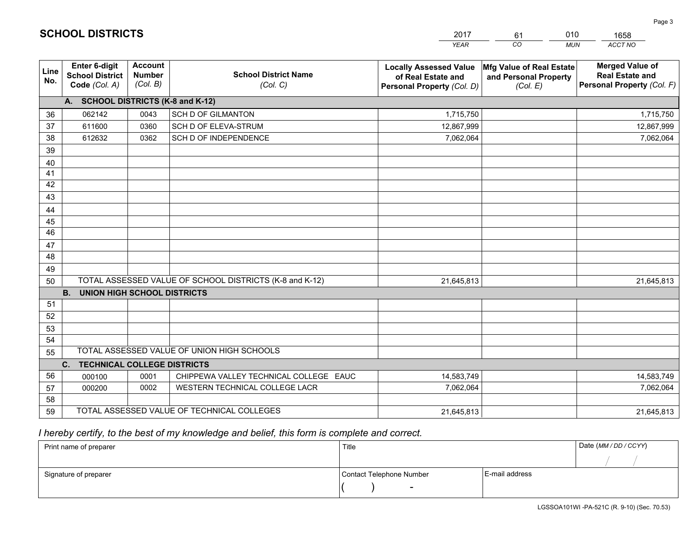|                 |                                                                 |                                             |                                                         | <b>YEAR</b>                                                                       | CO<br><b>MUN</b>                                              | ACCT NO                                                                        |  |  |  |  |
|-----------------|-----------------------------------------------------------------|---------------------------------------------|---------------------------------------------------------|-----------------------------------------------------------------------------------|---------------------------------------------------------------|--------------------------------------------------------------------------------|--|--|--|--|
| Line<br>No.     | <b>Enter 6-digit</b><br><b>School District</b><br>Code (Col. A) | <b>Account</b><br><b>Number</b><br>(Col. B) | <b>School District Name</b><br>(Col. C)                 | <b>Locally Assessed Value</b><br>of Real Estate and<br>Personal Property (Col. D) | Mfg Value of Real Estate<br>and Personal Property<br>(Col. E) | <b>Merged Value of</b><br><b>Real Estate and</b><br>Personal Property (Col. F) |  |  |  |  |
|                 | A. SCHOOL DISTRICTS (K-8 and K-12)                              |                                             |                                                         |                                                                                   |                                                               |                                                                                |  |  |  |  |
| 36              | 062142                                                          | 0043                                        | <b>SCH D OF GILMANTON</b>                               | 1,715,750                                                                         |                                                               | 1,715,750                                                                      |  |  |  |  |
| 37              | 611600                                                          | 0360                                        | SCH D OF ELEVA-STRUM                                    | 12,867,999                                                                        |                                                               | 12,867,999                                                                     |  |  |  |  |
| 38              | 612632                                                          | 0362                                        | SCH D OF INDEPENDENCE                                   | 7,062,064                                                                         |                                                               | 7,062,064                                                                      |  |  |  |  |
| 39              |                                                                 |                                             |                                                         |                                                                                   |                                                               |                                                                                |  |  |  |  |
| 40              |                                                                 |                                             |                                                         |                                                                                   |                                                               |                                                                                |  |  |  |  |
| 41              |                                                                 |                                             |                                                         |                                                                                   |                                                               |                                                                                |  |  |  |  |
| 42              |                                                                 |                                             |                                                         |                                                                                   |                                                               |                                                                                |  |  |  |  |
| 43              |                                                                 |                                             |                                                         |                                                                                   |                                                               |                                                                                |  |  |  |  |
| 44              |                                                                 |                                             |                                                         |                                                                                   |                                                               |                                                                                |  |  |  |  |
| 45              |                                                                 |                                             |                                                         |                                                                                   |                                                               |                                                                                |  |  |  |  |
| $\overline{46}$ |                                                                 |                                             |                                                         |                                                                                   |                                                               |                                                                                |  |  |  |  |
| 47              |                                                                 |                                             |                                                         |                                                                                   |                                                               |                                                                                |  |  |  |  |
| 48              |                                                                 |                                             |                                                         |                                                                                   |                                                               |                                                                                |  |  |  |  |
| 49              |                                                                 |                                             |                                                         |                                                                                   |                                                               |                                                                                |  |  |  |  |
| 50              |                                                                 |                                             | TOTAL ASSESSED VALUE OF SCHOOL DISTRICTS (K-8 and K-12) | 21,645,813                                                                        |                                                               | 21,645,813                                                                     |  |  |  |  |
|                 | <b>B.</b><br><b>UNION HIGH SCHOOL DISTRICTS</b>                 |                                             |                                                         |                                                                                   |                                                               |                                                                                |  |  |  |  |
| 51              |                                                                 |                                             |                                                         |                                                                                   |                                                               |                                                                                |  |  |  |  |
| 52              |                                                                 |                                             |                                                         |                                                                                   |                                                               |                                                                                |  |  |  |  |
| 53              |                                                                 |                                             |                                                         |                                                                                   |                                                               |                                                                                |  |  |  |  |
| 54              |                                                                 |                                             |                                                         |                                                                                   |                                                               |                                                                                |  |  |  |  |
| 55              |                                                                 |                                             | TOTAL ASSESSED VALUE OF UNION HIGH SCHOOLS              |                                                                                   |                                                               |                                                                                |  |  |  |  |
|                 | C.<br><b>TECHNICAL COLLEGE DISTRICTS</b>                        |                                             |                                                         |                                                                                   |                                                               |                                                                                |  |  |  |  |
| 56              | 000100                                                          | 0001                                        | CHIPPEWA VALLEY TECHNICAL COLLEGE EAUC                  | 14,583,749                                                                        |                                                               | 14,583,749                                                                     |  |  |  |  |
| 57              | 000200                                                          | 0002                                        | WESTERN TECHNICAL COLLEGE LACR                          | 7,062,064                                                                         |                                                               | 7,062,064                                                                      |  |  |  |  |
| 58              |                                                                 |                                             |                                                         |                                                                                   |                                                               |                                                                                |  |  |  |  |
| 59              |                                                                 |                                             | TOTAL ASSESSED VALUE OF TECHNICAL COLLEGES              | 21,645,813                                                                        |                                                               | 21,645,813                                                                     |  |  |  |  |

# *I hereby certify, to the best of my knowledge and belief, this form is complete and correct.*

| Print name of preparer | Title                    |                | Date (MM / DD / CCYY) |
|------------------------|--------------------------|----------------|-----------------------|
|                        |                          |                |                       |
| Signature of preparer  | Contact Telephone Number | E-mail address |                       |
|                        | $\overline{\phantom{0}}$ |                |                       |

# **SCHOOL DISTRICTS**

201761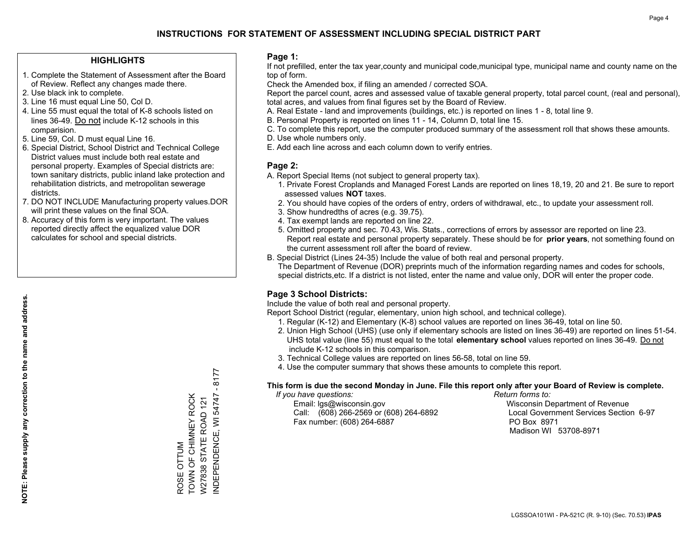## **HIGHLIGHTS**

- 1. Complete the Statement of Assessment after the Board of Review. Reflect any changes made there.
- 2. Use black ink to complete.
- 3. Line 16 must equal Line 50, Col D.
- 4. Line 55 must equal the total of K-8 schools listed on lines 36-49. Do not include K-12 schools in this comparision.
- 5. Line 59, Col. D must equal Line 16.
- 6. Special District, School District and Technical College District values must include both real estate and personal property. Examples of Special districts are: town sanitary districts, public inland lake protection and rehabilitation districts, and metropolitan sewerage districts.
- 7. DO NOT INCLUDE Manufacturing property values.DOR will print these values on the final SOA.
- 8. Accuracy of this form is very important. The values reported directly affect the equalized value DOR calculates for school and special districts.

#### **Page 1:**

 If not prefilled, enter the tax year,county and municipal code,municipal type, municipal name and county name on the top of form.

Check the Amended box, if filing an amended / corrected SOA.

 Report the parcel count, acres and assessed value of taxable general property, total parcel count, (real and personal), total acres, and values from final figures set by the Board of Review.

- A. Real Estate land and improvements (buildings, etc.) is reported on lines 1 8, total line 9.
- B. Personal Property is reported on lines 11 14, Column D, total line 15.
- C. To complete this report, use the computer produced summary of the assessment roll that shows these amounts.
- D. Use whole numbers only.
- E. Add each line across and each column down to verify entries.

#### **Page 2:**

- A. Report Special Items (not subject to general property tax).
- 1. Private Forest Croplands and Managed Forest Lands are reported on lines 18,19, 20 and 21. Be sure to report assessed values **NOT** taxes.
- 2. You should have copies of the orders of entry, orders of withdrawal, etc., to update your assessment roll.
	- 3. Show hundredths of acres (e.g. 39.75).
- 4. Tax exempt lands are reported on line 22.
- 5. Omitted property and sec. 70.43, Wis. Stats., corrections of errors by assessor are reported on line 23. Report real estate and personal property separately. These should be for **prior years**, not something found on the current assessment roll after the board of review.
- B. Special District (Lines 24-35) Include the value of both real and personal property.
- The Department of Revenue (DOR) preprints much of the information regarding names and codes for schools, special districts,etc. If a district is not listed, enter the name and value only, DOR will enter the proper code.

## **Page 3 School Districts:**

Include the value of both real and personal property.

Report School District (regular, elementary, union high school, and technical college).

- 1. Regular (K-12) and Elementary (K-8) school values are reported on lines 36-49, total on line 50.
- 2. Union High School (UHS) (use only if elementary schools are listed on lines 36-49) are reported on lines 51-54. UHS total value (line 55) must equal to the total **elementary school** values reported on lines 36-49. Do notinclude K-12 schools in this comparison.
- 3. Technical College values are reported on lines 56-58, total on line 59.
- 4. Use the computer summary that shows these amounts to complete this report.

#### **This form is due the second Monday in June. File this report only after your Board of Review is complete.**

 *If you have questions: Return forms to:*

 Email: lgs@wisconsin.gov Wisconsin Department of RevenueCall:  $(608)$  266-2569 or  $(608)$  264-6892 Fax number: (608) 264-6887 PO Box 8971

Local Government Services Section 6-97 Madison WI 53708-8971

8177 INDEPENDENCE, WI 54747 - 8177  $\blacksquare$ TOWN OF CHIMNEY ROCK NDEPENDENCE, WI 54747 TOWN OF CHIMNEY ROCK W27838 STATE ROAD 121 W27838 STATE ROAD 121 ROSE OTTUM ROSE OTTUM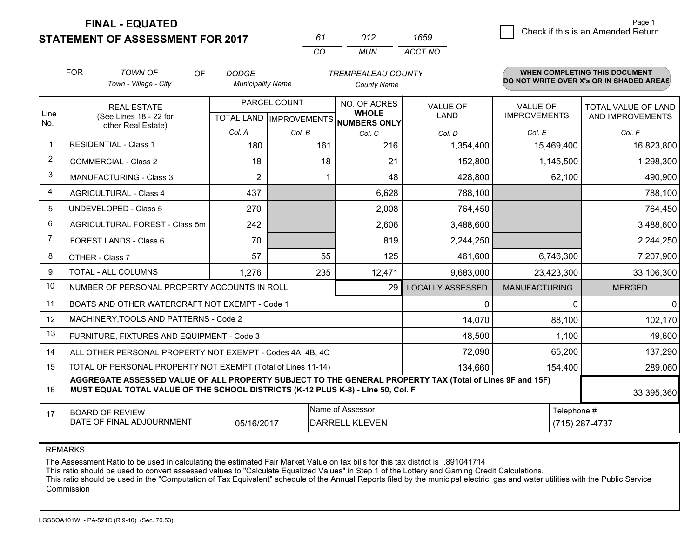**STATEMENT OF ASSESSMENT FOR 2017** 

*CO MUN <sup>61</sup> <sup>012</sup> ACCT NO1659*

|                | <b>FOR</b>                                          | <b>TOWN OF</b><br>OF                                                                                                                                                                         | <b>DODGE</b>             |              | <b>TREMPEALEAU COUNTY</b>                                                |                         |                                        | WHEN COMPLETING THIS DOCUMENT            |
|----------------|-----------------------------------------------------|----------------------------------------------------------------------------------------------------------------------------------------------------------------------------------------------|--------------------------|--------------|--------------------------------------------------------------------------|-------------------------|----------------------------------------|------------------------------------------|
|                |                                                     | Town - Village - City                                                                                                                                                                        | <b>Municipality Name</b> |              | <b>County Name</b>                                                       |                         |                                        | DO NOT WRITE OVER X's OR IN SHADED AREAS |
| Line           |                                                     | <b>REAL ESTATE</b><br>(See Lines 18 - 22 for                                                                                                                                                 |                          | PARCEL COUNT | NO. OF ACRES<br><b>WHOLE</b><br>TOTAL LAND   IMPROVEMENTS   NUMBERS ONLY | <b>VALUE OF</b><br>LAND | <b>VALUE OF</b><br><b>IMPROVEMENTS</b> | TOTAL VALUE OF LAND<br>AND IMPROVEMENTS  |
| No.            |                                                     | other Real Estate)                                                                                                                                                                           | Col. A                   | Col. B       | Col. C                                                                   | Col. D                  | Col. E                                 | Col. F                                   |
| $\mathbf 1$    |                                                     | <b>RESIDENTIAL - Class 1</b>                                                                                                                                                                 | 180                      | 161          | 216                                                                      | 1,354,400               | 15,469,400                             | 16,823,800                               |
| 2              | <b>COMMERCIAL - Class 2</b>                         |                                                                                                                                                                                              | 18                       | 18           | 21                                                                       | 152,800                 | 1,145,500                              | 1,298,300                                |
| 3              |                                                     | MANUFACTURING - Class 3                                                                                                                                                                      | $\overline{2}$           |              | 48                                                                       | 428,800                 | 62,100                                 | 490,900                                  |
| 4              |                                                     | <b>AGRICULTURAL - Class 4</b>                                                                                                                                                                | 437                      |              | 6,628                                                                    | 788,100                 |                                        | 788,100                                  |
| 5              |                                                     | <b>UNDEVELOPED - Class 5</b>                                                                                                                                                                 | 270                      |              | 2,008                                                                    | 764,450                 |                                        | 764,450                                  |
| 6              |                                                     | AGRICULTURAL FOREST - Class 5m                                                                                                                                                               | 242                      |              | 2,606                                                                    | 3,488,600               |                                        | 3,488,600                                |
| $\overline{7}$ |                                                     | FOREST LANDS - Class 6                                                                                                                                                                       | 70                       |              | 819                                                                      | 2,244,250               |                                        | 2,244,250                                |
| 8              |                                                     | OTHER - Class 7                                                                                                                                                                              | 57                       | 55           | 125                                                                      | 461,600                 | 6,746,300                              | 7,207,900                                |
| 9              |                                                     | TOTAL - ALL COLUMNS                                                                                                                                                                          | 1,276                    | 235          | 12,471                                                                   | 9,683,000               | 23,423,300                             | 33,106,300                               |
| 10             |                                                     | NUMBER OF PERSONAL PROPERTY ACCOUNTS IN ROLL                                                                                                                                                 |                          |              | 29                                                                       | <b>LOCALLY ASSESSED</b> | <b>MANUFACTURING</b>                   | <b>MERGED</b>                            |
| 11             |                                                     | BOATS AND OTHER WATERCRAFT NOT EXEMPT - Code 1                                                                                                                                               |                          |              |                                                                          | 0                       | $\Omega$                               | $\Omega$                                 |
| 12             |                                                     | MACHINERY, TOOLS AND PATTERNS - Code 2                                                                                                                                                       |                          |              |                                                                          | 14,070                  | 88,100                                 | 102,170                                  |
| 13             |                                                     | FURNITURE, FIXTURES AND EQUIPMENT - Code 3                                                                                                                                                   |                          |              |                                                                          | 48,500                  | 1,100                                  | 49,600                                   |
| 14             |                                                     | ALL OTHER PERSONAL PROPERTY NOT EXEMPT - Codes 4A, 4B, 4C                                                                                                                                    |                          |              |                                                                          | 72,090                  | 65,200                                 | 137,290                                  |
| 15             |                                                     | TOTAL OF PERSONAL PROPERTY NOT EXEMPT (Total of Lines 11-14)                                                                                                                                 |                          |              |                                                                          | 134,660                 | 154,400                                | 289,060                                  |
| 16             |                                                     | AGGREGATE ASSESSED VALUE OF ALL PROPERTY SUBJECT TO THE GENERAL PROPERTY TAX (Total of Lines 9F and 15F)<br>MUST EQUAL TOTAL VALUE OF THE SCHOOL DISTRICTS (K-12 PLUS K-8) - Line 50, Col. F |                          |              |                                                                          |                         |                                        | 33,395,360                               |
| 17             | <b>BOARD OF REVIEW</b><br>DATE OF FINAL ADJOURNMENT | Telephone #                                                                                                                                                                                  | (715) 287-4737           |              |                                                                          |                         |                                        |                                          |

REMARKS

The Assessment Ratio to be used in calculating the estimated Fair Market Value on tax bills for this tax district is .891041714<br>This ratio should be used to convert assessed values to "Calculate Equalized Values" in Step 1 Commission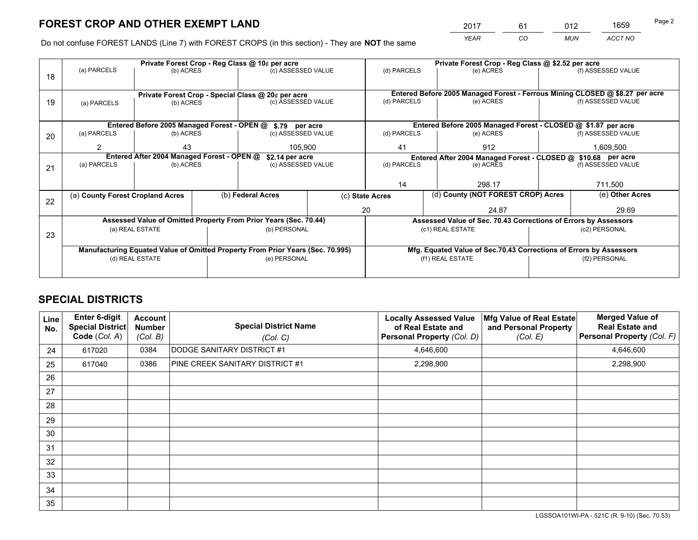*YEAR CO MUN ACCT NO* <sup>2017</sup> <sup>61</sup> <sup>012</sup> <sup>1659</sup>

Do not confuse FOREST LANDS (Line 7) with FOREST CROPS (in this section) - They are **NOT** the same

|    |                                                                                |                                            |  | Private Forest Crop - Reg Class @ 10¢ per acre                   |                 |                                                               | Private Forest Crop - Reg Class @ \$2.52 per acre                  |                                                                              |                    |  |
|----|--------------------------------------------------------------------------------|--------------------------------------------|--|------------------------------------------------------------------|-----------------|---------------------------------------------------------------|--------------------------------------------------------------------|------------------------------------------------------------------------------|--------------------|--|
| 18 | (a) PARCELS                                                                    | (b) ACRES                                  |  | (c) ASSESSED VALUE                                               |                 | (d) PARCELS                                                   | (e) ACRES                                                          |                                                                              | (f) ASSESSED VALUE |  |
|    |                                                                                |                                            |  |                                                                  |                 |                                                               |                                                                    |                                                                              |                    |  |
|    |                                                                                |                                            |  | Private Forest Crop - Special Class @ 20¢ per acre               |                 |                                                               |                                                                    | Entered Before 2005 Managed Forest - Ferrous Mining CLOSED @ \$8.27 per acre |                    |  |
| 19 | (a) PARCELS                                                                    | (b) ACRES                                  |  | (c) ASSESSED VALUE                                               |                 | (d) PARCELS                                                   | (e) ACRES                                                          |                                                                              | (f) ASSESSED VALUE |  |
|    |                                                                                |                                            |  |                                                                  |                 |                                                               |                                                                    |                                                                              |                    |  |
|    |                                                                                |                                            |  | Entered Before 2005 Managed Forest - OPEN @ \$.79 per acre       |                 | Entered Before 2005 Managed Forest - CLOSED @ \$1.87 per acre |                                                                    |                                                                              |                    |  |
| 20 | (a) PARCELS                                                                    | (b) ACRES                                  |  | (c) ASSESSED VALUE                                               |                 | (d) PARCELS                                                   | (e) ACRES                                                          |                                                                              | (f) ASSESSED VALUE |  |
|    | $\mathcal{P}$                                                                  | 43                                         |  | 105,900                                                          |                 | 41                                                            | 912                                                                |                                                                              | 1,609,500          |  |
|    |                                                                                | Entered After 2004 Managed Forest - OPEN @ |  | \$2.14 per acre                                                  |                 |                                                               | Entered After 2004 Managed Forest - CLOSED @ \$10.68 per acre      |                                                                              |                    |  |
| 21 | (a) PARCELS                                                                    | (b) ACRES                                  |  | (c) ASSESSED VALUE                                               |                 | (d) PARCELS                                                   | (e) ACRES                                                          |                                                                              | (f) ASSESSED VALUE |  |
|    |                                                                                |                                            |  |                                                                  |                 |                                                               |                                                                    |                                                                              |                    |  |
|    |                                                                                |                                            |  |                                                                  |                 | 14                                                            | 298.17                                                             |                                                                              | 711,500            |  |
| 22 | (a) County Forest Cropland Acres                                               |                                            |  | (b) Federal Acres                                                | (c) State Acres |                                                               | (d) County (NOT FOREST CROP) Acres                                 |                                                                              | (e) Other Acres    |  |
|    |                                                                                |                                            |  |                                                                  | 20              |                                                               | 24.87                                                              |                                                                              | 29.69              |  |
|    |                                                                                |                                            |  | Assessed Value of Omitted Property From Prior Years (Sec. 70.44) |                 |                                                               | Assessed Value of Sec. 70.43 Corrections of Errors by Assessors    |                                                                              |                    |  |
| 23 |                                                                                | (a) REAL ESTATE                            |  | (b) PERSONAL                                                     |                 |                                                               | (c1) REAL ESTATE                                                   |                                                                              | (c2) PERSONAL      |  |
|    |                                                                                |                                            |  |                                                                  |                 |                                                               |                                                                    |                                                                              |                    |  |
|    | Manufacturing Equated Value of Omitted Property From Prior Years (Sec. 70.995) |                                            |  |                                                                  |                 |                                                               | Mfg. Equated Value of Sec.70.43 Corrections of Errors by Assessors |                                                                              |                    |  |
|    |                                                                                | (d) REAL ESTATE                            |  | (e) PERSONAL                                                     |                 |                                                               | (f1) REAL ESTATE                                                   | (f2) PERSONAL                                                                |                    |  |
|    |                                                                                |                                            |  |                                                                  |                 |                                                               |                                                                    |                                                                              |                    |  |

## **SPECIAL DISTRICTS**

| <b>Line</b><br>No. | Enter 6-digit<br><b>Special District</b><br>Code (Col. A) | <b>Account</b><br><b>Number</b><br>(Col. B) | <b>Special District Name</b><br>(Col. C) | <b>Locally Assessed Value</b><br>of Real Estate and<br>Personal Property (Col. D) | Mfg Value of Real Estate<br>and Personal Property<br>(Col. E) | <b>Merged Value of</b><br><b>Real Estate and</b><br>Personal Property (Col. F) |
|--------------------|-----------------------------------------------------------|---------------------------------------------|------------------------------------------|-----------------------------------------------------------------------------------|---------------------------------------------------------------|--------------------------------------------------------------------------------|
| 24                 | 617020                                                    | 0384                                        | DODGE SANITARY DISTRICT #1               | 4,646,600                                                                         |                                                               | 4,646,600                                                                      |
| 25                 | 617040                                                    | 0386                                        | PINE CREEK SANITARY DISTRICT #1          | 2,298,900                                                                         |                                                               | 2,298,900                                                                      |
| 26                 |                                                           |                                             |                                          |                                                                                   |                                                               |                                                                                |
| 27                 |                                                           |                                             |                                          |                                                                                   |                                                               |                                                                                |
| 28                 |                                                           |                                             |                                          |                                                                                   |                                                               |                                                                                |
| 29                 |                                                           |                                             |                                          |                                                                                   |                                                               |                                                                                |
| 30                 |                                                           |                                             |                                          |                                                                                   |                                                               |                                                                                |
| 31                 |                                                           |                                             |                                          |                                                                                   |                                                               |                                                                                |
| 32                 |                                                           |                                             |                                          |                                                                                   |                                                               |                                                                                |
| 33                 |                                                           |                                             |                                          |                                                                                   |                                                               |                                                                                |
| 34                 |                                                           |                                             |                                          |                                                                                   |                                                               |                                                                                |
| 35                 |                                                           |                                             |                                          |                                                                                   |                                                               |                                                                                |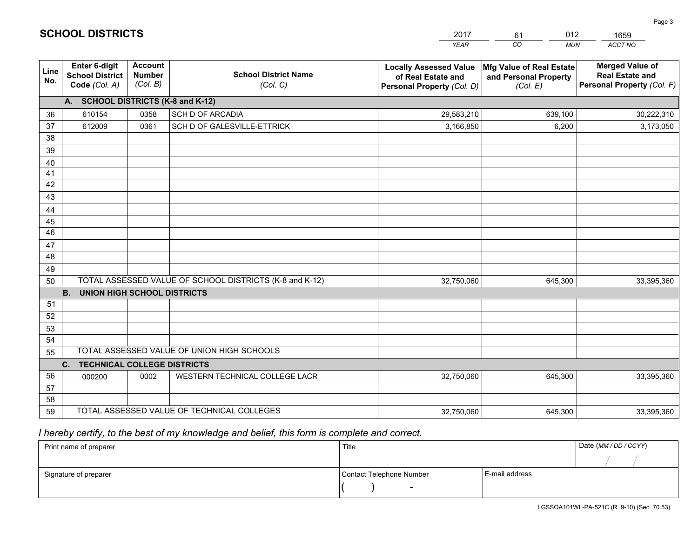|             |                                                          |                                             |                                                         | <b>YEAR</b>                                                                       | CO<br><b>MUN</b>                                              | ACCT NO                                                                        |
|-------------|----------------------------------------------------------|---------------------------------------------|---------------------------------------------------------|-----------------------------------------------------------------------------------|---------------------------------------------------------------|--------------------------------------------------------------------------------|
| Line<br>No. | Enter 6-digit<br><b>School District</b><br>Code (Col. A) | <b>Account</b><br><b>Number</b><br>(Col. B) | <b>School District Name</b><br>(Col. C)                 | <b>Locally Assessed Value</b><br>of Real Estate and<br>Personal Property (Col. D) | Mfg Value of Real Estate<br>and Personal Property<br>(Col. E) | <b>Merged Value of</b><br><b>Real Estate and</b><br>Personal Property (Col. F) |
|             | A. SCHOOL DISTRICTS (K-8 and K-12)                       |                                             |                                                         |                                                                                   |                                                               |                                                                                |
| 36          | 610154                                                   | 0358                                        | <b>SCH D OF ARCADIA</b>                                 | 29,583,210                                                                        | 639,100                                                       | 30,222,310                                                                     |
| 37          | 612009                                                   | 0361                                        | SCH D OF GALESVILLE-ETTRICK                             | 3,166,850                                                                         | 6,200                                                         | 3,173,050                                                                      |
| 38          |                                                          |                                             |                                                         |                                                                                   |                                                               |                                                                                |
| 39          |                                                          |                                             |                                                         |                                                                                   |                                                               |                                                                                |
| 40          |                                                          |                                             |                                                         |                                                                                   |                                                               |                                                                                |
| 41          |                                                          |                                             |                                                         |                                                                                   |                                                               |                                                                                |
| 42          |                                                          |                                             |                                                         |                                                                                   |                                                               |                                                                                |
| 43          |                                                          |                                             |                                                         |                                                                                   |                                                               |                                                                                |
| 44<br>45    |                                                          |                                             |                                                         |                                                                                   |                                                               |                                                                                |
| 46          |                                                          |                                             |                                                         |                                                                                   |                                                               |                                                                                |
| 47          |                                                          |                                             |                                                         |                                                                                   |                                                               |                                                                                |
| 48          |                                                          |                                             |                                                         |                                                                                   |                                                               |                                                                                |
| 49          |                                                          |                                             |                                                         |                                                                                   |                                                               |                                                                                |
| 50          |                                                          |                                             | TOTAL ASSESSED VALUE OF SCHOOL DISTRICTS (K-8 and K-12) | 32,750,060                                                                        | 645,300                                                       | 33,395,360                                                                     |
|             | <b>B.</b><br><b>UNION HIGH SCHOOL DISTRICTS</b>          |                                             |                                                         |                                                                                   |                                                               |                                                                                |
| 51          |                                                          |                                             |                                                         |                                                                                   |                                                               |                                                                                |
| 52          |                                                          |                                             |                                                         |                                                                                   |                                                               |                                                                                |
| 53          |                                                          |                                             |                                                         |                                                                                   |                                                               |                                                                                |
| 54          |                                                          |                                             |                                                         |                                                                                   |                                                               |                                                                                |
| 55          |                                                          |                                             | TOTAL ASSESSED VALUE OF UNION HIGH SCHOOLS              |                                                                                   |                                                               |                                                                                |
|             | C.<br><b>TECHNICAL COLLEGE DISTRICTS</b>                 |                                             |                                                         |                                                                                   |                                                               |                                                                                |
| 56          | 000200                                                   | 0002                                        | WESTERN TECHNICAL COLLEGE LACR                          | 32,750,060                                                                        | 645.300                                                       | 33,395,360                                                                     |
| 57          |                                                          |                                             |                                                         |                                                                                   |                                                               |                                                                                |
| 58          |                                                          |                                             |                                                         |                                                                                   |                                                               |                                                                                |
| 59          |                                                          |                                             | TOTAL ASSESSED VALUE OF TECHNICAL COLLEGES              | 32,750,060                                                                        | 645,300                                                       | 33,395,360                                                                     |

61

012

 *I hereby certify, to the best of my knowledge and belief, this form is complete and correct.*

**SCHOOL DISTRICTS**

| Print name of preparer | Title                    |                | Date (MM / DD / CCYY) |
|------------------------|--------------------------|----------------|-----------------------|
|                        |                          |                |                       |
| Signature of preparer  | Contact Telephone Number | E-mail address |                       |
|                        | $\sim$                   |                |                       |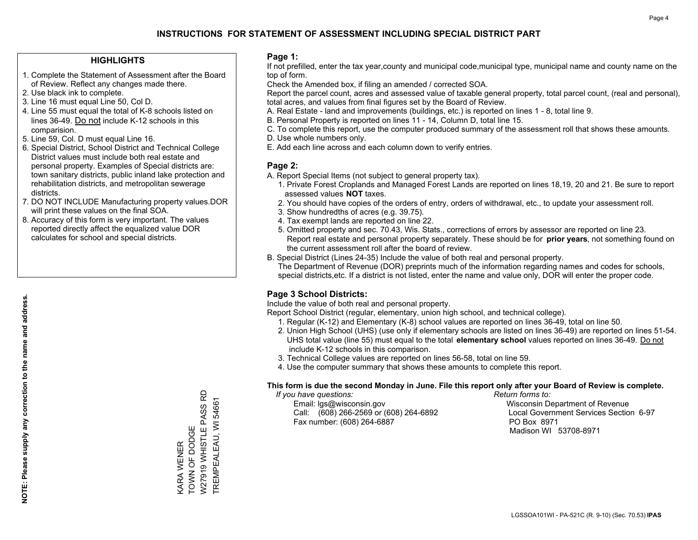## **HIGHLIGHTS**

- 1. Complete the Statement of Assessment after the Board of Review. Reflect any changes made there.
- 2. Use black ink to complete.
- 3. Line 16 must equal Line 50, Col D.
- 4. Line 55 must equal the total of K-8 schools listed on lines 36-49. Do not include K-12 schools in this comparision.
- 5. Line 59, Col. D must equal Line 16.
- 6. Special District, School District and Technical College District values must include both real estate and personal property. Examples of Special districts are: town sanitary districts, public inland lake protection and rehabilitation districts, and metropolitan sewerage districts.
- 7. DO NOT INCLUDE Manufacturing property values.DOR will print these values on the final SOA.

KARA WENER TOWN OF DODGE

TOWN OF DODGE **<ARA WENER** 

W27919 WHISTLE PASS RD TREMPEALEAU, WI 54661

W27919 WHISTLE PASS RD TREMPEALEAU, WI 54661

 8. Accuracy of this form is very important. The values reported directly affect the equalized value DOR calculates for school and special districts.

#### **Page 1:**

 If not prefilled, enter the tax year,county and municipal code,municipal type, municipal name and county name on the top of form.

Check the Amended box, if filing an amended / corrected SOA.

 Report the parcel count, acres and assessed value of taxable general property, total parcel count, (real and personal), total acres, and values from final figures set by the Board of Review.

- A. Real Estate land and improvements (buildings, etc.) is reported on lines 1 8, total line 9.
- B. Personal Property is reported on lines 11 14, Column D, total line 15.
- C. To complete this report, use the computer produced summary of the assessment roll that shows these amounts.
- D. Use whole numbers only.
- E. Add each line across and each column down to verify entries.

## **Page 2:**

- A. Report Special Items (not subject to general property tax).
- 1. Private Forest Croplands and Managed Forest Lands are reported on lines 18,19, 20 and 21. Be sure to report assessed values **NOT** taxes.
- 2. You should have copies of the orders of entry, orders of withdrawal, etc., to update your assessment roll.
	- 3. Show hundredths of acres (e.g. 39.75).
- 4. Tax exempt lands are reported on line 22.
- 5. Omitted property and sec. 70.43, Wis. Stats., corrections of errors by assessor are reported on line 23. Report real estate and personal property separately. These should be for **prior years**, not something found on the current assessment roll after the board of review.
- B. Special District (Lines 24-35) Include the value of both real and personal property.

 The Department of Revenue (DOR) preprints much of the information regarding names and codes for schools, special districts,etc. If a district is not listed, enter the name and value only, DOR will enter the proper code.

## **Page 3 School Districts:**

Include the value of both real and personal property.

Report School District (regular, elementary, union high school, and technical college).

- 1. Regular (K-12) and Elementary (K-8) school values are reported on lines 36-49, total on line 50.
- 2. Union High School (UHS) (use only if elementary schools are listed on lines 36-49) are reported on lines 51-54. UHS total value (line 55) must equal to the total **elementary school** values reported on lines 36-49. Do notinclude K-12 schools in this comparison.
- 3. Technical College values are reported on lines 56-58, total on line 59.
- 4. Use the computer summary that shows these amounts to complete this report.

#### **This form is due the second Monday in June. File this report only after your Board of Review is complete.**

 *If you have questions: Return forms to:*

 Email: lgs@wisconsin.gov Wisconsin Department of RevenueCall:  $(608)$  266-2569 or  $(608)$  264-6892 Fax number: (608) 264-6887 PO Box 8971

Local Government Services Section 6-97 Madison WI 53708-8971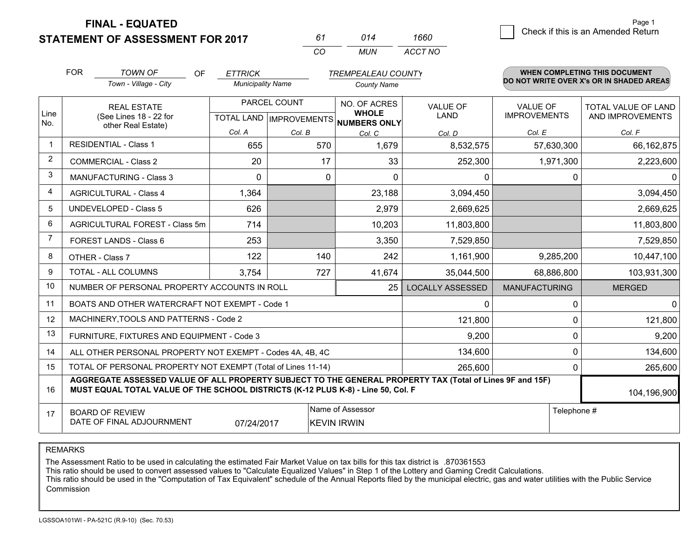**STATEMENT OF ASSESSMENT FOR 2017** 

*CO MUN <sup>61</sup> <sup>014</sup> ACCT NO1660*

|                | <b>FOR</b>                                                                                                                                                                                                  | <b>TOWN OF</b><br><b>OF</b>                                  | <b>ETTRICK</b>           |              | <b>TREMPEALEAU COUNTY</b>                           |                         |                      | <b>WHEN COMPLETING THIS DOCUMENT</b>     |
|----------------|-------------------------------------------------------------------------------------------------------------------------------------------------------------------------------------------------------------|--------------------------------------------------------------|--------------------------|--------------|-----------------------------------------------------|-------------------------|----------------------|------------------------------------------|
|                |                                                                                                                                                                                                             | Town - Village - City                                        | <b>Municipality Name</b> |              | <b>County Name</b>                                  |                         |                      | DO NOT WRITE OVER X's OR IN SHADED AREAS |
|                |                                                                                                                                                                                                             | <b>REAL ESTATE</b>                                           |                          | PARCEL COUNT | NO. OF ACRES                                        | <b>VALUE OF</b>         | <b>VALUE OF</b>      | TOTAL VALUE OF LAND                      |
| Line<br>No.    |                                                                                                                                                                                                             | (See Lines 18 - 22 for<br>other Real Estate)                 |                          |              | <b>WHOLE</b><br>TOTAL LAND MPROVEMENTS NUMBERS ONLY | LAND                    | <b>IMPROVEMENTS</b>  | AND IMPROVEMENTS                         |
|                |                                                                                                                                                                                                             |                                                              | Col. A                   | Col. B       | Col. C                                              | Col. D                  | Col. E               | Col. F                                   |
| -1             |                                                                                                                                                                                                             | <b>RESIDENTIAL - Class 1</b>                                 | 655                      | 570          | 1,679                                               | 8,532,575               | 57,630,300           | 66,162,875                               |
| $\overline{2}$ | <b>COMMERCIAL - Class 2</b>                                                                                                                                                                                 |                                                              | 20                       | 17           | 33                                                  | 252,300                 | 1,971,300            | 2,223,600                                |
| 3              |                                                                                                                                                                                                             | <b>MANUFACTURING - Class 3</b>                               | $\mathbf 0$              | 0            | $\Omega$                                            | 0                       | 0                    | 0                                        |
| 4              |                                                                                                                                                                                                             | <b>AGRICULTURAL - Class 4</b>                                | 1,364                    |              | 23,188                                              | 3,094,450               |                      | 3,094,450                                |
| 5              |                                                                                                                                                                                                             | <b>UNDEVELOPED - Class 5</b>                                 | 626                      |              | 2,979                                               | 2,669,625               |                      | 2,669,625                                |
| 6              |                                                                                                                                                                                                             | AGRICULTURAL FOREST - Class 5m                               | 714                      |              | 10,203                                              | 11,803,800              |                      | 11,803,800                               |
| 7              |                                                                                                                                                                                                             | FOREST LANDS - Class 6                                       | 253                      |              | 3,350                                               | 7,529,850               |                      | 7,529,850                                |
| 8              |                                                                                                                                                                                                             | OTHER - Class 7                                              | 122                      | 140          | 242                                                 | 1,161,900               | 9,285,200            | 10,447,100                               |
| 9              |                                                                                                                                                                                                             | TOTAL - ALL COLUMNS                                          | 3,754                    | 727          | 41,674                                              | 35,044,500              | 68,886,800           | 103,931,300                              |
| 10             |                                                                                                                                                                                                             | NUMBER OF PERSONAL PROPERTY ACCOUNTS IN ROLL                 |                          |              | 25                                                  | <b>LOCALLY ASSESSED</b> | <b>MANUFACTURING</b> | <b>MERGED</b>                            |
| 11             |                                                                                                                                                                                                             | BOATS AND OTHER WATERCRAFT NOT EXEMPT - Code 1               |                          |              |                                                     | 0                       | 0                    | $\overline{0}$                           |
| 12             |                                                                                                                                                                                                             | MACHINERY, TOOLS AND PATTERNS - Code 2                       |                          |              |                                                     | 121,800                 | 0                    | 121,800                                  |
| 13             |                                                                                                                                                                                                             | FURNITURE, FIXTURES AND EQUIPMENT - Code 3                   |                          |              |                                                     | 9,200                   | 0                    | 9,200                                    |
| 14             |                                                                                                                                                                                                             | ALL OTHER PERSONAL PROPERTY NOT EXEMPT - Codes 4A, 4B, 4C    |                          |              |                                                     | 134,600                 | $\Omega$             | 134,600                                  |
| 15             |                                                                                                                                                                                                             | TOTAL OF PERSONAL PROPERTY NOT EXEMPT (Total of Lines 11-14) |                          |              |                                                     | 265,600                 | 0                    | 265,600                                  |
| 16             | AGGREGATE ASSESSED VALUE OF ALL PROPERTY SUBJECT TO THE GENERAL PROPERTY TAX (Total of Lines 9F and 15F)<br>MUST EQUAL TOTAL VALUE OF THE SCHOOL DISTRICTS (K-12 PLUS K-8) - Line 50, Col. F<br>104,196,900 |                                                              |                          |              |                                                     |                         |                      |                                          |
| 17             | Name of Assessor<br>Telephone #<br><b>BOARD OF REVIEW</b><br>DATE OF FINAL ADJOURNMENT<br>07/24/2017<br><b>KEVIN IRWIN</b>                                                                                  |                                                              |                          |              |                                                     |                         |                      |                                          |

REMARKS

The Assessment Ratio to be used in calculating the estimated Fair Market Value on tax bills for this tax district is .870361553<br>This ratio should be used to convert assessed values to "Calculate Equalized Values" in Step 1 Commission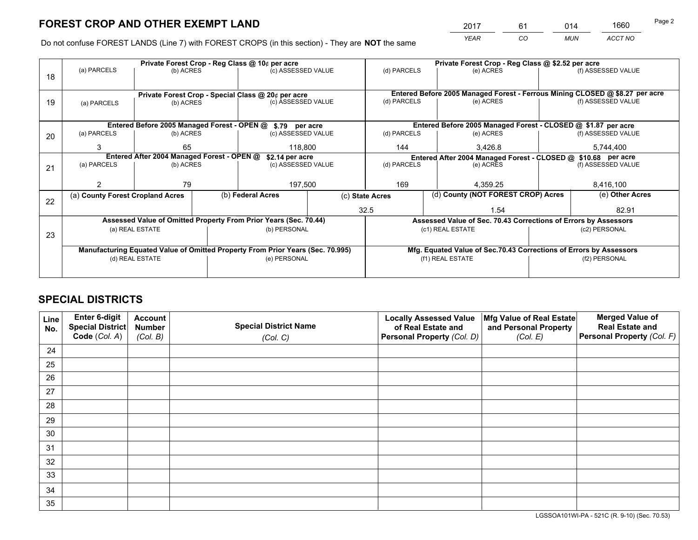*YEAR CO MUN ACCT NO* <sup>2017</sup> <sup>61</sup> <sup>014</sup> <sup>1660</sup>

Do not confuse FOREST LANDS (Line 7) with FOREST CROPS (in this section) - They are **NOT** the same

|    |                                                               |                 |  | Private Forest Crop - Reg Class @ 10¢ per acre                                 |                                                                              | Private Forest Crop - Reg Class @ \$2.52 per acre |                                                               |                                                                    |               |                    |  |
|----|---------------------------------------------------------------|-----------------|--|--------------------------------------------------------------------------------|------------------------------------------------------------------------------|---------------------------------------------------|---------------------------------------------------------------|--------------------------------------------------------------------|---------------|--------------------|--|
| 18 | (a) PARCELS                                                   | (b) ACRES       |  | (c) ASSESSED VALUE                                                             |                                                                              | (d) PARCELS                                       |                                                               | (e) ACRES                                                          |               | (f) ASSESSED VALUE |  |
|    |                                                               |                 |  |                                                                                |                                                                              |                                                   |                                                               |                                                                    |               |                    |  |
|    |                                                               |                 |  | Private Forest Crop - Special Class @ 20¢ per acre                             | Entered Before 2005 Managed Forest - Ferrous Mining CLOSED @ \$8.27 per acre |                                                   |                                                               |                                                                    |               |                    |  |
| 19 | (a) PARCELS                                                   | (b) ACRES       |  | (c) ASSESSED VALUE                                                             |                                                                              | (d) PARCELS                                       |                                                               | (e) ACRES                                                          |               | (f) ASSESSED VALUE |  |
|    |                                                               |                 |  |                                                                                |                                                                              |                                                   |                                                               |                                                                    |               |                    |  |
|    | Entered Before 2005 Managed Forest - OPEN @ \$.79 per acre    |                 |  |                                                                                |                                                                              |                                                   |                                                               | Entered Before 2005 Managed Forest - CLOSED @ \$1.87 per acre      |               |                    |  |
| 20 | (a) PARCELS<br>(b) ACRES                                      |                 |  | (c) ASSESSED VALUE                                                             |                                                                              | (d) PARCELS                                       |                                                               | (e) ACRES                                                          |               | (f) ASSESSED VALUE |  |
|    | 3                                                             | 65              |  | 118,800                                                                        |                                                                              | 144                                               |                                                               | 3,426.8                                                            |               | 5,744,400          |  |
|    | Entered After 2004 Managed Forest - OPEN @<br>\$2.14 per acre |                 |  |                                                                                |                                                                              |                                                   | Entered After 2004 Managed Forest - CLOSED @ \$10.68 per acre |                                                                    |               |                    |  |
| 21 | (a) PARCELS                                                   | (b) ACRES       |  |                                                                                | (d) PARCELS<br>(c) ASSESSED VALUE                                            |                                                   |                                                               | (e) ACRES                                                          |               | (f) ASSESSED VALUE |  |
|    |                                                               |                 |  |                                                                                |                                                                              |                                                   |                                                               |                                                                    |               |                    |  |
|    |                                                               | 79              |  | 197,500                                                                        |                                                                              | 169                                               |                                                               | 4.359.25                                                           |               | 8,416,100          |  |
|    | (a) County Forest Cropland Acres                              |                 |  | (b) Federal Acres<br>(c) State Acres                                           |                                                                              |                                                   |                                                               | (d) County (NOT FOREST CROP) Acres                                 |               | (e) Other Acres    |  |
| 22 |                                                               |                 |  |                                                                                |                                                                              | 32.5                                              |                                                               | 1.54                                                               |               | 82.91              |  |
|    |                                                               |                 |  | Assessed Value of Omitted Property From Prior Years (Sec. 70.44)               |                                                                              |                                                   |                                                               | Assessed Value of Sec. 70.43 Corrections of Errors by Assessors    |               |                    |  |
|    |                                                               | (a) REAL ESTATE |  | (b) PERSONAL                                                                   |                                                                              |                                                   | (c1) REAL ESTATE                                              |                                                                    |               | (c2) PERSONAL      |  |
| 23 |                                                               |                 |  |                                                                                |                                                                              |                                                   |                                                               |                                                                    |               |                    |  |
|    |                                                               |                 |  | Manufacturing Equated Value of Omitted Property From Prior Years (Sec. 70.995) |                                                                              |                                                   |                                                               | Mfg. Equated Value of Sec.70.43 Corrections of Errors by Assessors |               |                    |  |
|    |                                                               | (d) REAL ESTATE |  | (e) PERSONAL                                                                   |                                                                              | (f1) REAL ESTATE                                  |                                                               |                                                                    | (f2) PERSONAL |                    |  |
|    |                                                               |                 |  |                                                                                |                                                                              |                                                   |                                                               |                                                                    |               |                    |  |

## **SPECIAL DISTRICTS**

| Line<br>No. | Enter 6-digit<br><b>Special District</b><br>Code (Col. A) | <b>Account</b><br><b>Number</b><br>(Col. B) | <b>Special District Name</b><br>(Col. C) | <b>Locally Assessed Value</b><br>of Real Estate and<br>Personal Property (Col. D) | Mfg Value of Real Estate<br>and Personal Property<br>(Col. E) | <b>Merged Value of</b><br><b>Real Estate and</b><br>Personal Property (Col. F) |
|-------------|-----------------------------------------------------------|---------------------------------------------|------------------------------------------|-----------------------------------------------------------------------------------|---------------------------------------------------------------|--------------------------------------------------------------------------------|
| 24          |                                                           |                                             |                                          |                                                                                   |                                                               |                                                                                |
| 25          |                                                           |                                             |                                          |                                                                                   |                                                               |                                                                                |
| 26          |                                                           |                                             |                                          |                                                                                   |                                                               |                                                                                |
| 27          |                                                           |                                             |                                          |                                                                                   |                                                               |                                                                                |
| 28          |                                                           |                                             |                                          |                                                                                   |                                                               |                                                                                |
| 29          |                                                           |                                             |                                          |                                                                                   |                                                               |                                                                                |
| 30          |                                                           |                                             |                                          |                                                                                   |                                                               |                                                                                |
| 31          |                                                           |                                             |                                          |                                                                                   |                                                               |                                                                                |
| 32          |                                                           |                                             |                                          |                                                                                   |                                                               |                                                                                |
| 33          |                                                           |                                             |                                          |                                                                                   |                                                               |                                                                                |
| 34          |                                                           |                                             |                                          |                                                                                   |                                                               |                                                                                |
| 35          |                                                           |                                             |                                          |                                                                                   |                                                               |                                                                                |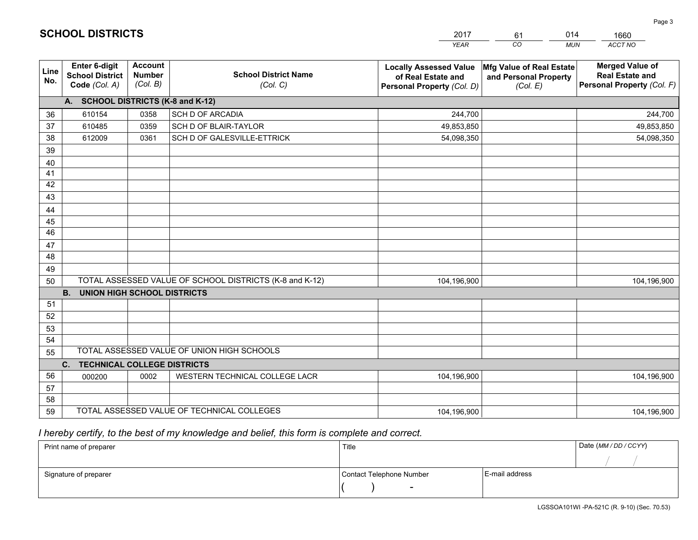|                 |                                                                 |                                             |                                                         | <b>YEAR</b>                                                                       | CO<br><b>MUN</b>                                              | ACCT NO                                                                        |  |  |  |  |
|-----------------|-----------------------------------------------------------------|---------------------------------------------|---------------------------------------------------------|-----------------------------------------------------------------------------------|---------------------------------------------------------------|--------------------------------------------------------------------------------|--|--|--|--|
| Line<br>No.     | <b>Enter 6-digit</b><br><b>School District</b><br>Code (Col. A) | <b>Account</b><br><b>Number</b><br>(Col. B) | <b>School District Name</b><br>(Col. C)                 | <b>Locally Assessed Value</b><br>of Real Estate and<br>Personal Property (Col. D) | Mfg Value of Real Estate<br>and Personal Property<br>(Col. E) | <b>Merged Value of</b><br><b>Real Estate and</b><br>Personal Property (Col. F) |  |  |  |  |
|                 | A. SCHOOL DISTRICTS (K-8 and K-12)                              |                                             |                                                         |                                                                                   |                                                               |                                                                                |  |  |  |  |
| 36              | 610154                                                          | 0358                                        | SCH D OF ARCADIA                                        | 244,700                                                                           |                                                               | 244,700                                                                        |  |  |  |  |
| 37              | 610485                                                          | 0359                                        | SCH D OF BLAIR-TAYLOR                                   | 49,853,850                                                                        |                                                               | 49,853,850                                                                     |  |  |  |  |
| 38              | 612009                                                          | 0361                                        | SCH D OF GALESVILLE-ETTRICK                             | 54,098,350                                                                        |                                                               | 54,098,350                                                                     |  |  |  |  |
| 39              |                                                                 |                                             |                                                         |                                                                                   |                                                               |                                                                                |  |  |  |  |
| 40              |                                                                 |                                             |                                                         |                                                                                   |                                                               |                                                                                |  |  |  |  |
| 41              |                                                                 |                                             |                                                         |                                                                                   |                                                               |                                                                                |  |  |  |  |
| 42              |                                                                 |                                             |                                                         |                                                                                   |                                                               |                                                                                |  |  |  |  |
| 43              |                                                                 |                                             |                                                         |                                                                                   |                                                               |                                                                                |  |  |  |  |
| 44              |                                                                 |                                             |                                                         |                                                                                   |                                                               |                                                                                |  |  |  |  |
| 45              |                                                                 |                                             |                                                         |                                                                                   |                                                               |                                                                                |  |  |  |  |
| $\overline{46}$ |                                                                 |                                             |                                                         |                                                                                   |                                                               |                                                                                |  |  |  |  |
| 47<br>48        |                                                                 |                                             |                                                         |                                                                                   |                                                               |                                                                                |  |  |  |  |
|                 |                                                                 |                                             |                                                         |                                                                                   |                                                               |                                                                                |  |  |  |  |
| 49              |                                                                 |                                             | TOTAL ASSESSED VALUE OF SCHOOL DISTRICTS (K-8 and K-12) |                                                                                   |                                                               |                                                                                |  |  |  |  |
| 50              | <b>B.</b><br><b>UNION HIGH SCHOOL DISTRICTS</b>                 |                                             |                                                         | 104,196,900                                                                       |                                                               | 104,196,900                                                                    |  |  |  |  |
| 51              |                                                                 |                                             |                                                         |                                                                                   |                                                               |                                                                                |  |  |  |  |
| 52              |                                                                 |                                             |                                                         |                                                                                   |                                                               |                                                                                |  |  |  |  |
| 53              |                                                                 |                                             |                                                         |                                                                                   |                                                               |                                                                                |  |  |  |  |
| 54              |                                                                 |                                             |                                                         |                                                                                   |                                                               |                                                                                |  |  |  |  |
| 55              |                                                                 |                                             | TOTAL ASSESSED VALUE OF UNION HIGH SCHOOLS              |                                                                                   |                                                               |                                                                                |  |  |  |  |
|                 | C.<br><b>TECHNICAL COLLEGE DISTRICTS</b>                        |                                             |                                                         |                                                                                   |                                                               |                                                                                |  |  |  |  |
| 56              | 000200                                                          | 0002                                        | WESTERN TECHNICAL COLLEGE LACR                          | 104,196,900                                                                       |                                                               | 104,196,900                                                                    |  |  |  |  |
| 57              |                                                                 |                                             |                                                         |                                                                                   |                                                               |                                                                                |  |  |  |  |
| 58              |                                                                 |                                             |                                                         |                                                                                   |                                                               |                                                                                |  |  |  |  |
| 59              |                                                                 |                                             | TOTAL ASSESSED VALUE OF TECHNICAL COLLEGES              | 104,196,900                                                                       |                                                               | 104,196,900                                                                    |  |  |  |  |

61

014

 *I hereby certify, to the best of my knowledge and belief, this form is complete and correct.*

**SCHOOL DISTRICTS**

| Print name of preparer | Title                    |                | Date (MM / DD / CCYY) |
|------------------------|--------------------------|----------------|-----------------------|
|                        |                          |                |                       |
| Signature of preparer  | Contact Telephone Number | E-mail address |                       |
|                        | $\sim$                   |                |                       |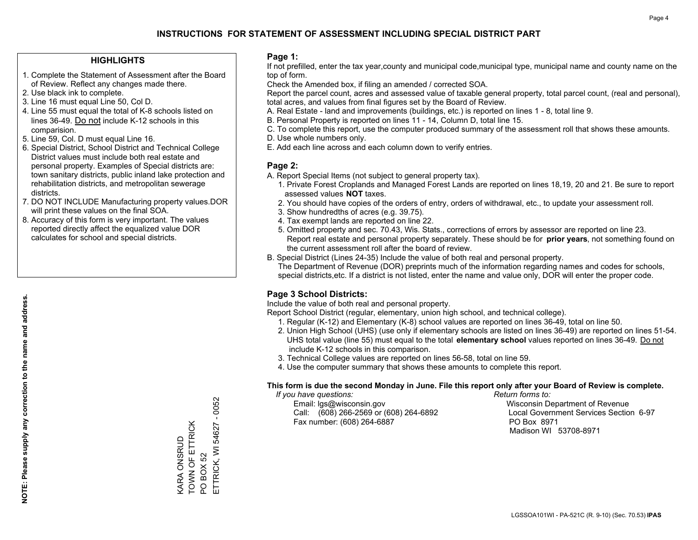## **HIGHLIGHTS**

- 1. Complete the Statement of Assessment after the Board of Review. Reflect any changes made there.
- 2. Use black ink to complete.
- 3. Line 16 must equal Line 50, Col D.
- 4. Line 55 must equal the total of K-8 schools listed on lines 36-49. Do not include K-12 schools in this comparision.
- 5. Line 59, Col. D must equal Line 16.
- 6. Special District, School District and Technical College District values must include both real estate and personal property. Examples of Special districts are: town sanitary districts, public inland lake protection and rehabilitation districts, and metropolitan sewerage districts.
- 7. DO NOT INCLUDE Manufacturing property values.DOR will print these values on the final SOA.

KARA ONSRUD TOWN OF ETTRICK

TOWN OF ETTRICK **CARA ONSRUD** 

PO BOX 52

ETTRICK, WI 54627 - 0052

ETTRICK, WI PO BOX 52

54627

 $-0052$ 

 8. Accuracy of this form is very important. The values reported directly affect the equalized value DOR calculates for school and special districts.

#### **Page 1:**

 If not prefilled, enter the tax year,county and municipal code,municipal type, municipal name and county name on the top of form.

Check the Amended box, if filing an amended / corrected SOA.

 Report the parcel count, acres and assessed value of taxable general property, total parcel count, (real and personal), total acres, and values from final figures set by the Board of Review.

- A. Real Estate land and improvements (buildings, etc.) is reported on lines 1 8, total line 9.
- B. Personal Property is reported on lines 11 14, Column D, total line 15.
- C. To complete this report, use the computer produced summary of the assessment roll that shows these amounts.
- D. Use whole numbers only.
- E. Add each line across and each column down to verify entries.

## **Page 2:**

- A. Report Special Items (not subject to general property tax).
- 1. Private Forest Croplands and Managed Forest Lands are reported on lines 18,19, 20 and 21. Be sure to report assessed values **NOT** taxes.
- 2. You should have copies of the orders of entry, orders of withdrawal, etc., to update your assessment roll.
	- 3. Show hundredths of acres (e.g. 39.75).
- 4. Tax exempt lands are reported on line 22.
- 5. Omitted property and sec. 70.43, Wis. Stats., corrections of errors by assessor are reported on line 23. Report real estate and personal property separately. These should be for **prior years**, not something found on the current assessment roll after the board of review.
- B. Special District (Lines 24-35) Include the value of both real and personal property.

 The Department of Revenue (DOR) preprints much of the information regarding names and codes for schools, special districts,etc. If a district is not listed, enter the name and value only, DOR will enter the proper code.

## **Page 3 School Districts:**

Include the value of both real and personal property.

Report School District (regular, elementary, union high school, and technical college).

- 1. Regular (K-12) and Elementary (K-8) school values are reported on lines 36-49, total on line 50.
- 2. Union High School (UHS) (use only if elementary schools are listed on lines 36-49) are reported on lines 51-54. UHS total value (line 55) must equal to the total **elementary school** values reported on lines 36-49. Do notinclude K-12 schools in this comparison.
- 3. Technical College values are reported on lines 56-58, total on line 59.
- 4. Use the computer summary that shows these amounts to complete this report.

#### **This form is due the second Monday in June. File this report only after your Board of Review is complete.**

 *If you have questions: Return forms to:*

 Email: lgs@wisconsin.gov Wisconsin Department of RevenueCall:  $(608)$  266-2569 or  $(608)$  264-6892 Fax number: (608) 264-6887 PO Box 8971

Local Government Services Section 6-97 Madison WI 53708-8971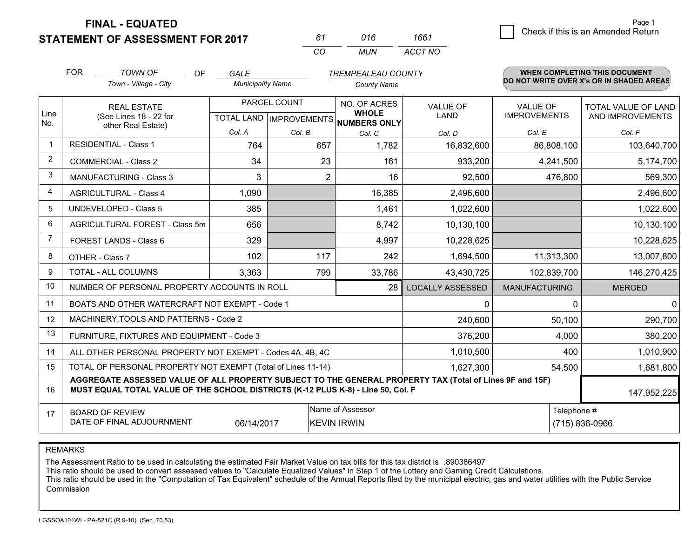**STATEMENT OF ASSESSMENT FOR 2017** 

*CO MUN <sup>61</sup> <sup>016</sup> ACCT NO1661*

|                | <b>FOR</b>                                                                                                                 | <b>TOWN OF</b><br><b>OF</b>                                                                                                                                                                  | <b>GALE</b>              |                | <b>TREMPEALEAU COUNTY</b>            |                         |                      | <b>WHEN COMPLETING THIS DOCUMENT</b>     |
|----------------|----------------------------------------------------------------------------------------------------------------------------|----------------------------------------------------------------------------------------------------------------------------------------------------------------------------------------------|--------------------------|----------------|--------------------------------------|-------------------------|----------------------|------------------------------------------|
|                |                                                                                                                            | Town - Village - City                                                                                                                                                                        | <b>Municipality Name</b> |                | <b>County Name</b>                   |                         |                      | DO NOT WRITE OVER X's OR IN SHADED AREAS |
| Line           |                                                                                                                            | <b>REAL ESTATE</b>                                                                                                                                                                           | PARCEL COUNT             |                | NO. OF ACRES<br><b>WHOLE</b>         | <b>VALUE OF</b>         | <b>VALUE OF</b>      | TOTAL VALUE OF LAND                      |
| No.            |                                                                                                                            | (See Lines 18 - 22 for<br>other Real Estate)                                                                                                                                                 |                          |                | TOTAL LAND IMPROVEMENTS NUMBERS ONLY | LAND                    | <b>IMPROVEMENTS</b>  | AND IMPROVEMENTS                         |
|                |                                                                                                                            |                                                                                                                                                                                              | Col. A                   | Col. B         | Col. C                               | Col. D                  | Col. E               | Col. F                                   |
| $\overline{1}$ |                                                                                                                            | <b>RESIDENTIAL - Class 1</b>                                                                                                                                                                 | 764                      | 657            | 1,782                                | 16,832,600              | 86,808,100           | 103,640,700                              |
| $\overline{2}$ |                                                                                                                            | <b>COMMERCIAL - Class 2</b>                                                                                                                                                                  | 34                       | 23             | 161                                  | 933,200                 | 4,241,500            | 5,174,700                                |
| 3              |                                                                                                                            | MANUFACTURING - Class 3                                                                                                                                                                      | 3                        | $\overline{2}$ | 16                                   | 92,500                  | 476,800              | 569,300                                  |
| 4              |                                                                                                                            | <b>AGRICULTURAL - Class 4</b>                                                                                                                                                                | 1,090                    |                | 16,385                               | 2,496,600               |                      | 2,496,600                                |
| 5              |                                                                                                                            | <b>UNDEVELOPED - Class 5</b>                                                                                                                                                                 | 385                      |                | 1,461                                | 1,022,600               |                      | 1,022,600                                |
| 6              | AGRICULTURAL FOREST - Class 5m                                                                                             |                                                                                                                                                                                              | 656                      |                | 8,742                                | 10,130,100              |                      | 10,130,100                               |
| 7              |                                                                                                                            | FOREST LANDS - Class 6                                                                                                                                                                       | 329                      |                | 4,997                                | 10,228,625              |                      | 10,228,625                               |
| 8              |                                                                                                                            | OTHER - Class 7                                                                                                                                                                              | 102                      | 117            | 242                                  | 1,694,500               | 11,313,300           | 13,007,800                               |
| 9              |                                                                                                                            | TOTAL - ALL COLUMNS                                                                                                                                                                          | 3,363                    | 799            | 33,786                               | 43,430,725              | 102,839,700          | 146,270,425                              |
| 10             |                                                                                                                            | NUMBER OF PERSONAL PROPERTY ACCOUNTS IN ROLL                                                                                                                                                 |                          |                | 28                                   | <b>LOCALLY ASSESSED</b> | <b>MANUFACTURING</b> | <b>MERGED</b>                            |
| 11             |                                                                                                                            | BOATS AND OTHER WATERCRAFT NOT EXEMPT - Code 1                                                                                                                                               |                          |                |                                      | $\Omega$                | 0                    | $\mathbf{0}$                             |
| 12             |                                                                                                                            | MACHINERY, TOOLS AND PATTERNS - Code 2                                                                                                                                                       |                          |                |                                      | 240,600                 | 50,100               | 290,700                                  |
| 13             |                                                                                                                            | FURNITURE, FIXTURES AND EQUIPMENT - Code 3                                                                                                                                                   |                          |                |                                      | 376,200                 | 4,000                | 380,200                                  |
| 14             |                                                                                                                            | ALL OTHER PERSONAL PROPERTY NOT EXEMPT - Codes 4A, 4B, 4C                                                                                                                                    |                          |                |                                      | 1,010,500               | 400                  | 1,010,900                                |
| 15             |                                                                                                                            | TOTAL OF PERSONAL PROPERTY NOT EXEMPT (Total of Lines 11-14)                                                                                                                                 |                          |                |                                      | 1,627,300               | 54,500               | 1,681,800                                |
| 16             |                                                                                                                            | AGGREGATE ASSESSED VALUE OF ALL PROPERTY SUBJECT TO THE GENERAL PROPERTY TAX (Total of Lines 9F and 15F)<br>MUST EQUAL TOTAL VALUE OF THE SCHOOL DISTRICTS (K-12 PLUS K-8) - Line 50, Col. F |                          |                |                                      |                         |                      | 147,952,225                              |
| 17             | Name of Assessor<br>Telephone #<br><b>BOARD OF REVIEW</b><br>DATE OF FINAL ADJOURNMENT<br><b>KEVIN IRWIN</b><br>06/14/2017 |                                                                                                                                                                                              |                          |                |                                      |                         |                      | (715) 836-0966                           |

REMARKS

The Assessment Ratio to be used in calculating the estimated Fair Market Value on tax bills for this tax district is .890386497<br>This ratio should be used to convert assessed values to "Calculate Equalized Values" in Step 1 Commission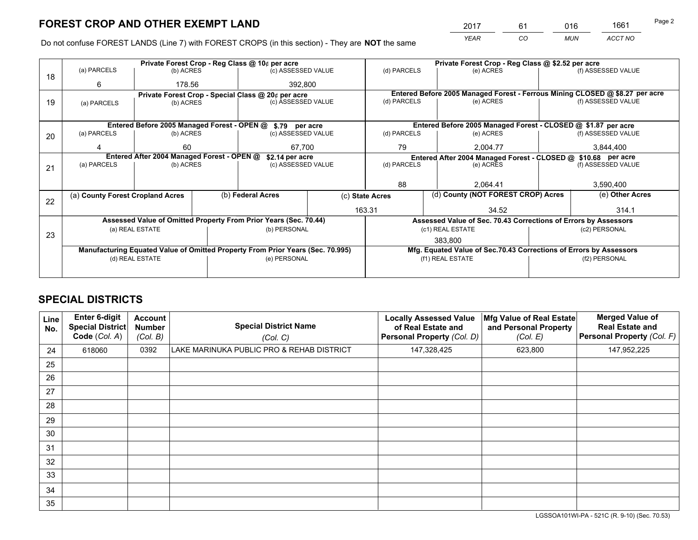*YEAR CO MUN ACCT NO* <sup>2017</sup> <sup>61</sup> <sup>016</sup> <sup>1661</sup>

Do not confuse FOREST LANDS (Line 7) with FOREST CROPS (in this section) - They are **NOT** the same

|    |                                                               |                                 |        | Private Forest Crop - Reg Class @ 10¢ per acre                                 |           | Private Forest Crop - Reg Class @ \$2.52 per acre                            |                                                                    |                                                       |                    |
|----|---------------------------------------------------------------|---------------------------------|--------|--------------------------------------------------------------------------------|-----------|------------------------------------------------------------------------------|--------------------------------------------------------------------|-------------------------------------------------------|--------------------|
| 18 | (a) PARCELS                                                   | (b) ACRES                       |        | (c) ASSESSED VALUE                                                             |           | (d) PARCELS                                                                  | (e) ACRES                                                          |                                                       | (f) ASSESSED VALUE |
|    | 6                                                             |                                 | 178.56 |                                                                                | 392,800   |                                                                              |                                                                    |                                                       |                    |
|    | Private Forest Crop - Special Class @ 20¢ per acre            |                                 |        |                                                                                |           | Entered Before 2005 Managed Forest - Ferrous Mining CLOSED @ \$8.27 per acre |                                                                    |                                                       |                    |
| 19 | (a) PARCELS                                                   | (c) ASSESSED VALUE<br>(b) ACRES |        | (d) PARCELS                                                                    | (e) ACRES |                                                                              | (f) ASSESSED VALUE                                                 |                                                       |                    |
|    |                                                               |                                 |        |                                                                                |           |                                                                              |                                                                    |                                                       |                    |
|    |                                                               |                                 |        | Entered Before 2005 Managed Forest - OPEN @ \$.79 per acre                     |           |                                                                              | Entered Before 2005 Managed Forest - CLOSED @ \$1.87 per acre      |                                                       |                    |
| 20 | (a) PARCELS                                                   | (b) ACRES                       |        | (c) ASSESSED VALUE                                                             |           | (d) PARCELS                                                                  | (e) ACRES                                                          |                                                       | (f) ASSESSED VALUE |
|    | Δ                                                             | 60                              |        | 67.700                                                                         |           | 79<br>2.004.77                                                               |                                                                    | 3,844,400                                             |                    |
|    | Entered After 2004 Managed Forest - OPEN @<br>\$2.14 per acre |                                 |        |                                                                                |           |                                                                              | Entered After 2004 Managed Forest - CLOSED @ \$10.68 per acre      |                                                       |                    |
| 21 | (a) PARCELS                                                   | (b) ACRES                       |        | (c) ASSESSED VALUE                                                             |           | (d) PARCELS<br>(e) ACRES                                                     |                                                                    |                                                       | (f) ASSESSED VALUE |
|    |                                                               |                                 |        |                                                                                |           |                                                                              |                                                                    |                                                       |                    |
|    |                                                               |                                 |        |                                                                                |           | 88<br>2.064.41                                                               |                                                                    | 3,590,400                                             |                    |
| 22 | (a) County Forest Cropland Acres                              |                                 |        | (b) Federal Acres                                                              |           | (c) State Acres                                                              |                                                                    | (d) County (NOT FOREST CROP) Acres<br>(e) Other Acres |                    |
|    |                                                               |                                 |        |                                                                                |           | 163.31                                                                       | 34.52                                                              |                                                       | 314.1              |
|    |                                                               |                                 |        | Assessed Value of Omitted Property From Prior Years (Sec. 70.44)               |           |                                                                              | Assessed Value of Sec. 70.43 Corrections of Errors by Assessors    |                                                       |                    |
|    |                                                               | (a) REAL ESTATE                 |        | (b) PERSONAL                                                                   |           |                                                                              | (c1) REAL ESTATE                                                   |                                                       | (c2) PERSONAL      |
| 23 |                                                               |                                 |        |                                                                                |           |                                                                              | 383.800                                                            |                                                       |                    |
|    |                                                               |                                 |        | Manufacturing Equated Value of Omitted Property From Prior Years (Sec. 70.995) |           |                                                                              | Mfg. Equated Value of Sec.70.43 Corrections of Errors by Assessors |                                                       |                    |
|    |                                                               | (d) REAL ESTATE                 |        | (e) PERSONAL                                                                   |           | (f1) REAL ESTATE                                                             |                                                                    | (f2) PERSONAL                                         |                    |
|    |                                                               |                                 |        |                                                                                |           |                                                                              |                                                                    |                                                       |                    |

## **SPECIAL DISTRICTS**

| <b>Line</b><br>No. | Enter 6-digit<br><b>Special District</b><br>Code (Col. A) | <b>Account</b><br><b>Number</b><br>(Col. B) | <b>Special District Name</b><br>(Col. C)  | <b>Locally Assessed Value</b><br>of Real Estate and<br><b>Personal Property (Col. D)</b> | Mfg Value of Real Estate<br>and Personal Property<br>(Col. E) | <b>Merged Value of</b><br><b>Real Estate and</b><br>Personal Property (Col. F) |
|--------------------|-----------------------------------------------------------|---------------------------------------------|-------------------------------------------|------------------------------------------------------------------------------------------|---------------------------------------------------------------|--------------------------------------------------------------------------------|
| 24                 | 618060                                                    | 0392                                        | LAKE MARINUKA PUBLIC PRO & REHAB DISTRICT | 147,328,425                                                                              | 623,800                                                       | 147,952,225                                                                    |
| 25                 |                                                           |                                             |                                           |                                                                                          |                                                               |                                                                                |
| 26                 |                                                           |                                             |                                           |                                                                                          |                                                               |                                                                                |
| 27                 |                                                           |                                             |                                           |                                                                                          |                                                               |                                                                                |
| 28                 |                                                           |                                             |                                           |                                                                                          |                                                               |                                                                                |
| 29                 |                                                           |                                             |                                           |                                                                                          |                                                               |                                                                                |
| 30                 |                                                           |                                             |                                           |                                                                                          |                                                               |                                                                                |
| 31                 |                                                           |                                             |                                           |                                                                                          |                                                               |                                                                                |
| 32                 |                                                           |                                             |                                           |                                                                                          |                                                               |                                                                                |
| 33                 |                                                           |                                             |                                           |                                                                                          |                                                               |                                                                                |
| 34                 |                                                           |                                             |                                           |                                                                                          |                                                               |                                                                                |
| 35                 |                                                           |                                             |                                           |                                                                                          |                                                               |                                                                                |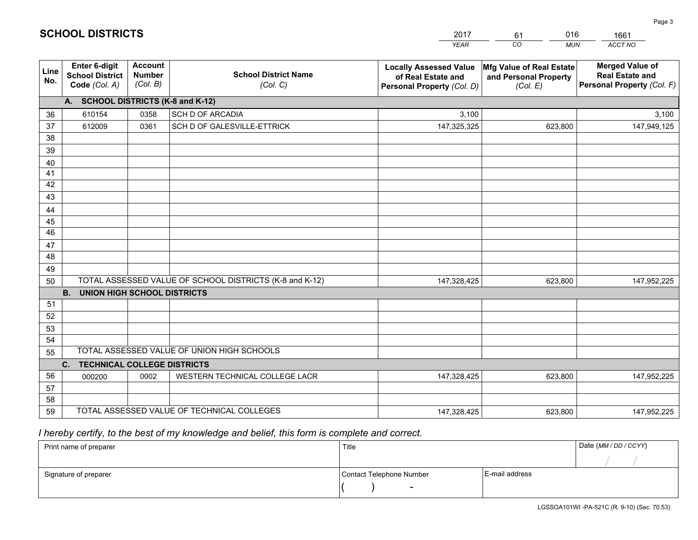|             |                                                          |                                             |                                                         | YEAR                                                                              | CO.<br><b>MUN</b>                                             | ACCT NO                                                                        |
|-------------|----------------------------------------------------------|---------------------------------------------|---------------------------------------------------------|-----------------------------------------------------------------------------------|---------------------------------------------------------------|--------------------------------------------------------------------------------|
| Line<br>No. | Enter 6-digit<br><b>School District</b><br>Code (Col. A) | <b>Account</b><br><b>Number</b><br>(Col. B) | <b>School District Name</b><br>(Col. C)                 | <b>Locally Assessed Value</b><br>of Real Estate and<br>Personal Property (Col. D) | Mfg Value of Real Estate<br>and Personal Property<br>(Col. E) | <b>Merged Value of</b><br><b>Real Estate and</b><br>Personal Property (Col. F) |
|             | A. SCHOOL DISTRICTS (K-8 and K-12)                       |                                             |                                                         |                                                                                   |                                                               |                                                                                |
| 36          | 610154                                                   | 0358                                        | <b>SCH D OF ARCADIA</b>                                 | 3,100                                                                             |                                                               | 3,100                                                                          |
| 37          | 612009                                                   | 0361                                        | SCH D OF GALESVILLE-ETTRICK                             | 147,325,325                                                                       | 623,800                                                       | 147,949,125                                                                    |
| 38          |                                                          |                                             |                                                         |                                                                                   |                                                               |                                                                                |
| 39          |                                                          |                                             |                                                         |                                                                                   |                                                               |                                                                                |
| 40          |                                                          |                                             |                                                         |                                                                                   |                                                               |                                                                                |
| 41          |                                                          |                                             |                                                         |                                                                                   |                                                               |                                                                                |
| 42<br>43    |                                                          |                                             |                                                         |                                                                                   |                                                               |                                                                                |
|             |                                                          |                                             |                                                         |                                                                                   |                                                               |                                                                                |
| 44<br>45    |                                                          |                                             |                                                         |                                                                                   |                                                               |                                                                                |
| 46          |                                                          |                                             |                                                         |                                                                                   |                                                               |                                                                                |
| 47          |                                                          |                                             |                                                         |                                                                                   |                                                               |                                                                                |
| 48          |                                                          |                                             |                                                         |                                                                                   |                                                               |                                                                                |
| 49          |                                                          |                                             |                                                         |                                                                                   |                                                               |                                                                                |
| 50          |                                                          |                                             | TOTAL ASSESSED VALUE OF SCHOOL DISTRICTS (K-8 and K-12) | 147,328,425                                                                       | 623,800                                                       | 147,952,225                                                                    |
|             | <b>B.</b><br><b>UNION HIGH SCHOOL DISTRICTS</b>          |                                             |                                                         |                                                                                   |                                                               |                                                                                |
| 51          |                                                          |                                             |                                                         |                                                                                   |                                                               |                                                                                |
| 52          |                                                          |                                             |                                                         |                                                                                   |                                                               |                                                                                |
| 53          |                                                          |                                             |                                                         |                                                                                   |                                                               |                                                                                |
| 54          |                                                          |                                             |                                                         |                                                                                   |                                                               |                                                                                |
| 55          |                                                          |                                             | TOTAL ASSESSED VALUE OF UNION HIGH SCHOOLS              |                                                                                   |                                                               |                                                                                |
|             | C.<br><b>TECHNICAL COLLEGE DISTRICTS</b>                 |                                             |                                                         |                                                                                   |                                                               |                                                                                |
| 56          | 000200                                                   | 0002                                        | WESTERN TECHNICAL COLLEGE LACR                          | 147,328,425                                                                       | 623,800                                                       | 147,952,225                                                                    |
| 57<br>58    |                                                          |                                             |                                                         |                                                                                   |                                                               |                                                                                |
| 59          |                                                          |                                             | TOTAL ASSESSED VALUE OF TECHNICAL COLLEGES              | 147,328,425                                                                       | 623,800                                                       | 147,952,225                                                                    |
|             |                                                          |                                             |                                                         |                                                                                   |                                                               |                                                                                |

61

016

 *I hereby certify, to the best of my knowledge and belief, this form is complete and correct.*

**SCHOOL DISTRICTS**

| Print name of preparer | Title                    |                | Date (MM/DD/CCYY) |
|------------------------|--------------------------|----------------|-------------------|
|                        |                          |                |                   |
| Signature of preparer  | Contact Telephone Number | E-mail address |                   |
|                        | $\overline{\phantom{a}}$ |                |                   |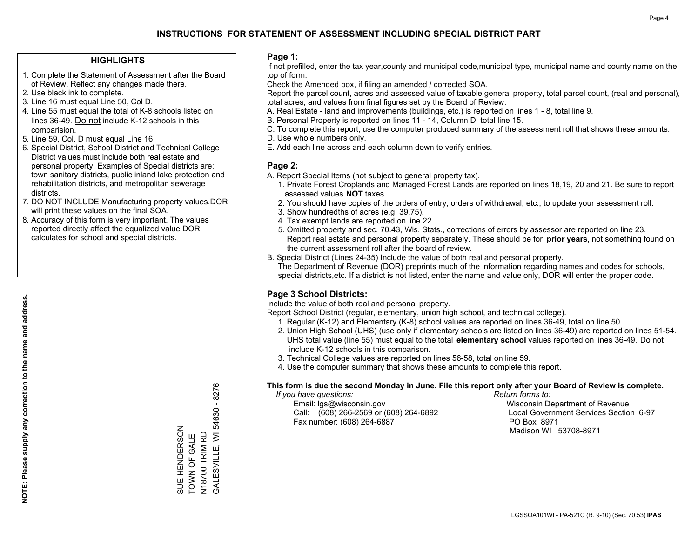## **HIGHLIGHTS**

- 1. Complete the Statement of Assessment after the Board of Review. Reflect any changes made there.
- 2. Use black ink to complete.
- 3. Line 16 must equal Line 50, Col D.
- 4. Line 55 must equal the total of K-8 schools listed on lines 36-49. Do not include K-12 schools in this comparision.
- 5. Line 59, Col. D must equal Line 16.
- 6. Special District, School District and Technical College District values must include both real estate and personal property. Examples of Special districts are: town sanitary districts, public inland lake protection and rehabilitation districts, and metropolitan sewerage districts.
- 7. DO NOT INCLUDE Manufacturing property values.DOR will print these values on the final SOA.
- 8. Accuracy of this form is very important. The values reported directly affect the equalized value DOR calculates for school and special districts.

#### **Page 1:**

 If not prefilled, enter the tax year,county and municipal code,municipal type, municipal name and county name on the top of form.

Check the Amended box, if filing an amended / corrected SOA.

 Report the parcel count, acres and assessed value of taxable general property, total parcel count, (real and personal), total acres, and values from final figures set by the Board of Review.

- A. Real Estate land and improvements (buildings, etc.) is reported on lines 1 8, total line 9.
- B. Personal Property is reported on lines 11 14, Column D, total line 15.
- C. To complete this report, use the computer produced summary of the assessment roll that shows these amounts.
- D. Use whole numbers only.
- E. Add each line across and each column down to verify entries.

## **Page 2:**

- A. Report Special Items (not subject to general property tax).
- 1. Private Forest Croplands and Managed Forest Lands are reported on lines 18,19, 20 and 21. Be sure to report assessed values **NOT** taxes.
- 2. You should have copies of the orders of entry, orders of withdrawal, etc., to update your assessment roll.
	- 3. Show hundredths of acres (e.g. 39.75).
- 4. Tax exempt lands are reported on line 22.
- 5. Omitted property and sec. 70.43, Wis. Stats., corrections of errors by assessor are reported on line 23. Report real estate and personal property separately. These should be for **prior years**, not something found on the current assessment roll after the board of review.
- B. Special District (Lines 24-35) Include the value of both real and personal property.

 The Department of Revenue (DOR) preprints much of the information regarding names and codes for schools, special districts,etc. If a district is not listed, enter the name and value only, DOR will enter the proper code.

## **Page 3 School Districts:**

Include the value of both real and personal property.

Report School District (regular, elementary, union high school, and technical college).

- 1. Regular (K-12) and Elementary (K-8) school values are reported on lines 36-49, total on line 50.
- 2. Union High School (UHS) (use only if elementary schools are listed on lines 36-49) are reported on lines 51-54. UHS total value (line 55) must equal to the total **elementary school** values reported on lines 36-49. Do notinclude K-12 schools in this comparison.
- 3. Technical College values are reported on lines 56-58, total on line 59.
- 4. Use the computer summary that shows these amounts to complete this report.

#### **This form is due the second Monday in June. File this report only after your Board of Review is complete.**

 *If you have questions: Return forms to:*

 Email: lgs@wisconsin.gov Wisconsin Department of RevenueCall:  $(608)$  266-2569 or  $(608)$  264-6892 Fax number: (608) 264-6887 PO Box 8971

Local Government Services Section 6-97 Madison WI 53708-8971

54630 - 8276 GALESVILLE, WI 54630 - 8276 SUE HENDERSON<br>TOWN OF GALE SUE HENDERSON N18700 TRIM RD<br>GALESVILLE, WI 5 TOWN OF GALE N18700 TRIM RD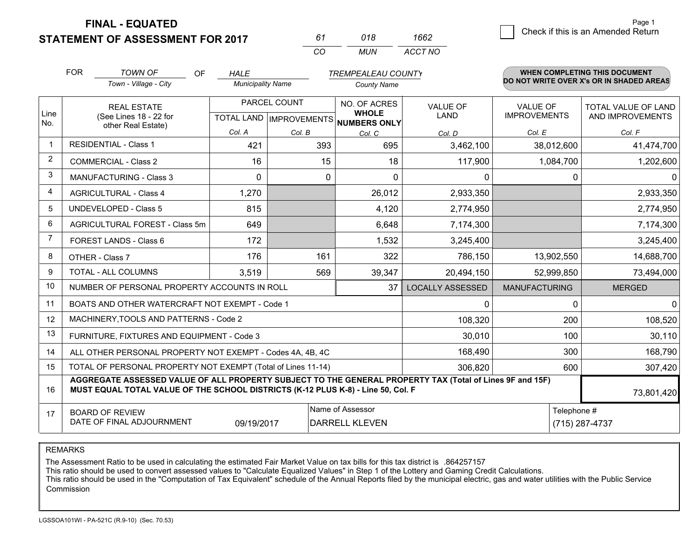**STATEMENT OF ASSESSMENT FOR 2017** 

| 61       | 018 | 1662    |
|----------|-----|---------|
| $\alpha$ | MUN | ACCT NO |

|                | <b>FOR</b>                                                                                                                    | <b>TOWN OF</b><br>OF                                                                                                                                                                         | <b>HALE</b>              |              | <b>TREMPEALEAU COUNTY</b>                                            |                                |                                 | WHEN COMPLETING THIS DOCUMENT                  |
|----------------|-------------------------------------------------------------------------------------------------------------------------------|----------------------------------------------------------------------------------------------------------------------------------------------------------------------------------------------|--------------------------|--------------|----------------------------------------------------------------------|--------------------------------|---------------------------------|------------------------------------------------|
|                |                                                                                                                               | Town - Village - City                                                                                                                                                                        | <b>Municipality Name</b> |              | <b>County Name</b>                                                   |                                |                                 | DO NOT WRITE OVER X's OR IN SHADED AREAS       |
| Line<br>No.    |                                                                                                                               | <b>REAL ESTATE</b><br>(See Lines 18 - 22 for                                                                                                                                                 |                          | PARCEL COUNT | NO. OF ACRES<br><b>WHOLE</b><br>TOTAL LAND IMPROVEMENTS NUMBERS ONLY | <b>VALUE OF</b><br><b>LAND</b> | VALUE OF<br><b>IMPROVEMENTS</b> | <b>TOTAL VALUE OF LAND</b><br>AND IMPROVEMENTS |
|                | other Real Estate)                                                                                                            |                                                                                                                                                                                              | Col. A                   | Col. B       | Col. C                                                               | Col. D                         | Col. E                          | Col. F                                         |
|                |                                                                                                                               | <b>RESIDENTIAL - Class 1</b>                                                                                                                                                                 | 421                      | 393          | 695                                                                  | 3,462,100                      | 38,012,600                      | 41,474,700                                     |
| 2              |                                                                                                                               | <b>COMMERCIAL - Class 2</b>                                                                                                                                                                  | 16                       | 15           | 18                                                                   | 117,900                        | 1,084,700                       | 1,202,600                                      |
| 3              |                                                                                                                               | <b>MANUFACTURING - Class 3</b>                                                                                                                                                               | 0                        | 0            | $\Omega$                                                             | 0                              | 0                               | $\mathbf{0}$                                   |
| 4              |                                                                                                                               | <b>AGRICULTURAL - Class 4</b>                                                                                                                                                                | 1,270                    |              | 26,012                                                               | 2,933,350                      |                                 | 2,933,350                                      |
| 5              |                                                                                                                               | UNDEVELOPED - Class 5                                                                                                                                                                        | 815                      |              | 4,120                                                                | 2,774,950                      |                                 | 2,774,950                                      |
| 6              | AGRICULTURAL FOREST - Class 5m                                                                                                |                                                                                                                                                                                              | 649                      |              | 6,648                                                                | 7,174,300                      |                                 | 7,174,300                                      |
| $\overline{7}$ |                                                                                                                               | FOREST LANDS - Class 6                                                                                                                                                                       | 172                      |              | 1,532                                                                | 3,245,400                      |                                 | 3,245,400                                      |
| 8              |                                                                                                                               | OTHER - Class 7                                                                                                                                                                              | 176                      | 161          | 322                                                                  | 786,150                        | 13,902,550                      | 14,688,700                                     |
| 9              |                                                                                                                               | TOTAL - ALL COLUMNS                                                                                                                                                                          | 3,519                    | 569          | 39,347                                                               | 20,494,150                     | 52,999,850                      | 73,494,000                                     |
| 10             |                                                                                                                               | NUMBER OF PERSONAL PROPERTY ACCOUNTS IN ROLL                                                                                                                                                 |                          |              | 37                                                                   | <b>LOCALLY ASSESSED</b>        | <b>MANUFACTURING</b>            | <b>MERGED</b>                                  |
| 11             |                                                                                                                               | BOATS AND OTHER WATERCRAFT NOT EXEMPT - Code 1                                                                                                                                               |                          |              |                                                                      | 0                              | $\Omega$                        | $\mathbf{0}$                                   |
| 12             |                                                                                                                               | MACHINERY, TOOLS AND PATTERNS - Code 2                                                                                                                                                       |                          |              |                                                                      | 108,320                        | 200                             | 108,520                                        |
| 13             |                                                                                                                               | FURNITURE, FIXTURES AND EQUIPMENT - Code 3                                                                                                                                                   |                          |              |                                                                      | 30,010                         | 100                             | 30,110                                         |
| 14             |                                                                                                                               | ALL OTHER PERSONAL PROPERTY NOT EXEMPT - Codes 4A, 4B, 4C                                                                                                                                    |                          |              |                                                                      | 168,490                        | 300                             | 168,790                                        |
| 15             |                                                                                                                               | TOTAL OF PERSONAL PROPERTY NOT EXEMPT (Total of Lines 11-14)                                                                                                                                 |                          |              |                                                                      | 306,820                        | 600                             | 307,420                                        |
| 16             |                                                                                                                               | AGGREGATE ASSESSED VALUE OF ALL PROPERTY SUBJECT TO THE GENERAL PROPERTY TAX (Total of Lines 9F and 15F)<br>MUST EQUAL TOTAL VALUE OF THE SCHOOL DISTRICTS (K-12 PLUS K-8) - Line 50, Col. F |                          |              |                                                                      |                                |                                 | 73,801,420                                     |
| 17             | Name of Assessor<br>Telephone #<br><b>BOARD OF REVIEW</b><br>DATE OF FINAL ADJOURNMENT<br>09/19/2017<br><b>DARRELL KLEVEN</b> |                                                                                                                                                                                              |                          |              |                                                                      |                                | (715) 287-4737                  |                                                |

REMARKS

The Assessment Ratio to be used in calculating the estimated Fair Market Value on tax bills for this tax district is .864257157

This ratio should be used to convert assessed values to "Calculate Equalized Values" in Step 1 of the Lottery and Gaming Credit Calculations.<br>This ratio should be used in the "Computation of Tax Equivalent" schedule of the Commission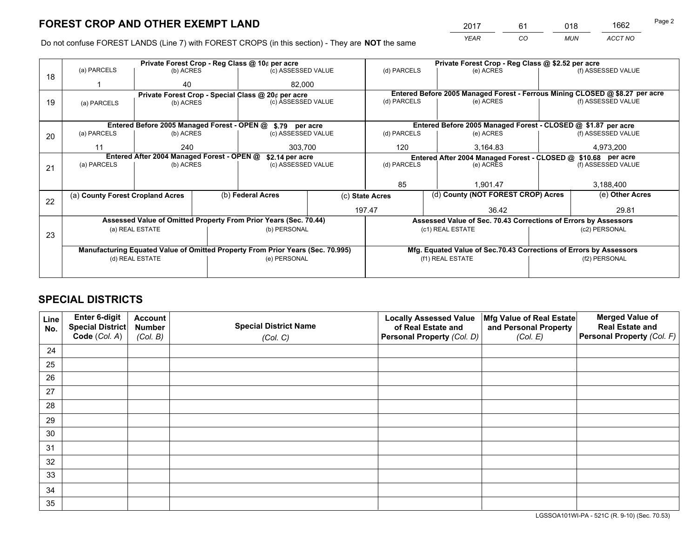*YEAR CO MUN ACCT NO* <sup>2017</sup> <sup>61</sup> <sup>018</sup> <sup>1662</sup>

Do not confuse FOREST LANDS (Line 7) with FOREST CROPS (in this section) - They are **NOT** the same

|    |                                                               |                                             |                                 | Private Forest Crop - Reg Class @ 10¢ per acre                                 |             | Private Forest Crop - Reg Class @ \$2.52 per acre |                  |                                                                              |                    |                                                                    |  |
|----|---------------------------------------------------------------|---------------------------------------------|---------------------------------|--------------------------------------------------------------------------------|-------------|---------------------------------------------------|------------------|------------------------------------------------------------------------------|--------------------|--------------------------------------------------------------------|--|
| 18 | (a) PARCELS                                                   | (b) ACRES                                   |                                 | (c) ASSESSED VALUE                                                             |             | (d) PARCELS                                       |                  | (e) ACRES                                                                    |                    | (f) ASSESSED VALUE                                                 |  |
|    |                                                               | 40                                          |                                 |                                                                                | 82.000      |                                                   |                  |                                                                              |                    |                                                                    |  |
|    | Private Forest Crop - Special Class @ 20¢ per acre            |                                             |                                 |                                                                                |             |                                                   |                  | Entered Before 2005 Managed Forest - Ferrous Mining CLOSED @ \$8.27 per acre |                    |                                                                    |  |
| 19 | (a) PARCELS                                                   |                                             | (c) ASSESSED VALUE<br>(b) ACRES |                                                                                | (d) PARCELS |                                                   | (e) ACRES        |                                                                              | (f) ASSESSED VALUE |                                                                    |  |
|    |                                                               |                                             |                                 |                                                                                |             |                                                   |                  |                                                                              |                    |                                                                    |  |
|    |                                                               | Entered Before 2005 Managed Forest - OPEN @ |                                 | \$.79 per acre                                                                 |             |                                                   |                  | Entered Before 2005 Managed Forest - CLOSED @ \$1.87 per acre                |                    |                                                                    |  |
| 20 | (a) PARCELS                                                   | (b) ACRES                                   |                                 | (c) ASSESSED VALUE                                                             |             | (d) PARCELS                                       |                  | (e) ACRES                                                                    |                    | (f) ASSESSED VALUE                                                 |  |
|    | 11                                                            | 240                                         | 303,700                         |                                                                                |             | 120                                               |                  | 3,164.83                                                                     |                    | 4,973,200                                                          |  |
|    | Entered After 2004 Managed Forest - OPEN @<br>\$2.14 per acre |                                             |                                 |                                                                                |             |                                                   |                  | Entered After 2004 Managed Forest - CLOSED @ \$10.68 per acre                |                    |                                                                    |  |
| 21 | (a) PARCELS                                                   | (b) ACRES                                   |                                 | (c) ASSESSED VALUE                                                             |             | (d) PARCELS<br>(e) ACRES                          |                  | (f) ASSESSED VALUE                                                           |                    |                                                                    |  |
|    |                                                               |                                             |                                 |                                                                                |             |                                                   |                  |                                                                              |                    |                                                                    |  |
|    |                                                               |                                             |                                 |                                                                                |             | 85                                                |                  | 1,901.47                                                                     |                    | 3,188,400                                                          |  |
|    | (a) County Forest Cropland Acres                              |                                             |                                 | (b) Federal Acres                                                              |             | (c) State Acres                                   |                  | (d) County (NOT FOREST CROP) Acres                                           |                    | (e) Other Acres                                                    |  |
| 22 |                                                               |                                             |                                 |                                                                                |             |                                                   |                  |                                                                              |                    |                                                                    |  |
|    |                                                               |                                             |                                 |                                                                                |             | 197.47                                            |                  | 36.42                                                                        |                    | 29.81                                                              |  |
|    |                                                               |                                             |                                 | Assessed Value of Omitted Property From Prior Years (Sec. 70.44)               |             |                                                   |                  | Assessed Value of Sec. 70.43 Corrections of Errors by Assessors              |                    |                                                                    |  |
| 23 |                                                               | (a) REAL ESTATE                             |                                 | (b) PERSONAL                                                                   |             |                                                   | (c1) REAL ESTATE |                                                                              |                    | (c2) PERSONAL                                                      |  |
|    |                                                               |                                             |                                 |                                                                                |             |                                                   |                  |                                                                              |                    |                                                                    |  |
|    |                                                               |                                             |                                 | Manufacturing Equated Value of Omitted Property From Prior Years (Sec. 70.995) |             |                                                   |                  |                                                                              |                    | Mfg. Equated Value of Sec.70.43 Corrections of Errors by Assessors |  |
|    |                                                               | (d) REAL ESTATE                             |                                 | (e) PERSONAL                                                                   |             | (f1) REAL ESTATE                                  |                  |                                                                              | (f2) PERSONAL      |                                                                    |  |
|    |                                                               |                                             |                                 |                                                                                |             |                                                   |                  |                                                                              |                    |                                                                    |  |

## **SPECIAL DISTRICTS**

| Line<br>No. | Enter 6-digit<br><b>Special District</b> | <b>Account</b><br><b>Number</b> | <b>Special District Name</b> | <b>Locally Assessed Value</b><br>of Real Estate and | Mfg Value of Real Estate<br>and Personal Property | <b>Merged Value of</b><br><b>Real Estate and</b> |
|-------------|------------------------------------------|---------------------------------|------------------------------|-----------------------------------------------------|---------------------------------------------------|--------------------------------------------------|
|             | Code (Col. A)                            | (Col. B)                        | (Col. C)                     | Personal Property (Col. D)                          | (Col. E)                                          | Personal Property (Col. F)                       |
| 24          |                                          |                                 |                              |                                                     |                                                   |                                                  |
| 25          |                                          |                                 |                              |                                                     |                                                   |                                                  |
| 26          |                                          |                                 |                              |                                                     |                                                   |                                                  |
| 27          |                                          |                                 |                              |                                                     |                                                   |                                                  |
| 28          |                                          |                                 |                              |                                                     |                                                   |                                                  |
| 29          |                                          |                                 |                              |                                                     |                                                   |                                                  |
| 30          |                                          |                                 |                              |                                                     |                                                   |                                                  |
| 31          |                                          |                                 |                              |                                                     |                                                   |                                                  |
| 32          |                                          |                                 |                              |                                                     |                                                   |                                                  |
| 33          |                                          |                                 |                              |                                                     |                                                   |                                                  |
| 34          |                                          |                                 |                              |                                                     |                                                   |                                                  |
| 35          |                                          |                                 |                              |                                                     |                                                   |                                                  |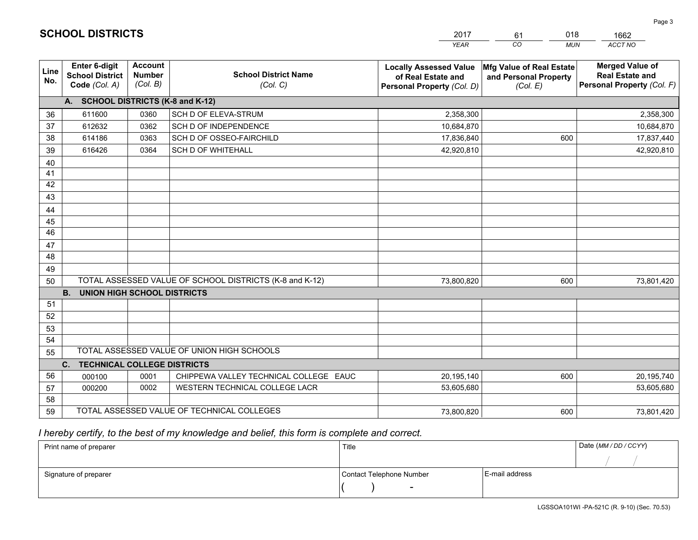|             |                                                                 |                                             |                                                         | <b>YEAR</b>                                                                       | CO<br><b>MUN</b>                                              | ACCT NO                                                                        |
|-------------|-----------------------------------------------------------------|---------------------------------------------|---------------------------------------------------------|-----------------------------------------------------------------------------------|---------------------------------------------------------------|--------------------------------------------------------------------------------|
| Line<br>No. | <b>Enter 6-digit</b><br><b>School District</b><br>Code (Col. A) | <b>Account</b><br><b>Number</b><br>(Col. B) | <b>School District Name</b><br>(Col. C)                 | <b>Locally Assessed Value</b><br>of Real Estate and<br>Personal Property (Col. D) | Mfg Value of Real Estate<br>and Personal Property<br>(Col. E) | <b>Merged Value of</b><br><b>Real Estate and</b><br>Personal Property (Col. F) |
|             | A. SCHOOL DISTRICTS (K-8 and K-12)                              |                                             |                                                         |                                                                                   |                                                               |                                                                                |
| 36          | 611600                                                          | 0360                                        | <b>SCH D OF ELEVA-STRUM</b>                             | 2,358,300                                                                         |                                                               | 2,358,300                                                                      |
| 37          | 612632                                                          | 0362                                        | SCH D OF INDEPENDENCE                                   | 10,684,870                                                                        |                                                               | 10,684,870                                                                     |
| 38          | 614186                                                          | 0363                                        | SCH D OF OSSEO-FAIRCHILD                                | 17,836,840                                                                        | 600                                                           | 17,837,440                                                                     |
| 39          | 616426                                                          | 0364                                        | SCH D OF WHITEHALL                                      | 42,920,810                                                                        |                                                               | 42,920,810                                                                     |
| 40          |                                                                 |                                             |                                                         |                                                                                   |                                                               |                                                                                |
| 41          |                                                                 |                                             |                                                         |                                                                                   |                                                               |                                                                                |
| 42          |                                                                 |                                             |                                                         |                                                                                   |                                                               |                                                                                |
| 43          |                                                                 |                                             |                                                         |                                                                                   |                                                               |                                                                                |
| 44          |                                                                 |                                             |                                                         |                                                                                   |                                                               |                                                                                |
| 45          |                                                                 |                                             |                                                         |                                                                                   |                                                               |                                                                                |
| 46          |                                                                 |                                             |                                                         |                                                                                   |                                                               |                                                                                |
| 47          |                                                                 |                                             |                                                         |                                                                                   |                                                               |                                                                                |
| 48          |                                                                 |                                             |                                                         |                                                                                   |                                                               |                                                                                |
| 49          |                                                                 |                                             |                                                         |                                                                                   |                                                               |                                                                                |
| 50          | <b>B. UNION HIGH SCHOOL DISTRICTS</b>                           |                                             | TOTAL ASSESSED VALUE OF SCHOOL DISTRICTS (K-8 and K-12) | 73,800,820                                                                        | 600                                                           | 73,801,420                                                                     |
| 51          |                                                                 |                                             |                                                         |                                                                                   |                                                               |                                                                                |
| 52          |                                                                 |                                             |                                                         |                                                                                   |                                                               |                                                                                |
| 53          |                                                                 |                                             |                                                         |                                                                                   |                                                               |                                                                                |
| 54          |                                                                 |                                             |                                                         |                                                                                   |                                                               |                                                                                |
| 55          |                                                                 |                                             | TOTAL ASSESSED VALUE OF UNION HIGH SCHOOLS              |                                                                                   |                                                               |                                                                                |
|             | C.<br><b>TECHNICAL COLLEGE DISTRICTS</b>                        |                                             |                                                         |                                                                                   |                                                               |                                                                                |
| 56          | 000100                                                          | 0001                                        | CHIPPEWA VALLEY TECHNICAL COLLEGE EAUC                  | 20,195,140                                                                        | 600                                                           | 20,195,740                                                                     |
| 57          | 000200                                                          | 0002                                        | WESTERN TECHNICAL COLLEGE LACR                          | 53,605,680                                                                        |                                                               | 53,605,680                                                                     |
| 58          |                                                                 |                                             |                                                         |                                                                                   |                                                               |                                                                                |
| 59          |                                                                 |                                             | TOTAL ASSESSED VALUE OF TECHNICAL COLLEGES              | 73,800,820                                                                        | 600                                                           | 73,801,420                                                                     |

61

018

# *I hereby certify, to the best of my knowledge and belief, this form is complete and correct.*

**SCHOOL DISTRICTS**

| Print name of preparer | Title                    |                | Date (MM / DD / CCYY) |
|------------------------|--------------------------|----------------|-----------------------|
|                        |                          |                |                       |
| Signature of preparer  | Contact Telephone Number | E-mail address |                       |
|                        | $\overline{\phantom{0}}$ |                |                       |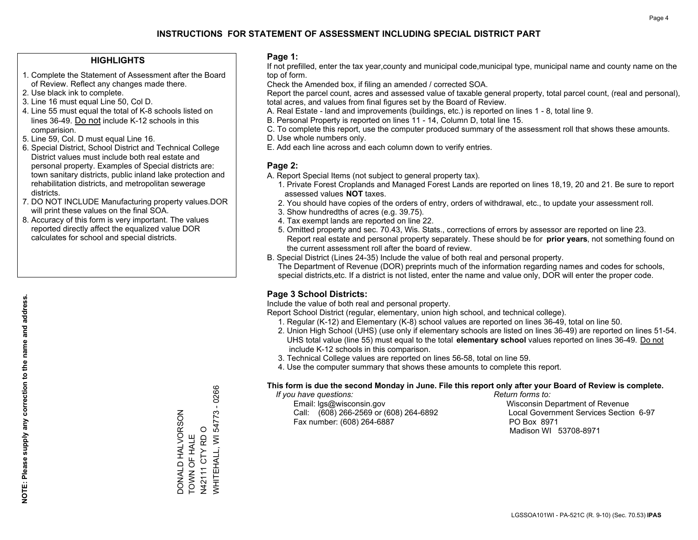## **HIGHLIGHTS**

- 1. Complete the Statement of Assessment after the Board of Review. Reflect any changes made there.
- 2. Use black ink to complete.
- 3. Line 16 must equal Line 50, Col D.
- 4. Line 55 must equal the total of K-8 schools listed on lines 36-49. Do not include K-12 schools in this comparision.
- 5. Line 59, Col. D must equal Line 16.
- 6. Special District, School District and Technical College District values must include both real estate and personal property. Examples of Special districts are: town sanitary districts, public inland lake protection and rehabilitation districts, and metropolitan sewerage districts.
- 7. DO NOT INCLUDE Manufacturing property values.DOR will print these values on the final SOA.
- 8. Accuracy of this form is very important. The values reported directly affect the equalized value DOR calculates for school and special districts.

#### **Page 1:**

 If not prefilled, enter the tax year,county and municipal code,municipal type, municipal name and county name on the top of form.

Check the Amended box, if filing an amended / corrected SOA.

 Report the parcel count, acres and assessed value of taxable general property, total parcel count, (real and personal), total acres, and values from final figures set by the Board of Review.

- A. Real Estate land and improvements (buildings, etc.) is reported on lines 1 8, total line 9.
- B. Personal Property is reported on lines 11 14, Column D, total line 15.
- C. To complete this report, use the computer produced summary of the assessment roll that shows these amounts.
- D. Use whole numbers only.
- E. Add each line across and each column down to verify entries.

## **Page 2:**

- A. Report Special Items (not subject to general property tax).
- 1. Private Forest Croplands and Managed Forest Lands are reported on lines 18,19, 20 and 21. Be sure to report assessed values **NOT** taxes.
- 2. You should have copies of the orders of entry, orders of withdrawal, etc., to update your assessment roll.
	- 3. Show hundredths of acres (e.g. 39.75).
- 4. Tax exempt lands are reported on line 22.
- 5. Omitted property and sec. 70.43, Wis. Stats., corrections of errors by assessor are reported on line 23. Report real estate and personal property separately. These should be for **prior years**, not something found on the current assessment roll after the board of review.
- B. Special District (Lines 24-35) Include the value of both real and personal property.
- The Department of Revenue (DOR) preprints much of the information regarding names and codes for schools, special districts,etc. If a district is not listed, enter the name and value only, DOR will enter the proper code.

## **Page 3 School Districts:**

Include the value of both real and personal property.

Report School District (regular, elementary, union high school, and technical college).

- 1. Regular (K-12) and Elementary (K-8) school values are reported on lines 36-49, total on line 50.
- 2. Union High School (UHS) (use only if elementary schools are listed on lines 36-49) are reported on lines 51-54. UHS total value (line 55) must equal to the total **elementary school** values reported on lines 36-49. Do notinclude K-12 schools in this comparison.
- 3. Technical College values are reported on lines 56-58, total on line 59.
- 4. Use the computer summary that shows these amounts to complete this report.

#### **This form is due the second Monday in June. File this report only after your Board of Review is complete.**

 *If you have questions: Return forms to:*

 Email: lgs@wisconsin.gov Wisconsin Department of RevenueCall:  $(608)$  266-2569 or  $(608)$  264-6892 Fax number: (608) 264-6887 PO Box 8971

Local Government Services Section 6-97 Madison WI 53708-8971

 $-0266$ WHITEHALL, WI 54773 - 0266 N42111 CTY RD O<br>WHITEHALL, WI 54773 DONALD HALVORSON DONALD HALVORSON N42111 CTY RD O TOWN OF HALE TOWN OF HALE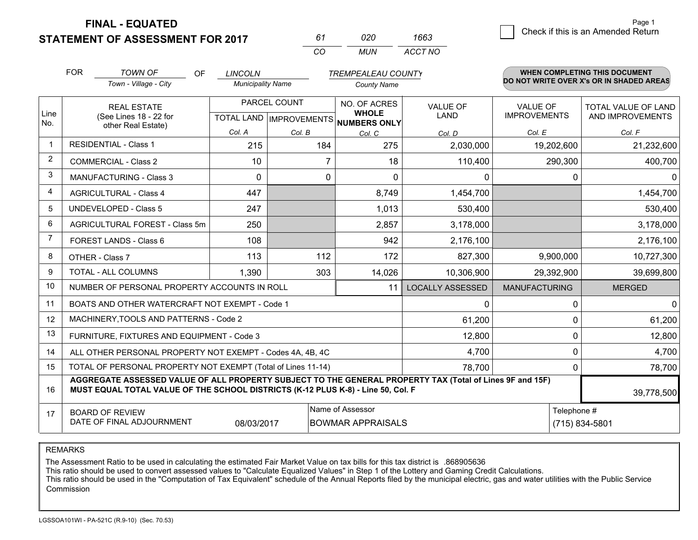**STATEMENT OF ASSESSMENT FOR 2017** 

*CO MUN <sup>61</sup> <sup>020</sup> ACCT NO1663*

3 Check if this is an Amended Return<br>3 Page 1

|                | <b>FOR</b>                                                                                                                       | <b>TOWN OF</b><br><b>OF</b>                                                                                                                                                                  | <b>LINCOLN</b>           |              | <b>TREMPEALEAU COUNTY</b>                                            |                                |                                        | WHEN COMPLETING THIS DOCUMENT                  |
|----------------|----------------------------------------------------------------------------------------------------------------------------------|----------------------------------------------------------------------------------------------------------------------------------------------------------------------------------------------|--------------------------|--------------|----------------------------------------------------------------------|--------------------------------|----------------------------------------|------------------------------------------------|
|                |                                                                                                                                  | Town - Village - City                                                                                                                                                                        | <b>Municipality Name</b> |              | <b>County Name</b>                                                   |                                |                                        | DO NOT WRITE OVER X's OR IN SHADED AREAS       |
| Line<br>No.    |                                                                                                                                  | <b>REAL ESTATE</b><br>(See Lines 18 - 22 for                                                                                                                                                 |                          | PARCEL COUNT | NO. OF ACRES<br><b>WHOLE</b><br>TOTAL LAND IMPROVEMENTS NUMBERS ONLY | <b>VALUE OF</b><br><b>LAND</b> | <b>VALUE OF</b><br><b>IMPROVEMENTS</b> | <b>TOTAL VALUE OF LAND</b><br>AND IMPROVEMENTS |
|                |                                                                                                                                  | other Real Estate)                                                                                                                                                                           | Col. A                   | Col. B       | Col. C                                                               | Col. D                         | Col. E                                 | Col. F                                         |
| $\mathbf 1$    |                                                                                                                                  | <b>RESIDENTIAL - Class 1</b>                                                                                                                                                                 | 215                      | 184          | 275                                                                  | 2,030,000                      | 19,202,600                             | 21,232,600                                     |
| 2              |                                                                                                                                  | <b>COMMERCIAL - Class 2</b>                                                                                                                                                                  | 10                       |              | 18                                                                   | 110,400                        | 290,300                                | 400,700                                        |
| 3              |                                                                                                                                  | <b>MANUFACTURING - Class 3</b>                                                                                                                                                               | $\Omega$                 | $\Omega$     | $\Omega$                                                             | 0                              | 0                                      | $\mathbf{0}$                                   |
| 4              |                                                                                                                                  | <b>AGRICULTURAL - Class 4</b>                                                                                                                                                                | 447                      |              | 8,749                                                                | 1,454,700                      |                                        | 1,454,700                                      |
| 5              |                                                                                                                                  | <b>UNDEVELOPED - Class 5</b>                                                                                                                                                                 | 247                      |              | 1,013                                                                | 530,400                        |                                        | 530,400                                        |
| 6              |                                                                                                                                  | AGRICULTURAL FOREST - Class 5m                                                                                                                                                               | 250                      |              | 2,857                                                                | 3,178,000                      |                                        | 3,178,000                                      |
| $\overline{7}$ |                                                                                                                                  | FOREST LANDS - Class 6                                                                                                                                                                       | 108                      |              | 942                                                                  | 2,176,100                      |                                        | 2,176,100                                      |
| 8              |                                                                                                                                  | OTHER - Class 7                                                                                                                                                                              | 113                      | 112          | 172                                                                  | 827,300                        | 9,900,000                              | 10,727,300                                     |
| 9              |                                                                                                                                  | TOTAL - ALL COLUMNS                                                                                                                                                                          | 1,390                    | 303          | 14,026                                                               | 10,306,900                     | 29,392,900                             | 39,699,800                                     |
| 10             |                                                                                                                                  | NUMBER OF PERSONAL PROPERTY ACCOUNTS IN ROLL                                                                                                                                                 |                          |              | 11                                                                   | <b>LOCALLY ASSESSED</b>        | <b>MANUFACTURING</b>                   | <b>MERGED</b>                                  |
| 11             |                                                                                                                                  | BOATS AND OTHER WATERCRAFT NOT EXEMPT - Code 1                                                                                                                                               |                          |              |                                                                      | 0                              | $\mathbf{0}$                           | 0                                              |
| 12             |                                                                                                                                  | MACHINERY, TOOLS AND PATTERNS - Code 2                                                                                                                                                       |                          |              |                                                                      | 61,200                         | $\mathbf{0}$                           | 61,200                                         |
| 13             |                                                                                                                                  | FURNITURE, FIXTURES AND EQUIPMENT - Code 3                                                                                                                                                   |                          |              |                                                                      | 12,800                         | $\mathbf 0$                            | 12,800                                         |
| 14             |                                                                                                                                  | ALL OTHER PERSONAL PROPERTY NOT EXEMPT - Codes 4A, 4B, 4C                                                                                                                                    |                          |              |                                                                      | 4,700                          | $\mathbf{0}$                           | 4,700                                          |
| 15             | TOTAL OF PERSONAL PROPERTY NOT EXEMPT (Total of Lines 11-14)                                                                     | $\mathbf{0}$                                                                                                                                                                                 | 78,700                   |              |                                                                      |                                |                                        |                                                |
| 16             |                                                                                                                                  | AGGREGATE ASSESSED VALUE OF ALL PROPERTY SUBJECT TO THE GENERAL PROPERTY TAX (Total of Lines 9F and 15F)<br>MUST EQUAL TOTAL VALUE OF THE SCHOOL DISTRICTS (K-12 PLUS K-8) - Line 50, Col. F |                          |              |                                                                      |                                |                                        | 39,778,500                                     |
| 17             | Name of Assessor<br>Telephone #<br><b>BOARD OF REVIEW</b><br>DATE OF FINAL ADJOURNMENT<br>08/03/2017<br><b>BOWMAR APPRAISALS</b> |                                                                                                                                                                                              |                          |              |                                                                      |                                |                                        | (715) 834-5801                                 |

REMARKS

The Assessment Ratio to be used in calculating the estimated Fair Market Value on tax bills for this tax district is .868905636<br>This ratio should be used to convert assessed values to "Calculate Equalized Values" in Step 1 Commission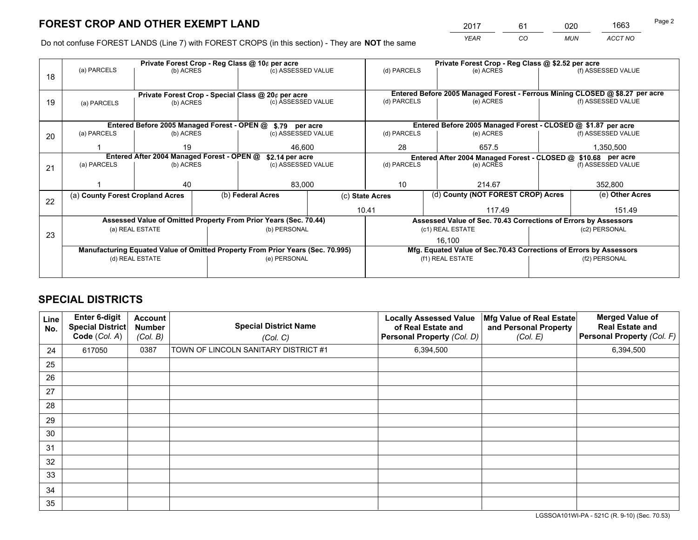*YEAR CO MUN ACCT NO* <sup>2017</sup> <sup>61</sup> <sup>020</sup> <sup>1663</sup>

Do not confuse FOREST LANDS (Line 7) with FOREST CROPS (in this section) - They are **NOT** the same

|             |             |                                                                              |                                     |                                                                                                                   |                                                                                                                                                                                                                                                                                                                                                                                                                             | Private Forest Crop - Reg Class @ \$2.52 per acre                            |                                         |                                                                                                                                                                           |  |
|-------------|-------------|------------------------------------------------------------------------------|-------------------------------------|-------------------------------------------------------------------------------------------------------------------|-----------------------------------------------------------------------------------------------------------------------------------------------------------------------------------------------------------------------------------------------------------------------------------------------------------------------------------------------------------------------------------------------------------------------------|------------------------------------------------------------------------------|-----------------------------------------|---------------------------------------------------------------------------------------------------------------------------------------------------------------------------|--|
|             |             |                                                                              |                                     |                                                                                                                   | (d) PARCELS                                                                                                                                                                                                                                                                                                                                                                                                                 | (e) ACRES                                                                    |                                         | (f) ASSESSED VALUE                                                                                                                                                        |  |
|             |             |                                                                              |                                     |                                                                                                                   |                                                                                                                                                                                                                                                                                                                                                                                                                             |                                                                              |                                         |                                                                                                                                                                           |  |
|             |             |                                                                              |                                     |                                                                                                                   |                                                                                                                                                                                                                                                                                                                                                                                                                             | Entered Before 2005 Managed Forest - Ferrous Mining CLOSED @ \$8.27 per acre |                                         |                                                                                                                                                                           |  |
| (a) PARCELS |             |                                                                              |                                     |                                                                                                                   |                                                                                                                                                                                                                                                                                                                                                                                                                             |                                                                              |                                         | (f) ASSESSED VALUE                                                                                                                                                        |  |
|             |             |                                                                              |                                     |                                                                                                                   |                                                                                                                                                                                                                                                                                                                                                                                                                             |                                                                              |                                         |                                                                                                                                                                           |  |
|             |             |                                                                              |                                     |                                                                                                                   |                                                                                                                                                                                                                                                                                                                                                                                                                             |                                                                              |                                         |                                                                                                                                                                           |  |
| (a) PARCELS |             |                                                                              |                                     |                                                                                                                   | (d) PARCELS                                                                                                                                                                                                                                                                                                                                                                                                                 | (e) ACRES                                                                    |                                         | (f) ASSESSED VALUE                                                                                                                                                        |  |
|             | 19          |                                                                              | 46,600                              |                                                                                                                   | 28                                                                                                                                                                                                                                                                                                                                                                                                                          | 657.5                                                                        | 1,350,500                               |                                                                                                                                                                           |  |
|             |             |                                                                              |                                     |                                                                                                                   | Entered After 2004 Managed Forest - CLOSED @ \$10.68 per acre<br>(f) ASSESSED VALUE                                                                                                                                                                                                                                                                                                                                         |                                                                              |                                         |                                                                                                                                                                           |  |
| (a) PARCELS | (b) ACRES   |                                                                              |                                     |                                                                                                                   | (e) ACRES                                                                                                                                                                                                                                                                                                                                                                                                                   |                                                                              |                                         |                                                                                                                                                                           |  |
|             |             |                                                                              |                                     |                                                                                                                   |                                                                                                                                                                                                                                                                                                                                                                                                                             |                                                                              |                                         |                                                                                                                                                                           |  |
|             |             |                                                                              |                                     |                                                                                                                   |                                                                                                                                                                                                                                                                                                                                                                                                                             |                                                                              |                                         | 352,800                                                                                                                                                                   |  |
|             |             |                                                                              |                                     |                                                                                                                   |                                                                                                                                                                                                                                                                                                                                                                                                                             |                                                                              |                                         | (e) Other Acres                                                                                                                                                           |  |
|             |             |                                                                              |                                     |                                                                                                                   | 117.49                                                                                                                                                                                                                                                                                                                                                                                                                      |                                                                              |                                         | 151.49                                                                                                                                                                    |  |
|             |             |                                                                              |                                     |                                                                                                                   | Assessed Value of Sec. 70.43 Corrections of Errors by Assessors                                                                                                                                                                                                                                                                                                                                                             |                                                                              |                                         |                                                                                                                                                                           |  |
|             |             |                                                                              |                                     |                                                                                                                   |                                                                                                                                                                                                                                                                                                                                                                                                                             |                                                                              |                                         | (c2) PERSONAL                                                                                                                                                             |  |
|             |             |                                                                              |                                     |                                                                                                                   |                                                                                                                                                                                                                                                                                                                                                                                                                             | 16,100                                                                       |                                         |                                                                                                                                                                           |  |
|             |             |                                                                              |                                     |                                                                                                                   |                                                                                                                                                                                                                                                                                                                                                                                                                             |                                                                              |                                         |                                                                                                                                                                           |  |
|             |             |                                                                              |                                     |                                                                                                                   | (f1) REAL ESTATE                                                                                                                                                                                                                                                                                                                                                                                                            |                                                                              | (f2) PERSONAL                           |                                                                                                                                                                           |  |
|             |             |                                                                              |                                     |                                                                                                                   |                                                                                                                                                                                                                                                                                                                                                                                                                             |                                                                              |                                         |                                                                                                                                                                           |  |
|             | (a) PARCELS | 40<br>(a) County Forest Cropland Acres<br>(a) REAL ESTATE<br>(d) REAL ESTATE | (b) ACRES<br>(b) ACRES<br>(b) ACRES | Private Forest Crop - Reg Class @ 10¢ per acre<br>Entered After 2004 Managed Forest - OPEN @<br>(b) Federal Acres | (c) ASSESSED VALUE<br>Private Forest Crop - Special Class @ 20¢ per acre<br>(c) ASSESSED VALUE<br>Entered Before 2005 Managed Forest - OPEN @ \$.79 per acre<br>(c) ASSESSED VALUE<br>\$2.14 per acre<br>(c) ASSESSED VALUE<br>83,000<br>Assessed Value of Omitted Property From Prior Years (Sec. 70.44)<br>(b) PERSONAL<br>Manufacturing Equated Value of Omitted Property From Prior Years (Sec. 70.995)<br>(e) PERSONAL | (d) PARCELS<br>(d) PARCELS<br>10<br>(c) State Acres<br>10.41                 | (e) ACRES<br>214.67<br>(c1) REAL ESTATE | Entered Before 2005 Managed Forest - CLOSED @ \$1.87 per acre<br>(d) County (NOT FOREST CROP) Acres<br>Mfg. Equated Value of Sec.70.43 Corrections of Errors by Assessors |  |

## **SPECIAL DISTRICTS**

| Line<br>No. | Enter 6-digit<br><b>Special District</b><br>Code (Col. A) | <b>Account</b><br><b>Number</b><br>(Col. B) | <b>Special District Name</b><br>(Col. C) | <b>Locally Assessed Value</b><br>of Real Estate and<br>Personal Property (Col. D) | Mfg Value of Real Estate<br>and Personal Property<br>(Col. E) | <b>Merged Value of</b><br><b>Real Estate and</b><br>Personal Property (Col. F) |
|-------------|-----------------------------------------------------------|---------------------------------------------|------------------------------------------|-----------------------------------------------------------------------------------|---------------------------------------------------------------|--------------------------------------------------------------------------------|
| 24          | 617050                                                    | 0387                                        | TOWN OF LINCOLN SANITARY DISTRICT #1     | 6,394,500                                                                         |                                                               | 6,394,500                                                                      |
| 25          |                                                           |                                             |                                          |                                                                                   |                                                               |                                                                                |
| 26          |                                                           |                                             |                                          |                                                                                   |                                                               |                                                                                |
| 27          |                                                           |                                             |                                          |                                                                                   |                                                               |                                                                                |
| 28          |                                                           |                                             |                                          |                                                                                   |                                                               |                                                                                |
| 29          |                                                           |                                             |                                          |                                                                                   |                                                               |                                                                                |
| 30          |                                                           |                                             |                                          |                                                                                   |                                                               |                                                                                |
| 31          |                                                           |                                             |                                          |                                                                                   |                                                               |                                                                                |
| 32          |                                                           |                                             |                                          |                                                                                   |                                                               |                                                                                |
| 33          |                                                           |                                             |                                          |                                                                                   |                                                               |                                                                                |
| 34          |                                                           |                                             |                                          |                                                                                   |                                                               |                                                                                |
| 35          |                                                           |                                             |                                          |                                                                                   |                                                               |                                                                                |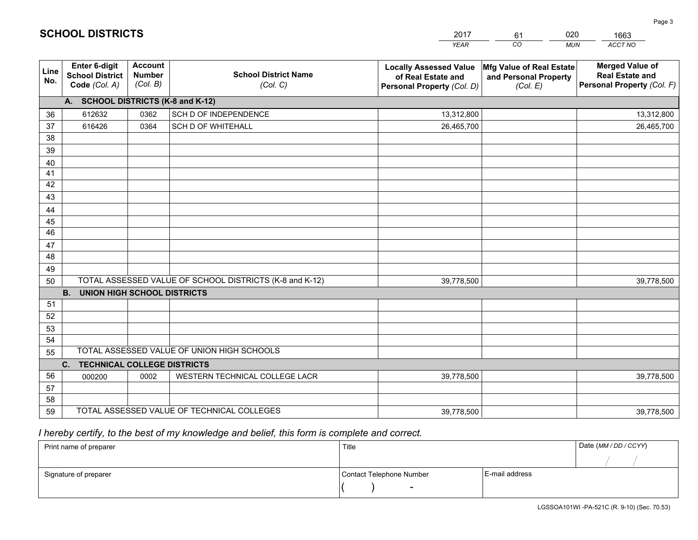|             |                                                          |                                             |                                                         | <b>YEAR</b>                                                                       | CO<br><b>MUN</b>                                              | ACCT NO                                                                        |
|-------------|----------------------------------------------------------|---------------------------------------------|---------------------------------------------------------|-----------------------------------------------------------------------------------|---------------------------------------------------------------|--------------------------------------------------------------------------------|
| Line<br>No. | Enter 6-digit<br><b>School District</b><br>Code (Col. A) | <b>Account</b><br><b>Number</b><br>(Col. B) | <b>School District Name</b><br>(Col. C)                 | <b>Locally Assessed Value</b><br>of Real Estate and<br>Personal Property (Col. D) | Mfg Value of Real Estate<br>and Personal Property<br>(Col. E) | <b>Merged Value of</b><br><b>Real Estate and</b><br>Personal Property (Col. F) |
|             | A. SCHOOL DISTRICTS (K-8 and K-12)                       |                                             |                                                         |                                                                                   |                                                               |                                                                                |
| 36          | 612632                                                   | 0362                                        | SCH D OF INDEPENDENCE                                   | 13,312,800                                                                        |                                                               | 13,312,800                                                                     |
| 37          | 616426                                                   | 0364                                        | <b>SCH D OF WHITEHALL</b>                               | 26,465,700                                                                        |                                                               | 26,465,700                                                                     |
| 38          |                                                          |                                             |                                                         |                                                                                   |                                                               |                                                                                |
| 39          |                                                          |                                             |                                                         |                                                                                   |                                                               |                                                                                |
| 40          |                                                          |                                             |                                                         |                                                                                   |                                                               |                                                                                |
| 41          |                                                          |                                             |                                                         |                                                                                   |                                                               |                                                                                |
| 42          |                                                          |                                             |                                                         |                                                                                   |                                                               |                                                                                |
| 43          |                                                          |                                             |                                                         |                                                                                   |                                                               |                                                                                |
| 44          |                                                          |                                             |                                                         |                                                                                   |                                                               |                                                                                |
| 45<br>46    |                                                          |                                             |                                                         |                                                                                   |                                                               |                                                                                |
|             |                                                          |                                             |                                                         |                                                                                   |                                                               |                                                                                |
| 47<br>48    |                                                          |                                             |                                                         |                                                                                   |                                                               |                                                                                |
| 49          |                                                          |                                             |                                                         |                                                                                   |                                                               |                                                                                |
| 50          |                                                          |                                             | TOTAL ASSESSED VALUE OF SCHOOL DISTRICTS (K-8 and K-12) | 39,778,500                                                                        |                                                               | 39,778,500                                                                     |
|             | <b>UNION HIGH SCHOOL DISTRICTS</b><br><b>B.</b>          |                                             |                                                         |                                                                                   |                                                               |                                                                                |
| 51          |                                                          |                                             |                                                         |                                                                                   |                                                               |                                                                                |
| 52          |                                                          |                                             |                                                         |                                                                                   |                                                               |                                                                                |
| 53          |                                                          |                                             |                                                         |                                                                                   |                                                               |                                                                                |
| 54          |                                                          |                                             |                                                         |                                                                                   |                                                               |                                                                                |
| 55          |                                                          |                                             | TOTAL ASSESSED VALUE OF UNION HIGH SCHOOLS              |                                                                                   |                                                               |                                                                                |
|             | <b>TECHNICAL COLLEGE DISTRICTS</b><br>C.                 |                                             |                                                         |                                                                                   |                                                               |                                                                                |
| 56          | 000200                                                   | 0002                                        | WESTERN TECHNICAL COLLEGE LACR                          | 39,778,500                                                                        |                                                               | 39,778,500                                                                     |
| 57          |                                                          |                                             |                                                         |                                                                                   |                                                               |                                                                                |
| 58          |                                                          |                                             |                                                         |                                                                                   |                                                               |                                                                                |
| 59          |                                                          |                                             | TOTAL ASSESSED VALUE OF TECHNICAL COLLEGES              | 39,778,500                                                                        |                                                               | 39,778,500                                                                     |

61

020

## *I hereby certify, to the best of my knowledge and belief, this form is complete and correct.*

**SCHOOL DISTRICTS**

| Print name of preparer | Title                    |                | Date (MM / DD / CCYY) |
|------------------------|--------------------------|----------------|-----------------------|
|                        |                          |                |                       |
| Signature of preparer  | Contact Telephone Number | E-mail address |                       |
|                        | $\overline{\phantom{0}}$ |                |                       |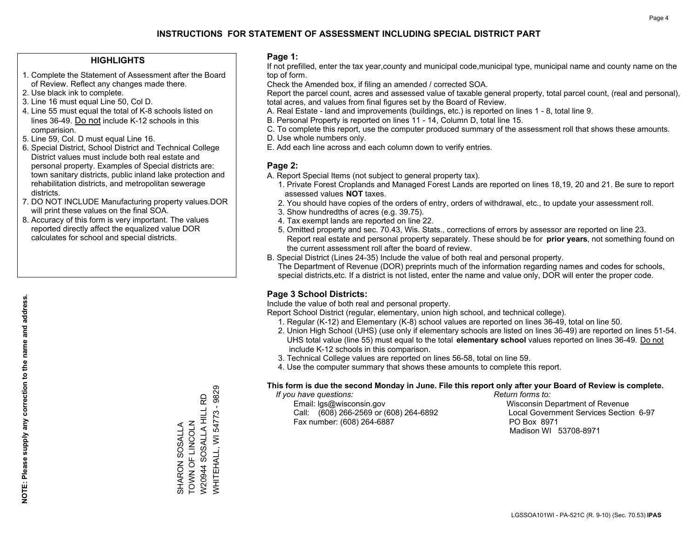#### **HIGHLIGHTS**

- 1. Complete the Statement of Assessment after the Board of Review. Reflect any changes made there.
- 2. Use black ink to complete.
- 3. Line 16 must equal Line 50, Col D.
- 4. Line 55 must equal the total of K-8 schools listed on lines 36-49. Do not include K-12 schools in this comparision.
- 5. Line 59, Col. D must equal Line 16.
- 6. Special District, School District and Technical College District values must include both real estate and personal property. Examples of Special districts are: town sanitary districts, public inland lake protection and rehabilitation districts, and metropolitan sewerage districts.
- 7. DO NOT INCLUDE Manufacturing property values.DOR will print these values on the final SOA.

SHARON SOSALLA TOWN OF LINCOLN W20944 SOSALLA HILL RD WHITEHALL, WI 54773 - 9829

SHARON SOSALLA<br>TOWN OF LINCOLN

**WHITEHALL, WI 54773 - 9829** W20944 SOSALLA HILL RD

 8. Accuracy of this form is very important. The values reported directly affect the equalized value DOR calculates for school and special districts.

#### **Page 1:**

 If not prefilled, enter the tax year,county and municipal code,municipal type, municipal name and county name on the top of form.

Check the Amended box, if filing an amended / corrected SOA.

 Report the parcel count, acres and assessed value of taxable general property, total parcel count, (real and personal), total acres, and values from final figures set by the Board of Review.

- A. Real Estate land and improvements (buildings, etc.) is reported on lines 1 8, total line 9.
- B. Personal Property is reported on lines 11 14, Column D, total line 15.
- C. To complete this report, use the computer produced summary of the assessment roll that shows these amounts.
- D. Use whole numbers only.
- E. Add each line across and each column down to verify entries.

#### **Page 2:**

- A. Report Special Items (not subject to general property tax).
- 1. Private Forest Croplands and Managed Forest Lands are reported on lines 18,19, 20 and 21. Be sure to report assessed values **NOT** taxes.
- 2. You should have copies of the orders of entry, orders of withdrawal, etc., to update your assessment roll.
	- 3. Show hundredths of acres (e.g. 39.75).
- 4. Tax exempt lands are reported on line 22.
- 5. Omitted property and sec. 70.43, Wis. Stats., corrections of errors by assessor are reported on line 23. Report real estate and personal property separately. These should be for **prior years**, not something found on the current assessment roll after the board of review.
- B. Special District (Lines 24-35) Include the value of both real and personal property.

 The Department of Revenue (DOR) preprints much of the information regarding names and codes for schools, special districts,etc. If a district is not listed, enter the name and value only, DOR will enter the proper code.

## **Page 3 School Districts:**

Include the value of both real and personal property.

Report School District (regular, elementary, union high school, and technical college).

- 1. Regular (K-12) and Elementary (K-8) school values are reported on lines 36-49, total on line 50.
- 2. Union High School (UHS) (use only if elementary schools are listed on lines 36-49) are reported on lines 51-54. UHS total value (line 55) must equal to the total **elementary school** values reported on lines 36-49. Do notinclude K-12 schools in this comparison.
- 3. Technical College values are reported on lines 56-58, total on line 59.
- 4. Use the computer summary that shows these amounts to complete this report.

#### **This form is due the second Monday in June. File this report only after your Board of Review is complete.**

 *If you have questions: Return forms to:*

 Email: lgs@wisconsin.gov Wisconsin Department of RevenueCall:  $(608)$  266-2569 or  $(608)$  264-6892 Fax number: (608) 264-6887 PO Box 8971

Local Government Services Section 6-97

Madison WI 53708-8971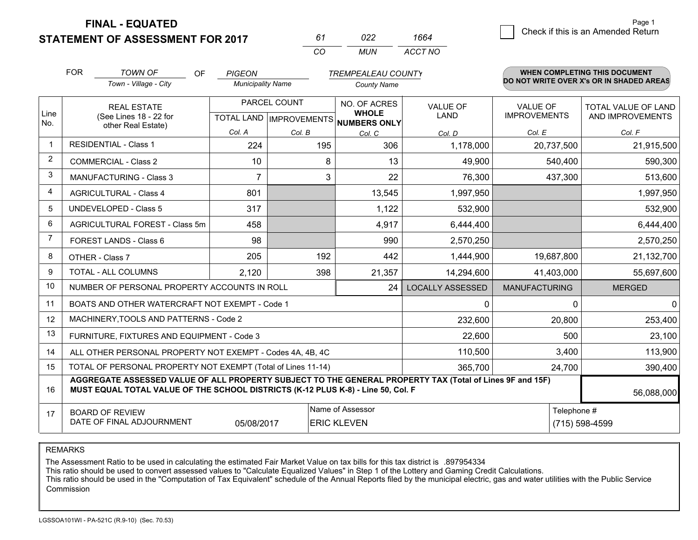**STATEMENT OF ASSESSMENT FOR 2017** 

| 61       | n22. | 1664    |
|----------|------|---------|
| $\alpha$ | MUN. | ACCT NO |

|                | <b>FOR</b>                                                                                                                 | <b>TOWN OF</b><br><b>OF</b>                                                                                                                                                                  | <b>PIGEON</b>            |              | <b>TREMPEALEAU COUNTY</b>                                                |                                |                                        | <b>WHEN COMPLETING THIS DOCUMENT</b>           |
|----------------|----------------------------------------------------------------------------------------------------------------------------|----------------------------------------------------------------------------------------------------------------------------------------------------------------------------------------------|--------------------------|--------------|--------------------------------------------------------------------------|--------------------------------|----------------------------------------|------------------------------------------------|
|                |                                                                                                                            | Town - Village - City                                                                                                                                                                        | <b>Municipality Name</b> |              | <b>County Name</b>                                                       |                                |                                        | DO NOT WRITE OVER X's OR IN SHADED AREAS       |
| Line<br>No.    |                                                                                                                            | <b>REAL ESTATE</b><br>(See Lines 18 - 22 for                                                                                                                                                 |                          | PARCEL COUNT | NO. OF ACRES<br><b>WHOLE</b><br>TOTAL LAND   IMPROVEMENTS   NUMBERS ONLY | <b>VALUE OF</b><br><b>LAND</b> | <b>VALUE OF</b><br><b>IMPROVEMENTS</b> | <b>TOTAL VALUE OF LAND</b><br>AND IMPROVEMENTS |
|                |                                                                                                                            | other Real Estate)                                                                                                                                                                           | Col. A                   | Col. B       | Col. C                                                                   | Col. D                         | Col. E                                 | Col. F                                         |
| -1             |                                                                                                                            | <b>RESIDENTIAL - Class 1</b>                                                                                                                                                                 | 224                      | 195          | 306                                                                      | 1,178,000                      | 20,737,500                             | 21,915,500                                     |
| 2              |                                                                                                                            | <b>COMMERCIAL - Class 2</b>                                                                                                                                                                  | 10                       | 8            | 13                                                                       | 49,900                         | 540,400                                | 590,300                                        |
| 3              |                                                                                                                            | <b>MANUFACTURING - Class 3</b>                                                                                                                                                               | 7                        | 3            | 22                                                                       | 76,300                         | 437,300                                | 513,600                                        |
| $\overline{4}$ |                                                                                                                            | <b>AGRICULTURAL - Class 4</b>                                                                                                                                                                | 801                      |              | 13,545                                                                   | 1,997,950                      |                                        | 1,997,950                                      |
| 5              |                                                                                                                            | <b>UNDEVELOPED - Class 5</b>                                                                                                                                                                 | 317                      |              | 1,122                                                                    | 532,900                        |                                        | 532,900                                        |
| 6              |                                                                                                                            | AGRICULTURAL FOREST - Class 5m                                                                                                                                                               | 458                      |              | 4,917                                                                    | 6,444,400                      |                                        | 6,444,400                                      |
| $\overline{7}$ |                                                                                                                            | FOREST LANDS - Class 6                                                                                                                                                                       | 98                       |              | 990                                                                      | 2,570,250                      |                                        | 2,570,250                                      |
| 8              |                                                                                                                            | OTHER - Class 7                                                                                                                                                                              | 205                      | 192          | 442                                                                      | 1,444,900                      | 19,687,800                             | 21,132,700                                     |
| 9              |                                                                                                                            | TOTAL - ALL COLUMNS                                                                                                                                                                          | 2,120                    | 398          | 21,357                                                                   | 14,294,600                     | 41,403,000                             | 55,697,600                                     |
| 10             |                                                                                                                            | NUMBER OF PERSONAL PROPERTY ACCOUNTS IN ROLL                                                                                                                                                 |                          |              | 24                                                                       | <b>LOCALLY ASSESSED</b>        | <b>MANUFACTURING</b>                   | <b>MERGED</b>                                  |
| 11             |                                                                                                                            | BOATS AND OTHER WATERCRAFT NOT EXEMPT - Code 1                                                                                                                                               |                          |              |                                                                          | $\mathbf{0}$                   | $\Omega$                               | $\mathbf 0$                                    |
| 12             |                                                                                                                            | MACHINERY, TOOLS AND PATTERNS - Code 2                                                                                                                                                       |                          |              |                                                                          | 232,600                        | 20,800                                 | 253,400                                        |
| 13             |                                                                                                                            | FURNITURE, FIXTURES AND EQUIPMENT - Code 3                                                                                                                                                   |                          |              |                                                                          | 22,600                         | 500                                    | 23,100                                         |
| 14             |                                                                                                                            | ALL OTHER PERSONAL PROPERTY NOT EXEMPT - Codes 4A, 4B, 4C                                                                                                                                    |                          |              |                                                                          | 110,500                        | 3,400                                  | 113,900                                        |
| 15             |                                                                                                                            | TOTAL OF PERSONAL PROPERTY NOT EXEMPT (Total of Lines 11-14)                                                                                                                                 |                          |              |                                                                          | 365,700                        | 24,700                                 | 390,400                                        |
| 16             |                                                                                                                            | AGGREGATE ASSESSED VALUE OF ALL PROPERTY SUBJECT TO THE GENERAL PROPERTY TAX (Total of Lines 9F and 15F)<br>MUST EQUAL TOTAL VALUE OF THE SCHOOL DISTRICTS (K-12 PLUS K-8) - Line 50, Col. F |                          |              |                                                                          |                                |                                        | 56,088,000                                     |
| 17             | Name of Assessor<br>Telephone #<br><b>BOARD OF REVIEW</b><br>DATE OF FINAL ADJOURNMENT<br>05/08/2017<br><b>ERIC KLEVEN</b> |                                                                                                                                                                                              |                          |              |                                                                          |                                |                                        | (715) 598-4599                                 |

REMARKS

The Assessment Ratio to be used in calculating the estimated Fair Market Value on tax bills for this tax district is .897954334

This ratio should be used to convert assessed values to "Calculate Equalized Values" in Step 1 of the Lottery and Gaming Credit Calculations.<br>This ratio should be used in the "Computation of Tax Equivalent" schedule of the Commission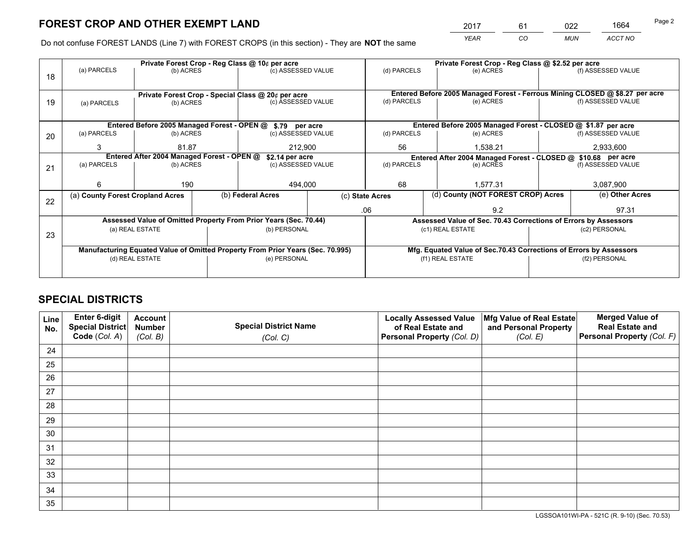*YEAR CO MUN ACCT NO* <sup>2017</sup> <sup>61</sup> <sup>022</sup> <sup>1664</sup>

Do not confuse FOREST LANDS (Line 7) with FOREST CROPS (in this section) - They are **NOT** the same

|    |                                  |                                            |  | Private Forest Crop - Reg Class @ 10¢ per acre                                 |                                                               | Private Forest Crop - Reg Class @ \$2.52 per acre                            |           |                                                                    |                    |                    |
|----|----------------------------------|--------------------------------------------|--|--------------------------------------------------------------------------------|---------------------------------------------------------------|------------------------------------------------------------------------------|-----------|--------------------------------------------------------------------|--------------------|--------------------|
| 18 | (a) PARCELS                      | (b) ACRES                                  |  | (c) ASSESSED VALUE                                                             |                                                               | (d) PARCELS                                                                  |           | (e) ACRES                                                          |                    | (f) ASSESSED VALUE |
|    |                                  |                                            |  |                                                                                |                                                               |                                                                              |           |                                                                    |                    |                    |
|    |                                  |                                            |  | Private Forest Crop - Special Class @ 20¢ per acre                             |                                                               | Entered Before 2005 Managed Forest - Ferrous Mining CLOSED @ \$8.27 per acre |           |                                                                    |                    |                    |
| 19 | (a) PARCELS                      | (b) ACRES                                  |  | (c) ASSESSED VALUE                                                             |                                                               | (d) PARCELS                                                                  |           | (e) ACRES                                                          |                    | (f) ASSESSED VALUE |
|    |                                  |                                            |  |                                                                                |                                                               |                                                                              |           |                                                                    |                    |                    |
|    |                                  |                                            |  | Entered Before 2005 Managed Forest - OPEN @ \$.79 per acre                     |                                                               |                                                                              |           | Entered Before 2005 Managed Forest - CLOSED @ \$1.87 per acre      |                    |                    |
| 20 | (a) PARCELS                      | (b) ACRES                                  |  | (c) ASSESSED VALUE                                                             |                                                               | (d) PARCELS                                                                  |           | (e) ACRES                                                          |                    | (f) ASSESSED VALUE |
|    | 3<br>81.87<br>212,900            |                                            |  | 56                                                                             |                                                               | 1.538.21                                                                     |           | 2,933,600                                                          |                    |                    |
|    |                                  | Entered After 2004 Managed Forest - OPEN @ |  | \$2.14 per acre                                                                | Entered After 2004 Managed Forest - CLOSED @ \$10.68 per acre |                                                                              |           |                                                                    |                    |                    |
| 21 | (a) PARCELS                      | (b) ACRES<br>(c) ASSESSED VALUE            |  | (d) PARCELS                                                                    |                                                               |                                                                              | (e) ACRES |                                                                    | (f) ASSESSED VALUE |                    |
|    |                                  |                                            |  |                                                                                |                                                               |                                                                              |           |                                                                    |                    |                    |
|    | 6                                | 190                                        |  | 494,000                                                                        |                                                               | 68                                                                           |           | 1.577.31                                                           |                    | 3,087,900          |
| 22 | (a) County Forest Cropland Acres |                                            |  | (b) Federal Acres                                                              |                                                               | (c) State Acres                                                              |           | (d) County (NOT FOREST CROP) Acres                                 |                    | (e) Other Acres    |
|    |                                  |                                            |  |                                                                                |                                                               | .06<br>9.2                                                                   |           |                                                                    | 97.31              |                    |
|    |                                  |                                            |  | Assessed Value of Omitted Property From Prior Years (Sec. 70.44)               |                                                               | Assessed Value of Sec. 70.43 Corrections of Errors by Assessors              |           |                                                                    |                    |                    |
| 23 |                                  | (a) REAL ESTATE                            |  | (b) PERSONAL                                                                   |                                                               | (c1) REAL ESTATE                                                             |           |                                                                    | (c2) PERSONAL      |                    |
|    |                                  |                                            |  |                                                                                |                                                               |                                                                              |           |                                                                    |                    |                    |
|    |                                  |                                            |  | Manufacturing Equated Value of Omitted Property From Prior Years (Sec. 70.995) |                                                               |                                                                              |           | Mfg. Equated Value of Sec.70.43 Corrections of Errors by Assessors |                    |                    |
|    | (d) REAL ESTATE                  |                                            |  | (e) PERSONAL                                                                   |                                                               | (f1) REAL ESTATE                                                             |           |                                                                    | (f2) PERSONAL      |                    |
|    |                                  |                                            |  |                                                                                |                                                               |                                                                              |           |                                                                    |                    |                    |

## **SPECIAL DISTRICTS**

| Line<br>No. | Enter 6-digit<br>Special District<br>Code (Col. A) | <b>Account</b><br><b>Number</b> | <b>Special District Name</b> | <b>Locally Assessed Value</b><br>of Real Estate and | Mfg Value of Real Estate<br>and Personal Property | <b>Merged Value of</b><br><b>Real Estate and</b><br>Personal Property (Col. F) |
|-------------|----------------------------------------------------|---------------------------------|------------------------------|-----------------------------------------------------|---------------------------------------------------|--------------------------------------------------------------------------------|
|             |                                                    | (Col. B)                        | (Col. C)                     | Personal Property (Col. D)                          | (Col. E)                                          |                                                                                |
| 24          |                                                    |                                 |                              |                                                     |                                                   |                                                                                |
| 25          |                                                    |                                 |                              |                                                     |                                                   |                                                                                |
| 26          |                                                    |                                 |                              |                                                     |                                                   |                                                                                |
| 27          |                                                    |                                 |                              |                                                     |                                                   |                                                                                |
| 28          |                                                    |                                 |                              |                                                     |                                                   |                                                                                |
| 29          |                                                    |                                 |                              |                                                     |                                                   |                                                                                |
| 30          |                                                    |                                 |                              |                                                     |                                                   |                                                                                |
| 31          |                                                    |                                 |                              |                                                     |                                                   |                                                                                |
| 32          |                                                    |                                 |                              |                                                     |                                                   |                                                                                |
| 33          |                                                    |                                 |                              |                                                     |                                                   |                                                                                |
| 34          |                                                    |                                 |                              |                                                     |                                                   |                                                                                |
| 35          |                                                    |                                 |                              |                                                     |                                                   |                                                                                |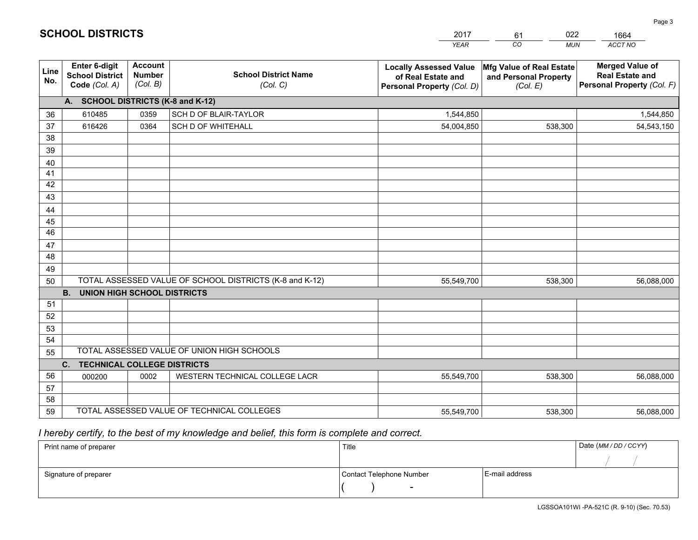|                 |                                                                 |                                             |                                                         | <b>YEAR</b>                                                                       | CO<br><b>MUN</b>                                              | ACCT NO                                                                        |
|-----------------|-----------------------------------------------------------------|---------------------------------------------|---------------------------------------------------------|-----------------------------------------------------------------------------------|---------------------------------------------------------------|--------------------------------------------------------------------------------|
| Line<br>No.     | <b>Enter 6-digit</b><br><b>School District</b><br>Code (Col. A) | <b>Account</b><br><b>Number</b><br>(Col. B) | <b>School District Name</b><br>(Col. C)                 | <b>Locally Assessed Value</b><br>of Real Estate and<br>Personal Property (Col. D) | Mfg Value of Real Estate<br>and Personal Property<br>(Col. E) | <b>Merged Value of</b><br><b>Real Estate and</b><br>Personal Property (Col. F) |
|                 | A. SCHOOL DISTRICTS (K-8 and K-12)                              |                                             |                                                         |                                                                                   |                                                               |                                                                                |
| 36              | 610485                                                          | 0359                                        | SCH D OF BLAIR-TAYLOR                                   | 1,544,850                                                                         |                                                               | 1,544,850                                                                      |
| 37              | 616426                                                          | 0364                                        | <b>SCH D OF WHITEHALL</b>                               | 54,004,850                                                                        | 538,300                                                       | 54,543,150                                                                     |
| 38              |                                                                 |                                             |                                                         |                                                                                   |                                                               |                                                                                |
| 39              |                                                                 |                                             |                                                         |                                                                                   |                                                               |                                                                                |
| 40              |                                                                 |                                             |                                                         |                                                                                   |                                                               |                                                                                |
| 41              |                                                                 |                                             |                                                         |                                                                                   |                                                               |                                                                                |
| 42              |                                                                 |                                             |                                                         |                                                                                   |                                                               |                                                                                |
| 43              |                                                                 |                                             |                                                         |                                                                                   |                                                               |                                                                                |
| 44              |                                                                 |                                             |                                                         |                                                                                   |                                                               |                                                                                |
| 45              |                                                                 |                                             |                                                         |                                                                                   |                                                               |                                                                                |
| $\overline{46}$ |                                                                 |                                             |                                                         |                                                                                   |                                                               |                                                                                |
| 47              |                                                                 |                                             |                                                         |                                                                                   |                                                               |                                                                                |
| 48              |                                                                 |                                             |                                                         |                                                                                   |                                                               |                                                                                |
| 49              |                                                                 |                                             |                                                         |                                                                                   |                                                               |                                                                                |
| 50              | <b>B.</b><br><b>UNION HIGH SCHOOL DISTRICTS</b>                 |                                             | TOTAL ASSESSED VALUE OF SCHOOL DISTRICTS (K-8 and K-12) | 55,549,700                                                                        | 538,300                                                       | 56,088,000                                                                     |
| 51              |                                                                 |                                             |                                                         |                                                                                   |                                                               |                                                                                |
| 52              |                                                                 |                                             |                                                         |                                                                                   |                                                               |                                                                                |
| 53              |                                                                 |                                             |                                                         |                                                                                   |                                                               |                                                                                |
| 54              |                                                                 |                                             |                                                         |                                                                                   |                                                               |                                                                                |
| 55              |                                                                 |                                             | TOTAL ASSESSED VALUE OF UNION HIGH SCHOOLS              |                                                                                   |                                                               |                                                                                |
|                 | C.<br><b>TECHNICAL COLLEGE DISTRICTS</b>                        |                                             |                                                         |                                                                                   |                                                               |                                                                                |
| 56              | 000200                                                          | 0002                                        | WESTERN TECHNICAL COLLEGE LACR                          | 55,549,700                                                                        | 538,300                                                       | 56,088,000                                                                     |
| 57              |                                                                 |                                             |                                                         |                                                                                   |                                                               |                                                                                |
| 58              |                                                                 |                                             |                                                         |                                                                                   |                                                               |                                                                                |
| 59              |                                                                 |                                             | TOTAL ASSESSED VALUE OF TECHNICAL COLLEGES              | 55,549,700                                                                        | 538,300                                                       | 56,088,000                                                                     |

 *I hereby certify, to the best of my knowledge and belief, this form is complete and correct.*

| Print name of preparer | Title                    |                | Date (MM/DD/CCYY) |
|------------------------|--------------------------|----------------|-------------------|
|                        |                          |                |                   |
| Signature of preparer  | Contact Telephone Number | E-mail address |                   |
|                        | $\overline{\phantom{0}}$ |                |                   |

| <b>SCHOOL DISTRICTS</b> |  |
|-------------------------|--|
|-------------------------|--|

201761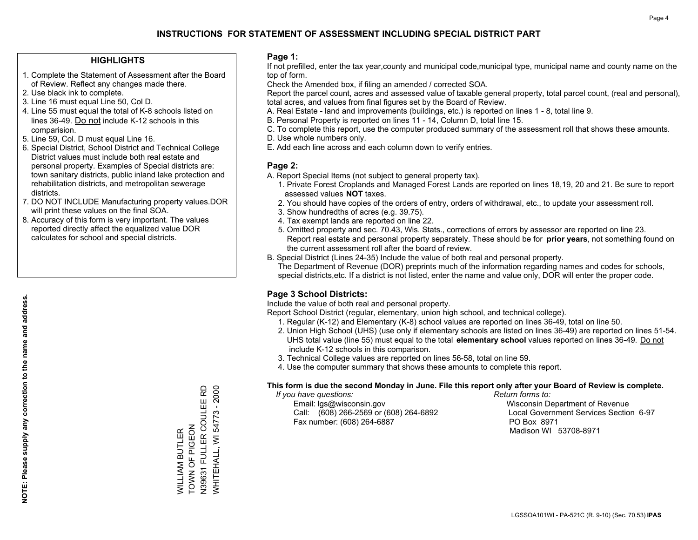#### **HIGHLIGHTS**

- 1. Complete the Statement of Assessment after the Board of Review. Reflect any changes made there.
- 2. Use black ink to complete.
- 3. Line 16 must equal Line 50, Col D.
- 4. Line 55 must equal the total of K-8 schools listed on lines 36-49. Do not include K-12 schools in this comparision.
- 5. Line 59, Col. D must equal Line 16.
- 6. Special District, School District and Technical College District values must include both real estate and personal property. Examples of Special districts are: town sanitary districts, public inland lake protection and rehabilitation districts, and metropolitan sewerage districts.
- 7. DO NOT INCLUDE Manufacturing property values.DOR will print these values on the final SOA.

WILLIAM BUTLER TOWN OF PIGEON

WILLIAM BUTLER<br>TOWN OF PIGEON

N39631 FULLER COULEE RD WHITEHALL, WI 54773 - 2000

**WHITEHALL, WI 54773 - 2000** 

 8. Accuracy of this form is very important. The values reported directly affect the equalized value DOR calculates for school and special districts.

#### **Page 1:**

 If not prefilled, enter the tax year,county and municipal code,municipal type, municipal name and county name on the top of form.

Check the Amended box, if filing an amended / corrected SOA.

 Report the parcel count, acres and assessed value of taxable general property, total parcel count, (real and personal), total acres, and values from final figures set by the Board of Review.

- A. Real Estate land and improvements (buildings, etc.) is reported on lines 1 8, total line 9.
- B. Personal Property is reported on lines 11 14, Column D, total line 15.
- C. To complete this report, use the computer produced summary of the assessment roll that shows these amounts.
- D. Use whole numbers only.
- E. Add each line across and each column down to verify entries.

### **Page 2:**

- A. Report Special Items (not subject to general property tax).
- 1. Private Forest Croplands and Managed Forest Lands are reported on lines 18,19, 20 and 21. Be sure to report assessed values **NOT** taxes.
- 2. You should have copies of the orders of entry, orders of withdrawal, etc., to update your assessment roll.
	- 3. Show hundredths of acres (e.g. 39.75).
- 4. Tax exempt lands are reported on line 22.
- 5. Omitted property and sec. 70.43, Wis. Stats., corrections of errors by assessor are reported on line 23. Report real estate and personal property separately. These should be for **prior years**, not something found on the current assessment roll after the board of review.
- B. Special District (Lines 24-35) Include the value of both real and personal property.
- The Department of Revenue (DOR) preprints much of the information regarding names and codes for schools, special districts,etc. If a district is not listed, enter the name and value only, DOR will enter the proper code.

## **Page 3 School Districts:**

Include the value of both real and personal property.

Report School District (regular, elementary, union high school, and technical college).

- 1. Regular (K-12) and Elementary (K-8) school values are reported on lines 36-49, total on line 50.
- 2. Union High School (UHS) (use only if elementary schools are listed on lines 36-49) are reported on lines 51-54. UHS total value (line 55) must equal to the total **elementary school** values reported on lines 36-49. Do notinclude K-12 schools in this comparison.
- 3. Technical College values are reported on lines 56-58, total on line 59.
- 4. Use the computer summary that shows these amounts to complete this report.

#### **This form is due the second Monday in June. File this report only after your Board of Review is complete.**

 *If you have questions: Return forms to:*

 Email: lgs@wisconsin.gov Wisconsin Department of RevenueCall:  $(608)$  266-2569 or  $(608)$  264-6892 Fax number: (608) 264-6887 PO Box 8971

Local Government Services Section 6-97 Madison WI 53708-8971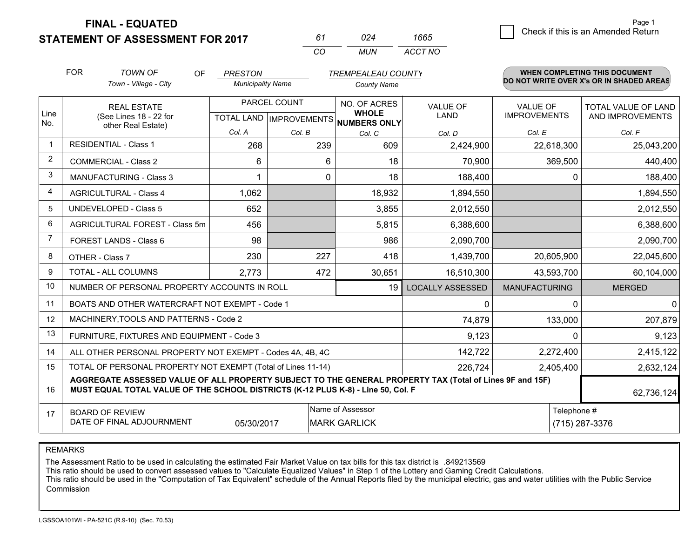**STATEMENT OF ASSESSMENT FOR 2017** 

*CO MUN <sup>61</sup> <sup>024</sup> ACCT NO1665*

 $\overline{5}$  Check if this is an Amended Return Page 1

|                | <b>FOR</b>                                                                                                                                                                                                 | <b>TOWN OF</b><br>OF                                         | <b>PRESTON</b>           |              | <b>TREMPEALEAU COUNTY</b>                                            |                                |                                        | <b>WHEN COMPLETING THIS DOCUMENT</b>     |
|----------------|------------------------------------------------------------------------------------------------------------------------------------------------------------------------------------------------------------|--------------------------------------------------------------|--------------------------|--------------|----------------------------------------------------------------------|--------------------------------|----------------------------------------|------------------------------------------|
|                |                                                                                                                                                                                                            | Town - Village - City                                        | <b>Municipality Name</b> |              | <b>County Name</b>                                                   |                                |                                        | DO NOT WRITE OVER X's OR IN SHADED AREAS |
| Line<br>No.    |                                                                                                                                                                                                            | <b>REAL ESTATE</b><br>(See Lines 18 - 22 for                 |                          | PARCEL COUNT | NO. OF ACRES<br><b>WHOLE</b><br>TOTAL LAND IMPROVEMENTS NUMBERS ONLY | <b>VALUE OF</b><br><b>LAND</b> | <b>VALUE OF</b><br><b>IMPROVEMENTS</b> | TOTAL VALUE OF LAND<br>AND IMPROVEMENTS  |
|                |                                                                                                                                                                                                            | other Real Estate)                                           | Col. A                   | Col. B       | Col. C                                                               | Col. D                         | Col. E                                 | Col. F                                   |
| $\overline{1}$ |                                                                                                                                                                                                            | <b>RESIDENTIAL - Class 1</b>                                 | 268                      | 239          | 609                                                                  | 2,424,900                      | 22,618,300                             | 25,043,200                               |
| $\overline{2}$ |                                                                                                                                                                                                            | <b>COMMERCIAL - Class 2</b>                                  | 6                        | 6            | 18                                                                   | 70,900                         | 369,500                                | 440,400                                  |
| 3              |                                                                                                                                                                                                            | MANUFACTURING - Class 3                                      |                          | 0            | 18                                                                   | 188,400                        | $\Omega$                               | 188,400                                  |
| 4              |                                                                                                                                                                                                            | <b>AGRICULTURAL - Class 4</b>                                | 1,062                    |              | 18,932                                                               | 1,894,550                      |                                        | 1,894,550                                |
| 5              |                                                                                                                                                                                                            | <b>UNDEVELOPED - Class 5</b>                                 | 652                      |              | 3,855                                                                | 2,012,550                      |                                        | 2,012,550                                |
| 6              | AGRICULTURAL FOREST - Class 5m                                                                                                                                                                             |                                                              | 456                      |              | 5,815                                                                | 6,388,600                      |                                        | 6,388,600                                |
| 7              |                                                                                                                                                                                                            | FOREST LANDS - Class 6                                       | 98                       |              | 986                                                                  | 2,090,700                      |                                        | 2,090,700                                |
| 8              |                                                                                                                                                                                                            | OTHER - Class 7                                              | 230                      | 227          | 418                                                                  | 1,439,700                      | 20,605,900                             | 22,045,600                               |
| 9              |                                                                                                                                                                                                            | TOTAL - ALL COLUMNS                                          | 2,773                    | 472          | 30,651                                                               | 16,510,300                     | 43,593,700                             | 60,104,000                               |
| 10             |                                                                                                                                                                                                            | NUMBER OF PERSONAL PROPERTY ACCOUNTS IN ROLL                 |                          |              | 19                                                                   | <b>LOCALLY ASSESSED</b>        | <b>MANUFACTURING</b>                   | <b>MERGED</b>                            |
| 11             |                                                                                                                                                                                                            | BOATS AND OTHER WATERCRAFT NOT EXEMPT - Code 1               |                          |              |                                                                      | 0                              | $\Omega$                               | $\mathbf{0}$                             |
| 12             |                                                                                                                                                                                                            | MACHINERY, TOOLS AND PATTERNS - Code 2                       |                          |              |                                                                      | 74,879                         | 133,000                                | 207,879                                  |
| 13             |                                                                                                                                                                                                            | FURNITURE, FIXTURES AND EQUIPMENT - Code 3                   |                          |              |                                                                      | 9,123                          | $\Omega$                               | 9,123                                    |
| 14             |                                                                                                                                                                                                            | ALL OTHER PERSONAL PROPERTY NOT EXEMPT - Codes 4A, 4B, 4C    |                          |              |                                                                      | 142,722                        | 2,272,400                              | 2,415,122                                |
| 15             |                                                                                                                                                                                                            | TOTAL OF PERSONAL PROPERTY NOT EXEMPT (Total of Lines 11-14) |                          |              |                                                                      | 226,724                        | 2,405,400                              | 2,632,124                                |
| 16             | AGGREGATE ASSESSED VALUE OF ALL PROPERTY SUBJECT TO THE GENERAL PROPERTY TAX (Total of Lines 9F and 15F)<br>MUST EQUAL TOTAL VALUE OF THE SCHOOL DISTRICTS (K-12 PLUS K-8) - Line 50, Col. F<br>62,736,124 |                                                              |                          |              |                                                                      |                                |                                        |                                          |
| 17             |                                                                                                                                                                                                            | <b>BOARD OF REVIEW</b>                                       |                          |              | Name of Assessor                                                     |                                | Telephone #                            |                                          |
|                |                                                                                                                                                                                                            | DATE OF FINAL ADJOURNMENT                                    | 05/30/2017               |              | <b>MARK GARLICK</b>                                                  |                                |                                        | (715) 287-3376                           |

REMARKS

The Assessment Ratio to be used in calculating the estimated Fair Market Value on tax bills for this tax district is .849213569<br>This ratio should be used to convert assessed values to "Calculate Equalized Values" in Step 1 Commission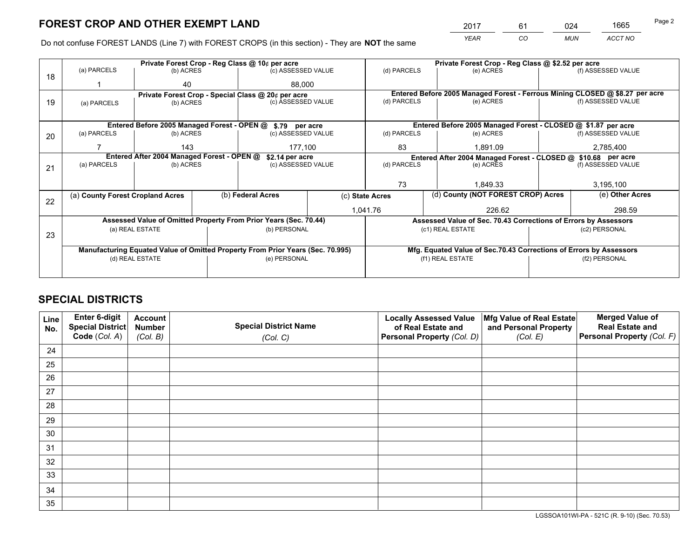*YEAR CO MUN ACCT NO* <sup>2017</sup> <sup>61</sup> <sup>024</sup> <sup>1665</sup>

Do not confuse FOREST LANDS (Line 7) with FOREST CROPS (in this section) - They are **NOT** the same

|    |                                                               |                 |  | Private Forest Crop - Reg Class @ 10¢ per acre                                 |                 |                                                                              | Private Forest Crop - Reg Class @ \$2.52 per acre                  |               |                    |  |
|----|---------------------------------------------------------------|-----------------|--|--------------------------------------------------------------------------------|-----------------|------------------------------------------------------------------------------|--------------------------------------------------------------------|---------------|--------------------|--|
| 18 | (a) PARCELS                                                   | (b) ACRES       |  | (c) ASSESSED VALUE                                                             |                 | (d) PARCELS                                                                  | (e) ACRES                                                          |               | (f) ASSESSED VALUE |  |
|    |                                                               | 40              |  | 88.000                                                                         |                 |                                                                              |                                                                    |               |                    |  |
|    |                                                               |                 |  | Private Forest Crop - Special Class @ 20¢ per acre                             |                 | Entered Before 2005 Managed Forest - Ferrous Mining CLOSED @ \$8.27 per acre |                                                                    |               |                    |  |
| 19 | (a) PARCELS                                                   | (b) ACRES       |  | (c) ASSESSED VALUE                                                             |                 | (d) PARCELS                                                                  | (e) ACRES                                                          |               | (f) ASSESSED VALUE |  |
|    |                                                               |                 |  |                                                                                |                 |                                                                              |                                                                    |               |                    |  |
|    |                                                               |                 |  | Entered Before 2005 Managed Forest - OPEN @ \$.79 per acre                     |                 |                                                                              | Entered Before 2005 Managed Forest - CLOSED @ \$1.87 per acre      |               |                    |  |
| 20 | (a) PARCELS                                                   | (b) ACRES       |  | (c) ASSESSED VALUE                                                             |                 | (d) PARCELS                                                                  | (e) ACRES                                                          |               | (f) ASSESSED VALUE |  |
|    |                                                               | 143             |  | 177.100                                                                        |                 | 83<br>1.891.09                                                               |                                                                    |               | 2,785,400          |  |
|    | Entered After 2004 Managed Forest - OPEN @<br>\$2.14 per acre |                 |  |                                                                                |                 |                                                                              | Entered After 2004 Managed Forest - CLOSED @ \$10.68 per acre      |               |                    |  |
| 21 | (a) PARCELS                                                   | (b) ACRES       |  | (c) ASSESSED VALUE                                                             | (d) PARCELS     |                                                                              | (e) ACRES                                                          |               | (f) ASSESSED VALUE |  |
|    |                                                               |                 |  |                                                                                |                 |                                                                              |                                                                    |               |                    |  |
|    |                                                               |                 |  |                                                                                |                 | 73<br>1.849.33                                                               |                                                                    |               | 3,195,100          |  |
| 22 | (a) County Forest Cropland Acres                              |                 |  | (b) Federal Acres                                                              | (c) State Acres |                                                                              | (d) County (NOT FOREST CROP) Acres                                 |               | (e) Other Acres    |  |
|    |                                                               |                 |  |                                                                                | 1,041.76        |                                                                              | 226.62                                                             |               | 298.59             |  |
|    |                                                               |                 |  | Assessed Value of Omitted Property From Prior Years (Sec. 70.44)               |                 |                                                                              | Assessed Value of Sec. 70.43 Corrections of Errors by Assessors    |               |                    |  |
| 23 |                                                               | (a) REAL ESTATE |  | (b) PERSONAL                                                                   |                 |                                                                              | (c1) REAL ESTATE                                                   |               | (c2) PERSONAL      |  |
|    |                                                               |                 |  |                                                                                |                 |                                                                              |                                                                    |               |                    |  |
|    |                                                               |                 |  | Manufacturing Equated Value of Omitted Property From Prior Years (Sec. 70.995) |                 |                                                                              | Mfg. Equated Value of Sec.70.43 Corrections of Errors by Assessors |               |                    |  |
|    |                                                               | (d) REAL ESTATE |  | (e) PERSONAL                                                                   |                 |                                                                              | (f1) REAL ESTATE                                                   | (f2) PERSONAL |                    |  |
|    |                                                               |                 |  |                                                                                |                 |                                                                              |                                                                    |               |                    |  |

## **SPECIAL DISTRICTS**

| Line<br>No. | Enter 6-digit<br>Special District<br>Code (Col. A) | <b>Account</b><br><b>Number</b><br>(Col. B) | <b>Special District Name</b><br>(Col. C) | <b>Locally Assessed Value</b><br>of Real Estate and<br>Personal Property (Col. D) | Mfg Value of Real Estate<br>and Personal Property<br>(Col. E) | <b>Merged Value of</b><br><b>Real Estate and</b><br>Personal Property (Col. F) |
|-------------|----------------------------------------------------|---------------------------------------------|------------------------------------------|-----------------------------------------------------------------------------------|---------------------------------------------------------------|--------------------------------------------------------------------------------|
| 24          |                                                    |                                             |                                          |                                                                                   |                                                               |                                                                                |
| 25          |                                                    |                                             |                                          |                                                                                   |                                                               |                                                                                |
| 26          |                                                    |                                             |                                          |                                                                                   |                                                               |                                                                                |
| 27          |                                                    |                                             |                                          |                                                                                   |                                                               |                                                                                |
| 28          |                                                    |                                             |                                          |                                                                                   |                                                               |                                                                                |
| 29          |                                                    |                                             |                                          |                                                                                   |                                                               |                                                                                |
| 30          |                                                    |                                             |                                          |                                                                                   |                                                               |                                                                                |
| 31          |                                                    |                                             |                                          |                                                                                   |                                                               |                                                                                |
| 32          |                                                    |                                             |                                          |                                                                                   |                                                               |                                                                                |
| 33          |                                                    |                                             |                                          |                                                                                   |                                                               |                                                                                |
| 34          |                                                    |                                             |                                          |                                                                                   |                                                               |                                                                                |
| 35          |                                                    |                                             |                                          |                                                                                   |                                                               |                                                                                |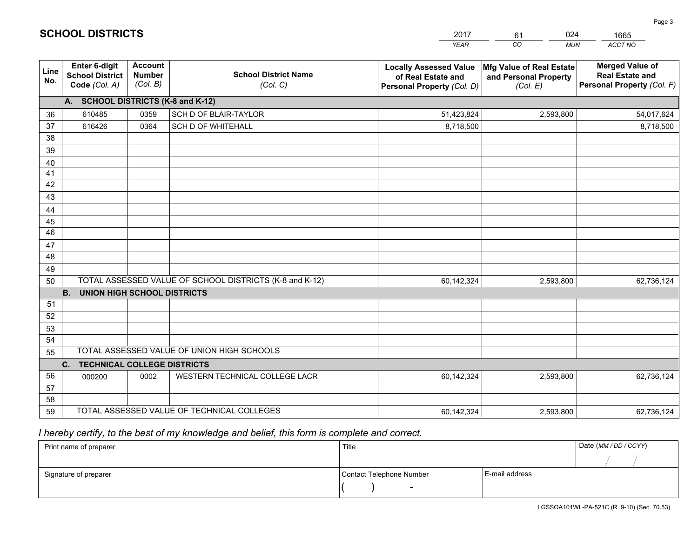|             |                                                                 |                                             |                                                         | <b>YEAR</b>                                                                       | CO<br><b>MUN</b>                                              | <b>ACCT NO</b>                                                                 |
|-------------|-----------------------------------------------------------------|---------------------------------------------|---------------------------------------------------------|-----------------------------------------------------------------------------------|---------------------------------------------------------------|--------------------------------------------------------------------------------|
| Line<br>No. | <b>Enter 6-digit</b><br><b>School District</b><br>Code (Col. A) | <b>Account</b><br><b>Number</b><br>(Col. B) | <b>School District Name</b><br>(Col. C)                 | <b>Locally Assessed Value</b><br>of Real Estate and<br>Personal Property (Col. D) | Mfg Value of Real Estate<br>and Personal Property<br>(Col. E) | <b>Merged Value of</b><br><b>Real Estate and</b><br>Personal Property (Col. F) |
|             | A. SCHOOL DISTRICTS (K-8 and K-12)                              |                                             |                                                         |                                                                                   |                                                               |                                                                                |
| 36          | 610485                                                          | 0359                                        | SCH D OF BLAIR-TAYLOR                                   | 51,423,824                                                                        | 2,593,800                                                     | 54,017,624                                                                     |
| 37          | 616426                                                          | 0364                                        | <b>SCH D OF WHITEHALL</b>                               | 8,718,500                                                                         |                                                               | 8,718,500                                                                      |
| 38          |                                                                 |                                             |                                                         |                                                                                   |                                                               |                                                                                |
| 39          |                                                                 |                                             |                                                         |                                                                                   |                                                               |                                                                                |
| 40          |                                                                 |                                             |                                                         |                                                                                   |                                                               |                                                                                |
| 41          |                                                                 |                                             |                                                         |                                                                                   |                                                               |                                                                                |
| 42          |                                                                 |                                             |                                                         |                                                                                   |                                                               |                                                                                |
| 43          |                                                                 |                                             |                                                         |                                                                                   |                                                               |                                                                                |
| 44<br>45    |                                                                 |                                             |                                                         |                                                                                   |                                                               |                                                                                |
| 46          |                                                                 |                                             |                                                         |                                                                                   |                                                               |                                                                                |
| 47          |                                                                 |                                             |                                                         |                                                                                   |                                                               |                                                                                |
| 48          |                                                                 |                                             |                                                         |                                                                                   |                                                               |                                                                                |
| 49          |                                                                 |                                             |                                                         |                                                                                   |                                                               |                                                                                |
| 50          |                                                                 |                                             | TOTAL ASSESSED VALUE OF SCHOOL DISTRICTS (K-8 and K-12) | 60,142,324                                                                        | 2,593,800                                                     | 62,736,124                                                                     |
|             | <b>B.</b><br>UNION HIGH SCHOOL DISTRICTS                        |                                             |                                                         |                                                                                   |                                                               |                                                                                |
| 51          |                                                                 |                                             |                                                         |                                                                                   |                                                               |                                                                                |
| 52          |                                                                 |                                             |                                                         |                                                                                   |                                                               |                                                                                |
| 53          |                                                                 |                                             |                                                         |                                                                                   |                                                               |                                                                                |
| 54          |                                                                 |                                             |                                                         |                                                                                   |                                                               |                                                                                |
| 55          |                                                                 |                                             | TOTAL ASSESSED VALUE OF UNION HIGH SCHOOLS              |                                                                                   |                                                               |                                                                                |
|             | C.<br><b>TECHNICAL COLLEGE DISTRICTS</b>                        |                                             |                                                         |                                                                                   |                                                               |                                                                                |
| 56          | 000200                                                          | 0002                                        | WESTERN TECHNICAL COLLEGE LACR                          | 60,142,324                                                                        | 2,593,800                                                     | 62,736,124                                                                     |
| 57          |                                                                 |                                             |                                                         |                                                                                   |                                                               |                                                                                |
| 58          |                                                                 |                                             |                                                         |                                                                                   |                                                               |                                                                                |
| 59          |                                                                 |                                             | TOTAL ASSESSED VALUE OF TECHNICAL COLLEGES              | 60,142,324                                                                        | 2,593,800                                                     | 62,736,124                                                                     |

61

024

 *I hereby certify, to the best of my knowledge and belief, this form is complete and correct.*

**SCHOOL DISTRICTS**

| Print name of preparer | Title                    | Date (MM / DD / CCYY) |  |
|------------------------|--------------------------|-----------------------|--|
|                        |                          |                       |  |
| Signature of preparer  | Contact Telephone Number | E-mail address        |  |
|                        | $\sim$                   |                       |  |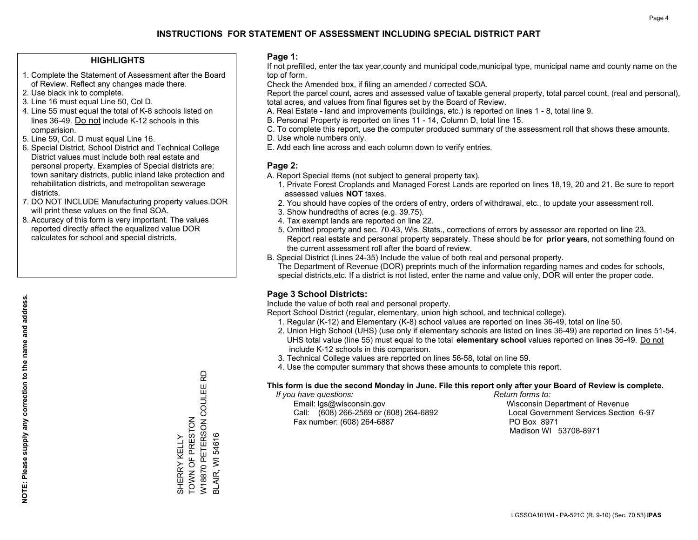#### **HIGHLIGHTS**

- 1. Complete the Statement of Assessment after the Board of Review. Reflect any changes made there.
- 2. Use black ink to complete.
- 3. Line 16 must equal Line 50, Col D.
- 4. Line 55 must equal the total of K-8 schools listed on lines 36-49. Do not include K-12 schools in this comparision.
- 5. Line 59, Col. D must equal Line 16.
- 6. Special District, School District and Technical College District values must include both real estate and personal property. Examples of Special districts are: town sanitary districts, public inland lake protection and rehabilitation districts, and metropolitan sewerage districts.
- 7. DO NOT INCLUDE Manufacturing property values.DOR will print these values on the final SOA.
- 8. Accuracy of this form is very important. The values reported directly affect the equalized value DOR calculates for school and special districts.

#### **Page 1:**

 If not prefilled, enter the tax year,county and municipal code,municipal type, municipal name and county name on the top of form.

Check the Amended box, if filing an amended / corrected SOA.

 Report the parcel count, acres and assessed value of taxable general property, total parcel count, (real and personal), total acres, and values from final figures set by the Board of Review.

- A. Real Estate land and improvements (buildings, etc.) is reported on lines 1 8, total line 9.
- B. Personal Property is reported on lines 11 14, Column D, total line 15.
- C. To complete this report, use the computer produced summary of the assessment roll that shows these amounts.
- D. Use whole numbers only.
- E. Add each line across and each column down to verify entries.

#### **Page 2:**

- A. Report Special Items (not subject to general property tax).
- 1. Private Forest Croplands and Managed Forest Lands are reported on lines 18,19, 20 and 21. Be sure to report assessed values **NOT** taxes.
- 2. You should have copies of the orders of entry, orders of withdrawal, etc., to update your assessment roll.
	- 3. Show hundredths of acres (e.g. 39.75).
- 4. Tax exempt lands are reported on line 22.
- 5. Omitted property and sec. 70.43, Wis. Stats., corrections of errors by assessor are reported on line 23. Report real estate and personal property separately. These should be for **prior years**, not something found on the current assessment roll after the board of review.
- B. Special District (Lines 24-35) Include the value of both real and personal property.
- The Department of Revenue (DOR) preprints much of the information regarding names and codes for schools, special districts,etc. If a district is not listed, enter the name and value only, DOR will enter the proper code.

## **Page 3 School Districts:**

Include the value of both real and personal property.

Report School District (regular, elementary, union high school, and technical college).

- 1. Regular (K-12) and Elementary (K-8) school values are reported on lines 36-49, total on line 50.
- 2. Union High School (UHS) (use only if elementary schools are listed on lines 36-49) are reported on lines 51-54. UHS total value (line 55) must equal to the total **elementary school** values reported on lines 36-49. Do notinclude K-12 schools in this comparison.
- 3. Technical College values are reported on lines 56-58, total on line 59.
- 4. Use the computer summary that shows these amounts to complete this report.

#### **This form is due the second Monday in June. File this report only after your Board of Review is complete.**

 *If you have questions: Return forms to:*

 Email: lgs@wisconsin.gov Wisconsin Department of RevenueCall:  $(608)$  266-2569 or  $(608)$  264-6892 Fax number: (608) 264-6887 PO Box 8971

Local Government Services Section 6-97 Madison WI 53708-8971

W18870 PETERSON COULEE RD W18870 PETERSON COULEE TOWN OF PRESTON TOWN OF PRESTON **BLAIR, WI 54616** BLAIR, WI 54616 SHERRY KELLY SHERRY KELLY

윤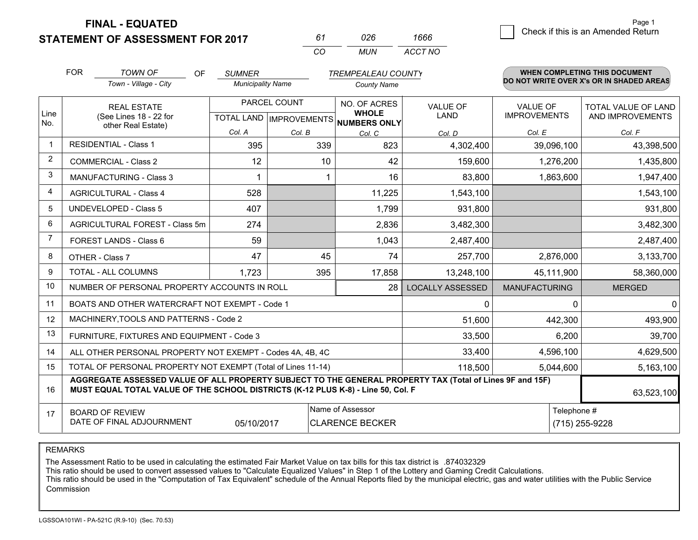**STATEMENT OF ASSESSMENT FOR 2017** 

*CO MUN <sup>61</sup> <sup>026</sup> ACCT NO1666*

|                         | <b>FOR</b>                                                                                                                                                                                   | <b>TOWN OF</b><br>OF                                         | <b>SUMNER</b>            |              | <b>TREMPEALEAU COUNTY</b>           |                         |                      | <b>WHEN COMPLETING THIS DOCUMENT</b>     |
|-------------------------|----------------------------------------------------------------------------------------------------------------------------------------------------------------------------------------------|--------------------------------------------------------------|--------------------------|--------------|-------------------------------------|-------------------------|----------------------|------------------------------------------|
|                         |                                                                                                                                                                                              | Town - Village - City                                        | <b>Municipality Name</b> |              | <b>County Name</b>                  |                         |                      | DO NOT WRITE OVER X's OR IN SHADED AREAS |
| Line                    |                                                                                                                                                                                              | <b>REAL ESTATE</b>                                           |                          | PARCEL COUNT | NO. OF ACRES<br><b>WHOLE</b>        | <b>VALUE OF</b>         | <b>VALUE OF</b>      | TOTAL VALUE OF LAND                      |
| No.                     |                                                                                                                                                                                              | (See Lines 18 - 22 for<br>other Real Estate)                 |                          |              | TOTAL LAND MPROVEMENTS NUMBERS ONLY | LAND                    | <b>IMPROVEMENTS</b>  | AND IMPROVEMENTS                         |
|                         |                                                                                                                                                                                              |                                                              | Col. A                   | Col. B       | Col. C                              | Col. D                  | Col. E               | Col. F                                   |
| -1                      |                                                                                                                                                                                              | <b>RESIDENTIAL - Class 1</b>                                 | 395                      | 339          | 823                                 | 4,302,400               | 39,096,100           | 43,398,500                               |
| 2                       |                                                                                                                                                                                              | <b>COMMERCIAL - Class 2</b>                                  | 12                       | 10           | 42                                  | 159,600                 | 1,276,200            | 1,435,800                                |
| 3                       |                                                                                                                                                                                              | <b>MANUFACTURING - Class 3</b>                               |                          |              | 16                                  | 83,800                  | 1,863,600            | 1,947,400                                |
| $\overline{\mathbf{4}}$ |                                                                                                                                                                                              | <b>AGRICULTURAL - Class 4</b>                                | 528                      |              | 11,225                              | 1,543,100               |                      | 1,543,100                                |
| 5                       |                                                                                                                                                                                              | <b>UNDEVELOPED - Class 5</b>                                 | 407                      |              | 1,799                               | 931,800                 |                      | 931,800                                  |
| 6                       | AGRICULTURAL FOREST - Class 5m                                                                                                                                                               |                                                              | 274                      |              | 2,836                               | 3,482,300               |                      | 3,482,300                                |
| $\overline{7}$          |                                                                                                                                                                                              | FOREST LANDS - Class 6                                       | 59                       |              | 1,043                               | 2,487,400               |                      | 2,487,400                                |
| 8                       |                                                                                                                                                                                              | OTHER - Class 7                                              | 47                       | 45           | 74                                  | 257,700                 | 2,876,000            | 3,133,700                                |
| 9                       |                                                                                                                                                                                              | TOTAL - ALL COLUMNS                                          | 1,723                    | 395          | 17,858                              | 13,248,100              | 45,111,900           | 58,360,000                               |
| 10                      |                                                                                                                                                                                              | NUMBER OF PERSONAL PROPERTY ACCOUNTS IN ROLL                 |                          |              | 28                                  | <b>LOCALLY ASSESSED</b> | <b>MANUFACTURING</b> | <b>MERGED</b>                            |
| 11                      |                                                                                                                                                                                              | BOATS AND OTHER WATERCRAFT NOT EXEMPT - Code 1               |                          |              |                                     | $\mathbf{0}$            | $\mathbf{0}$         | 0                                        |
| 12                      |                                                                                                                                                                                              | MACHINERY, TOOLS AND PATTERNS - Code 2                       |                          |              |                                     | 51,600                  | 442,300              | 493,900                                  |
| 13                      |                                                                                                                                                                                              | FURNITURE, FIXTURES AND EQUIPMENT - Code 3                   |                          |              |                                     | 33,500                  | 6,200                | 39,700                                   |
| 14                      |                                                                                                                                                                                              | ALL OTHER PERSONAL PROPERTY NOT EXEMPT - Codes 4A, 4B, 4C    |                          |              |                                     | 33,400                  | 4,596,100            | 4,629,500                                |
| 15                      |                                                                                                                                                                                              | TOTAL OF PERSONAL PROPERTY NOT EXEMPT (Total of Lines 11-14) |                          |              |                                     | 118,500                 | 5,044,600            | 5,163,100                                |
| 16                      | AGGREGATE ASSESSED VALUE OF ALL PROPERTY SUBJECT TO THE GENERAL PROPERTY TAX (Total of Lines 9F and 15F)<br>MUST EQUAL TOTAL VALUE OF THE SCHOOL DISTRICTS (K-12 PLUS K-8) - Line 50, Col. F |                                                              |                          |              |                                     |                         |                      | 63,523,100                               |
| 17                      |                                                                                                                                                                                              | <b>BOARD OF REVIEW</b>                                       |                          |              | Name of Assessor                    |                         | Telephone #          |                                          |
|                         |                                                                                                                                                                                              | DATE OF FINAL ADJOURNMENT                                    | 05/10/2017               |              | <b>CLARENCE BECKER</b>              |                         |                      | (715) 255-9228                           |

REMARKS

The Assessment Ratio to be used in calculating the estimated Fair Market Value on tax bills for this tax district is .874032329<br>This ratio should be used to convert assessed values to "Calculate Equalized Values" in Step 1 Commission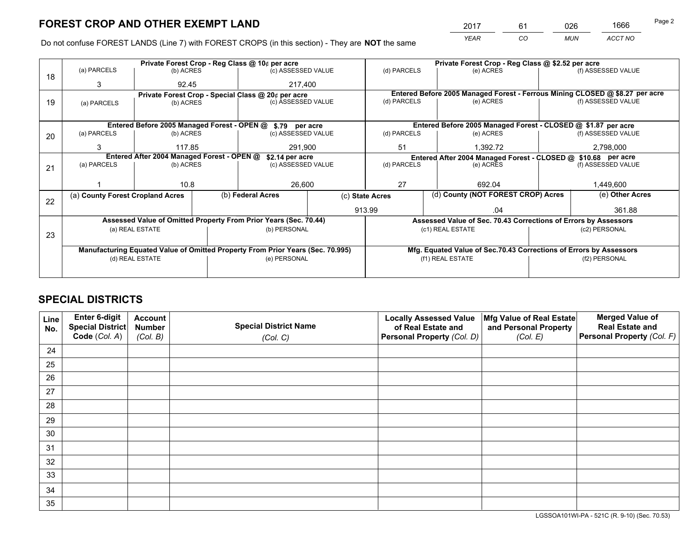*YEAR CO MUN ACCT NO* <sup>2017</sup> <sup>61</sup> <sup>026</sup> <sup>1666</sup>

Do not confuse FOREST LANDS (Line 7) with FOREST CROPS (in this section) - They are **NOT** the same

|    |                                                               |                                                            |  | Private Forest Crop - Reg Class @ 10¢ per acre                                 |                                                               |                                                                              | Private Forest Crop - Reg Class @ \$2.52 per acre               |        |               |                                                                    |  |
|----|---------------------------------------------------------------|------------------------------------------------------------|--|--------------------------------------------------------------------------------|---------------------------------------------------------------|------------------------------------------------------------------------------|-----------------------------------------------------------------|--------|---------------|--------------------------------------------------------------------|--|
| 18 | (a) PARCELS                                                   | (b) ACRES                                                  |  | (c) ASSESSED VALUE                                                             |                                                               | (d) PARCELS                                                                  | (e) ACRES                                                       |        |               | (f) ASSESSED VALUE                                                 |  |
|    | 3                                                             | 92.45                                                      |  | 217,400                                                                        |                                                               |                                                                              |                                                                 |        |               |                                                                    |  |
|    | Private Forest Crop - Special Class @ 20¢ per acre            |                                                            |  |                                                                                |                                                               | Entered Before 2005 Managed Forest - Ferrous Mining CLOSED @ \$8.27 per acre |                                                                 |        |               |                                                                    |  |
| 19 | (b) ACRES<br>(a) PARCELS                                      |                                                            |  | (c) ASSESSED VALUE                                                             |                                                               | (d) PARCELS                                                                  | (e) ACRES                                                       |        |               | (f) ASSESSED VALUE                                                 |  |
|    |                                                               |                                                            |  |                                                                                |                                                               |                                                                              |                                                                 |        |               |                                                                    |  |
|    |                                                               | Entered Before 2005 Managed Forest - OPEN @ \$.79 per acre |  |                                                                                | Entered Before 2005 Managed Forest - CLOSED @ \$1.87 per acre |                                                                              |                                                                 |        |               |                                                                    |  |
| 20 | (a) PARCELS                                                   | (b) ACRES                                                  |  | (c) ASSESSED VALUE                                                             |                                                               | (d) PARCELS                                                                  | (e) ACRES                                                       |        |               | (f) ASSESSED VALUE                                                 |  |
|    | 3                                                             | 117.85                                                     |  | 291,900                                                                        |                                                               | 51<br>1.392.72                                                               |                                                                 |        |               | 2,798,000                                                          |  |
|    | Entered After 2004 Managed Forest - OPEN @<br>\$2.14 per acre |                                                            |  |                                                                                |                                                               |                                                                              | Entered After 2004 Managed Forest - CLOSED @ \$10.68 per acre   |        |               |                                                                    |  |
| 21 | (a) PARCELS                                                   | (b) ACRES                                                  |  |                                                                                | (d) PARCELS<br>(c) ASSESSED VALUE                             |                                                                              | (e) ACRES                                                       |        |               | (f) ASSESSED VALUE                                                 |  |
|    |                                                               |                                                            |  |                                                                                |                                                               |                                                                              |                                                                 |        |               |                                                                    |  |
|    |                                                               | 10.8                                                       |  | 26,600                                                                         |                                                               | 27                                                                           |                                                                 | 692.04 |               | 1,449,600                                                          |  |
| 22 | (a) County Forest Cropland Acres                              |                                                            |  | (b) Federal Acres                                                              | (c) State Acres                                               |                                                                              | (d) County (NOT FOREST CROP) Acres                              |        |               | (e) Other Acres                                                    |  |
|    |                                                               |                                                            |  |                                                                                | 913.99                                                        |                                                                              |                                                                 | .04    |               | 361.88                                                             |  |
|    |                                                               |                                                            |  | Assessed Value of Omitted Property From Prior Years (Sec. 70.44)               |                                                               |                                                                              | Assessed Value of Sec. 70.43 Corrections of Errors by Assessors |        |               |                                                                    |  |
|    |                                                               | (a) REAL ESTATE                                            |  | (b) PERSONAL                                                                   |                                                               |                                                                              | (c1) REAL ESTATE                                                |        |               | (c2) PERSONAL                                                      |  |
| 23 |                                                               |                                                            |  |                                                                                |                                                               |                                                                              |                                                                 |        |               |                                                                    |  |
|    |                                                               |                                                            |  | Manufacturing Equated Value of Omitted Property From Prior Years (Sec. 70.995) |                                                               |                                                                              |                                                                 |        |               | Mfg. Equated Value of Sec.70.43 Corrections of Errors by Assessors |  |
|    | (d) REAL ESTATE                                               |                                                            |  | (e) PERSONAL                                                                   |                                                               | (f1) REAL ESTATE                                                             |                                                                 |        | (f2) PERSONAL |                                                                    |  |
|    |                                                               |                                                            |  |                                                                                |                                                               |                                                                              |                                                                 |        |               |                                                                    |  |
|    |                                                               |                                                            |  |                                                                                |                                                               |                                                                              |                                                                 |        |               |                                                                    |  |

## **SPECIAL DISTRICTS**

| Line<br>No. | Enter 6-digit<br>Special District<br>Code (Col. A) | <b>Account</b><br><b>Number</b> | <b>Special District Name</b> | <b>Locally Assessed Value</b><br>of Real Estate and | Mfg Value of Real Estate<br>and Personal Property | <b>Merged Value of</b><br><b>Real Estate and</b><br>Personal Property (Col. F) |
|-------------|----------------------------------------------------|---------------------------------|------------------------------|-----------------------------------------------------|---------------------------------------------------|--------------------------------------------------------------------------------|
|             |                                                    | (Col. B)                        | (Col. C)                     | Personal Property (Col. D)                          | (Col. E)                                          |                                                                                |
| 24          |                                                    |                                 |                              |                                                     |                                                   |                                                                                |
| 25          |                                                    |                                 |                              |                                                     |                                                   |                                                                                |
| 26          |                                                    |                                 |                              |                                                     |                                                   |                                                                                |
| 27          |                                                    |                                 |                              |                                                     |                                                   |                                                                                |
| 28          |                                                    |                                 |                              |                                                     |                                                   |                                                                                |
| 29          |                                                    |                                 |                              |                                                     |                                                   |                                                                                |
| 30          |                                                    |                                 |                              |                                                     |                                                   |                                                                                |
| 31          |                                                    |                                 |                              |                                                     |                                                   |                                                                                |
| 32          |                                                    |                                 |                              |                                                     |                                                   |                                                                                |
| 33          |                                                    |                                 |                              |                                                     |                                                   |                                                                                |
| 34          |                                                    |                                 |                              |                                                     |                                                   |                                                                                |
| 35          |                                                    |                                 |                              |                                                     |                                                   |                                                                                |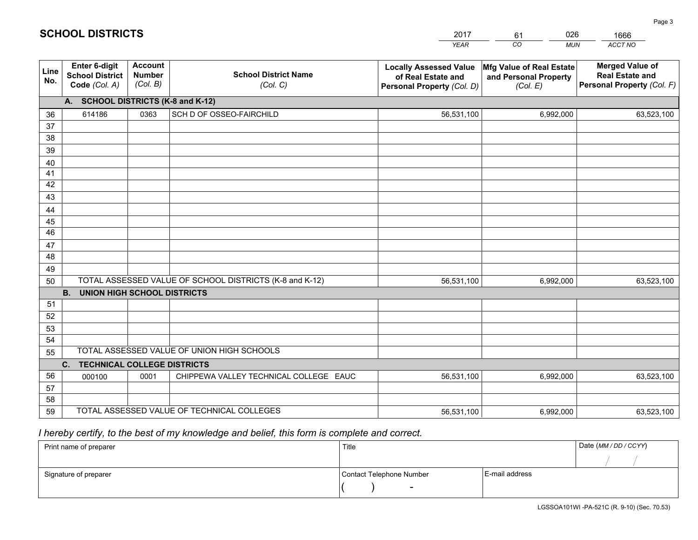|             |                                                                 |                                             |                                                         | <b>YEAR</b>                                                                       | CO<br><b>MUN</b>                                              | <b>ACCT NO</b>                                                                 |
|-------------|-----------------------------------------------------------------|---------------------------------------------|---------------------------------------------------------|-----------------------------------------------------------------------------------|---------------------------------------------------------------|--------------------------------------------------------------------------------|
| Line<br>No. | <b>Enter 6-digit</b><br><b>School District</b><br>Code (Col. A) | <b>Account</b><br><b>Number</b><br>(Col. B) | <b>School District Name</b><br>(Col. C)                 | <b>Locally Assessed Value</b><br>of Real Estate and<br>Personal Property (Col. D) | Mfg Value of Real Estate<br>and Personal Property<br>(Col. E) | <b>Merged Value of</b><br><b>Real Estate and</b><br>Personal Property (Col. F) |
|             | A. SCHOOL DISTRICTS (K-8 and K-12)                              |                                             |                                                         |                                                                                   |                                                               |                                                                                |
| 36          | 614186                                                          | 0363                                        | SCH D OF OSSEO-FAIRCHILD                                | 56,531,100                                                                        | 6,992,000                                                     | 63,523,100                                                                     |
| 37          |                                                                 |                                             |                                                         |                                                                                   |                                                               |                                                                                |
| 38          |                                                                 |                                             |                                                         |                                                                                   |                                                               |                                                                                |
| 39          |                                                                 |                                             |                                                         |                                                                                   |                                                               |                                                                                |
| 40          |                                                                 |                                             |                                                         |                                                                                   |                                                               |                                                                                |
| 41          |                                                                 |                                             |                                                         |                                                                                   |                                                               |                                                                                |
| 42          |                                                                 |                                             |                                                         |                                                                                   |                                                               |                                                                                |
| 43          |                                                                 |                                             |                                                         |                                                                                   |                                                               |                                                                                |
| 44<br>45    |                                                                 |                                             |                                                         |                                                                                   |                                                               |                                                                                |
| 46          |                                                                 |                                             |                                                         |                                                                                   |                                                               |                                                                                |
| 47          |                                                                 |                                             |                                                         |                                                                                   |                                                               |                                                                                |
| 48          |                                                                 |                                             |                                                         |                                                                                   |                                                               |                                                                                |
| 49          |                                                                 |                                             |                                                         |                                                                                   |                                                               |                                                                                |
| 50          |                                                                 |                                             | TOTAL ASSESSED VALUE OF SCHOOL DISTRICTS (K-8 and K-12) | 56,531,100                                                                        | 6,992,000                                                     | 63,523,100                                                                     |
|             | <b>B.</b><br><b>UNION HIGH SCHOOL DISTRICTS</b>                 |                                             |                                                         |                                                                                   |                                                               |                                                                                |
| 51          |                                                                 |                                             |                                                         |                                                                                   |                                                               |                                                                                |
| 52          |                                                                 |                                             |                                                         |                                                                                   |                                                               |                                                                                |
| 53          |                                                                 |                                             |                                                         |                                                                                   |                                                               |                                                                                |
| 54          |                                                                 |                                             |                                                         |                                                                                   |                                                               |                                                                                |
| 55          |                                                                 |                                             | TOTAL ASSESSED VALUE OF UNION HIGH SCHOOLS              |                                                                                   |                                                               |                                                                                |
|             | C.<br><b>TECHNICAL COLLEGE DISTRICTS</b>                        |                                             |                                                         |                                                                                   |                                                               |                                                                                |
| 56          | 000100                                                          | 0001                                        | CHIPPEWA VALLEY TECHNICAL COLLEGE EAUC                  | 56,531,100                                                                        | 6,992,000                                                     | 63,523,100                                                                     |
| 57          |                                                                 |                                             |                                                         |                                                                                   |                                                               |                                                                                |
| 58          |                                                                 |                                             | TOTAL ASSESSED VALUE OF TECHNICAL COLLEGES              |                                                                                   |                                                               |                                                                                |
| 59          |                                                                 |                                             |                                                         | 56,531,100                                                                        | 6,992,000                                                     | 63,523,100                                                                     |

61

026

 *I hereby certify, to the best of my knowledge and belief, this form is complete and correct.*

**SCHOOL DISTRICTS**

| Print name of preparer | Title                    |                | Date (MM / DD / CCYY) |
|------------------------|--------------------------|----------------|-----------------------|
|                        |                          |                |                       |
| Signature of preparer  | Contact Telephone Number | E-mail address |                       |
|                        | $\sim$                   |                |                       |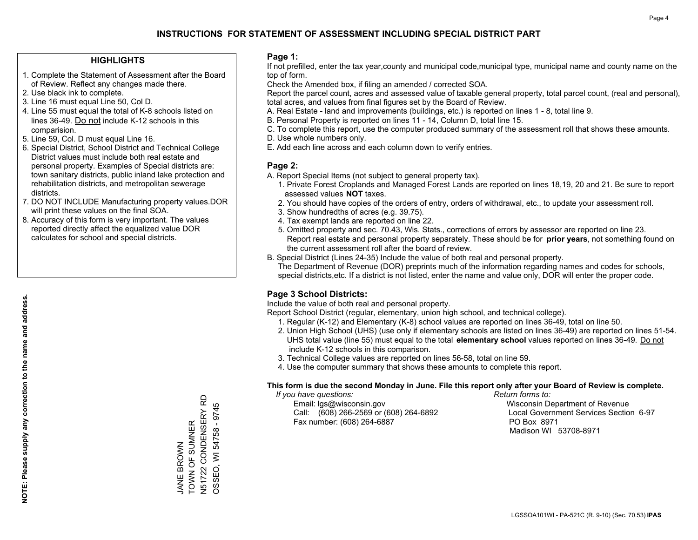#### **HIGHLIGHTS**

- 1. Complete the Statement of Assessment after the Board of Review. Reflect any changes made there.
- 2. Use black ink to complete.
- 3. Line 16 must equal Line 50, Col D.
- 4. Line 55 must equal the total of K-8 schools listed on lines 36-49. Do not include K-12 schools in this comparision.
- 5. Line 59, Col. D must equal Line 16.
- 6. Special District, School District and Technical College District values must include both real estate and personal property. Examples of Special districts are: town sanitary districts, public inland lake protection and rehabilitation districts, and metropolitan sewerage districts.
- 7. DO NOT INCLUDE Manufacturing property values.DOR will print these values on the final SOA.
- 8. Accuracy of this form is very important. The values reported directly affect the equalized value DOR calculates for school and special districts.

#### **Page 1:**

 If not prefilled, enter the tax year,county and municipal code,municipal type, municipal name and county name on the top of form.

Check the Amended box, if filing an amended / corrected SOA.

 Report the parcel count, acres and assessed value of taxable general property, total parcel count, (real and personal), total acres, and values from final figures set by the Board of Review.

- A. Real Estate land and improvements (buildings, etc.) is reported on lines 1 8, total line 9.
- B. Personal Property is reported on lines 11 14, Column D, total line 15.
- C. To complete this report, use the computer produced summary of the assessment roll that shows these amounts.
- D. Use whole numbers only.
- E. Add each line across and each column down to verify entries.

#### **Page 2:**

- A. Report Special Items (not subject to general property tax).
- 1. Private Forest Croplands and Managed Forest Lands are reported on lines 18,19, 20 and 21. Be sure to report assessed values **NOT** taxes.
- 2. You should have copies of the orders of entry, orders of withdrawal, etc., to update your assessment roll.
	- 3. Show hundredths of acres (e.g. 39.75).
- 4. Tax exempt lands are reported on line 22.
- 5. Omitted property and sec. 70.43, Wis. Stats., corrections of errors by assessor are reported on line 23. Report real estate and personal property separately. These should be for **prior years**, not something found on the current assessment roll after the board of review.
- B. Special District (Lines 24-35) Include the value of both real and personal property.

 The Department of Revenue (DOR) preprints much of the information regarding names and codes for schools, special districts,etc. If a district is not listed, enter the name and value only, DOR will enter the proper code.

## **Page 3 School Districts:**

Include the value of both real and personal property.

Report School District (regular, elementary, union high school, and technical college).

- 1. Regular (K-12) and Elementary (K-8) school values are reported on lines 36-49, total on line 50.
- 2. Union High School (UHS) (use only if elementary schools are listed on lines 36-49) are reported on lines 51-54. UHS total value (line 55) must equal to the total **elementary school** values reported on lines 36-49. Do notinclude K-12 schools in this comparison.
- 3. Technical College values are reported on lines 56-58, total on line 59.
- 4. Use the computer summary that shows these amounts to complete this report.

#### **This form is due the second Monday in June. File this report only after your Board of Review is complete.**

 *If you have questions: Return forms to:*

 Email: lgs@wisconsin.gov Wisconsin Department of RevenueCall:  $(608)$  266-2569 or  $(608)$  264-6892 Fax number: (608) 264-6887 PO Box 8971

Local Government Services Section 6-97 Madison WI 53708-8971

JANE BROWN TOWN OF SUMNER N51722 CONDENSERY RD OSSEO, WI 54758 - 9745

TOWN OF SUMNER **JANE BROWN** 

N51722 CONDENSERY RD OSSEO, WI 54758 - 9745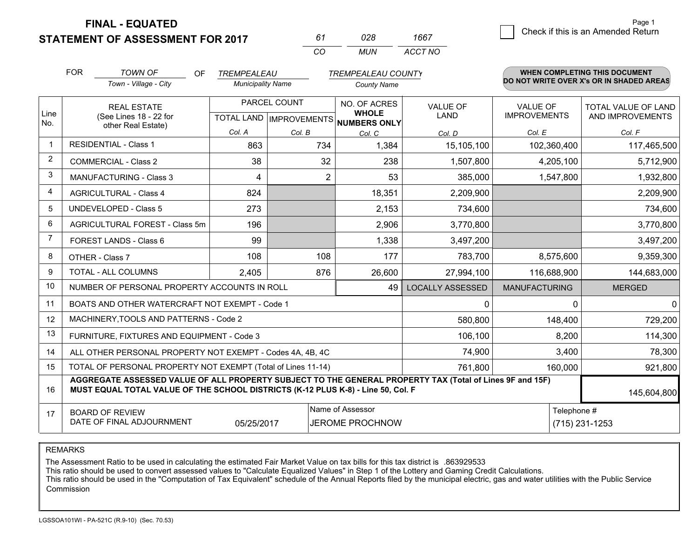**STATEMENT OF ASSESSMENT FOR 2017** 

| 61      | กวล | 1667    |
|---------|-----|---------|
| ( ) ( ) | MUN | ACCT NO |

|                | <b>FOR</b>                                   | <b>TOWN OF</b><br>OF                                                                                                                                                                         | TREMPEALEAU                               |                | <b>TREMPEALEAU COUNTY</b>                  |                                |                                        | <b>WHEN COMPLETING THIS DOCUMENT</b>           |
|----------------|----------------------------------------------|----------------------------------------------------------------------------------------------------------------------------------------------------------------------------------------------|-------------------------------------------|----------------|--------------------------------------------|--------------------------------|----------------------------------------|------------------------------------------------|
|                |                                              | Town - Village - City                                                                                                                                                                        | <b>Municipality Name</b>                  |                | <b>County Name</b>                         |                                |                                        | DO NOT WRITE OVER X's OR IN SHADED AREAS       |
| Line           | <b>REAL ESTATE</b><br>(See Lines 18 - 22 for |                                                                                                                                                                                              | PARCEL COUNT<br>TOTAL LAND   IMPROVEMENTS |                | NO. OF ACRES<br><b>WHOLE</b>               | <b>VALUE OF</b><br><b>LAND</b> | <b>VALUE OF</b><br><b>IMPROVEMENTS</b> | <b>TOTAL VALUE OF LAND</b><br>AND IMPROVEMENTS |
| No.            |                                              | other Real Estate)                                                                                                                                                                           | Col. A                                    | Col. B         | NUMBERS ONLY<br>Col. C                     | Col. D                         | Col. E                                 | Col. F                                         |
| $\overline{1}$ |                                              | <b>RESIDENTIAL - Class 1</b>                                                                                                                                                                 | 863                                       | 734            | 1,384                                      | 15,105,100                     | 102,360,400                            | 117,465,500                                    |
| 2              |                                              | <b>COMMERCIAL - Class 2</b>                                                                                                                                                                  | 38                                        | 32             | 238                                        | 1,507,800                      | 4,205,100                              | 5,712,900                                      |
| 3              |                                              | <b>MANUFACTURING - Class 3</b>                                                                                                                                                               | 4                                         | $\overline{2}$ | 53                                         | 385,000                        | 1,547,800                              | 1,932,800                                      |
| $\overline{4}$ |                                              | <b>AGRICULTURAL - Class 4</b>                                                                                                                                                                | 824                                       |                | 18,351                                     | 2,209,900                      |                                        | 2,209,900                                      |
| 5              |                                              | <b>UNDEVELOPED - Class 5</b>                                                                                                                                                                 | 273                                       |                | 2,153                                      | 734,600                        |                                        | 734,600                                        |
| 6              | AGRICULTURAL FOREST - Class 5m               |                                                                                                                                                                                              | 196                                       |                | 2,906                                      | 3,770,800                      |                                        | 3,770,800                                      |
| 7              |                                              | FOREST LANDS - Class 6                                                                                                                                                                       | 99                                        |                | 1,338                                      | 3,497,200                      |                                        | 3,497,200                                      |
| 8              |                                              | OTHER - Class 7                                                                                                                                                                              | 108                                       | 108            | 177                                        | 783,700                        | 8,575,600                              | 9,359,300                                      |
| 9              |                                              | TOTAL - ALL COLUMNS                                                                                                                                                                          | 2,405                                     | 876            | 26,600                                     | 27,994,100                     | 116,688,900                            | 144,683,000                                    |
| 10             |                                              | NUMBER OF PERSONAL PROPERTY ACCOUNTS IN ROLL                                                                                                                                                 |                                           |                | 49                                         | <b>LOCALLY ASSESSED</b>        | <b>MANUFACTURING</b>                   | <b>MERGED</b>                                  |
| 11             |                                              | BOATS AND OTHER WATERCRAFT NOT EXEMPT - Code 1                                                                                                                                               |                                           |                |                                            | 0                              | $\Omega$                               | $\mathbf{0}$                                   |
| 12             |                                              | MACHINERY, TOOLS AND PATTERNS - Code 2                                                                                                                                                       |                                           |                |                                            | 580,800                        | 148,400                                | 729,200                                        |
| 13             |                                              | FURNITURE, FIXTURES AND EQUIPMENT - Code 3                                                                                                                                                   |                                           |                |                                            | 106,100                        | 8,200                                  | 114,300                                        |
| 14             |                                              | ALL OTHER PERSONAL PROPERTY NOT EXEMPT - Codes 4A, 4B, 4C                                                                                                                                    |                                           |                |                                            | 74,900                         | 3,400                                  | 78,300                                         |
| 15             |                                              | TOTAL OF PERSONAL PROPERTY NOT EXEMPT (Total of Lines 11-14)                                                                                                                                 |                                           |                |                                            | 761,800                        | 160,000                                | 921,800                                        |
| 16             |                                              | AGGREGATE ASSESSED VALUE OF ALL PROPERTY SUBJECT TO THE GENERAL PROPERTY TAX (Total of Lines 9F and 15F)<br>MUST EQUAL TOTAL VALUE OF THE SCHOOL DISTRICTS (K-12 PLUS K-8) - Line 50, Col. F |                                           |                |                                            |                                |                                        | 145,604,800                                    |
| 17             |                                              | <b>BOARD OF REVIEW</b><br>DATE OF FINAL ADJOURNMENT                                                                                                                                          | 05/25/2017                                |                | Name of Assessor<br><b>JEROME PROCHNOW</b> |                                | Telephone #                            | (715) 231-1253                                 |

REMARKS

The Assessment Ratio to be used in calculating the estimated Fair Market Value on tax bills for this tax district is .863929533

This ratio should be used to convert assessed values to "Calculate Equalized Values" in Step 1 of the Lottery and Gaming Credit Calculations.<br>This ratio should be used in the "Computation of Tax Equivalent" schedule of the Commission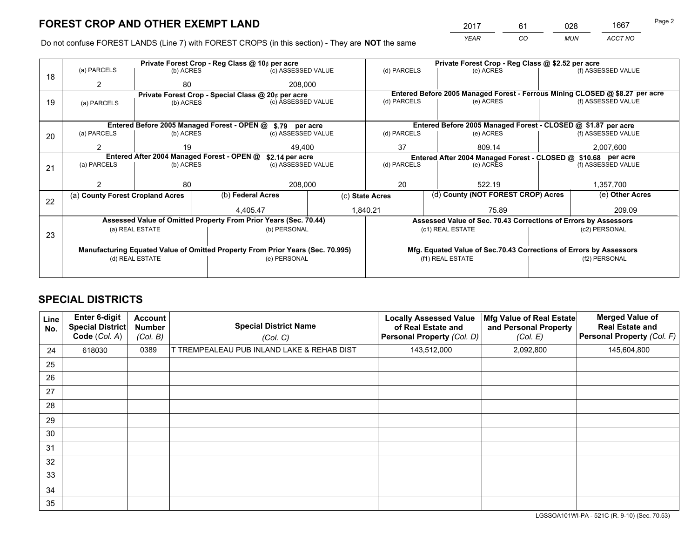*YEAR CO MUN ACCT NO* <sup>2017</sup> <sup>61</sup> <sup>028</sup> <sup>1667</sup>

Do not confuse FOREST LANDS (Line 7) with FOREST CROPS (in this section) - They are **NOT** the same

|    |                                                               |                                             |  | Private Forest Crop - Reg Class @ 10¢ per acre                                 |                 |              | Private Forest Crop - Reg Class @ \$2.52 per acre                            |               |                    |  |
|----|---------------------------------------------------------------|---------------------------------------------|--|--------------------------------------------------------------------------------|-----------------|--------------|------------------------------------------------------------------------------|---------------|--------------------|--|
| 18 | (a) PARCELS                                                   | (b) ACRES                                   |  | (c) ASSESSED VALUE                                                             |                 | (d) PARCELS  | (e) ACRES                                                                    |               | (f) ASSESSED VALUE |  |
|    |                                                               | 80                                          |  | 208,000                                                                        |                 |              |                                                                              |               |                    |  |
|    |                                                               |                                             |  | Private Forest Crop - Special Class @ 20¢ per acre                             |                 |              | Entered Before 2005 Managed Forest - Ferrous Mining CLOSED @ \$8.27 per acre |               |                    |  |
| 19 | (a) PARCELS                                                   | (b) ACRES                                   |  | (c) ASSESSED VALUE                                                             |                 | (d) PARCELS  | (e) ACRES                                                                    |               | (f) ASSESSED VALUE |  |
|    |                                                               |                                             |  |                                                                                |                 |              |                                                                              |               |                    |  |
|    |                                                               | Entered Before 2005 Managed Forest - OPEN @ |  | \$.79 per acre                                                                 |                 |              | Entered Before 2005 Managed Forest - CLOSED @ \$1.87 per acre                |               |                    |  |
| 20 | (a) PARCELS                                                   | (b) ACRES                                   |  | (c) ASSESSED VALUE                                                             |                 | (d) PARCELS  | (e) ACRES                                                                    |               |                    |  |
|    | 2                                                             | 19                                          |  | 49.400                                                                         |                 | 37           | 809.14                                                                       | 2,007,600     |                    |  |
|    | Entered After 2004 Managed Forest - OPEN @<br>\$2.14 per acre |                                             |  |                                                                                |                 |              | Entered After 2004 Managed Forest - CLOSED @ \$10.68 per acre                |               |                    |  |
| 21 | (a) PARCELS                                                   | (b) ACRES                                   |  | (c) ASSESSED VALUE                                                             | (d) PARCELS     |              | (e) ACRES                                                                    |               | (f) ASSESSED VALUE |  |
|    |                                                               |                                             |  |                                                                                |                 |              |                                                                              |               |                    |  |
|    |                                                               | 80                                          |  | 208,000                                                                        |                 | 20<br>522.19 |                                                                              |               | 1,357,700          |  |
| 22 | (a) County Forest Cropland Acres                              |                                             |  | (b) Federal Acres                                                              | (c) State Acres |              | (d) County (NOT FOREST CROP) Acres                                           |               | (e) Other Acres    |  |
|    |                                                               |                                             |  | 4,405.47                                                                       |                 | 1,840.21     | 75.89                                                                        |               | 209.09             |  |
|    |                                                               |                                             |  | Assessed Value of Omitted Property From Prior Years (Sec. 70.44)               |                 |              | Assessed Value of Sec. 70.43 Corrections of Errors by Assessors              |               |                    |  |
|    |                                                               | (a) REAL ESTATE                             |  | (b) PERSONAL                                                                   |                 |              | (c1) REAL ESTATE                                                             |               | (c2) PERSONAL      |  |
| 23 |                                                               |                                             |  |                                                                                |                 |              |                                                                              |               |                    |  |
|    |                                                               |                                             |  | Manufacturing Equated Value of Omitted Property From Prior Years (Sec. 70.995) |                 |              | Mfg. Equated Value of Sec.70.43 Corrections of Errors by Assessors           |               |                    |  |
|    |                                                               | (d) REAL ESTATE                             |  | (e) PERSONAL                                                                   |                 |              | (f1) REAL ESTATE                                                             | (f2) PERSONAL |                    |  |
|    |                                                               |                                             |  |                                                                                |                 |              |                                                                              |               |                    |  |

## **SPECIAL DISTRICTS**

| Line<br>No. | Enter 6-digit<br>Special District<br>Code (Col. A) | <b>Account</b><br><b>Number</b><br>(Col. B) | <b>Special District Name</b><br>(Col. C)   | <b>Locally Assessed Value</b><br>of Real Estate and<br><b>Personal Property (Col. D)</b> | Mfg Value of Real Estate<br>and Personal Property<br>(Col. E) | <b>Merged Value of</b><br><b>Real Estate and</b><br>Personal Property (Col. F) |
|-------------|----------------------------------------------------|---------------------------------------------|--------------------------------------------|------------------------------------------------------------------------------------------|---------------------------------------------------------------|--------------------------------------------------------------------------------|
| 24          | 618030                                             | 0389                                        | T TREMPEALEAU PUB INLAND LAKE & REHAB DIST | 143,512,000                                                                              | 2,092,800                                                     | 145,604,800                                                                    |
| 25          |                                                    |                                             |                                            |                                                                                          |                                                               |                                                                                |
| 26          |                                                    |                                             |                                            |                                                                                          |                                                               |                                                                                |
| 27          |                                                    |                                             |                                            |                                                                                          |                                                               |                                                                                |
| 28          |                                                    |                                             |                                            |                                                                                          |                                                               |                                                                                |
| 29          |                                                    |                                             |                                            |                                                                                          |                                                               |                                                                                |
| 30          |                                                    |                                             |                                            |                                                                                          |                                                               |                                                                                |
| 31          |                                                    |                                             |                                            |                                                                                          |                                                               |                                                                                |
| 32          |                                                    |                                             |                                            |                                                                                          |                                                               |                                                                                |
| 33          |                                                    |                                             |                                            |                                                                                          |                                                               |                                                                                |
| 34          |                                                    |                                             |                                            |                                                                                          |                                                               |                                                                                |
| 35          |                                                    |                                             |                                            |                                                                                          |                                                               |                                                                                |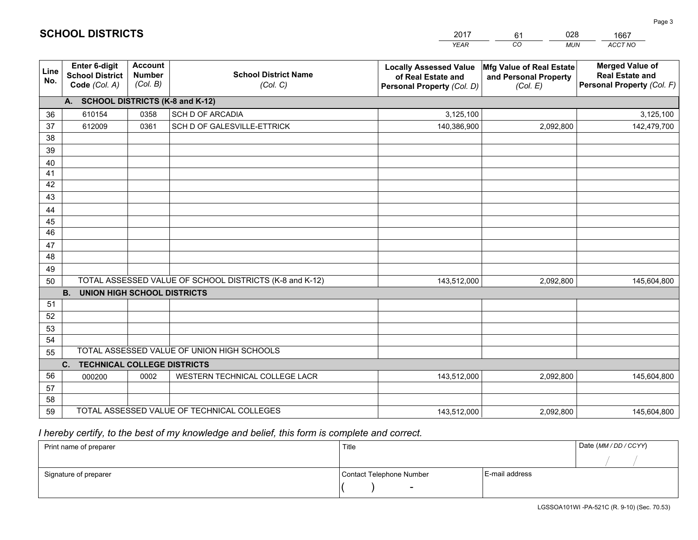|             |                                                                 |                                             |                                                         | <b>YEAR</b>                                                                       | CO.<br><b>MUN</b>                                             | ACCT NO                                                                        |
|-------------|-----------------------------------------------------------------|---------------------------------------------|---------------------------------------------------------|-----------------------------------------------------------------------------------|---------------------------------------------------------------|--------------------------------------------------------------------------------|
| Line<br>No. | <b>Enter 6-digit</b><br><b>School District</b><br>Code (Col. A) | <b>Account</b><br><b>Number</b><br>(Col. B) | <b>School District Name</b><br>(Col. C)                 | <b>Locally Assessed Value</b><br>of Real Estate and<br>Personal Property (Col. D) | Mfg Value of Real Estate<br>and Personal Property<br>(Col. E) | <b>Merged Value of</b><br><b>Real Estate and</b><br>Personal Property (Col. F) |
|             | A. SCHOOL DISTRICTS (K-8 and K-12)                              |                                             |                                                         |                                                                                   |                                                               |                                                                                |
| 36          | 610154                                                          | 0358                                        | SCH D OF ARCADIA                                        | 3,125,100                                                                         |                                                               | 3,125,100                                                                      |
| 37          | 612009                                                          | 0361                                        | SCH D OF GALESVILLE-ETTRICK                             | 140,386,900                                                                       | 2,092,800                                                     | 142,479,700                                                                    |
| 38          |                                                                 |                                             |                                                         |                                                                                   |                                                               |                                                                                |
| 39          |                                                                 |                                             |                                                         |                                                                                   |                                                               |                                                                                |
| 40          |                                                                 |                                             |                                                         |                                                                                   |                                                               |                                                                                |
| 41<br>42    |                                                                 |                                             |                                                         |                                                                                   |                                                               |                                                                                |
| 43          |                                                                 |                                             |                                                         |                                                                                   |                                                               |                                                                                |
| 44          |                                                                 |                                             |                                                         |                                                                                   |                                                               |                                                                                |
| 45          |                                                                 |                                             |                                                         |                                                                                   |                                                               |                                                                                |
| 46          |                                                                 |                                             |                                                         |                                                                                   |                                                               |                                                                                |
| 47          |                                                                 |                                             |                                                         |                                                                                   |                                                               |                                                                                |
| 48          |                                                                 |                                             |                                                         |                                                                                   |                                                               |                                                                                |
| 49          |                                                                 |                                             |                                                         |                                                                                   |                                                               |                                                                                |
| 50          |                                                                 |                                             | TOTAL ASSESSED VALUE OF SCHOOL DISTRICTS (K-8 and K-12) | 143,512,000                                                                       | 2,092,800                                                     | 145,604,800                                                                    |
|             | <b>B.</b><br>UNION HIGH SCHOOL DISTRICTS                        |                                             |                                                         |                                                                                   |                                                               |                                                                                |
| 51          |                                                                 |                                             |                                                         |                                                                                   |                                                               |                                                                                |
| 52          |                                                                 |                                             |                                                         |                                                                                   |                                                               |                                                                                |
| 53          |                                                                 |                                             |                                                         |                                                                                   |                                                               |                                                                                |
| 54          |                                                                 |                                             | TOTAL ASSESSED VALUE OF UNION HIGH SCHOOLS              |                                                                                   |                                                               |                                                                                |
| 55          | C.<br><b>TECHNICAL COLLEGE DISTRICTS</b>                        |                                             |                                                         |                                                                                   |                                                               |                                                                                |
| 56          | 000200                                                          | 0002                                        | WESTERN TECHNICAL COLLEGE LACR                          | 143,512,000                                                                       | 2,092,800                                                     | 145,604,800                                                                    |
| 57          |                                                                 |                                             |                                                         |                                                                                   |                                                               |                                                                                |
| 58          |                                                                 |                                             |                                                         |                                                                                   |                                                               |                                                                                |
| 59          |                                                                 |                                             | TOTAL ASSESSED VALUE OF TECHNICAL COLLEGES              | 143,512,000                                                                       | 2,092,800                                                     | 145,604,800                                                                    |

61

028

 *I hereby certify, to the best of my knowledge and belief, this form is complete and correct.*

**SCHOOL DISTRICTS**

| Print name of preparer | Title                    |                | Date (MM / DD / CCYY) |
|------------------------|--------------------------|----------------|-----------------------|
|                        |                          |                |                       |
| Signature of preparer  | Contact Telephone Number | E-mail address |                       |
|                        | $\sim$                   |                |                       |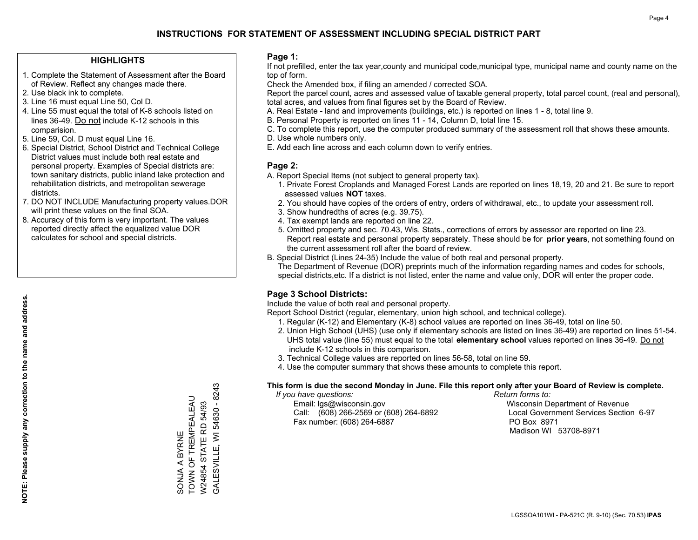#### **HIGHLIGHTS**

- 1. Complete the Statement of Assessment after the Board of Review. Reflect any changes made there.
- 2. Use black ink to complete.
- 3. Line 16 must equal Line 50, Col D.
- 4. Line 55 must equal the total of K-8 schools listed on lines 36-49. Do not include K-12 schools in this comparision.
- 5. Line 59, Col. D must equal Line 16.
- 6. Special District, School District and Technical College District values must include both real estate and personal property. Examples of Special districts are: town sanitary districts, public inland lake protection and rehabilitation districts, and metropolitan sewerage districts.
- 7. DO NOT INCLUDE Manufacturing property values.DOR will print these values on the final SOA.
- 8. Accuracy of this form is very important. The values reported directly affect the equalized value DOR calculates for school and special districts.

#### **Page 1:**

 If not prefilled, enter the tax year,county and municipal code,municipal type, municipal name and county name on the top of form.

Check the Amended box, if filing an amended / corrected SOA.

 Report the parcel count, acres and assessed value of taxable general property, total parcel count, (real and personal), total acres, and values from final figures set by the Board of Review.

- A. Real Estate land and improvements (buildings, etc.) is reported on lines 1 8, total line 9.
- B. Personal Property is reported on lines 11 14, Column D, total line 15.
- C. To complete this report, use the computer produced summary of the assessment roll that shows these amounts.
- D. Use whole numbers only.
- E. Add each line across and each column down to verify entries.

#### **Page 2:**

- A. Report Special Items (not subject to general property tax).
- 1. Private Forest Croplands and Managed Forest Lands are reported on lines 18,19, 20 and 21. Be sure to report assessed values **NOT** taxes.
- 2. You should have copies of the orders of entry, orders of withdrawal, etc., to update your assessment roll.
	- 3. Show hundredths of acres (e.g. 39.75).
- 4. Tax exempt lands are reported on line 22.
- 5. Omitted property and sec. 70.43, Wis. Stats., corrections of errors by assessor are reported on line 23. Report real estate and personal property separately. These should be for **prior years**, not something found on the current assessment roll after the board of review.
- B. Special District (Lines 24-35) Include the value of both real and personal property.

 The Department of Revenue (DOR) preprints much of the information regarding names and codes for schools, special districts,etc. If a district is not listed, enter the name and value only, DOR will enter the proper code.

## **Page 3 School Districts:**

Include the value of both real and personal property.

Report School District (regular, elementary, union high school, and technical college).

- 1. Regular (K-12) and Elementary (K-8) school values are reported on lines 36-49, total on line 50.
- 2. Union High School (UHS) (use only if elementary schools are listed on lines 36-49) are reported on lines 51-54. UHS total value (line 55) must equal to the total **elementary school** values reported on lines 36-49. Do notinclude K-12 schools in this comparison.
- 3. Technical College values are reported on lines 56-58, total on line 59.
- 4. Use the computer summary that shows these amounts to complete this report.

#### **This form is due the second Monday in June. File this report only after your Board of Review is complete.**

 *If you have questions: Return forms to:*

 Email: lgs@wisconsin.gov Wisconsin Department of RevenueCall:  $(608)$  266-2569 or  $(608)$  264-6892 Fax number: (608) 264-6887 PO Box 8971

Local Government Services Section 6-97 Madison WI 53708-8971

3ALESVILLE, WI 54630 - 8243 GALESVILLE, WI 54630 - 8243 TOWN OF TREMPEALEAU SONJA A BYRNE<br>TOWN OF TREMPEALEAU W24854 STATE RD 54/93 W24854 STATE RD 54/93 SONJA A BYRNE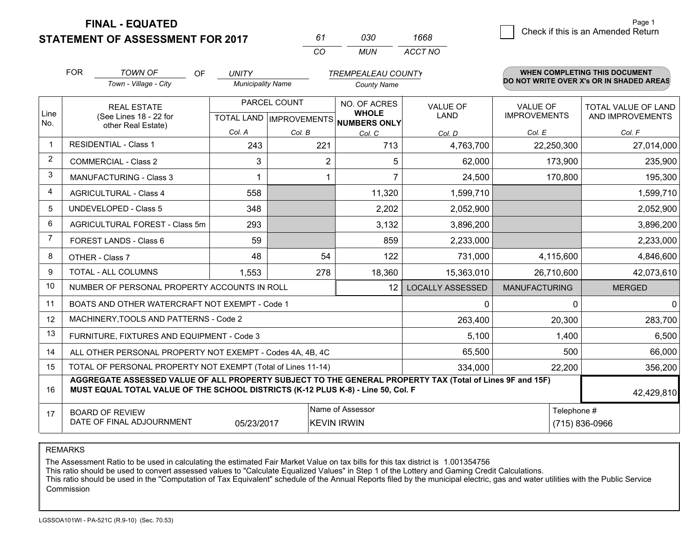**STATEMENT OF ASSESSMENT FOR 2017** 

*CO MUN <sup>61</sup> <sup>030</sup> ACCT NO1668*

|              | <b>FOR</b>                                                                                                                                   | <b>TOWN OF</b><br><b>OF</b>                                                                                                                                                                  | <b>UNITY</b>             |              | <b>TREMPEALEAU COUNTY</b>                |                         |                                        | WHEN COMPLETING THIS DOCUMENT            |
|--------------|----------------------------------------------------------------------------------------------------------------------------------------------|----------------------------------------------------------------------------------------------------------------------------------------------------------------------------------------------|--------------------------|--------------|------------------------------------------|-------------------------|----------------------------------------|------------------------------------------|
|              |                                                                                                                                              | Town - Village - City                                                                                                                                                                        | <b>Municipality Name</b> |              | <b>County Name</b>                       |                         |                                        | DO NOT WRITE OVER X's OR IN SHADED AREAS |
| Line         |                                                                                                                                              | <b>REAL ESTATE</b>                                                                                                                                                                           |                          | PARCEL COUNT | NO. OF ACRES<br><b>WHOLE</b>             | <b>VALUE OF</b><br>LAND | <b>VALUE OF</b><br><b>IMPROVEMENTS</b> | TOTAL VALUE OF LAND                      |
| No.          |                                                                                                                                              | (See Lines 18 - 22 for<br>other Real Estate)                                                                                                                                                 |                          |              | TOTAL LAND   IMPROVEMENTS   NUMBERS ONLY |                         |                                        | AND IMPROVEMENTS                         |
|              |                                                                                                                                              |                                                                                                                                                                                              | Col. A                   | Col. B       | Col. C                                   | Col. D                  | Col. E                                 | Col. F                                   |
| $\mathbf{1}$ |                                                                                                                                              | <b>RESIDENTIAL - Class 1</b>                                                                                                                                                                 | 243                      | 221          | 713                                      | 4,763,700               | 22,250,300                             | 27,014,000                               |
| 2            |                                                                                                                                              | <b>COMMERCIAL - Class 2</b>                                                                                                                                                                  | 3                        | 2            | 5                                        | 62,000                  | 173,900                                | 235,900                                  |
| 3            |                                                                                                                                              | <b>MANUFACTURING - Class 3</b>                                                                                                                                                               |                          |              |                                          | 24,500                  | 170,800                                | 195,300                                  |
| 4            |                                                                                                                                              | <b>AGRICULTURAL - Class 4</b>                                                                                                                                                                | 558                      |              | 11,320                                   | 1,599,710               |                                        | 1,599,710                                |
| 5            |                                                                                                                                              | <b>UNDEVELOPED - Class 5</b>                                                                                                                                                                 | 348                      |              | 2,202                                    | 2,052,900               |                                        | 2,052,900                                |
| 6            |                                                                                                                                              | AGRICULTURAL FOREST - Class 5m                                                                                                                                                               | 293                      |              | 3,132                                    | 3,896,200               |                                        | 3,896,200                                |
| 7            |                                                                                                                                              | FOREST LANDS - Class 6                                                                                                                                                                       | 59                       |              | 859                                      | 2,233,000               |                                        | 2,233,000                                |
| 8            |                                                                                                                                              | OTHER - Class 7                                                                                                                                                                              | 48                       | 54           | 122                                      | 731,000                 | 4,115,600                              | 4,846,600                                |
| 9            |                                                                                                                                              | TOTAL - ALL COLUMNS                                                                                                                                                                          | 1,553                    | 278          | 18,360                                   | 15,363,010              | 26,710,600                             | 42,073,610                               |
| 10           |                                                                                                                                              | NUMBER OF PERSONAL PROPERTY ACCOUNTS IN ROLL                                                                                                                                                 |                          |              | $12 \overline{ }$                        | <b>LOCALLY ASSESSED</b> | <b>MANUFACTURING</b>                   | <b>MERGED</b>                            |
| 11           |                                                                                                                                              | BOATS AND OTHER WATERCRAFT NOT EXEMPT - Code 1                                                                                                                                               |                          |              |                                          | 0                       | $\Omega$                               | $\Omega$                                 |
| 12           |                                                                                                                                              | MACHINERY, TOOLS AND PATTERNS - Code 2                                                                                                                                                       |                          |              |                                          | 263,400                 | 20,300                                 | 283,700                                  |
| 13           |                                                                                                                                              | FURNITURE, FIXTURES AND EQUIPMENT - Code 3                                                                                                                                                   |                          |              |                                          | 5,100                   | 1,400                                  | 6,500                                    |
| 14           |                                                                                                                                              | ALL OTHER PERSONAL PROPERTY NOT EXEMPT - Codes 4A, 4B, 4C                                                                                                                                    |                          |              |                                          | 65,500                  | 500                                    | 66,000                                   |
| 15           |                                                                                                                                              | TOTAL OF PERSONAL PROPERTY NOT EXEMPT (Total of Lines 11-14)                                                                                                                                 |                          |              |                                          | 334,000                 | 22,200                                 | 356,200                                  |
| 16           |                                                                                                                                              | AGGREGATE ASSESSED VALUE OF ALL PROPERTY SUBJECT TO THE GENERAL PROPERTY TAX (Total of Lines 9F and 15F)<br>MUST EQUAL TOTAL VALUE OF THE SCHOOL DISTRICTS (K-12 PLUS K-8) - Line 50, Col. F |                          |              |                                          |                         |                                        | 42,429,810                               |
| 17           | Name of Assessor<br>Telephone #<br><b>BOARD OF REVIEW</b><br>DATE OF FINAL ADJOURNMENT<br>(715) 836-0966<br>05/23/2017<br><b>KEVIN IRWIN</b> |                                                                                                                                                                                              |                          |              |                                          |                         |                                        |                                          |

REMARKS

The Assessment Ratio to be used in calculating the estimated Fair Market Value on tax bills for this tax district is 1.001354756<br>This ratio should be used to convert assessed values to "Calculate Equalized Values" in Step Commission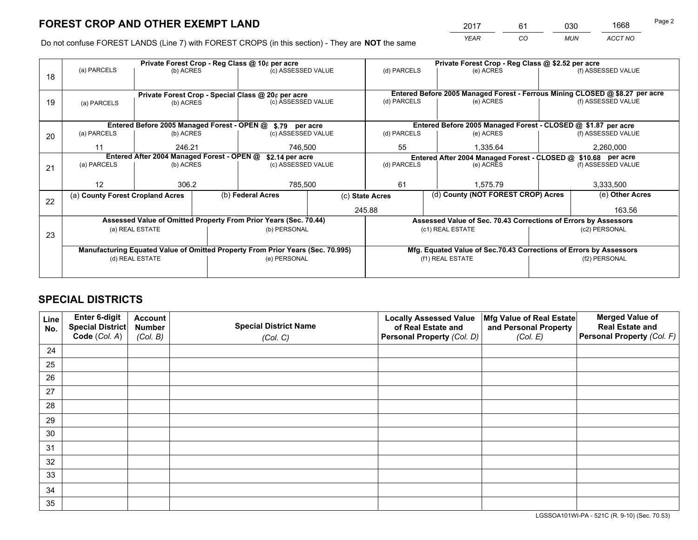*YEAR CO MUN ACCT NO* <sup>2017</sup> <sup>61</sup> <sup>030</sup> <sup>1668</sup>

Do not confuse FOREST LANDS (Line 7) with FOREST CROPS (in this section) - They are **NOT** the same

|    |                                            |                 |  | Private Forest Crop - Reg Class @ 10¢ per acre                                 |                    |                                                                              | Private Forest Crop - Reg Class @ \$2.52 per acre               |               |                    |
|----|--------------------------------------------|-----------------|--|--------------------------------------------------------------------------------|--------------------|------------------------------------------------------------------------------|-----------------------------------------------------------------|---------------|--------------------|
| 18 | (a) PARCELS                                | (b) ACRES       |  | (c) ASSESSED VALUE                                                             |                    | (d) PARCELS                                                                  | (e) ACRES                                                       |               | (f) ASSESSED VALUE |
|    |                                            |                 |  |                                                                                |                    |                                                                              |                                                                 |               |                    |
|    |                                            |                 |  | Private Forest Crop - Special Class @ 20¢ per acre                             |                    | Entered Before 2005 Managed Forest - Ferrous Mining CLOSED @ \$8.27 per acre |                                                                 |               |                    |
| 19 | (a) PARCELS                                | (b) ACRES       |  | (c) ASSESSED VALUE                                                             |                    | (d) PARCELS                                                                  | (e) ACRES                                                       |               | (f) ASSESSED VALUE |
|    |                                            |                 |  |                                                                                |                    |                                                                              |                                                                 |               |                    |
|    |                                            |                 |  | Entered Before 2005 Managed Forest - OPEN @ \$.79 per acre                     |                    |                                                                              | Entered Before 2005 Managed Forest - CLOSED @ \$1.87 per acre   |               |                    |
| 20 | (a) PARCELS                                | (b) ACRES       |  | (c) ASSESSED VALUE                                                             |                    | (d) PARCELS                                                                  | (e) ACRES                                                       |               |                    |
|    | 11                                         | 246.21          |  | 746,500                                                                        |                    | 55<br>1,335.64                                                               |                                                                 |               | 2,260,000          |
|    | Entered After 2004 Managed Forest - OPEN @ |                 |  |                                                                                | \$2.14 per acre    |                                                                              | Entered After 2004 Managed Forest - CLOSED @ \$10.68 per acre   |               |                    |
| 21 | (a) PARCELS                                | (b) ACRES       |  |                                                                                | (c) ASSESSED VALUE |                                                                              | (d) PARCELS<br>(e) ACRES                                        |               | (f) ASSESSED VALUE |
|    |                                            |                 |  |                                                                                |                    |                                                                              |                                                                 |               | 3,333,500          |
|    | 12                                         | 306.2           |  | 785,500                                                                        |                    | 61                                                                           | 1.575.79                                                        |               |                    |
| 22 | (a) County Forest Cropland Acres           |                 |  | (b) Federal Acres                                                              |                    | (d) County (NOT FOREST CROP) Acres<br>(c) State Acres                        |                                                                 |               | (e) Other Acres    |
|    |                                            |                 |  |                                                                                | 245.88             |                                                                              |                                                                 |               | 163.56             |
|    |                                            |                 |  | Assessed Value of Omitted Property From Prior Years (Sec. 70.44)               |                    |                                                                              | Assessed Value of Sec. 70.43 Corrections of Errors by Assessors |               |                    |
| 23 |                                            | (a) REAL ESTATE |  | (b) PERSONAL                                                                   |                    |                                                                              | (c1) REAL ESTATE                                                |               | (c2) PERSONAL      |
|    |                                            |                 |  |                                                                                |                    |                                                                              |                                                                 |               |                    |
|    |                                            |                 |  | Manufacturing Equated Value of Omitted Property From Prior Years (Sec. 70.995) |                    | Mfg. Equated Value of Sec.70.43 Corrections of Errors by Assessors           |                                                                 |               |                    |
|    | (d) REAL ESTATE                            |                 |  | (e) PERSONAL                                                                   |                    | (f1) REAL ESTATE                                                             |                                                                 | (f2) PERSONAL |                    |
|    |                                            |                 |  |                                                                                |                    |                                                                              |                                                                 |               |                    |

## **SPECIAL DISTRICTS**

| Line<br>No. | Enter 6-digit<br><b>Special District</b> | <b>Account</b><br><b>Number</b> | <b>Special District Name</b> | <b>Locally Assessed Value</b><br>of Real Estate and | Mfg Value of Real Estate<br>and Personal Property | <b>Merged Value of</b><br><b>Real Estate and</b> |
|-------------|------------------------------------------|---------------------------------|------------------------------|-----------------------------------------------------|---------------------------------------------------|--------------------------------------------------|
|             | Code (Col. A)                            | (Col. B)                        | (Col. C)                     | Personal Property (Col. D)                          | (Col. E)                                          | Personal Property (Col. F)                       |
| 24          |                                          |                                 |                              |                                                     |                                                   |                                                  |
| 25          |                                          |                                 |                              |                                                     |                                                   |                                                  |
| 26          |                                          |                                 |                              |                                                     |                                                   |                                                  |
| 27          |                                          |                                 |                              |                                                     |                                                   |                                                  |
| 28          |                                          |                                 |                              |                                                     |                                                   |                                                  |
| 29          |                                          |                                 |                              |                                                     |                                                   |                                                  |
| 30          |                                          |                                 |                              |                                                     |                                                   |                                                  |
| 31          |                                          |                                 |                              |                                                     |                                                   |                                                  |
| 32          |                                          |                                 |                              |                                                     |                                                   |                                                  |
| 33          |                                          |                                 |                              |                                                     |                                                   |                                                  |
| 34          |                                          |                                 |                              |                                                     |                                                   |                                                  |
| 35          |                                          |                                 |                              |                                                     |                                                   |                                                  |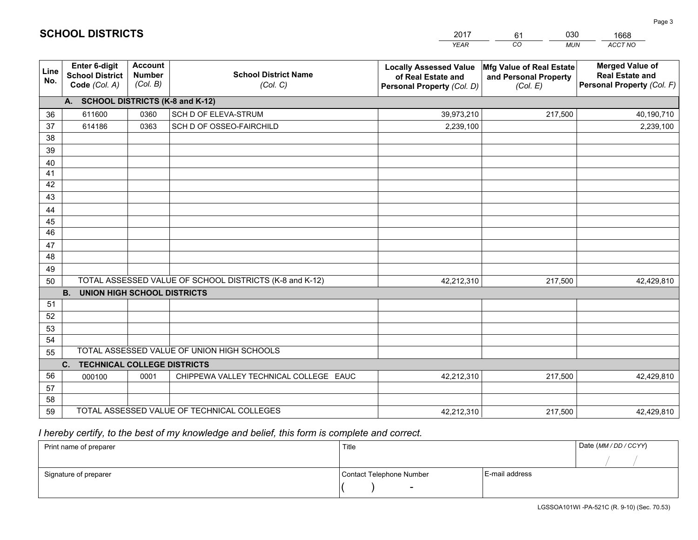|             |                                                                 |                                             |                                                         | <b>YEAR</b>                                                                       | CO<br><b>MUN</b>                                              | ACCT NO                                                                        |
|-------------|-----------------------------------------------------------------|---------------------------------------------|---------------------------------------------------------|-----------------------------------------------------------------------------------|---------------------------------------------------------------|--------------------------------------------------------------------------------|
| Line<br>No. | <b>Enter 6-digit</b><br><b>School District</b><br>Code (Col. A) | <b>Account</b><br><b>Number</b><br>(Col. B) | <b>School District Name</b><br>(Col. C)                 | <b>Locally Assessed Value</b><br>of Real Estate and<br>Personal Property (Col. D) | Mfg Value of Real Estate<br>and Personal Property<br>(Col. E) | <b>Merged Value of</b><br><b>Real Estate and</b><br>Personal Property (Col. F) |
|             | A. SCHOOL DISTRICTS (K-8 and K-12)                              |                                             |                                                         |                                                                                   |                                                               |                                                                                |
| 36          | 611600                                                          | 0360                                        | SCH D OF ELEVA-STRUM                                    | 39,973,210                                                                        | 217,500                                                       | 40,190,710                                                                     |
| 37          | 614186                                                          | 0363                                        | SCH D OF OSSEO-FAIRCHILD                                | 2,239,100                                                                         |                                                               | 2,239,100                                                                      |
| 38          |                                                                 |                                             |                                                         |                                                                                   |                                                               |                                                                                |
| 39          |                                                                 |                                             |                                                         |                                                                                   |                                                               |                                                                                |
| 40          |                                                                 |                                             |                                                         |                                                                                   |                                                               |                                                                                |
| 41          |                                                                 |                                             |                                                         |                                                                                   |                                                               |                                                                                |
| 42          |                                                                 |                                             |                                                         |                                                                                   |                                                               |                                                                                |
| 43          |                                                                 |                                             |                                                         |                                                                                   |                                                               |                                                                                |
| 44          |                                                                 |                                             |                                                         |                                                                                   |                                                               |                                                                                |
| 45<br>46    |                                                                 |                                             |                                                         |                                                                                   |                                                               |                                                                                |
|             |                                                                 |                                             |                                                         |                                                                                   |                                                               |                                                                                |
| 47<br>48    |                                                                 |                                             |                                                         |                                                                                   |                                                               |                                                                                |
| 49          |                                                                 |                                             |                                                         |                                                                                   |                                                               |                                                                                |
| 50          |                                                                 |                                             | TOTAL ASSESSED VALUE OF SCHOOL DISTRICTS (K-8 and K-12) | 42,212,310                                                                        | 217,500                                                       | 42,429,810                                                                     |
|             | <b>B.</b><br><b>UNION HIGH SCHOOL DISTRICTS</b>                 |                                             |                                                         |                                                                                   |                                                               |                                                                                |
| 51          |                                                                 |                                             |                                                         |                                                                                   |                                                               |                                                                                |
| 52          |                                                                 |                                             |                                                         |                                                                                   |                                                               |                                                                                |
| 53          |                                                                 |                                             |                                                         |                                                                                   |                                                               |                                                                                |
| 54          |                                                                 |                                             |                                                         |                                                                                   |                                                               |                                                                                |
| 55          |                                                                 |                                             | TOTAL ASSESSED VALUE OF UNION HIGH SCHOOLS              |                                                                                   |                                                               |                                                                                |
|             | C.<br><b>TECHNICAL COLLEGE DISTRICTS</b>                        |                                             |                                                         |                                                                                   |                                                               |                                                                                |
| 56          | 000100                                                          | 0001                                        | CHIPPEWA VALLEY TECHNICAL COLLEGE EAUC                  | 42,212,310                                                                        | 217,500                                                       | 42,429,810                                                                     |
| 57          |                                                                 |                                             |                                                         |                                                                                   |                                                               |                                                                                |
| 58          |                                                                 |                                             |                                                         |                                                                                   |                                                               |                                                                                |
| 59          |                                                                 |                                             | TOTAL ASSESSED VALUE OF TECHNICAL COLLEGES              | 42,212,310                                                                        | 217,500                                                       | 42,429,810                                                                     |

61

030

 *I hereby certify, to the best of my knowledge and belief, this form is complete and correct.*

**SCHOOL DISTRICTS**

| Print name of preparer | Title                    | Date (MM / DD / CCYY) |  |
|------------------------|--------------------------|-----------------------|--|
|                        |                          |                       |  |
| Signature of preparer  | Contact Telephone Number | E-mail address        |  |
|                        | $\overline{\phantom{0}}$ |                       |  |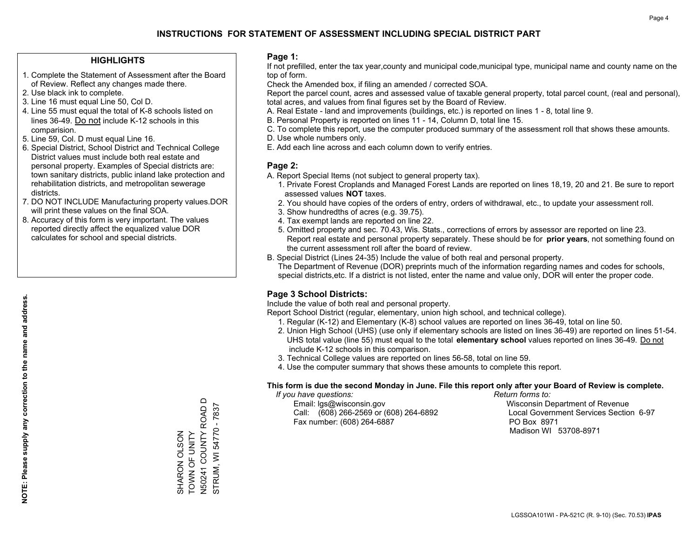#### **HIGHLIGHTS**

- 1. Complete the Statement of Assessment after the Board of Review. Reflect any changes made there.
- 2. Use black ink to complete.
- 3. Line 16 must equal Line 50, Col D.
- 4. Line 55 must equal the total of K-8 schools listed on lines 36-49. Do not include K-12 schools in this comparision.
- 5. Line 59, Col. D must equal Line 16.
- 6. Special District, School District and Technical College District values must include both real estate and personal property. Examples of Special districts are: town sanitary districts, public inland lake protection and rehabilitation districts, and metropolitan sewerage districts.
- 7. DO NOT INCLUDE Manufacturing property values.DOR will print these values on the final SOA.
- 8. Accuracy of this form is very important. The values reported directly affect the equalized value DOR calculates for school and special districts.

#### **Page 1:**

 If not prefilled, enter the tax year,county and municipal code,municipal type, municipal name and county name on the top of form.

Check the Amended box, if filing an amended / corrected SOA.

 Report the parcel count, acres and assessed value of taxable general property, total parcel count, (real and personal), total acres, and values from final figures set by the Board of Review.

- A. Real Estate land and improvements (buildings, etc.) is reported on lines 1 8, total line 9.
- B. Personal Property is reported on lines 11 14, Column D, total line 15.
- C. To complete this report, use the computer produced summary of the assessment roll that shows these amounts.
- D. Use whole numbers only.
- E. Add each line across and each column down to verify entries.

### **Page 2:**

- A. Report Special Items (not subject to general property tax).
- 1. Private Forest Croplands and Managed Forest Lands are reported on lines 18,19, 20 and 21. Be sure to report assessed values **NOT** taxes.
- 2. You should have copies of the orders of entry, orders of withdrawal, etc., to update your assessment roll.
	- 3. Show hundredths of acres (e.g. 39.75).
- 4. Tax exempt lands are reported on line 22.
- 5. Omitted property and sec. 70.43, Wis. Stats., corrections of errors by assessor are reported on line 23. Report real estate and personal property separately. These should be for **prior years**, not something found on the current assessment roll after the board of review.
- B. Special District (Lines 24-35) Include the value of both real and personal property.

 The Department of Revenue (DOR) preprints much of the information regarding names and codes for schools, special districts,etc. If a district is not listed, enter the name and value only, DOR will enter the proper code.

## **Page 3 School Districts:**

Include the value of both real and personal property.

Report School District (regular, elementary, union high school, and technical college).

- 1. Regular (K-12) and Elementary (K-8) school values are reported on lines 36-49, total on line 50.
- 2. Union High School (UHS) (use only if elementary schools are listed on lines 36-49) are reported on lines 51-54. UHS total value (line 55) must equal to the total **elementary school** values reported on lines 36-49. Do notinclude K-12 schools in this comparison.
- 3. Technical College values are reported on lines 56-58, total on line 59.
- 4. Use the computer summary that shows these amounts to complete this report.

#### **This form is due the second Monday in June. File this report only after your Board of Review is complete.**

 *If you have questions: Return forms to:*

 Email: lgs@wisconsin.gov Wisconsin Department of RevenueCall:  $(608)$  266-2569 or  $(608)$  264-6892 Fax number: (608) 264-6887 PO Box 8971

Local Government Services Section 6-97 Madison WI 53708-8971

N50241 COUNTY ROAD D<br>STRUM, WI 54770 - 7837 N50241 COUNTY ROAD D STRUM, WI 54770 - 7837 SHARON OLSON<br>TOWN OF UNITY TOWN OF UNITY SHARON OLSON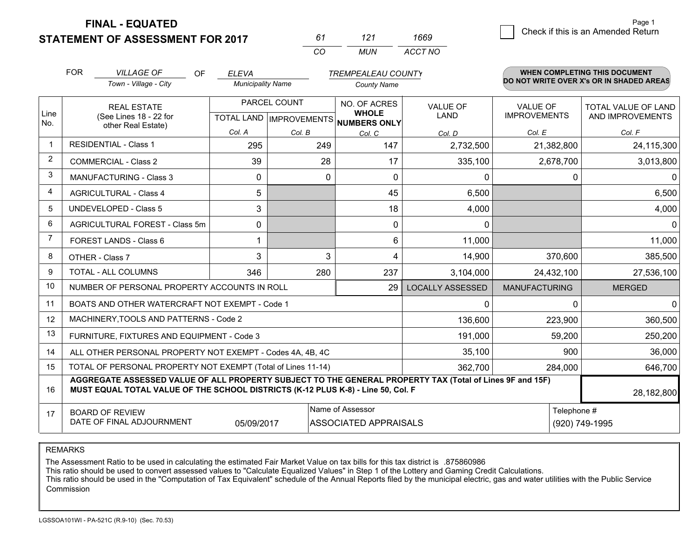**STATEMENT OF ASSESSMENT FOR 2017** 

| 61       | 121  | 1669    |
|----------|------|---------|
| $\cdots$ | MUN. | ACCT NO |

|                | <b>FOR</b> | <b>VILLAGE OF</b><br>OF                                                                                                                                                                      | <b>ELEVA</b>             |               | <b>TREMPEALEAU COUNTY</b>                |                                |                                        | <b>WHEN COMPLETING THIS DOCUMENT</b>     |
|----------------|------------|----------------------------------------------------------------------------------------------------------------------------------------------------------------------------------------------|--------------------------|---------------|------------------------------------------|--------------------------------|----------------------------------------|------------------------------------------|
|                |            | Town - Village - City                                                                                                                                                                        | <b>Municipality Name</b> |               | <b>County Name</b>                       |                                |                                        | DO NOT WRITE OVER X's OR IN SHADED AREAS |
| Line           |            | <b>REAL ESTATE</b><br>(See Lines 18 - 22 for                                                                                                                                                 |                          | PARCEL COUNT  | NO. OF ACRES<br><b>WHOLE</b>             | <b>VALUE OF</b><br><b>LAND</b> | <b>VALUE OF</b><br><b>IMPROVEMENTS</b> | TOTAL VALUE OF LAND<br>AND IMPROVEMENTS  |
| No.            |            | other Real Estate)                                                                                                                                                                           | Col. A                   |               | TOTAL LAND   IMPROVEMENTS   NUMBERS ONLY |                                |                                        |                                          |
| $\mathbf 1$    |            | <b>RESIDENTIAL - Class 1</b>                                                                                                                                                                 | 295                      | Col. B<br>249 | Col. C<br>147                            | Col. D<br>2,732,500            | Col. E<br>21,382,800                   | Col. F<br>24,115,300                     |
| 2              |            |                                                                                                                                                                                              |                          |               |                                          |                                |                                        |                                          |
|                |            | <b>COMMERCIAL - Class 2</b>                                                                                                                                                                  | 39                       | 28            | 17                                       | 335,100                        | 2,678,700                              | 3,013,800                                |
| 3              |            | <b>MANUFACTURING - Class 3</b>                                                                                                                                                               | $\mathbf{0}$             | 0             | $\mathbf{0}$                             | 0                              | $\Omega$                               | 0                                        |
| $\overline{4}$ |            | <b>AGRICULTURAL - Class 4</b>                                                                                                                                                                | 5                        |               | 45                                       | 6,500                          |                                        | 6,500                                    |
| 5              |            | <b>UNDEVELOPED - Class 5</b>                                                                                                                                                                 | 3                        |               | 18                                       | 4,000                          |                                        | 4,000                                    |
| 6              |            | AGRICULTURAL FOREST - Class 5m                                                                                                                                                               | $\Omega$                 |               | $\mathbf{0}$                             | 0                              |                                        | $\mathbf{0}$                             |
| 7              |            | FOREST LANDS - Class 6                                                                                                                                                                       |                          |               | 6                                        | 11,000                         |                                        | 11,000                                   |
| 8              |            | OTHER - Class 7                                                                                                                                                                              | 3                        | 3             | $\boldsymbol{\Delta}$                    | 14,900                         | 370,600                                | 385,500                                  |
| 9              |            | TOTAL - ALL COLUMNS                                                                                                                                                                          | 346                      | 280           | 237                                      | 3,104,000                      | 24,432,100                             | 27,536,100                               |
| 10             |            | NUMBER OF PERSONAL PROPERTY ACCOUNTS IN ROLL                                                                                                                                                 |                          |               | 29                                       | <b>LOCALLY ASSESSED</b>        | <b>MANUFACTURING</b>                   | <b>MERGED</b>                            |
| 11             |            | BOATS AND OTHER WATERCRAFT NOT EXEMPT - Code 1                                                                                                                                               |                          |               |                                          | $\mathbf{0}$                   | $\mathbf 0$                            | $\mathbf 0$                              |
| 12             |            | MACHINERY, TOOLS AND PATTERNS - Code 2                                                                                                                                                       |                          |               |                                          | 136,600                        | 223,900                                | 360,500                                  |
| 13             |            | FURNITURE, FIXTURES AND EQUIPMENT - Code 3                                                                                                                                                   |                          |               |                                          | 191,000                        | 59,200                                 | 250,200                                  |
| 14             |            | ALL OTHER PERSONAL PROPERTY NOT EXEMPT - Codes 4A, 4B, 4C                                                                                                                                    |                          |               |                                          | 35,100                         | 900                                    | 36,000                                   |
| 15             |            | TOTAL OF PERSONAL PROPERTY NOT EXEMPT (Total of Lines 11-14)                                                                                                                                 |                          |               |                                          | 362,700                        | 284,000                                | 646,700                                  |
| 16             |            | AGGREGATE ASSESSED VALUE OF ALL PROPERTY SUBJECT TO THE GENERAL PROPERTY TAX (Total of Lines 9F and 15F)<br>MUST EQUAL TOTAL VALUE OF THE SCHOOL DISTRICTS (K-12 PLUS K-8) - Line 50, Col. F |                          |               |                                          |                                |                                        | 28,182,800                               |
| 17             |            | <b>BOARD OF REVIEW</b>                                                                                                                                                                       |                          |               | Name of Assessor                         |                                | Telephone #                            |                                          |
|                |            | DATE OF FINAL ADJOURNMENT                                                                                                                                                                    | 05/09/2017               |               | <b>ASSOCIATED APPRAISALS</b>             |                                |                                        | (920) 749-1995                           |

REMARKS

The Assessment Ratio to be used in calculating the estimated Fair Market Value on tax bills for this tax district is .875860986

This ratio should be used to convert assessed values to "Calculate Equalized Values" in Step 1 of the Lottery and Gaming Credit Calculations.<br>This ratio should be used in the "Computation of Tax Equivalent" schedule of the Commission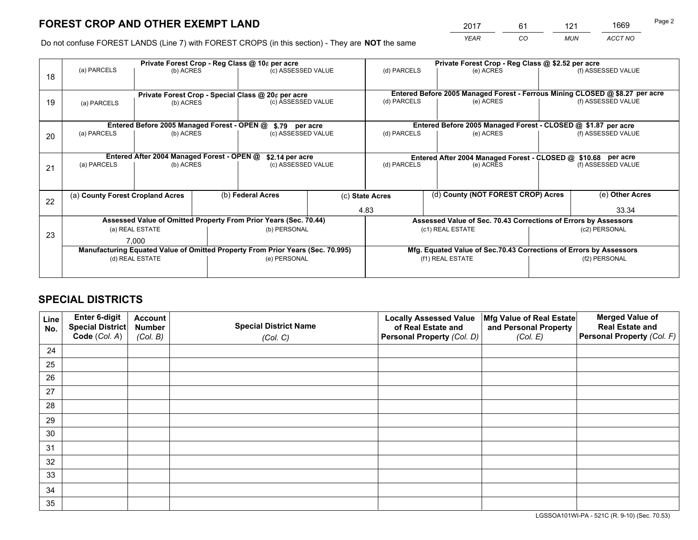*YEAR CO MUN ACCT NO* <sup>2017</sup> <sup>61</sup> <sup>121</sup> <sup>1669</sup>

Do not confuse FOREST LANDS (Line 7) with FOREST CROPS (in this section) - They are **NOT** the same

|    |                                                                                |                                             |  | Private Forest Crop - Reg Class @ 10¢ per acre                   |  |                                                                              | Private Forest Crop - Reg Class @ \$2.52 per acre               |               |                    |
|----|--------------------------------------------------------------------------------|---------------------------------------------|--|------------------------------------------------------------------|--|------------------------------------------------------------------------------|-----------------------------------------------------------------|---------------|--------------------|
| 18 | (a) PARCELS                                                                    | (b) ACRES                                   |  | (c) ASSESSED VALUE                                               |  | (d) PARCELS                                                                  | (e) ACRES                                                       |               | (f) ASSESSED VALUE |
|    |                                                                                |                                             |  |                                                                  |  |                                                                              |                                                                 |               |                    |
|    |                                                                                |                                             |  | Private Forest Crop - Special Class @ 20¢ per acre               |  | Entered Before 2005 Managed Forest - Ferrous Mining CLOSED @ \$8.27 per acre |                                                                 |               |                    |
| 19 | (b) ACRES<br>(a) PARCELS                                                       |                                             |  | (c) ASSESSED VALUE                                               |  | (d) PARCELS                                                                  | (e) ACRES                                                       |               | (f) ASSESSED VALUE |
|    |                                                                                |                                             |  |                                                                  |  |                                                                              |                                                                 |               |                    |
|    |                                                                                | Entered Before 2005 Managed Forest - OPEN @ |  | \$.79 per acre                                                   |  |                                                                              | Entered Before 2005 Managed Forest - CLOSED @ \$1.87 per acre   |               |                    |
| 20 | (a) PARCELS                                                                    | (b) ACRES                                   |  | (c) ASSESSED VALUE                                               |  | (d) PARCELS                                                                  | (e) ACRES                                                       |               | (f) ASSESSED VALUE |
|    |                                                                                |                                             |  |                                                                  |  |                                                                              |                                                                 |               |                    |
|    | Entered After 2004 Managed Forest - OPEN @<br>\$2.14 per acre                  |                                             |  |                                                                  |  |                                                                              | Entered After 2004 Managed Forest - CLOSED @ \$10.68 per acre   |               |                    |
| 21 | (a) PARCELS<br>(b) ACRES                                                       |                                             |  | (c) ASSESSED VALUE                                               |  | (d) PARCELS                                                                  | (e) ACRES                                                       |               | (f) ASSESSED VALUE |
|    |                                                                                |                                             |  |                                                                  |  |                                                                              |                                                                 |               |                    |
|    | (a) County Forest Cropland Acres                                               |                                             |  | (b) Federal Acres                                                |  | (d) County (NOT FOREST CROP) Acres<br>(c) State Acres                        |                                                                 |               | (e) Other Acres    |
| 22 |                                                                                |                                             |  |                                                                  |  |                                                                              |                                                                 |               |                    |
|    |                                                                                |                                             |  |                                                                  |  | 4.83                                                                         |                                                                 |               | 33.34              |
|    |                                                                                |                                             |  | Assessed Value of Omitted Property From Prior Years (Sec. 70.44) |  |                                                                              | Assessed Value of Sec. 70.43 Corrections of Errors by Assessors |               |                    |
| 23 |                                                                                | (a) REAL ESTATE                             |  | (b) PERSONAL                                                     |  |                                                                              | (c1) REAL ESTATE                                                |               | (c2) PERSONAL      |
|    |                                                                                | 7,000                                       |  |                                                                  |  |                                                                              |                                                                 |               |                    |
|    | Manufacturing Equated Value of Omitted Property From Prior Years (Sec. 70.995) |                                             |  |                                                                  |  | Mfg. Equated Value of Sec.70.43 Corrections of Errors by Assessors           |                                                                 |               |                    |
|    | (d) REAL ESTATE                                                                |                                             |  | (e) PERSONAL                                                     |  |                                                                              | (f1) REAL ESTATE                                                | (f2) PERSONAL |                    |
|    |                                                                                |                                             |  |                                                                  |  |                                                                              |                                                                 |               |                    |

## **SPECIAL DISTRICTS**

| Line<br>No. | Enter 6-digit<br>Special District<br>Code (Col. A) | <b>Account</b><br><b>Number</b><br>(Col. B) | <b>Special District Name</b><br>(Col. C) | <b>Locally Assessed Value</b><br>of Real Estate and<br>Personal Property (Col. D) | Mfg Value of Real Estate<br>and Personal Property<br>(Col. E) | <b>Merged Value of</b><br><b>Real Estate and</b><br>Personal Property (Col. F) |
|-------------|----------------------------------------------------|---------------------------------------------|------------------------------------------|-----------------------------------------------------------------------------------|---------------------------------------------------------------|--------------------------------------------------------------------------------|
| 24          |                                                    |                                             |                                          |                                                                                   |                                                               |                                                                                |
| 25          |                                                    |                                             |                                          |                                                                                   |                                                               |                                                                                |
| 26          |                                                    |                                             |                                          |                                                                                   |                                                               |                                                                                |
| 27          |                                                    |                                             |                                          |                                                                                   |                                                               |                                                                                |
| 28          |                                                    |                                             |                                          |                                                                                   |                                                               |                                                                                |
| 29          |                                                    |                                             |                                          |                                                                                   |                                                               |                                                                                |
| 30          |                                                    |                                             |                                          |                                                                                   |                                                               |                                                                                |
| 31          |                                                    |                                             |                                          |                                                                                   |                                                               |                                                                                |
| 32          |                                                    |                                             |                                          |                                                                                   |                                                               |                                                                                |
| 33          |                                                    |                                             |                                          |                                                                                   |                                                               |                                                                                |
| 34          |                                                    |                                             |                                          |                                                                                   |                                                               |                                                                                |
| 35          |                                                    |                                             |                                          |                                                                                   |                                                               |                                                                                |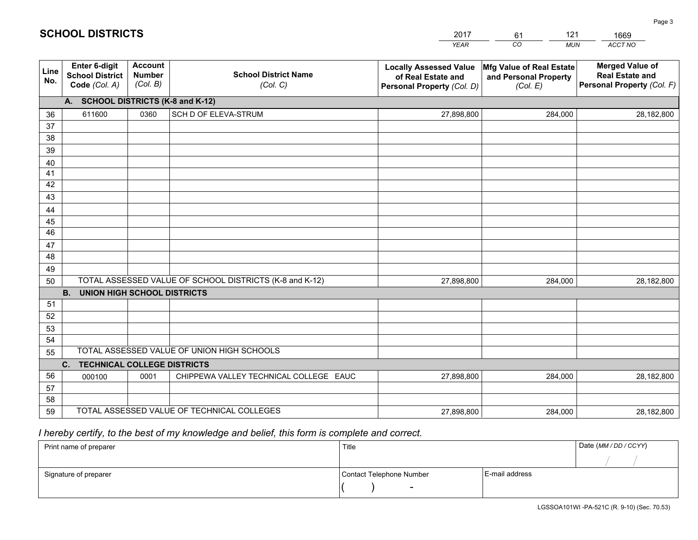|             |                                                          |                                             |                                                         | YEAR                                                                              | CO.<br><b>MUN</b>                                             | ACCT NO                                                                        |
|-------------|----------------------------------------------------------|---------------------------------------------|---------------------------------------------------------|-----------------------------------------------------------------------------------|---------------------------------------------------------------|--------------------------------------------------------------------------------|
| Line<br>No. | Enter 6-digit<br><b>School District</b><br>Code (Col. A) | <b>Account</b><br><b>Number</b><br>(Col. B) | <b>School District Name</b><br>(Col. C)                 | <b>Locally Assessed Value</b><br>of Real Estate and<br>Personal Property (Col. D) | Mfg Value of Real Estate<br>and Personal Property<br>(Col. E) | <b>Merged Value of</b><br><b>Real Estate and</b><br>Personal Property (Col. F) |
|             | A. SCHOOL DISTRICTS (K-8 and K-12)                       |                                             |                                                         |                                                                                   |                                                               |                                                                                |
| 36          | 611600                                                   | 0360                                        | SCH D OF ELEVA-STRUM                                    | 27,898,800                                                                        | 284,000                                                       | 28,182,800                                                                     |
| 37          |                                                          |                                             |                                                         |                                                                                   |                                                               |                                                                                |
| 38          |                                                          |                                             |                                                         |                                                                                   |                                                               |                                                                                |
| 39          |                                                          |                                             |                                                         |                                                                                   |                                                               |                                                                                |
| 40          |                                                          |                                             |                                                         |                                                                                   |                                                               |                                                                                |
| 41          |                                                          |                                             |                                                         |                                                                                   |                                                               |                                                                                |
| 42<br>43    |                                                          |                                             |                                                         |                                                                                   |                                                               |                                                                                |
|             |                                                          |                                             |                                                         |                                                                                   |                                                               |                                                                                |
| 44<br>45    |                                                          |                                             |                                                         |                                                                                   |                                                               |                                                                                |
| 46          |                                                          |                                             |                                                         |                                                                                   |                                                               |                                                                                |
| 47          |                                                          |                                             |                                                         |                                                                                   |                                                               |                                                                                |
| 48          |                                                          |                                             |                                                         |                                                                                   |                                                               |                                                                                |
| 49          |                                                          |                                             |                                                         |                                                                                   |                                                               |                                                                                |
| 50          |                                                          |                                             | TOTAL ASSESSED VALUE OF SCHOOL DISTRICTS (K-8 and K-12) | 27,898,800                                                                        | 284,000                                                       | 28,182,800                                                                     |
|             | <b>B.</b><br>UNION HIGH SCHOOL DISTRICTS                 |                                             |                                                         |                                                                                   |                                                               |                                                                                |
| 51          |                                                          |                                             |                                                         |                                                                                   |                                                               |                                                                                |
| 52          |                                                          |                                             |                                                         |                                                                                   |                                                               |                                                                                |
| 53          |                                                          |                                             |                                                         |                                                                                   |                                                               |                                                                                |
| 54          |                                                          |                                             |                                                         |                                                                                   |                                                               |                                                                                |
| 55          |                                                          |                                             | TOTAL ASSESSED VALUE OF UNION HIGH SCHOOLS              |                                                                                   |                                                               |                                                                                |
|             | C.<br><b>TECHNICAL COLLEGE DISTRICTS</b>                 |                                             |                                                         |                                                                                   |                                                               |                                                                                |
| 56          | 000100                                                   | 0001                                        | CHIPPEWA VALLEY TECHNICAL COLLEGE EAUC                  | 27,898,800                                                                        | 284,000                                                       | 28,182,800                                                                     |
| 57<br>58    |                                                          |                                             |                                                         |                                                                                   |                                                               |                                                                                |
| 59          |                                                          |                                             | TOTAL ASSESSED VALUE OF TECHNICAL COLLEGES              | 27,898,800                                                                        | 284,000                                                       | 28,182,800                                                                     |
|             |                                                          |                                             |                                                         |                                                                                   |                                                               |                                                                                |

61

121

 *I hereby certify, to the best of my knowledge and belief, this form is complete and correct.*

**SCHOOL DISTRICTS**

| Print name of preparer | Title                    |                | Date (MM / DD / CCYY) |
|------------------------|--------------------------|----------------|-----------------------|
|                        |                          |                |                       |
| Signature of preparer  | Contact Telephone Number | E-mail address |                       |
|                        | $\sim$                   |                |                       |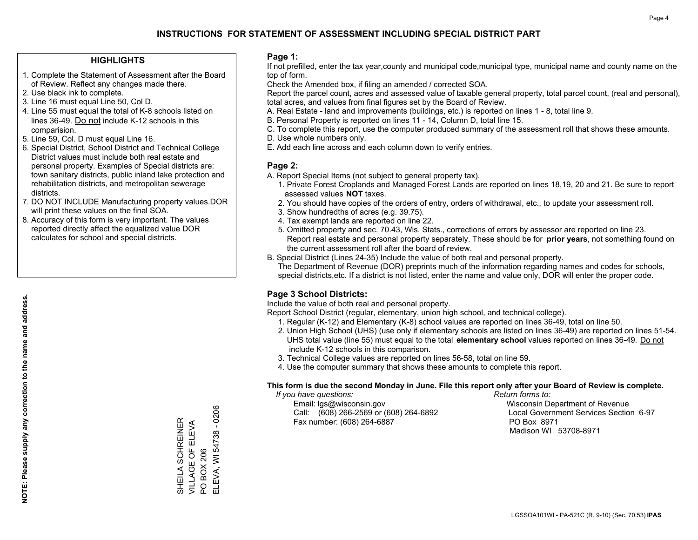#### **HIGHLIGHTS**

- 1. Complete the Statement of Assessment after the Board of Review. Reflect any changes made there.
- 2. Use black ink to complete.
- 3. Line 16 must equal Line 50, Col D.
- 4. Line 55 must equal the total of K-8 schools listed on lines 36-49. Do not include K-12 schools in this comparision.
- 5. Line 59, Col. D must equal Line 16.
- 6. Special District, School District and Technical College District values must include both real estate and personal property. Examples of Special districts are: town sanitary districts, public inland lake protection and rehabilitation districts, and metropolitan sewerage districts.
- 7. DO NOT INCLUDE Manufacturing property values.DOR will print these values on the final SOA.

SHEILA SCHREINER VILLAGE OF ELEVA

SHEILA SCHREINER<br>VILLAGE OF ELEVA<br>PO BOX 206

PO BOX 206

ELEVA, WI 54738 - 0206

ELEVA, WI 54738 - 0206

 8. Accuracy of this form is very important. The values reported directly affect the equalized value DOR calculates for school and special districts.

#### **Page 1:**

 If not prefilled, enter the tax year,county and municipal code,municipal type, municipal name and county name on the top of form.

Check the Amended box, if filing an amended / corrected SOA.

 Report the parcel count, acres and assessed value of taxable general property, total parcel count, (real and personal), total acres, and values from final figures set by the Board of Review.

- A. Real Estate land and improvements (buildings, etc.) is reported on lines 1 8, total line 9.
- B. Personal Property is reported on lines 11 14, Column D, total line 15.
- C. To complete this report, use the computer produced summary of the assessment roll that shows these amounts.
- D. Use whole numbers only.
- E. Add each line across and each column down to verify entries.

#### **Page 2:**

- A. Report Special Items (not subject to general property tax).
- 1. Private Forest Croplands and Managed Forest Lands are reported on lines 18,19, 20 and 21. Be sure to report assessed values **NOT** taxes.
- 2. You should have copies of the orders of entry, orders of withdrawal, etc., to update your assessment roll.
	- 3. Show hundredths of acres (e.g. 39.75).
- 4. Tax exempt lands are reported on line 22.
- 5. Omitted property and sec. 70.43, Wis. Stats., corrections of errors by assessor are reported on line 23. Report real estate and personal property separately. These should be for **prior years**, not something found on the current assessment roll after the board of review.
- B. Special District (Lines 24-35) Include the value of both real and personal property.
- The Department of Revenue (DOR) preprints much of the information regarding names and codes for schools, special districts,etc. If a district is not listed, enter the name and value only, DOR will enter the proper code.

## **Page 3 School Districts:**

Include the value of both real and personal property.

Report School District (regular, elementary, union high school, and technical college).

- 1. Regular (K-12) and Elementary (K-8) school values are reported on lines 36-49, total on line 50.
- 2. Union High School (UHS) (use only if elementary schools are listed on lines 36-49) are reported on lines 51-54. UHS total value (line 55) must equal to the total **elementary school** values reported on lines 36-49. Do notinclude K-12 schools in this comparison.
- 3. Technical College values are reported on lines 56-58, total on line 59.
- 4. Use the computer summary that shows these amounts to complete this report.

#### **This form is due the second Monday in June. File this report only after your Board of Review is complete.**

 *If you have questions: Return forms to:*

 Email: lgs@wisconsin.gov Wisconsin Department of RevenueCall:  $(608)$  266-2569 or  $(608)$  264-6892 Fax number: (608) 264-6887 PO Box 8971

Local Government Services Section 6-97 Madison WI 53708-8971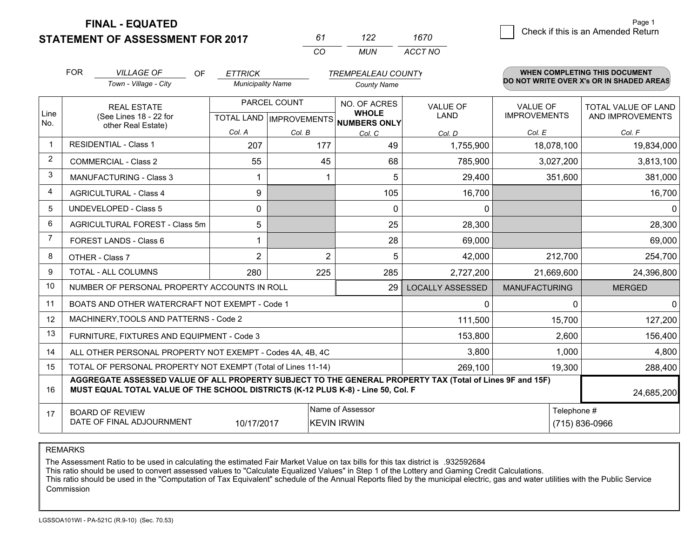**STATEMENT OF ASSESSMENT FOR 2017** 

| 61       | 122   | 1670    |
|----------|-------|---------|
| $\alpha$ | MI IN | ACCT NO |

|                         | <b>FOR</b>                                                                                                                 | <b>VILLAGE OF</b><br>OF<br><b>ETTRICK</b><br><b>TREMPEALEAU COUNTY</b>                                                                                                                       |                          |        | <b>WHEN COMPLETING THIS DOCUMENT</b> |                         |                                        |                                                |
|-------------------------|----------------------------------------------------------------------------------------------------------------------------|----------------------------------------------------------------------------------------------------------------------------------------------------------------------------------------------|--------------------------|--------|--------------------------------------|-------------------------|----------------------------------------|------------------------------------------------|
|                         |                                                                                                                            | Town - Village - City                                                                                                                                                                        | <b>Municipality Name</b> |        | <b>County Name</b>                   |                         |                                        | DO NOT WRITE OVER X's OR IN SHADED AREAS       |
| Line                    | <b>REAL ESTATE</b><br>(See Lines 18 - 22 for                                                                               |                                                                                                                                                                                              | PARCEL COUNT             |        | NO. OF ACRES<br><b>WHOLE</b>         | <b>VALUE OF</b><br>LAND | <b>VALUE OF</b><br><b>IMPROVEMENTS</b> | <b>TOTAL VALUE OF LAND</b><br>AND IMPROVEMENTS |
| No.                     |                                                                                                                            | other Real Estate)                                                                                                                                                                           | Col. A                   | Col. B | TOTAL LAND MPROVEMENTS NUMBERS ONLY  |                         | Col. E                                 | Col. F                                         |
| $\mathbf 1$             |                                                                                                                            | <b>RESIDENTIAL - Class 1</b>                                                                                                                                                                 | 207                      | 177    | Col. C<br>49                         | Col. D<br>1,755,900     | 18,078,100                             | 19,834,000                                     |
| 2                       |                                                                                                                            | <b>COMMERCIAL - Class 2</b>                                                                                                                                                                  | 55                       | 45     | 68                                   | 785,900                 | 3,027,200                              | 3,813,100                                      |
| 3                       |                                                                                                                            | <b>MANUFACTURING - Class 3</b>                                                                                                                                                               |                          |        | 5                                    | 29,400                  | 351,600                                | 381,000                                        |
| $\overline{\mathbf{4}}$ |                                                                                                                            | <b>AGRICULTURAL - Class 4</b>                                                                                                                                                                | 9                        |        | 105                                  | 16,700                  |                                        | 16,700                                         |
| 5                       |                                                                                                                            | <b>UNDEVELOPED - Class 5</b>                                                                                                                                                                 | $\Omega$                 |        | $\Omega$                             | $\mathbf{0}$            |                                        | $\Omega$                                       |
| 6                       | AGRICULTURAL FOREST - Class 5m                                                                                             |                                                                                                                                                                                              | 5                        |        | 25                                   | 28,300                  |                                        | 28,300                                         |
| 7                       |                                                                                                                            | FOREST LANDS - Class 6                                                                                                                                                                       | 1                        |        | 28                                   | 69,000                  |                                        | 69,000                                         |
| 8                       |                                                                                                                            | OTHER - Class 7                                                                                                                                                                              | $\overline{2}$           | 2      | 5                                    | 42,000                  | 212,700                                | 254,700                                        |
| 9                       |                                                                                                                            | TOTAL - ALL COLUMNS                                                                                                                                                                          | 280                      | 225    | 285                                  | 2,727,200               | 21,669,600                             | 24,396,800                                     |
| 10                      |                                                                                                                            | NUMBER OF PERSONAL PROPERTY ACCOUNTS IN ROLL                                                                                                                                                 |                          |        | 29                                   | <b>LOCALLY ASSESSED</b> | <b>MANUFACTURING</b>                   | <b>MERGED</b>                                  |
| 11                      |                                                                                                                            | BOATS AND OTHER WATERCRAFT NOT EXEMPT - Code 1                                                                                                                                               |                          |        |                                      | $\Omega$                | $\Omega$                               | $\mathbf 0$                                    |
| 12                      |                                                                                                                            | MACHINERY, TOOLS AND PATTERNS - Code 2                                                                                                                                                       |                          |        |                                      | 111,500                 | 15,700                                 | 127,200                                        |
| 13                      |                                                                                                                            | FURNITURE, FIXTURES AND EQUIPMENT - Code 3                                                                                                                                                   |                          |        |                                      | 153,800                 | 2,600                                  | 156,400                                        |
| 14                      |                                                                                                                            | ALL OTHER PERSONAL PROPERTY NOT EXEMPT - Codes 4A, 4B, 4C                                                                                                                                    |                          |        |                                      | 3,800                   | 1,000                                  | 4,800                                          |
| 15                      |                                                                                                                            | TOTAL OF PERSONAL PROPERTY NOT EXEMPT (Total of Lines 11-14)                                                                                                                                 |                          |        |                                      | 269,100                 | 19,300                                 | 288,400                                        |
| 16                      |                                                                                                                            | AGGREGATE ASSESSED VALUE OF ALL PROPERTY SUBJECT TO THE GENERAL PROPERTY TAX (Total of Lines 9F and 15F)<br>MUST EQUAL TOTAL VALUE OF THE SCHOOL DISTRICTS (K-12 PLUS K-8) - Line 50, Col. F |                          |        |                                      |                         |                                        | 24,685,200                                     |
| 17                      | Name of Assessor<br>Telephone #<br><b>BOARD OF REVIEW</b><br>DATE OF FINAL ADJOURNMENT<br>10/17/2017<br><b>KEVIN IRWIN</b> |                                                                                                                                                                                              |                          |        |                                      |                         |                                        | (715) 836-0966                                 |

REMARKS

The Assessment Ratio to be used in calculating the estimated Fair Market Value on tax bills for this tax district is .932592684

This ratio should be used to convert assessed values to "Calculate Equalized Values" in Step 1 of the Lottery and Gaming Credit Calculations.<br>This ratio should be used in the "Computation of Tax Equivalent" schedule of the Commission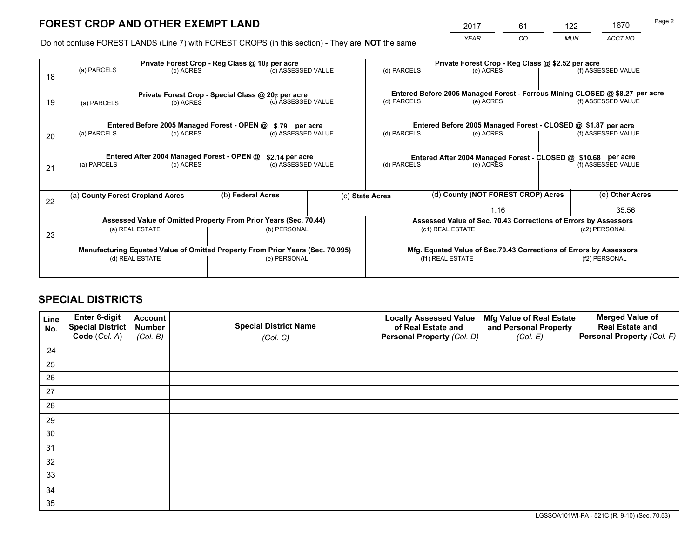*YEAR CO MUN ACCT NO* <sup>2017</sup> <sup>61</sup> <sup>122</sup> <sup>1670</sup>

Do not confuse FOREST LANDS (Line 7) with FOREST CROPS (in this section) - They are **NOT** the same

|    |                                                               |                 | Private Forest Crop - Reg Class @ 10¢ per acre |                                                                                |  |                 | Private Forest Crop - Reg Class @ \$2.52 per acre |                                                                    |                                                               |                                                                              |  |  |
|----|---------------------------------------------------------------|-----------------|------------------------------------------------|--------------------------------------------------------------------------------|--|-----------------|---------------------------------------------------|--------------------------------------------------------------------|---------------------------------------------------------------|------------------------------------------------------------------------------|--|--|
| 18 | (a) PARCELS                                                   | (b) ACRES       |                                                | (c) ASSESSED VALUE                                                             |  | (d) PARCELS     |                                                   | (e) ACRES                                                          |                                                               | (f) ASSESSED VALUE                                                           |  |  |
|    |                                                               |                 |                                                | Private Forest Crop - Special Class @ 20¢ per acre                             |  |                 |                                                   |                                                                    |                                                               | Entered Before 2005 Managed Forest - Ferrous Mining CLOSED @ \$8.27 per acre |  |  |
| 19 | (b) ACRES<br>(a) PARCELS                                      |                 |                                                | (c) ASSESSED VALUE                                                             |  | (d) PARCELS     |                                                   | (e) ACRES                                                          |                                                               | (f) ASSESSED VALUE                                                           |  |  |
|    | Entered Before 2005 Managed Forest - OPEN @<br>\$.79 per acre |                 |                                                |                                                                                |  |                 |                                                   | Entered Before 2005 Managed Forest - CLOSED @ \$1.87 per acre      |                                                               |                                                                              |  |  |
|    | (a) PARCELS                                                   | (b) ACRES       |                                                | (c) ASSESSED VALUE                                                             |  | (d) PARCELS     |                                                   | (e) ACRES                                                          |                                                               | (f) ASSESSED VALUE                                                           |  |  |
| 20 |                                                               |                 |                                                |                                                                                |  |                 |                                                   |                                                                    |                                                               |                                                                              |  |  |
|    | Entered After 2004 Managed Forest - OPEN @<br>\$2.14 per acre |                 |                                                |                                                                                |  |                 |                                                   |                                                                    | Entered After 2004 Managed Forest - CLOSED @ \$10.68 per acre |                                                                              |  |  |
| 21 | (a) PARCELS                                                   | (b) ACRES       |                                                | (c) ASSESSED VALUE                                                             |  | (d) PARCELS     |                                                   | (e) ACRES                                                          |                                                               | (f) ASSESSED VALUE                                                           |  |  |
|    |                                                               |                 |                                                |                                                                                |  |                 |                                                   |                                                                    |                                                               |                                                                              |  |  |
|    | (a) County Forest Cropland Acres                              |                 |                                                | (b) Federal Acres                                                              |  | (c) State Acres |                                                   | (d) County (NOT FOREST CROP) Acres                                 |                                                               | (e) Other Acres                                                              |  |  |
| 22 |                                                               |                 |                                                |                                                                                |  |                 |                                                   | 1.16                                                               |                                                               | 35.56                                                                        |  |  |
|    |                                                               |                 |                                                | Assessed Value of Omitted Property From Prior Years (Sec. 70.44)               |  |                 |                                                   | Assessed Value of Sec. 70.43 Corrections of Errors by Assessors    |                                                               |                                                                              |  |  |
|    |                                                               | (a) REAL ESTATE |                                                | (b) PERSONAL                                                                   |  |                 | (c1) REAL ESTATE                                  |                                                                    |                                                               | (c2) PERSONAL                                                                |  |  |
| 23 |                                                               |                 |                                                |                                                                                |  |                 |                                                   |                                                                    |                                                               |                                                                              |  |  |
|    |                                                               |                 |                                                | Manufacturing Equated Value of Omitted Property From Prior Years (Sec. 70.995) |  |                 |                                                   | Mfg. Equated Value of Sec.70.43 Corrections of Errors by Assessors |                                                               |                                                                              |  |  |
|    |                                                               | (d) REAL ESTATE |                                                | (e) PERSONAL                                                                   |  |                 | (f1) REAL ESTATE                                  |                                                                    |                                                               | (f2) PERSONAL                                                                |  |  |
|    |                                                               |                 |                                                |                                                                                |  |                 |                                                   |                                                                    |                                                               |                                                                              |  |  |

## **SPECIAL DISTRICTS**

| Line<br>No. | Enter 6-digit<br><b>Special District</b> | <b>Account</b><br><b>Number</b> | <b>Special District Name</b> | <b>Locally Assessed Value</b><br>of Real Estate and | Mfg Value of Real Estate<br>and Personal Property | <b>Merged Value of</b><br><b>Real Estate and</b> |
|-------------|------------------------------------------|---------------------------------|------------------------------|-----------------------------------------------------|---------------------------------------------------|--------------------------------------------------|
|             | Code (Col. A)                            | (Col. B)                        | (Col. C)                     | Personal Property (Col. D)                          | (Col. E)                                          | Personal Property (Col. F)                       |
| 24          |                                          |                                 |                              |                                                     |                                                   |                                                  |
| 25          |                                          |                                 |                              |                                                     |                                                   |                                                  |
| 26          |                                          |                                 |                              |                                                     |                                                   |                                                  |
| 27          |                                          |                                 |                              |                                                     |                                                   |                                                  |
| 28          |                                          |                                 |                              |                                                     |                                                   |                                                  |
| 29          |                                          |                                 |                              |                                                     |                                                   |                                                  |
| 30          |                                          |                                 |                              |                                                     |                                                   |                                                  |
| 31          |                                          |                                 |                              |                                                     |                                                   |                                                  |
| 32          |                                          |                                 |                              |                                                     |                                                   |                                                  |
| 33          |                                          |                                 |                              |                                                     |                                                   |                                                  |
| 34          |                                          |                                 |                              |                                                     |                                                   |                                                  |
| 35          |                                          |                                 |                              |                                                     |                                                   |                                                  |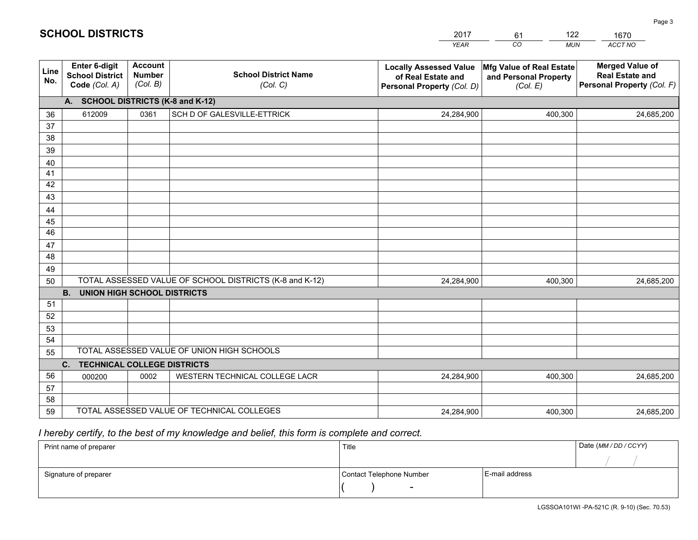|             |                                                                 |                                             |                                                         | <b>YEAR</b>                                                                       | CO<br><b>MUN</b>                                              | ACCT NO                                                                        |
|-------------|-----------------------------------------------------------------|---------------------------------------------|---------------------------------------------------------|-----------------------------------------------------------------------------------|---------------------------------------------------------------|--------------------------------------------------------------------------------|
| Line<br>No. | <b>Enter 6-digit</b><br><b>School District</b><br>Code (Col. A) | <b>Account</b><br><b>Number</b><br>(Col. B) | <b>School District Name</b><br>(Col. C)                 | <b>Locally Assessed Value</b><br>of Real Estate and<br>Personal Property (Col. D) | Mfg Value of Real Estate<br>and Personal Property<br>(Col. E) | <b>Merged Value of</b><br><b>Real Estate and</b><br>Personal Property (Col. F) |
|             | A. SCHOOL DISTRICTS (K-8 and K-12)                              |                                             |                                                         |                                                                                   |                                                               |                                                                                |
| 36          | 612009                                                          | 0361                                        | SCH D OF GALESVILLE-ETTRICK                             | 24,284,900                                                                        | 400,300                                                       | 24,685,200                                                                     |
| 37          |                                                                 |                                             |                                                         |                                                                                   |                                                               |                                                                                |
| 38          |                                                                 |                                             |                                                         |                                                                                   |                                                               |                                                                                |
| 39          |                                                                 |                                             |                                                         |                                                                                   |                                                               |                                                                                |
| 40          |                                                                 |                                             |                                                         |                                                                                   |                                                               |                                                                                |
| 41<br>42    |                                                                 |                                             |                                                         |                                                                                   |                                                               |                                                                                |
| 43          |                                                                 |                                             |                                                         |                                                                                   |                                                               |                                                                                |
|             |                                                                 |                                             |                                                         |                                                                                   |                                                               |                                                                                |
| 44<br>45    |                                                                 |                                             |                                                         |                                                                                   |                                                               |                                                                                |
| 46          |                                                                 |                                             |                                                         |                                                                                   |                                                               |                                                                                |
| 47          |                                                                 |                                             |                                                         |                                                                                   |                                                               |                                                                                |
| 48          |                                                                 |                                             |                                                         |                                                                                   |                                                               |                                                                                |
| 49          |                                                                 |                                             |                                                         |                                                                                   |                                                               |                                                                                |
| 50          |                                                                 |                                             | TOTAL ASSESSED VALUE OF SCHOOL DISTRICTS (K-8 and K-12) | 24,284,900                                                                        | 400,300                                                       | 24,685,200                                                                     |
|             | <b>B.</b><br>UNION HIGH SCHOOL DISTRICTS                        |                                             |                                                         |                                                                                   |                                                               |                                                                                |
| 51          |                                                                 |                                             |                                                         |                                                                                   |                                                               |                                                                                |
| 52          |                                                                 |                                             |                                                         |                                                                                   |                                                               |                                                                                |
| 53          |                                                                 |                                             |                                                         |                                                                                   |                                                               |                                                                                |
| 54          |                                                                 |                                             |                                                         |                                                                                   |                                                               |                                                                                |
| 55          |                                                                 |                                             | TOTAL ASSESSED VALUE OF UNION HIGH SCHOOLS              |                                                                                   |                                                               |                                                                                |
|             | C.<br><b>TECHNICAL COLLEGE DISTRICTS</b>                        |                                             |                                                         |                                                                                   |                                                               |                                                                                |
| 56          | 000200                                                          | 0002                                        | WESTERN TECHNICAL COLLEGE LACR                          | 24,284,900                                                                        | 400,300                                                       | 24,685,200                                                                     |
| 57<br>58    |                                                                 |                                             |                                                         |                                                                                   |                                                               |                                                                                |
| 59          |                                                                 |                                             | TOTAL ASSESSED VALUE OF TECHNICAL COLLEGES              | 24,284,900                                                                        | 400,300                                                       | 24,685,200                                                                     |
|             |                                                                 |                                             |                                                         |                                                                                   |                                                               |                                                                                |

61

122

 *I hereby certify, to the best of my knowledge and belief, this form is complete and correct.*

**SCHOOL DISTRICTS**

| Print name of preparer | Title                    |                | Date (MM / DD / CCYY) |
|------------------------|--------------------------|----------------|-----------------------|
|                        |                          |                |                       |
| Signature of preparer  | Contact Telephone Number | E-mail address |                       |
|                        | $\sim$                   |                |                       |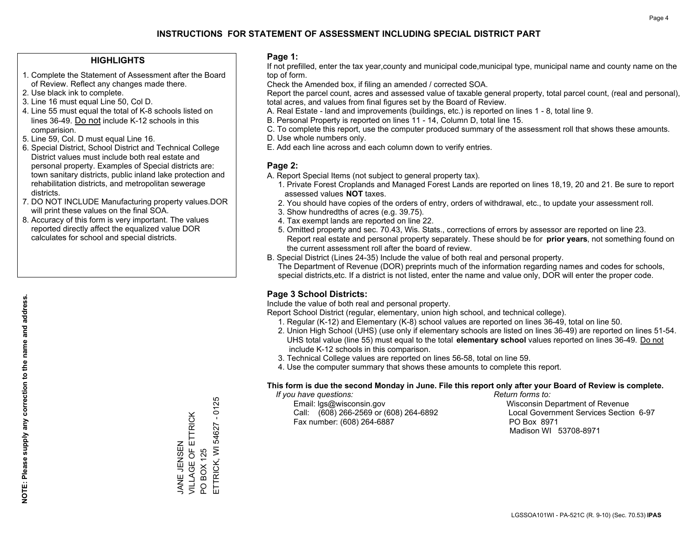#### **HIGHLIGHTS**

- 1. Complete the Statement of Assessment after the Board of Review. Reflect any changes made there.
- 2. Use black ink to complete.
- 3. Line 16 must equal Line 50, Col D.
- 4. Line 55 must equal the total of K-8 schools listed on lines 36-49. Do not include K-12 schools in this comparision.
- 5. Line 59, Col. D must equal Line 16.
- 6. Special District, School District and Technical College District values must include both real estate and personal property. Examples of Special districts are: town sanitary districts, public inland lake protection and rehabilitation districts, and metropolitan sewerage districts.
- 7. DO NOT INCLUDE Manufacturing property values.DOR will print these values on the final SOA.
- 8. Accuracy of this form is very important. The values reported directly affect the equalized value DOR calculates for school and special districts.

#### **Page 1:**

 If not prefilled, enter the tax year,county and municipal code,municipal type, municipal name and county name on the top of form.

Check the Amended box, if filing an amended / corrected SOA.

 Report the parcel count, acres and assessed value of taxable general property, total parcel count, (real and personal), total acres, and values from final figures set by the Board of Review.

- A. Real Estate land and improvements (buildings, etc.) is reported on lines 1 8, total line 9.
- B. Personal Property is reported on lines 11 14, Column D, total line 15.
- C. To complete this report, use the computer produced summary of the assessment roll that shows these amounts.
- D. Use whole numbers only.
- E. Add each line across and each column down to verify entries.

### **Page 2:**

- A. Report Special Items (not subject to general property tax).
- 1. Private Forest Croplands and Managed Forest Lands are reported on lines 18,19, 20 and 21. Be sure to report assessed values **NOT** taxes.
- 2. You should have copies of the orders of entry, orders of withdrawal, etc., to update your assessment roll.
	- 3. Show hundredths of acres (e.g. 39.75).
- 4. Tax exempt lands are reported on line 22.
- 5. Omitted property and sec. 70.43, Wis. Stats., corrections of errors by assessor are reported on line 23. Report real estate and personal property separately. These should be for **prior years**, not something found on the current assessment roll after the board of review.
- B. Special District (Lines 24-35) Include the value of both real and personal property.

 The Department of Revenue (DOR) preprints much of the information regarding names and codes for schools, special districts,etc. If a district is not listed, enter the name and value only, DOR will enter the proper code.

## **Page 3 School Districts:**

Include the value of both real and personal property.

Report School District (regular, elementary, union high school, and technical college).

- 1. Regular (K-12) and Elementary (K-8) school values are reported on lines 36-49, total on line 50.
- 2. Union High School (UHS) (use only if elementary schools are listed on lines 36-49) are reported on lines 51-54. UHS total value (line 55) must equal to the total **elementary school** values reported on lines 36-49. Do notinclude K-12 schools in this comparison.
- 3. Technical College values are reported on lines 56-58, total on line 59.
- 4. Use the computer summary that shows these amounts to complete this report.

#### **This form is due the second Monday in June. File this report only after your Board of Review is complete.**

 *If you have questions: Return forms to:*

 Email: lgs@wisconsin.gov Wisconsin Department of RevenueCall:  $(608)$  266-2569 or  $(608)$  264-6892 Fax number: (608) 264-6887 PO Box 8971

Local Government Services Section 6-97 Madison WI 53708-8971

 $-0125$ ETTRICK, WI 54627 - 0125 VILLAGE OF ETTRICK JANE JENSEN<br>VILLAGE OF ETTRICK ETTRICK, WI 54627 JANE JENSEN **BOX 125** PO BOX 125  $\overline{S}$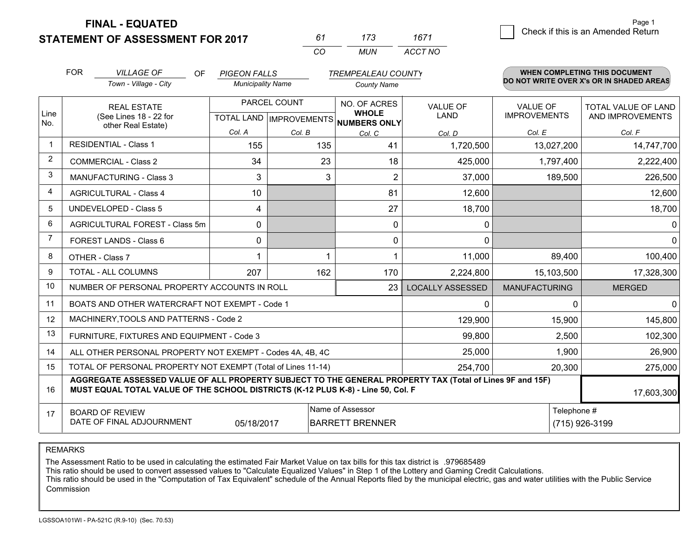**STATEMENT OF ASSESSMENT FOR 2017** 

| 61       | 173  | 1671    |
|----------|------|---------|
| $\alpha$ | MUN. | ACCT NO |

|                | <b>FOR</b>                                                                                                                                       | <b>VILLAGE OF</b><br>OF                                                                                                                                                                      | <b>PIGEON FALLS</b>      |                                           | <b>TREMPEALEAU COUNTY</b>                    |                                |                                        | <b>WHEN COMPLETING THIS DOCUMENT</b>     |
|----------------|--------------------------------------------------------------------------------------------------------------------------------------------------|----------------------------------------------------------------------------------------------------------------------------------------------------------------------------------------------|--------------------------|-------------------------------------------|----------------------------------------------|--------------------------------|----------------------------------------|------------------------------------------|
|                |                                                                                                                                                  | Town - Village - City                                                                                                                                                                        | <b>Municipality Name</b> |                                           | <b>County Name</b>                           |                                |                                        | DO NOT WRITE OVER X's OR IN SHADED AREAS |
| Line<br>No.    |                                                                                                                                                  | <b>REAL ESTATE</b><br>(See Lines 18 - 22 for                                                                                                                                                 |                          | PARCEL COUNT<br>TOTAL LAND   IMPROVEMENTS | NO. OF ACRES<br><b>WHOLE</b><br>NUMBERS ONLY | <b>VALUE OF</b><br><b>LAND</b> | <b>VALUE OF</b><br><b>IMPROVEMENTS</b> | TOTAL VALUE OF LAND<br>AND IMPROVEMENTS  |
|                |                                                                                                                                                  | other Real Estate)                                                                                                                                                                           | Col. A                   | Col. B                                    | Col. C                                       | Col. D                         | Col. E                                 | Col. F                                   |
| $\mathbf 1$    |                                                                                                                                                  | <b>RESIDENTIAL - Class 1</b>                                                                                                                                                                 | 155                      | 135                                       | 41                                           | 1,720,500                      | 13,027,200                             | 14,747,700                               |
| $\overline{2}$ |                                                                                                                                                  | <b>COMMERCIAL - Class 2</b>                                                                                                                                                                  | 34                       | 23                                        | 18                                           | 425,000                        | 1,797,400                              | 2,222,400                                |
| 3              |                                                                                                                                                  | <b>MANUFACTURING - Class 3</b>                                                                                                                                                               | 3                        | 3                                         | $\overline{2}$                               | 37,000                         | 189,500                                | 226,500                                  |
| 4              |                                                                                                                                                  | <b>AGRICULTURAL - Class 4</b>                                                                                                                                                                | 10                       |                                           | 81                                           | 12,600                         |                                        | 12,600                                   |
| 5              |                                                                                                                                                  | <b>UNDEVELOPED - Class 5</b>                                                                                                                                                                 | 4                        |                                           | 27                                           | 18,700                         |                                        | 18,700                                   |
| 6              |                                                                                                                                                  | AGRICULTURAL FOREST - Class 5m                                                                                                                                                               | $\Omega$                 |                                           | $\mathbf{0}$                                 | $\mathbf 0$                    |                                        | 0                                        |
| 7              |                                                                                                                                                  | FOREST LANDS - Class 6                                                                                                                                                                       | $\mathbf{0}$             |                                           | 0                                            | $\Omega$                       |                                        | $\mathbf 0$                              |
| 8              |                                                                                                                                                  | OTHER - Class 7                                                                                                                                                                              |                          |                                           |                                              | 11,000                         | 89,400                                 | 100,400                                  |
| 9              |                                                                                                                                                  | TOTAL - ALL COLUMNS                                                                                                                                                                          | 207                      | 162                                       | 170                                          | 2,224,800                      | 15,103,500                             | 17,328,300                               |
| 10             |                                                                                                                                                  | NUMBER OF PERSONAL PROPERTY ACCOUNTS IN ROLL                                                                                                                                                 |                          |                                           | 23                                           | <b>LOCALLY ASSESSED</b>        | <b>MANUFACTURING</b>                   | <b>MERGED</b>                            |
| 11             |                                                                                                                                                  | BOATS AND OTHER WATERCRAFT NOT EXEMPT - Code 1                                                                                                                                               |                          |                                           |                                              | $\mathbf 0$                    | 0                                      | $\Omega$                                 |
| 12             |                                                                                                                                                  | MACHINERY, TOOLS AND PATTERNS - Code 2                                                                                                                                                       |                          |                                           |                                              | 129,900                        | 15,900                                 | 145,800                                  |
| 13             |                                                                                                                                                  | FURNITURE, FIXTURES AND EQUIPMENT - Code 3                                                                                                                                                   |                          |                                           |                                              | 99,800                         | 2,500                                  | 102,300                                  |
| 14             |                                                                                                                                                  | ALL OTHER PERSONAL PROPERTY NOT EXEMPT - Codes 4A, 4B, 4C                                                                                                                                    |                          |                                           |                                              | 25,000                         | 1,900                                  | 26,900                                   |
| 15             |                                                                                                                                                  | TOTAL OF PERSONAL PROPERTY NOT EXEMPT (Total of Lines 11-14)                                                                                                                                 |                          |                                           |                                              | 254,700                        | 20,300                                 | 275,000                                  |
| 16             |                                                                                                                                                  | AGGREGATE ASSESSED VALUE OF ALL PROPERTY SUBJECT TO THE GENERAL PROPERTY TAX (Total of Lines 9F and 15F)<br>MUST EQUAL TOTAL VALUE OF THE SCHOOL DISTRICTS (K-12 PLUS K-8) - Line 50, Col. F |                          |                                           |                                              |                                |                                        | 17,603,300                               |
| 17             | Name of Assessor<br>Telephone #<br><b>BOARD OF REVIEW</b><br>DATE OF FINAL ADJOURNMENT<br><b>BARRETT BRENNER</b><br>(715) 926-3199<br>05/18/2017 |                                                                                                                                                                                              |                          |                                           |                                              |                                |                                        |                                          |

REMARKS

The Assessment Ratio to be used in calculating the estimated Fair Market Value on tax bills for this tax district is .979685489<br>This ratio should be used to convert assessed values to "Calculate Equalized Values" in Step 1 Commission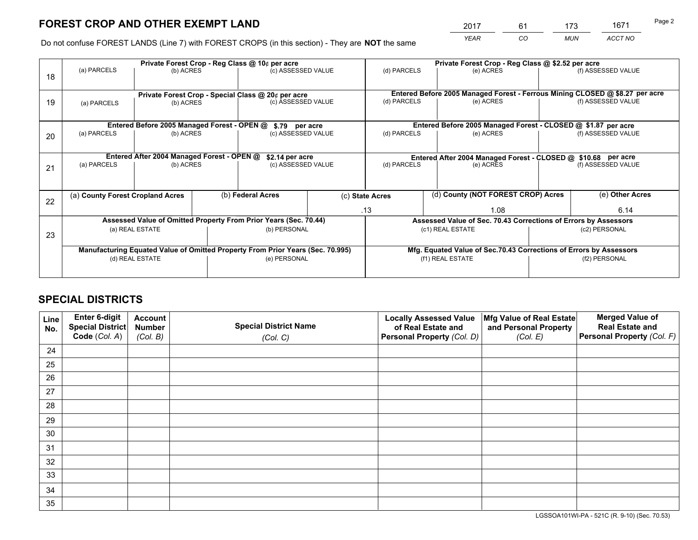*YEAR CO MUN ACCT NO* <sup>2017</sup> <sup>61</sup> <sup>173</sup> <sup>1671</sup> Page 2

Do not confuse FOREST LANDS (Line 7) with FOREST CROPS (in this section) - They are **NOT** the same

|    |                                                               |                                             |  | Private Forest Crop - Reg Class @ 10¢ per acre                                 |  | Private Forest Crop - Reg Class @ \$2.52 per acre                                                                                                                                                                                  |                                                                              |  |                    |
|----|---------------------------------------------------------------|---------------------------------------------|--|--------------------------------------------------------------------------------|--|------------------------------------------------------------------------------------------------------------------------------------------------------------------------------------------------------------------------------------|------------------------------------------------------------------------------|--|--------------------|
| 18 | (a) PARCELS                                                   | (b) ACRES                                   |  | (c) ASSESSED VALUE                                                             |  | (d) PARCELS                                                                                                                                                                                                                        | (e) ACRES                                                                    |  | (f) ASSESSED VALUE |
|    |                                                               |                                             |  |                                                                                |  |                                                                                                                                                                                                                                    |                                                                              |  |                    |
|    |                                                               |                                             |  | Private Forest Crop - Special Class @ 20¢ per acre                             |  |                                                                                                                                                                                                                                    | Entered Before 2005 Managed Forest - Ferrous Mining CLOSED @ \$8.27 per acre |  |                    |
| 19 | (a) PARCELS                                                   | (b) ACRES                                   |  | (c) ASSESSED VALUE                                                             |  | (d) PARCELS                                                                                                                                                                                                                        | (e) ACRES                                                                    |  | (f) ASSESSED VALUE |
|    |                                                               |                                             |  |                                                                                |  |                                                                                                                                                                                                                                    |                                                                              |  |                    |
|    |                                                               | Entered Before 2005 Managed Forest - OPEN @ |  | \$.79 per acre                                                                 |  | Entered Before 2005 Managed Forest - CLOSED @ \$1.87 per acre<br>(d) PARCELS<br>(e) ACRES<br>(f) ASSESSED VALUE<br>Entered After 2004 Managed Forest - CLOSED @ \$10.68 per acre<br>(d) PARCELS<br>(f) ASSESSED VALUE<br>(e) ACRES |                                                                              |  |                    |
| 20 | (a) PARCELS                                                   | (b) ACRES                                   |  | (c) ASSESSED VALUE                                                             |  |                                                                                                                                                                                                                                    |                                                                              |  |                    |
|    |                                                               |                                             |  |                                                                                |  |                                                                                                                                                                                                                                    |                                                                              |  |                    |
|    | Entered After 2004 Managed Forest - OPEN @<br>\$2.14 per acre |                                             |  |                                                                                |  |                                                                                                                                                                                                                                    |                                                                              |  |                    |
| 21 | (a) PARCELS                                                   | (b) ACRES                                   |  | (c) ASSESSED VALUE                                                             |  |                                                                                                                                                                                                                                    |                                                                              |  |                    |
|    |                                                               |                                             |  |                                                                                |  |                                                                                                                                                                                                                                    |                                                                              |  |                    |
|    | (a) County Forest Cropland Acres                              |                                             |  | (b) Federal Acres                                                              |  | (c) State Acres                                                                                                                                                                                                                    | (d) County (NOT FOREST CROP) Acres                                           |  | (e) Other Acres    |
| 22 |                                                               |                                             |  |                                                                                |  |                                                                                                                                                                                                                                    |                                                                              |  |                    |
|    |                                                               |                                             |  |                                                                                |  | .13                                                                                                                                                                                                                                | 1.08                                                                         |  | 6.14               |
|    |                                                               |                                             |  | Assessed Value of Omitted Property From Prior Years (Sec. 70.44)               |  |                                                                                                                                                                                                                                    | Assessed Value of Sec. 70.43 Corrections of Errors by Assessors              |  |                    |
| 23 |                                                               | (a) REAL ESTATE                             |  | (b) PERSONAL                                                                   |  |                                                                                                                                                                                                                                    | (c1) REAL ESTATE                                                             |  | (c2) PERSONAL      |
|    |                                                               |                                             |  |                                                                                |  |                                                                                                                                                                                                                                    |                                                                              |  |                    |
|    |                                                               |                                             |  | Manufacturing Equated Value of Omitted Property From Prior Years (Sec. 70.995) |  |                                                                                                                                                                                                                                    | Mfg. Equated Value of Sec.70.43 Corrections of Errors by Assessors           |  |                    |
|    |                                                               | (d) REAL ESTATE                             |  | (e) PERSONAL                                                                   |  |                                                                                                                                                                                                                                    | (f1) REAL ESTATE                                                             |  | (f2) PERSONAL      |
|    |                                                               |                                             |  |                                                                                |  |                                                                                                                                                                                                                                    |                                                                              |  |                    |

## **SPECIAL DISTRICTS**

| Line<br>No. | Enter 6-digit<br><b>Special District</b> | <b>Account</b><br><b>Number</b> | <b>Special District Name</b> | <b>Locally Assessed Value</b><br>of Real Estate and | Mfg Value of Real Estate<br>and Personal Property | <b>Merged Value of</b><br><b>Real Estate and</b> |
|-------------|------------------------------------------|---------------------------------|------------------------------|-----------------------------------------------------|---------------------------------------------------|--------------------------------------------------|
|             | Code (Col. A)                            | (Col. B)                        | (Col. C)                     | Personal Property (Col. D)                          | (Col. E)                                          | Personal Property (Col. F)                       |
| 24          |                                          |                                 |                              |                                                     |                                                   |                                                  |
| 25          |                                          |                                 |                              |                                                     |                                                   |                                                  |
| 26          |                                          |                                 |                              |                                                     |                                                   |                                                  |
| 27          |                                          |                                 |                              |                                                     |                                                   |                                                  |
| 28          |                                          |                                 |                              |                                                     |                                                   |                                                  |
| 29          |                                          |                                 |                              |                                                     |                                                   |                                                  |
| 30          |                                          |                                 |                              |                                                     |                                                   |                                                  |
| 31          |                                          |                                 |                              |                                                     |                                                   |                                                  |
| 32          |                                          |                                 |                              |                                                     |                                                   |                                                  |
| 33          |                                          |                                 |                              |                                                     |                                                   |                                                  |
| 34          |                                          |                                 |                              |                                                     |                                                   |                                                  |
| 35          |                                          |                                 |                              |                                                     |                                                   |                                                  |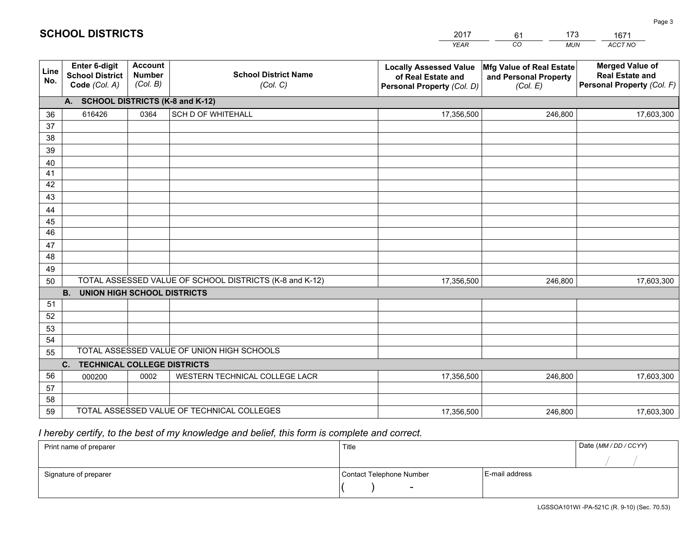|             |                                                                                                |                                             |                                            | <b>YEAR</b>                                                                       | CO<br><b>MUN</b>                                              | ACCT NO                                                                        |
|-------------|------------------------------------------------------------------------------------------------|---------------------------------------------|--------------------------------------------|-----------------------------------------------------------------------------------|---------------------------------------------------------------|--------------------------------------------------------------------------------|
| Line<br>No. | <b>Enter 6-digit</b><br><b>School District</b><br>Code (Col. A)                                | <b>Account</b><br><b>Number</b><br>(Col. B) | <b>School District Name</b><br>(Col. C)    | <b>Locally Assessed Value</b><br>of Real Estate and<br>Personal Property (Col. D) | Mfg Value of Real Estate<br>and Personal Property<br>(Col. E) | <b>Merged Value of</b><br><b>Real Estate and</b><br>Personal Property (Col. F) |
|             | A. SCHOOL DISTRICTS (K-8 and K-12)                                                             |                                             |                                            |                                                                                   |                                                               |                                                                                |
| 36          | 616426                                                                                         | 0364                                        | <b>SCH D OF WHITEHALL</b>                  | 17,356,500                                                                        | 246,800                                                       | 17,603,300                                                                     |
| 37          |                                                                                                |                                             |                                            |                                                                                   |                                                               |                                                                                |
| 38          |                                                                                                |                                             |                                            |                                                                                   |                                                               |                                                                                |
| 39          |                                                                                                |                                             |                                            |                                                                                   |                                                               |                                                                                |
| 40          |                                                                                                |                                             |                                            |                                                                                   |                                                               |                                                                                |
| 41<br>42    |                                                                                                |                                             |                                            |                                                                                   |                                                               |                                                                                |
| 43          |                                                                                                |                                             |                                            |                                                                                   |                                                               |                                                                                |
| 44          |                                                                                                |                                             |                                            |                                                                                   |                                                               |                                                                                |
| 45          |                                                                                                |                                             |                                            |                                                                                   |                                                               |                                                                                |
| 46          |                                                                                                |                                             |                                            |                                                                                   |                                                               |                                                                                |
| 47          |                                                                                                |                                             |                                            |                                                                                   |                                                               |                                                                                |
| 48          |                                                                                                |                                             |                                            |                                                                                   |                                                               |                                                                                |
| 49          |                                                                                                |                                             |                                            |                                                                                   |                                                               |                                                                                |
| 50          | TOTAL ASSESSED VALUE OF SCHOOL DISTRICTS (K-8 and K-12)<br>17,356,500<br>246,800<br>17,603,300 |                                             |                                            |                                                                                   |                                                               |                                                                                |
|             | <b>B. UNION HIGH SCHOOL DISTRICTS</b>                                                          |                                             |                                            |                                                                                   |                                                               |                                                                                |
| 51          |                                                                                                |                                             |                                            |                                                                                   |                                                               |                                                                                |
| 52          |                                                                                                |                                             |                                            |                                                                                   |                                                               |                                                                                |
| 53<br>54    |                                                                                                |                                             |                                            |                                                                                   |                                                               |                                                                                |
| 55          |                                                                                                |                                             | TOTAL ASSESSED VALUE OF UNION HIGH SCHOOLS |                                                                                   |                                                               |                                                                                |
|             | C.<br><b>TECHNICAL COLLEGE DISTRICTS</b>                                                       |                                             |                                            |                                                                                   |                                                               |                                                                                |
| 56          | 000200                                                                                         | 0002                                        | WESTERN TECHNICAL COLLEGE LACR             | 17,356,500                                                                        | 246,800                                                       | 17,603,300                                                                     |
| 57          |                                                                                                |                                             |                                            |                                                                                   |                                                               |                                                                                |
| 58          |                                                                                                |                                             |                                            |                                                                                   |                                                               |                                                                                |
| 59          | TOTAL ASSESSED VALUE OF TECHNICAL COLLEGES                                                     |                                             |                                            | 17,356,500                                                                        | 246,800                                                       | 17,603,300                                                                     |

61

173

 *I hereby certify, to the best of my knowledge and belief, this form is complete and correct.*

**SCHOOL DISTRICTS**

| Print name of preparer | Title                    |                | Date (MM / DD / CCYY) |
|------------------------|--------------------------|----------------|-----------------------|
|                        |                          |                |                       |
| Signature of preparer  | Contact Telephone Number | E-mail address |                       |
|                        | $\sim$                   |                |                       |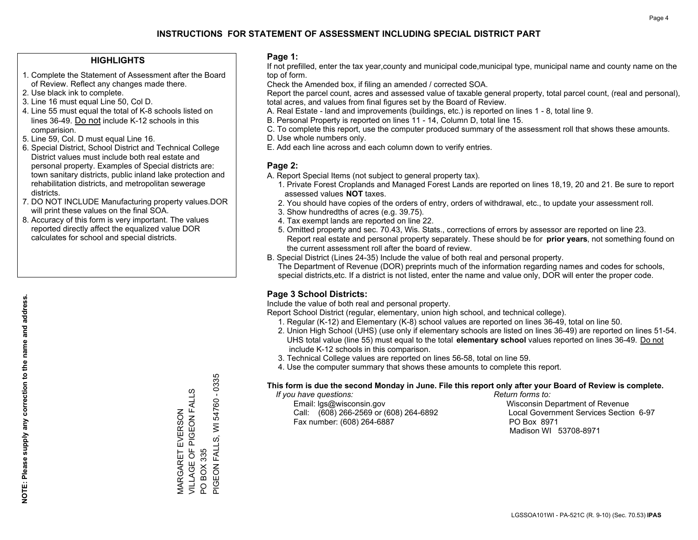#### **HIGHLIGHTS**

- 1. Complete the Statement of Assessment after the Board of Review. Reflect any changes made there.
- 2. Use black ink to complete.
- 3. Line 16 must equal Line 50, Col D.
- 4. Line 55 must equal the total of K-8 schools listed on lines 36-49. Do not include K-12 schools in this comparision.
- 5. Line 59, Col. D must equal Line 16.
- 6. Special District, School District and Technical College District values must include both real estate and personal property. Examples of Special districts are: town sanitary districts, public inland lake protection and rehabilitation districts, and metropolitan sewerage districts.
- 7. DO NOT INCLUDE Manufacturing property values.DOR will print these values on the final SOA.

MARGARET EVERSON VILLAGE OF PIGEON FALLS

MARGARET EVERSON<br>VILLAGE OF PIGEON FALL

w

PO BOX 335

 $\overline{S}$ 

BOX 335

PIGEON FALLS, WI 54760 - 0335

PIGEON FALLS, WI 54760 - 0335

 8. Accuracy of this form is very important. The values reported directly affect the equalized value DOR calculates for school and special districts.

#### **Page 1:**

 If not prefilled, enter the tax year,county and municipal code,municipal type, municipal name and county name on the top of form.

Check the Amended box, if filing an amended / corrected SOA.

 Report the parcel count, acres and assessed value of taxable general property, total parcel count, (real and personal), total acres, and values from final figures set by the Board of Review.

- A. Real Estate land and improvements (buildings, etc.) is reported on lines 1 8, total line 9.
- B. Personal Property is reported on lines 11 14, Column D, total line 15.
- C. To complete this report, use the computer produced summary of the assessment roll that shows these amounts.
- D. Use whole numbers only.
- E. Add each line across and each column down to verify entries.

### **Page 2:**

- A. Report Special Items (not subject to general property tax).
- 1. Private Forest Croplands and Managed Forest Lands are reported on lines 18,19, 20 and 21. Be sure to report assessed values **NOT** taxes.
- 2. You should have copies of the orders of entry, orders of withdrawal, etc., to update your assessment roll.
	- 3. Show hundredths of acres (e.g. 39.75).
- 4. Tax exempt lands are reported on line 22.
- 5. Omitted property and sec. 70.43, Wis. Stats., corrections of errors by assessor are reported on line 23. Report real estate and personal property separately. These should be for **prior years**, not something found on the current assessment roll after the board of review.
- B. Special District (Lines 24-35) Include the value of both real and personal property.

 The Department of Revenue (DOR) preprints much of the information regarding names and codes for schools, special districts,etc. If a district is not listed, enter the name and value only, DOR will enter the proper code.

## **Page 3 School Districts:**

Include the value of both real and personal property.

Report School District (regular, elementary, union high school, and technical college).

- 1. Regular (K-12) and Elementary (K-8) school values are reported on lines 36-49, total on line 50.
- 2. Union High School (UHS) (use only if elementary schools are listed on lines 36-49) are reported on lines 51-54. UHS total value (line 55) must equal to the total **elementary school** values reported on lines 36-49. Do notinclude K-12 schools in this comparison.
- 3. Technical College values are reported on lines 56-58, total on line 59.
- 4. Use the computer summary that shows these amounts to complete this report.

#### **This form is due the second Monday in June. File this report only after your Board of Review is complete.**

 *If you have questions: Return forms to:*

 Email: lgs@wisconsin.gov Wisconsin Department of RevenueCall:  $(608)$  266-2569 or  $(608)$  264-6892 Fax number: (608) 264-6887 PO Box 8971

Local Government Services Section 6-97 Madison WI 53708-8971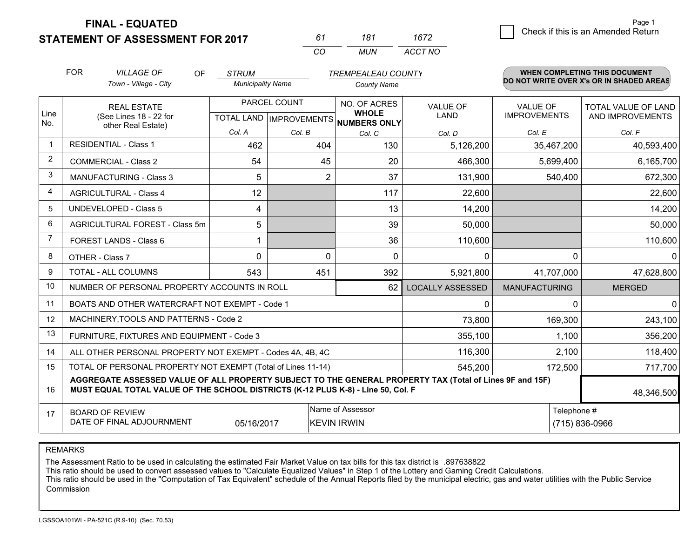**STATEMENT OF ASSESSMENT FOR 2017** 

| 61       | 181 | 1672    |
|----------|-----|---------|
| $\alpha$ | MUN | ACCT NO |

|                | <b>FOR</b>                                                                                                                                                                                   | <b>VILLAGE OF</b><br>OF                                      | <b>STRUM</b>             |              | <b>TREMPEALEAU COUNTY</b>                                            |                         |                                        | WHEN COMPLETING THIS DOCUMENT                  |
|----------------|----------------------------------------------------------------------------------------------------------------------------------------------------------------------------------------------|--------------------------------------------------------------|--------------------------|--------------|----------------------------------------------------------------------|-------------------------|----------------------------------------|------------------------------------------------|
|                |                                                                                                                                                                                              | Town - Village - City                                        | <b>Municipality Name</b> |              | <b>County Name</b>                                                   |                         |                                        | DO NOT WRITE OVER X's OR IN SHADED AREAS       |
| Line           |                                                                                                                                                                                              | <b>REAL ESTATE</b><br>(See Lines 18 - 22 for                 |                          | PARCEL COUNT | NO. OF ACRES<br><b>WHOLE</b><br>TOTAL LAND IMPROVEMENTS NUMBERS ONLY | <b>VALUE OF</b><br>LAND | <b>VALUE OF</b><br><b>IMPROVEMENTS</b> | <b>TOTAL VALUE OF LAND</b><br>AND IMPROVEMENTS |
| No.            |                                                                                                                                                                                              | other Real Estate)                                           | Col. A                   | Col. B       | Col. C                                                               | Col. D                  | Col. E                                 | Col. F                                         |
| -1             |                                                                                                                                                                                              | <b>RESIDENTIAL - Class 1</b>                                 | 462                      | 404          | 130                                                                  | 5,126,200               | 35,467,200                             | 40,593,400                                     |
| 2              |                                                                                                                                                                                              | <b>COMMERCIAL - Class 2</b>                                  | 54                       | 45           | 20                                                                   | 466,300                 | 5,699,400                              | 6,165,700                                      |
| 3              |                                                                                                                                                                                              | <b>MANUFACTURING - Class 3</b>                               | 5                        | 2            | 37                                                                   | 131,900                 | 540,400                                | 672,300                                        |
| 4              |                                                                                                                                                                                              | <b>AGRICULTURAL - Class 4</b>                                | 12                       |              | 117                                                                  | 22,600                  |                                        | 22,600                                         |
| 5              |                                                                                                                                                                                              | UNDEVELOPED - Class 5                                        | 4                        |              | 13                                                                   | 14,200                  |                                        | 14,200                                         |
| 6              |                                                                                                                                                                                              | AGRICULTURAL FOREST - Class 5m                               | 5                        |              | 39                                                                   | 50,000                  |                                        | 50,000                                         |
| $\overline{7}$ |                                                                                                                                                                                              | FOREST LANDS - Class 6                                       |                          |              | 36                                                                   | 110,600                 |                                        | 110,600                                        |
| 8              |                                                                                                                                                                                              | OTHER - Class 7                                              | $\Omega$                 | $\Omega$     | $\Omega$                                                             | $\Omega$                | ∩                                      | $\Omega$                                       |
| 9              |                                                                                                                                                                                              | TOTAL - ALL COLUMNS                                          | 543                      | 451          | 392                                                                  | 5,921,800               | 41,707,000                             | 47,628,800                                     |
| 10             |                                                                                                                                                                                              | NUMBER OF PERSONAL PROPERTY ACCOUNTS IN ROLL                 |                          |              | 62                                                                   | <b>LOCALLY ASSESSED</b> | <b>MANUFACTURING</b>                   | <b>MERGED</b>                                  |
| 11             |                                                                                                                                                                                              | BOATS AND OTHER WATERCRAFT NOT EXEMPT - Code 1               |                          |              |                                                                      | 0                       | ∩                                      | $\Omega$                                       |
| 12             |                                                                                                                                                                                              | MACHINERY, TOOLS AND PATTERNS - Code 2                       |                          |              |                                                                      | 73,800                  | 169,300                                | 243,100                                        |
| 13             |                                                                                                                                                                                              | FURNITURE, FIXTURES AND EQUIPMENT - Code 3                   |                          |              |                                                                      | 355,100                 | 1,100                                  | 356,200                                        |
| 14             |                                                                                                                                                                                              | ALL OTHER PERSONAL PROPERTY NOT EXEMPT - Codes 4A, 4B, 4C    |                          |              |                                                                      | 116,300                 | 2,100                                  | 118,400                                        |
| 15             |                                                                                                                                                                                              | TOTAL OF PERSONAL PROPERTY NOT EXEMPT (Total of Lines 11-14) |                          |              |                                                                      | 545,200                 | 172,500                                | 717,700                                        |
| 16             | AGGREGATE ASSESSED VALUE OF ALL PROPERTY SUBJECT TO THE GENERAL PROPERTY TAX (Total of Lines 9F and 15F)<br>MUST EQUAL TOTAL VALUE OF THE SCHOOL DISTRICTS (K-12 PLUS K-8) - Line 50, Col. F |                                                              |                          |              |                                                                      |                         | 48,346,500                             |                                                |
| 17             | Name of Assessor<br><b>BOARD OF REVIEW</b><br>DATE OF FINAL ADJOURNMENT<br>05/16/2017<br><b>KEVIN IRWIN</b>                                                                                  |                                                              |                          |              |                                                                      | Telephone #             | (715) 836-0966                         |                                                |

REMARKS

The Assessment Ratio to be used in calculating the estimated Fair Market Value on tax bills for this tax district is .897638822

This ratio should be used to convert assessed values to "Calculate Equalized Values" in Step 1 of the Lottery and Gaming Credit Calculations.<br>This ratio should be used in the "Computation of Tax Equivalent" schedule of the Commission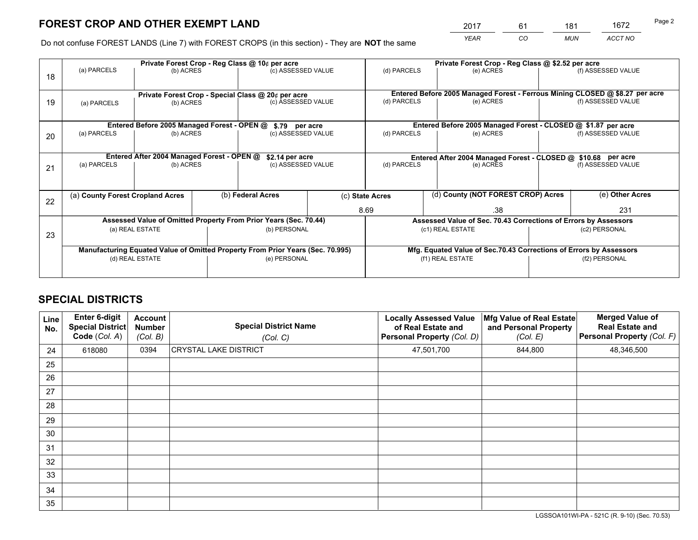*YEAR CO MUN ACCT NO* <sup>2017</sup> <sup>61</sup> <sup>181</sup> <sup>1672</sup>

Do not confuse FOREST LANDS (Line 7) with FOREST CROPS (in this section) - They are **NOT** the same

|    | Private Forest Crop - Reg Class @ 10¢ per acre                                 |                                             |              |                                                                  |                                      |                                                                              | Private Forest Crop - Reg Class @ \$2.52 per acre                  |               |                    |  |
|----|--------------------------------------------------------------------------------|---------------------------------------------|--------------|------------------------------------------------------------------|--------------------------------------|------------------------------------------------------------------------------|--------------------------------------------------------------------|---------------|--------------------|--|
| 18 | (a) PARCELS                                                                    | (b) ACRES                                   |              | (c) ASSESSED VALUE                                               |                                      | (d) PARCELS                                                                  | (e) ACRES                                                          |               | (f) ASSESSED VALUE |  |
|    | Private Forest Crop - Special Class @ 20¢ per acre                             |                                             |              |                                                                  |                                      | Entered Before 2005 Managed Forest - Ferrous Mining CLOSED @ \$8.27 per acre |                                                                    |               |                    |  |
| 19 | (a) PARCELS                                                                    | (b) ACRES                                   |              | (c) ASSESSED VALUE                                               |                                      | (d) PARCELS                                                                  | (e) ACRES                                                          |               | (f) ASSESSED VALUE |  |
|    |                                                                                | Entered Before 2005 Managed Forest - OPEN @ |              |                                                                  |                                      |                                                                              | Entered Before 2005 Managed Forest - CLOSED @ \$1.87 per acre      |               |                    |  |
| 20 | (a) PARCELS<br>(b) ACRES                                                       |                                             |              |                                                                  | \$.79 per acre<br>(c) ASSESSED VALUE |                                                                              | (d) PARCELS<br>(e) ACRES                                           |               | (f) ASSESSED VALUE |  |
|    |                                                                                | Entered After 2004 Managed Forest - OPEN @  |              | \$2.14 per acre                                                  |                                      |                                                                              | Entered After 2004 Managed Forest - CLOSED @ \$10.68 per acre      |               |                    |  |
| 21 | (a) PARCELS                                                                    | (b) ACRES                                   |              | (c) ASSESSED VALUE                                               |                                      | (d) PARCELS                                                                  | (e) ACRES                                                          |               | (f) ASSESSED VALUE |  |
| 22 | (a) County Forest Cropland Acres                                               |                                             |              | (b) Federal Acres                                                |                                      | (c) State Acres                                                              | (d) County (NOT FOREST CROP) Acres                                 |               | (e) Other Acres    |  |
|    |                                                                                |                                             |              |                                                                  |                                      | 8.69                                                                         | .38                                                                |               | 231                |  |
|    |                                                                                |                                             |              | Assessed Value of Omitted Property From Prior Years (Sec. 70.44) |                                      |                                                                              | Assessed Value of Sec. 70.43 Corrections of Errors by Assessors    |               |                    |  |
| 23 | (a) REAL ESTATE<br>(b) PERSONAL                                                |                                             |              | (c1) REAL ESTATE<br>(c2) PERSONAL                                |                                      |                                                                              |                                                                    |               |                    |  |
|    | Manufacturing Equated Value of Omitted Property From Prior Years (Sec. 70.995) |                                             |              |                                                                  |                                      |                                                                              | Mfg. Equated Value of Sec.70.43 Corrections of Errors by Assessors |               |                    |  |
|    | (d) REAL ESTATE                                                                |                                             | (e) PERSONAL |                                                                  |                                      | (f1) REAL ESTATE                                                             |                                                                    | (f2) PERSONAL |                    |  |
|    |                                                                                |                                             |              |                                                                  |                                      |                                                                              |                                                                    |               |                    |  |

## **SPECIAL DISTRICTS**

| Line<br>No. | Enter 6-digit<br><b>Special District</b><br>Code (Col. A) | <b>Account</b><br><b>Number</b><br>(Col. B) | <b>Special District Name</b><br>(Col. C) | <b>Locally Assessed Value</b><br>of Real Estate and<br>Personal Property (Col. D) | Mfg Value of Real Estate<br>and Personal Property<br>(Col. E) | <b>Merged Value of</b><br><b>Real Estate and</b><br>Personal Property (Col. F) |
|-------------|-----------------------------------------------------------|---------------------------------------------|------------------------------------------|-----------------------------------------------------------------------------------|---------------------------------------------------------------|--------------------------------------------------------------------------------|
| 24          | 618080                                                    | 0394                                        | <b>CRYSTAL LAKE DISTRICT</b>             | 47,501,700                                                                        | 844,800                                                       | 48,346,500                                                                     |
| 25          |                                                           |                                             |                                          |                                                                                   |                                                               |                                                                                |
| 26          |                                                           |                                             |                                          |                                                                                   |                                                               |                                                                                |
| 27          |                                                           |                                             |                                          |                                                                                   |                                                               |                                                                                |
| 28          |                                                           |                                             |                                          |                                                                                   |                                                               |                                                                                |
| 29          |                                                           |                                             |                                          |                                                                                   |                                                               |                                                                                |
| 30          |                                                           |                                             |                                          |                                                                                   |                                                               |                                                                                |
| 31          |                                                           |                                             |                                          |                                                                                   |                                                               |                                                                                |
| 32          |                                                           |                                             |                                          |                                                                                   |                                                               |                                                                                |
| 33          |                                                           |                                             |                                          |                                                                                   |                                                               |                                                                                |
| 34          |                                                           |                                             |                                          |                                                                                   |                                                               |                                                                                |
| 35          |                                                           |                                             |                                          |                                                                                   |                                                               |                                                                                |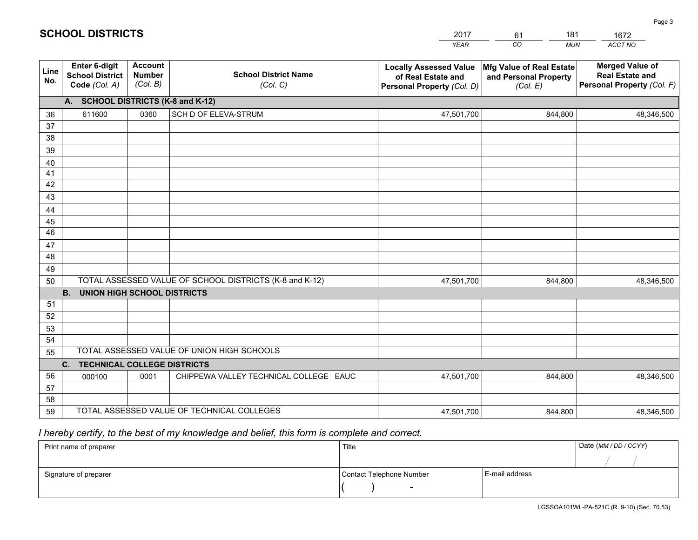|             |                                                                 |                                             |                                                         | <b>YEAR</b>                                                                       | CO<br><b>MUN</b>                                              | ACCT NO                                                                        |
|-------------|-----------------------------------------------------------------|---------------------------------------------|---------------------------------------------------------|-----------------------------------------------------------------------------------|---------------------------------------------------------------|--------------------------------------------------------------------------------|
| Line<br>No. | <b>Enter 6-digit</b><br><b>School District</b><br>Code (Col. A) | <b>Account</b><br><b>Number</b><br>(Col. B) | <b>School District Name</b><br>(Col. C)                 | <b>Locally Assessed Value</b><br>of Real Estate and<br>Personal Property (Col. D) | Mfg Value of Real Estate<br>and Personal Property<br>(Col. E) | <b>Merged Value of</b><br><b>Real Estate and</b><br>Personal Property (Col. F) |
|             | A. SCHOOL DISTRICTS (K-8 and K-12)                              |                                             |                                                         |                                                                                   |                                                               |                                                                                |
| 36          | 611600                                                          | 0360                                        | SCH D OF ELEVA-STRUM                                    | 47,501,700                                                                        | 844,800                                                       | 48,346,500                                                                     |
| 37          |                                                                 |                                             |                                                         |                                                                                   |                                                               |                                                                                |
| 38          |                                                                 |                                             |                                                         |                                                                                   |                                                               |                                                                                |
| 39          |                                                                 |                                             |                                                         |                                                                                   |                                                               |                                                                                |
| 40          |                                                                 |                                             |                                                         |                                                                                   |                                                               |                                                                                |
| 41<br>42    |                                                                 |                                             |                                                         |                                                                                   |                                                               |                                                                                |
| 43          |                                                                 |                                             |                                                         |                                                                                   |                                                               |                                                                                |
| 44          |                                                                 |                                             |                                                         |                                                                                   |                                                               |                                                                                |
| 45          |                                                                 |                                             |                                                         |                                                                                   |                                                               |                                                                                |
| 46          |                                                                 |                                             |                                                         |                                                                                   |                                                               |                                                                                |
| 47          |                                                                 |                                             |                                                         |                                                                                   |                                                               |                                                                                |
| 48          |                                                                 |                                             |                                                         |                                                                                   |                                                               |                                                                                |
| 49          |                                                                 |                                             |                                                         |                                                                                   |                                                               |                                                                                |
| 50          |                                                                 |                                             | TOTAL ASSESSED VALUE OF SCHOOL DISTRICTS (K-8 and K-12) | 47,501,700                                                                        | 844,800                                                       | 48,346,500                                                                     |
|             | <b>B. UNION HIGH SCHOOL DISTRICTS</b>                           |                                             |                                                         |                                                                                   |                                                               |                                                                                |
| 51          |                                                                 |                                             |                                                         |                                                                                   |                                                               |                                                                                |
| 52          |                                                                 |                                             |                                                         |                                                                                   |                                                               |                                                                                |
| 53<br>54    |                                                                 |                                             |                                                         |                                                                                   |                                                               |                                                                                |
| 55          |                                                                 |                                             | TOTAL ASSESSED VALUE OF UNION HIGH SCHOOLS              |                                                                                   |                                                               |                                                                                |
|             | C.<br><b>TECHNICAL COLLEGE DISTRICTS</b>                        |                                             |                                                         |                                                                                   |                                                               |                                                                                |
| 56          | 000100                                                          | 0001                                        | CHIPPEWA VALLEY TECHNICAL COLLEGE EAUC                  | 47,501,700                                                                        | 844,800                                                       | 48,346,500                                                                     |
| 57          |                                                                 |                                             |                                                         |                                                                                   |                                                               |                                                                                |
| 58          |                                                                 |                                             |                                                         |                                                                                   |                                                               |                                                                                |
| 59          |                                                                 |                                             | TOTAL ASSESSED VALUE OF TECHNICAL COLLEGES              | 47,501,700                                                                        | 844,800                                                       | 48,346,500                                                                     |

61

181

 *I hereby certify, to the best of my knowledge and belief, this form is complete and correct.*

**SCHOOL DISTRICTS**

| Print name of preparer | Title                    |                | Date (MM / DD / CCYY) |
|------------------------|--------------------------|----------------|-----------------------|
|                        |                          |                |                       |
| Signature of preparer  | Contact Telephone Number | E-mail address |                       |
|                        | $\overline{\phantom{0}}$ |                |                       |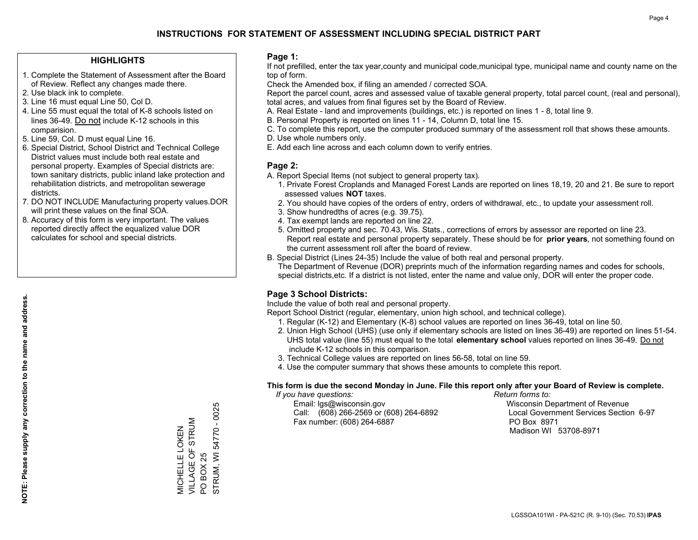#### **HIGHLIGHTS**

- 1. Complete the Statement of Assessment after the Board of Review. Reflect any changes made there.
- 2. Use black ink to complete.
- 3. Line 16 must equal Line 50, Col D.
- 4. Line 55 must equal the total of K-8 schools listed on lines 36-49. Do not include K-12 schools in this comparision.
- 5. Line 59, Col. D must equal Line 16.
- 6. Special District, School District and Technical College District values must include both real estate and personal property. Examples of Special districts are: town sanitary districts, public inland lake protection and rehabilitation districts, and metropolitan sewerage districts.
- 7. DO NOT INCLUDE Manufacturing property values.DOR will print these values on the final SOA.
- 8. Accuracy of this form is very important. The values reported directly affect the equalized value DOR calculates for school and special districts.

#### **Page 1:**

 If not prefilled, enter the tax year,county and municipal code,municipal type, municipal name and county name on the top of form.

Check the Amended box, if filing an amended / corrected SOA.

 Report the parcel count, acres and assessed value of taxable general property, total parcel count, (real and personal), total acres, and values from final figures set by the Board of Review.

- A. Real Estate land and improvements (buildings, etc.) is reported on lines 1 8, total line 9.
- B. Personal Property is reported on lines 11 14, Column D, total line 15.
- C. To complete this report, use the computer produced summary of the assessment roll that shows these amounts.
- D. Use whole numbers only.
- E. Add each line across and each column down to verify entries.

#### **Page 2:**

- A. Report Special Items (not subject to general property tax).
- 1. Private Forest Croplands and Managed Forest Lands are reported on lines 18,19, 20 and 21. Be sure to report assessed values **NOT** taxes.
- 2. You should have copies of the orders of entry, orders of withdrawal, etc., to update your assessment roll.
	- 3. Show hundredths of acres (e.g. 39.75).
- 4. Tax exempt lands are reported on line 22.
- 5. Omitted property and sec. 70.43, Wis. Stats., corrections of errors by assessor are reported on line 23. Report real estate and personal property separately. These should be for **prior years**, not something found on the current assessment roll after the board of review.
- B. Special District (Lines 24-35) Include the value of both real and personal property.

 The Department of Revenue (DOR) preprints much of the information regarding names and codes for schools, special districts,etc. If a district is not listed, enter the name and value only, DOR will enter the proper code.

### **Page 3 School Districts:**

Include the value of both real and personal property.

Report School District (regular, elementary, union high school, and technical college).

- 1. Regular (K-12) and Elementary (K-8) school values are reported on lines 36-49, total on line 50.
- 2. Union High School (UHS) (use only if elementary schools are listed on lines 36-49) are reported on lines 51-54. UHS total value (line 55) must equal to the total **elementary school** values reported on lines 36-49. Do notinclude K-12 schools in this comparison.
- 3. Technical College values are reported on lines 56-58, total on line 59.
- 4. Use the computer summary that shows these amounts to complete this report.

#### **This form is due the second Monday in June. File this report only after your Board of Review is complete.**

 *If you have questions: Return forms to:*

 Email: lgs@wisconsin.gov Wisconsin Department of RevenueCall:  $(608)$  266-2569 or  $(608)$  264-6892 Fax number: (608) 264-6887 PO Box 8971

Local Government Services Section 6-97 Madison WI 53708-8971

STRUM, WI 54770 - 0025 STRUM, WI 54770 - 0025 VILLAGE OF STRUM MICHELLE LOKEN<br>VILLAGE OF STRUM MICHELLE LOKEN **BOX 25** PO BOX 25  $\overline{S}$ 

**NOTE: Please supply any correction to the name and address.**

NOTE: Please supply any correction to the name and address.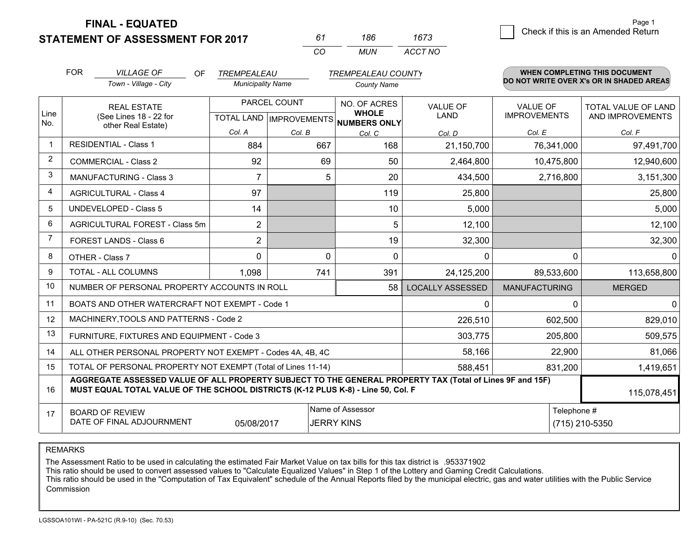**STATEMENT OF ASSESSMENT FOR 2017** 

| 61  | 186  | 1673    |
|-----|------|---------|
| CO. | MUN. | ACCT NO |

|             | <b>FOR</b>                                                                                                                                                                                   | <b>VILLAGE OF</b><br><b>OF</b>                            | TREMPEALEAU                               |          | <b>TREMPEALEAU COUNTY</b>                    |                         |                                        | <b>WHEN COMPLETING THIS DOCUMENT</b>           |
|-------------|----------------------------------------------------------------------------------------------------------------------------------------------------------------------------------------------|-----------------------------------------------------------|-------------------------------------------|----------|----------------------------------------------|-------------------------|----------------------------------------|------------------------------------------------|
|             |                                                                                                                                                                                              | Town - Village - City                                     | <b>Municipality Name</b>                  |          | <b>County Name</b>                           |                         |                                        | DO NOT WRITE OVER X's OR IN SHADED AREAS       |
| Line<br>No. | <b>REAL ESTATE</b><br>(See Lines 18 - 22 for                                                                                                                                                 |                                                           | PARCEL COUNT<br>TOTAL LAND   IMPROVEMENTS |          | NO. OF ACRES<br><b>WHOLE</b><br>NUMBERS ONLY | <b>VALUE OF</b><br>LAND | <b>VALUE OF</b><br><b>IMPROVEMENTS</b> | <b>TOTAL VALUE OF LAND</b><br>AND IMPROVEMENTS |
|             |                                                                                                                                                                                              | other Real Estate)                                        | Col. A                                    | Col. B   | Col. C                                       | Col. D                  | Col. E                                 | Col. F                                         |
| $\mathbf 1$ |                                                                                                                                                                                              | <b>RESIDENTIAL - Class 1</b>                              | 884                                       | 667      | 168                                          | 21,150,700              | 76,341,000                             | 97,491,700                                     |
| 2           |                                                                                                                                                                                              | <b>COMMERCIAL - Class 2</b>                               | 92                                        | 69       | 50                                           | 2,464,800               | 10,475,800                             | 12,940,600                                     |
| 3           |                                                                                                                                                                                              | <b>MANUFACTURING - Class 3</b>                            | 7                                         | 5        | 20                                           | 434,500                 | 2,716,800                              | 3,151,300                                      |
| 4           |                                                                                                                                                                                              | <b>AGRICULTURAL - Class 4</b>                             | 97                                        |          | 119                                          | 25,800                  |                                        | 25,800                                         |
| 5           |                                                                                                                                                                                              | <b>UNDEVELOPED - Class 5</b>                              | 14                                        |          | 10                                           | 5,000                   |                                        | 5,000                                          |
| 6           |                                                                                                                                                                                              | AGRICULTURAL FOREST - Class 5m                            | $\overline{2}$                            |          | 5                                            | 12,100                  |                                        | 12,100                                         |
| 7           |                                                                                                                                                                                              | FOREST LANDS - Class 6                                    | 2                                         |          | 19                                           | 32,300                  |                                        | 32,300                                         |
| 8           |                                                                                                                                                                                              | OTHER - Class 7                                           | $\Omega$                                  | $\Omega$ | $\Omega$                                     | $\Omega$                | $\Omega$                               | $\Omega$                                       |
| 9           |                                                                                                                                                                                              | TOTAL - ALL COLUMNS                                       | 1,098                                     | 741      | 391                                          | 24,125,200              | 89,533,600                             | 113,658,800                                    |
| 10          |                                                                                                                                                                                              | NUMBER OF PERSONAL PROPERTY ACCOUNTS IN ROLL              |                                           |          | 58                                           | <b>LOCALLY ASSESSED</b> | <b>MANUFACTURING</b>                   | <b>MERGED</b>                                  |
| 11          |                                                                                                                                                                                              | BOATS AND OTHER WATERCRAFT NOT EXEMPT - Code 1            |                                           |          |                                              | $\mathbf 0$             | $\Omega$                               | $\mathbf{0}$                                   |
| 12          |                                                                                                                                                                                              | MACHINERY, TOOLS AND PATTERNS - Code 2                    |                                           |          |                                              | 226,510                 | 602,500                                | 829,010                                        |
| 13          |                                                                                                                                                                                              | FURNITURE, FIXTURES AND EQUIPMENT - Code 3                |                                           |          |                                              | 303,775                 | 205,800                                | 509,575                                        |
| 14          |                                                                                                                                                                                              | ALL OTHER PERSONAL PROPERTY NOT EXEMPT - Codes 4A, 4B, 4C |                                           |          |                                              | 58,166                  | 22,900                                 | 81,066                                         |
| 15          | TOTAL OF PERSONAL PROPERTY NOT EXEMPT (Total of Lines 11-14)                                                                                                                                 |                                                           |                                           |          |                                              | 588,451                 | 831,200                                | 1,419,651                                      |
| 16          | AGGREGATE ASSESSED VALUE OF ALL PROPERTY SUBJECT TO THE GENERAL PROPERTY TAX (Total of Lines 9F and 15F)<br>MUST EQUAL TOTAL VALUE OF THE SCHOOL DISTRICTS (K-12 PLUS K-8) - Line 50, Col. F |                                                           |                                           |          |                                              |                         | 115,078,451                            |                                                |
| 17          | Name of Assessor<br>Telephone #<br><b>BOARD OF REVIEW</b><br>DATE OF FINAL ADJOURNMENT<br>05/08/2017<br><b>JERRY KINS</b><br>(715) 210-5350                                                  |                                                           |                                           |          |                                              |                         |                                        |                                                |

REMARKS

The Assessment Ratio to be used in calculating the estimated Fair Market Value on tax bills for this tax district is .953371902

This ratio should be used to convert assessed values to "Calculate Equalized Values" in Step 1 of the Lottery and Gaming Credit Calculations.<br>This ratio should be used in the "Computation of Tax Equivalent" schedule of the Commission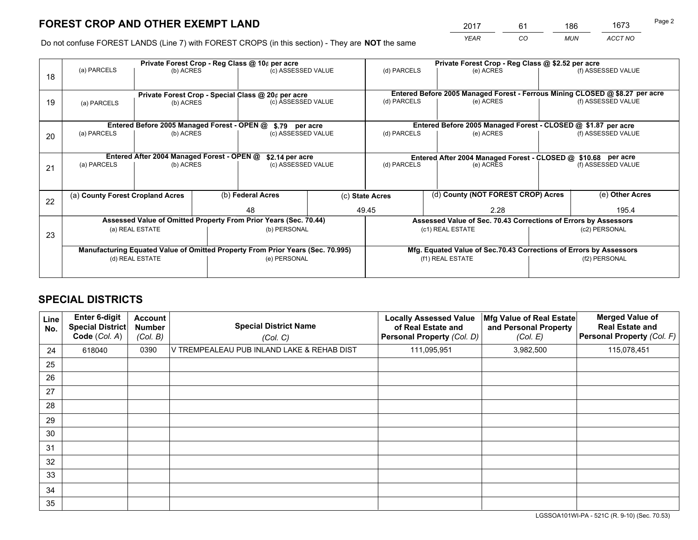*YEAR CO MUN ACCT NO* <sup>2017</sup> <sup>61</sup> <sup>186</sup> <sup>1673</sup>

Do not confuse FOREST LANDS (Line 7) with FOREST CROPS (in this section) - They are **NOT** the same

|    | Private Forest Crop - Reg Class @ 10¢ per acre                                 |                                             |  |                                                                  |                  |                                                                    | Private Forest Crop - Reg Class @ \$2.52 per acre                            |                 |                    |  |
|----|--------------------------------------------------------------------------------|---------------------------------------------|--|------------------------------------------------------------------|------------------|--------------------------------------------------------------------|------------------------------------------------------------------------------|-----------------|--------------------|--|
| 18 | (a) PARCELS                                                                    | (b) ACRES                                   |  | (c) ASSESSED VALUE                                               |                  | (d) PARCELS                                                        | (e) ACRES                                                                    |                 | (f) ASSESSED VALUE |  |
|    |                                                                                |                                             |  |                                                                  |                  |                                                                    | Entered Before 2005 Managed Forest - Ferrous Mining CLOSED @ \$8.27 per acre |                 |                    |  |
| 19 | Private Forest Crop - Special Class @ 20¢ per acre<br>(b) ACRES<br>(a) PARCELS |                                             |  | (c) ASSESSED VALUE                                               |                  | (d) PARCELS                                                        | (e) ACRES                                                                    |                 | (f) ASSESSED VALUE |  |
|    |                                                                                | Entered Before 2005 Managed Forest - OPEN @ |  | \$.79 per acre                                                   |                  |                                                                    | Entered Before 2005 Managed Forest - CLOSED @ \$1.87 per acre                |                 |                    |  |
|    | (a) PARCELS                                                                    | (b) ACRES                                   |  | (c) ASSESSED VALUE                                               |                  | (d) PARCELS                                                        | (e) ACRES                                                                    |                 | (f) ASSESSED VALUE |  |
| 20 |                                                                                |                                             |  |                                                                  |                  |                                                                    |                                                                              |                 |                    |  |
|    |                                                                                | Entered After 2004 Managed Forest - OPEN @  |  | \$2.14 per acre                                                  |                  |                                                                    | Entered After 2004 Managed Forest - CLOSED @ \$10.68 per acre                |                 |                    |  |
| 21 | (a) PARCELS                                                                    | (b) ACRES                                   |  | (c) ASSESSED VALUE                                               |                  | (d) PARCELS<br>(e) ACRES                                           |                                                                              |                 | (f) ASSESSED VALUE |  |
|    |                                                                                |                                             |  |                                                                  |                  |                                                                    |                                                                              |                 |                    |  |
| 22 | (a) County Forest Cropland Acres                                               |                                             |  | (b) Federal Acres                                                |                  | (d) County (NOT FOREST CROP) Acres<br>(c) State Acres              |                                                                              | (e) Other Acres |                    |  |
|    |                                                                                |                                             |  | 48                                                               |                  | 49.45<br>2.28                                                      |                                                                              |                 | 195.4              |  |
|    |                                                                                |                                             |  | Assessed Value of Omitted Property From Prior Years (Sec. 70.44) |                  |                                                                    | Assessed Value of Sec. 70.43 Corrections of Errors by Assessors              |                 |                    |  |
| 23 |                                                                                | (a) REAL ESTATE                             |  | (b) PERSONAL                                                     |                  |                                                                    | (c1) REAL ESTATE                                                             |                 | (c2) PERSONAL      |  |
|    |                                                                                |                                             |  |                                                                  |                  |                                                                    |                                                                              |                 |                    |  |
|    | Manufacturing Equated Value of Omitted Property From Prior Years (Sec. 70.995) |                                             |  |                                                                  |                  | Mfg. Equated Value of Sec.70.43 Corrections of Errors by Assessors |                                                                              |                 |                    |  |
|    | (e) PERSONAL<br>(d) REAL ESTATE                                                |                                             |  |                                                                  | (f1) REAL ESTATE |                                                                    | (f2) PERSONAL                                                                |                 |                    |  |
|    |                                                                                |                                             |  |                                                                  |                  |                                                                    |                                                                              |                 |                    |  |

## **SPECIAL DISTRICTS**

| <b>Line</b><br>No. | Enter 6-digit<br><b>Special District</b><br>Code (Col. A) | <b>Account</b><br><b>Number</b><br>(Col. B) | <b>Special District Name</b><br>(Col. C)   | <b>Locally Assessed Value</b><br>of Real Estate and<br><b>Personal Property (Col. D)</b> | Mfg Value of Real Estate<br>and Personal Property<br>(Col. E) | <b>Merged Value of</b><br><b>Real Estate and</b><br>Personal Property (Col. F) |
|--------------------|-----------------------------------------------------------|---------------------------------------------|--------------------------------------------|------------------------------------------------------------------------------------------|---------------------------------------------------------------|--------------------------------------------------------------------------------|
| 24                 | 618040                                                    | 0390                                        | V TREMPEALEAU PUB INLAND LAKE & REHAB DIST | 111,095,951                                                                              | 3,982,500                                                     | 115,078,451                                                                    |
| 25                 |                                                           |                                             |                                            |                                                                                          |                                                               |                                                                                |
| 26                 |                                                           |                                             |                                            |                                                                                          |                                                               |                                                                                |
| 27                 |                                                           |                                             |                                            |                                                                                          |                                                               |                                                                                |
| 28                 |                                                           |                                             |                                            |                                                                                          |                                                               |                                                                                |
| 29                 |                                                           |                                             |                                            |                                                                                          |                                                               |                                                                                |
| 30                 |                                                           |                                             |                                            |                                                                                          |                                                               |                                                                                |
| 31                 |                                                           |                                             |                                            |                                                                                          |                                                               |                                                                                |
| 32                 |                                                           |                                             |                                            |                                                                                          |                                                               |                                                                                |
| 33                 |                                                           |                                             |                                            |                                                                                          |                                                               |                                                                                |
| 34                 |                                                           |                                             |                                            |                                                                                          |                                                               |                                                                                |
| 35                 |                                                           |                                             |                                            |                                                                                          |                                                               |                                                                                |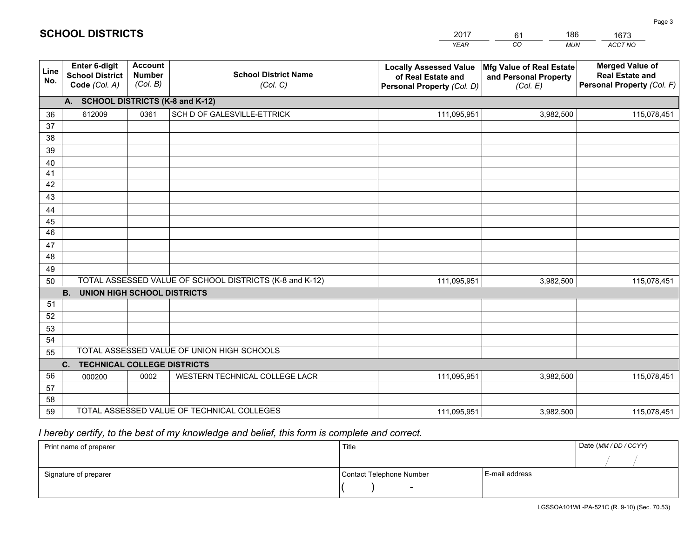|             |                                                          |                                             |                                                         | <b>YEAR</b>                                                                       | CO<br><b>MUN</b>                                              | ACCT NO                                                                        |
|-------------|----------------------------------------------------------|---------------------------------------------|---------------------------------------------------------|-----------------------------------------------------------------------------------|---------------------------------------------------------------|--------------------------------------------------------------------------------|
| Line<br>No. | Enter 6-digit<br><b>School District</b><br>Code (Col. A) | <b>Account</b><br><b>Number</b><br>(Col. B) | <b>School District Name</b><br>(Col. C)                 | <b>Locally Assessed Value</b><br>of Real Estate and<br>Personal Property (Col. D) | Mfg Value of Real Estate<br>and Personal Property<br>(Col. E) | <b>Merged Value of</b><br><b>Real Estate and</b><br>Personal Property (Col. F) |
|             | A. SCHOOL DISTRICTS (K-8 and K-12)                       |                                             |                                                         |                                                                                   |                                                               |                                                                                |
| 36          | 612009                                                   | 0361                                        | SCH D OF GALESVILLE-ETTRICK                             | 111,095,951                                                                       | 3,982,500                                                     | 115,078,451                                                                    |
| 37          |                                                          |                                             |                                                         |                                                                                   |                                                               |                                                                                |
| 38          |                                                          |                                             |                                                         |                                                                                   |                                                               |                                                                                |
| 39          |                                                          |                                             |                                                         |                                                                                   |                                                               |                                                                                |
| 40          |                                                          |                                             |                                                         |                                                                                   |                                                               |                                                                                |
| 41<br>42    |                                                          |                                             |                                                         |                                                                                   |                                                               |                                                                                |
| 43          |                                                          |                                             |                                                         |                                                                                   |                                                               |                                                                                |
| 44          |                                                          |                                             |                                                         |                                                                                   |                                                               |                                                                                |
| 45          |                                                          |                                             |                                                         |                                                                                   |                                                               |                                                                                |
| 46          |                                                          |                                             |                                                         |                                                                                   |                                                               |                                                                                |
| 47          |                                                          |                                             |                                                         |                                                                                   |                                                               |                                                                                |
| 48          |                                                          |                                             |                                                         |                                                                                   |                                                               |                                                                                |
| 49          |                                                          |                                             |                                                         |                                                                                   |                                                               |                                                                                |
| 50          |                                                          |                                             | TOTAL ASSESSED VALUE OF SCHOOL DISTRICTS (K-8 and K-12) | 111,095,951                                                                       | 3,982,500                                                     | 115,078,451                                                                    |
|             | <b>B.</b><br><b>UNION HIGH SCHOOL DISTRICTS</b>          |                                             |                                                         |                                                                                   |                                                               |                                                                                |
| 51          |                                                          |                                             |                                                         |                                                                                   |                                                               |                                                                                |
| 52          |                                                          |                                             |                                                         |                                                                                   |                                                               |                                                                                |
| 53          |                                                          |                                             |                                                         |                                                                                   |                                                               |                                                                                |
| 54          |                                                          |                                             |                                                         |                                                                                   |                                                               |                                                                                |
| 55          |                                                          |                                             | TOTAL ASSESSED VALUE OF UNION HIGH SCHOOLS              |                                                                                   |                                                               |                                                                                |
|             | C.<br><b>TECHNICAL COLLEGE DISTRICTS</b>                 |                                             |                                                         |                                                                                   |                                                               |                                                                                |
| 56<br>57    | 000200                                                   | 0002                                        | WESTERN TECHNICAL COLLEGE LACR                          | 111,095,951                                                                       | 3,982,500                                                     | 115,078,451                                                                    |
| 58          |                                                          |                                             |                                                         |                                                                                   |                                                               |                                                                                |
| 59          |                                                          |                                             | TOTAL ASSESSED VALUE OF TECHNICAL COLLEGES              | 111,095,951                                                                       | 3,982,500                                                     | 115,078,451                                                                    |

61

186

 *I hereby certify, to the best of my knowledge and belief, this form is complete and correct.*

**SCHOOL DISTRICTS**

| Print name of preparer | Title                    |                | Date (MM / DD / CCYY) |
|------------------------|--------------------------|----------------|-----------------------|
|                        |                          |                |                       |
| Signature of preparer  | Contact Telephone Number | E-mail address |                       |
|                        | $\sim$                   |                |                       |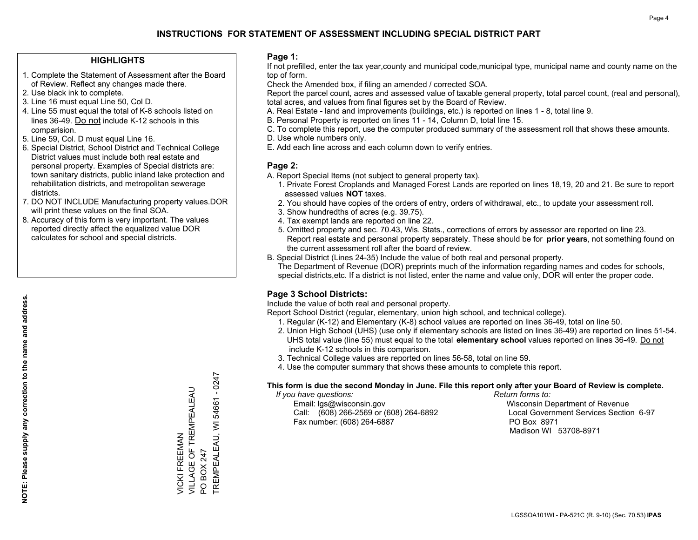#### **HIGHLIGHTS**

- 1. Complete the Statement of Assessment after the Board of Review. Reflect any changes made there.
- 2. Use black ink to complete.
- 3. Line 16 must equal Line 50, Col D.
- 4. Line 55 must equal the total of K-8 schools listed on lines 36-49. Do not include K-12 schools in this comparision.
- 5. Line 59, Col. D must equal Line 16.
- 6. Special District, School District and Technical College District values must include both real estate and personal property. Examples of Special districts are: town sanitary districts, public inland lake protection and rehabilitation districts, and metropolitan sewerage districts.
- 7. DO NOT INCLUDE Manufacturing property values.DOR will print these values on the final SOA.
- 8. Accuracy of this form is very important. The values reported directly affect the equalized value DOR calculates for school and special districts.

#### **Page 1:**

 If not prefilled, enter the tax year,county and municipal code,municipal type, municipal name and county name on the top of form.

Check the Amended box, if filing an amended / corrected SOA.

 Report the parcel count, acres and assessed value of taxable general property, total parcel count, (real and personal), total acres, and values from final figures set by the Board of Review.

- A. Real Estate land and improvements (buildings, etc.) is reported on lines 1 8, total line 9.
- B. Personal Property is reported on lines 11 14, Column D, total line 15.
- C. To complete this report, use the computer produced summary of the assessment roll that shows these amounts.
- D. Use whole numbers only.
- E. Add each line across and each column down to verify entries.

#### **Page 2:**

- A. Report Special Items (not subject to general property tax).
- 1. Private Forest Croplands and Managed Forest Lands are reported on lines 18,19, 20 and 21. Be sure to report assessed values **NOT** taxes.
- 2. You should have copies of the orders of entry, orders of withdrawal, etc., to update your assessment roll.
	- 3. Show hundredths of acres (e.g. 39.75).
- 4. Tax exempt lands are reported on line 22.
- 5. Omitted property and sec. 70.43, Wis. Stats., corrections of errors by assessor are reported on line 23. Report real estate and personal property separately. These should be for **prior years**, not something found on the current assessment roll after the board of review.
- B. Special District (Lines 24-35) Include the value of both real and personal property.

 The Department of Revenue (DOR) preprints much of the information regarding names and codes for schools, special districts,etc. If a district is not listed, enter the name and value only, DOR will enter the proper code.

### **Page 3 School Districts:**

Include the value of both real and personal property.

Report School District (regular, elementary, union high school, and technical college).

- 1. Regular (K-12) and Elementary (K-8) school values are reported on lines 36-49, total on line 50.
- 2. Union High School (UHS) (use only if elementary schools are listed on lines 36-49) are reported on lines 51-54. UHS total value (line 55) must equal to the total **elementary school** values reported on lines 36-49. Do notinclude K-12 schools in this comparison.
- 3. Technical College values are reported on lines 56-58, total on line 59.
- 4. Use the computer summary that shows these amounts to complete this report.

#### **This form is due the second Monday in June. File this report only after your Board of Review is complete.**

 *If you have questions: Return forms to:*

 Email: lgs@wisconsin.gov Wisconsin Department of RevenueCall:  $(608)$  266-2569 or  $(608)$  264-6892 Fax number: (608) 264-6887 PO Box 8971

Local Government Services Section 6-97 Madison WI 53708-8971

 $-0247$ TREMPEALEAU, WI 54661 - 0247 VILLAGE OF TREMPEALEAU VICKI FREEMAN<br>VILLAGE OF TREMPEALEAU TREMPEALEAU, WI 54661 VICKI FREEMAN PO BOX 247 PO BOX 247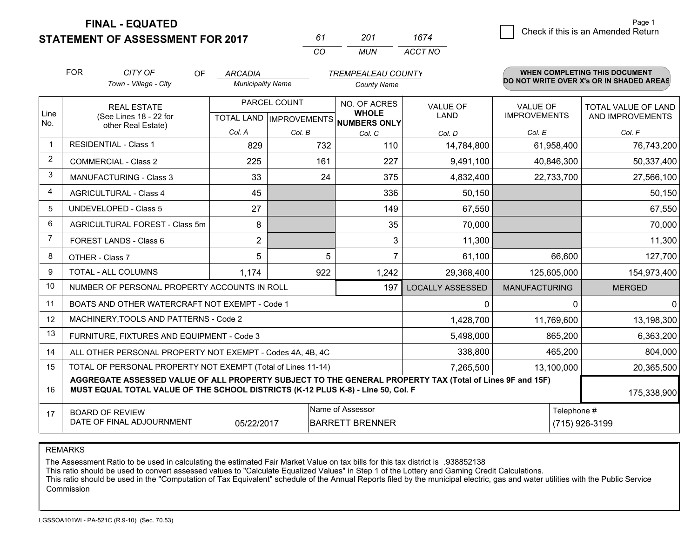**STATEMENT OF ASSESSMENT FOR 2017** 

| 61  | 201   | 1674    |
|-----|-------|---------|
| CO. | MI IN | ACCT NO |

|                | <b>FOR</b>                                                                                                                                       | CITY OF<br><b>OF</b>                                                                                                                                                                         | <b>ARCADIA</b>           |              | <b>TREMPEALEAU COUNTY</b>                                                |                                |                                        | WHEN COMPLETING THIS DOCUMENT                  |
|----------------|--------------------------------------------------------------------------------------------------------------------------------------------------|----------------------------------------------------------------------------------------------------------------------------------------------------------------------------------------------|--------------------------|--------------|--------------------------------------------------------------------------|--------------------------------|----------------------------------------|------------------------------------------------|
|                |                                                                                                                                                  | Town - Village - City                                                                                                                                                                        | <b>Municipality Name</b> |              | <b>County Name</b>                                                       |                                |                                        | DO NOT WRITE OVER X's OR IN SHADED AREAS       |
| Line           | <b>REAL ESTATE</b><br>(See Lines 18 - 22 for                                                                                                     |                                                                                                                                                                                              |                          | PARCEL COUNT | NO. OF ACRES<br><b>WHOLE</b><br>TOTAL LAND   IMPROVEMENTS   NUMBERS ONLY | <b>VALUE OF</b><br><b>LAND</b> | <b>VALUE OF</b><br><b>IMPROVEMENTS</b> | <b>TOTAL VALUE OF LAND</b><br>AND IMPROVEMENTS |
| No.            |                                                                                                                                                  | other Real Estate)                                                                                                                                                                           | Col. A                   | Col. B       | Col. C                                                                   | Col. D                         | Col. E                                 | Col. F                                         |
|                | <b>RESIDENTIAL - Class 1</b>                                                                                                                     |                                                                                                                                                                                              | 829                      | 732          | 110                                                                      | 14,784,800                     | 61,958,400                             | 76,743,200                                     |
| 2              |                                                                                                                                                  | <b>COMMERCIAL - Class 2</b>                                                                                                                                                                  | 225                      | 161          | 227                                                                      | 9,491,100                      | 40,846,300                             | 50,337,400                                     |
| 3              |                                                                                                                                                  | <b>MANUFACTURING - Class 3</b>                                                                                                                                                               | 33                       | 24           | 375                                                                      | 4,832,400                      | 22,733,700                             | 27,566,100                                     |
| 4              |                                                                                                                                                  | <b>AGRICULTURAL - Class 4</b>                                                                                                                                                                | 45                       |              | 336                                                                      | 50,150                         |                                        | 50,150                                         |
| 5              |                                                                                                                                                  | <b>UNDEVELOPED - Class 5</b>                                                                                                                                                                 | 27                       |              | 149                                                                      | 67,550                         |                                        | 67,550                                         |
| 6              |                                                                                                                                                  | AGRICULTURAL FOREST - Class 5m                                                                                                                                                               | 8                        |              | 35                                                                       | 70,000                         |                                        | 70,000                                         |
| $\overline{7}$ | FOREST LANDS - Class 6                                                                                                                           |                                                                                                                                                                                              | $\overline{2}$           |              | 3                                                                        | 11,300                         |                                        | 11,300                                         |
| 8              |                                                                                                                                                  | OTHER - Class 7                                                                                                                                                                              | 5                        | 5            | 7                                                                        | 61,100                         | 66,600                                 | 127,700                                        |
| 9              |                                                                                                                                                  | TOTAL - ALL COLUMNS                                                                                                                                                                          | 1,174                    | 922          | 1,242                                                                    | 29,368,400                     | 125,605,000                            | 154,973,400                                    |
| 10             |                                                                                                                                                  | NUMBER OF PERSONAL PROPERTY ACCOUNTS IN ROLL                                                                                                                                                 |                          |              | 197                                                                      | <b>LOCALLY ASSESSED</b>        | <b>MANUFACTURING</b>                   | <b>MERGED</b>                                  |
| 11             |                                                                                                                                                  | BOATS AND OTHER WATERCRAFT NOT EXEMPT - Code 1                                                                                                                                               |                          |              |                                                                          | 0                              | $\Omega$                               | $\mathbf{0}$                                   |
| 12             |                                                                                                                                                  | MACHINERY, TOOLS AND PATTERNS - Code 2                                                                                                                                                       |                          |              |                                                                          | 1,428,700                      | 11,769,600                             | 13,198,300                                     |
| 13             |                                                                                                                                                  | FURNITURE, FIXTURES AND EQUIPMENT - Code 3                                                                                                                                                   |                          |              |                                                                          | 5,498,000                      | 865,200                                | 6,363,200                                      |
| 14             |                                                                                                                                                  | ALL OTHER PERSONAL PROPERTY NOT EXEMPT - Codes 4A, 4B, 4C                                                                                                                                    |                          |              |                                                                          | 338,800                        | 465,200                                | 804,000                                        |
| 15             |                                                                                                                                                  | TOTAL OF PERSONAL PROPERTY NOT EXEMPT (Total of Lines 11-14)                                                                                                                                 |                          |              |                                                                          | 7,265,500                      | 13,100,000                             | 20,365,500                                     |
| 16             |                                                                                                                                                  | AGGREGATE ASSESSED VALUE OF ALL PROPERTY SUBJECT TO THE GENERAL PROPERTY TAX (Total of Lines 9F and 15F)<br>MUST EQUAL TOTAL VALUE OF THE SCHOOL DISTRICTS (K-12 PLUS K-8) - Line 50, Col. F |                          |              |                                                                          |                                |                                        | 175,338,900                                    |
| 17             | Name of Assessor<br>Telephone #<br><b>BOARD OF REVIEW</b><br>DATE OF FINAL ADJOURNMENT<br><b>BARRETT BRENNER</b><br>(715) 926-3199<br>05/22/2017 |                                                                                                                                                                                              |                          |              |                                                                          |                                |                                        |                                                |

REMARKS

The Assessment Ratio to be used in calculating the estimated Fair Market Value on tax bills for this tax district is .938852138

This ratio should be used to convert assessed values to "Calculate Equalized Values" in Step 1 of the Lottery and Gaming Credit Calculations.<br>This ratio should be used in the "Computation of Tax Equivalent" schedule of the Commission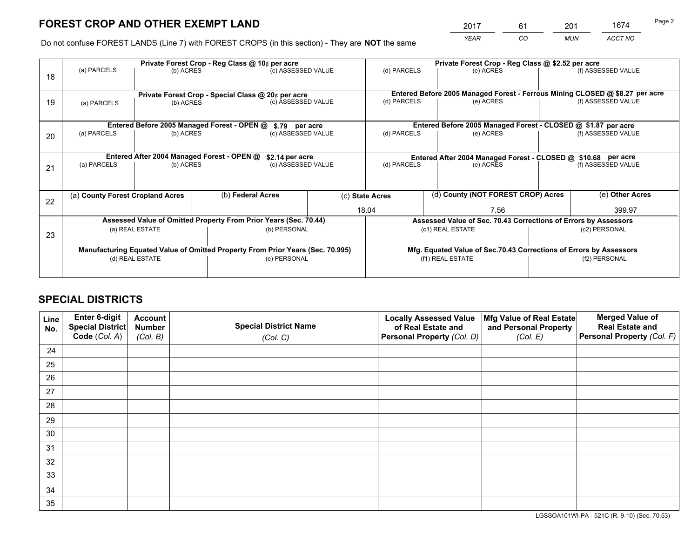*YEAR CO MUN ACCT NO* <sup>2017</sup> <sup>61</sup> <sup>201</sup> <sup>1674</sup>

Do not confuse FOREST LANDS (Line 7) with FOREST CROPS (in this section) - They are **NOT** the same

|    |                                                               |                                             |  | Private Forest Crop - Reg Class @ 10¢ per acre                                 |  |                                                               | Private Forest Crop - Reg Class @ \$2.52 per acre |           |                    |                                                                              |
|----|---------------------------------------------------------------|---------------------------------------------|--|--------------------------------------------------------------------------------|--|---------------------------------------------------------------|---------------------------------------------------|-----------|--------------------|------------------------------------------------------------------------------|
| 18 | (a) PARCELS                                                   | (b) ACRES                                   |  | (c) ASSESSED VALUE                                                             |  | (d) PARCELS                                                   |                                                   | (e) ACRES |                    | (f) ASSESSED VALUE                                                           |
|    |                                                               |                                             |  | Private Forest Crop - Special Class @ 20¢ per acre                             |  |                                                               |                                                   |           |                    | Entered Before 2005 Managed Forest - Ferrous Mining CLOSED @ \$8.27 per acre |
| 19 | (a) PARCELS                                                   | (b) ACRES                                   |  | (c) ASSESSED VALUE                                                             |  | (d) PARCELS                                                   |                                                   | (e) ACRES |                    | (f) ASSESSED VALUE                                                           |
|    |                                                               | Entered Before 2005 Managed Forest - OPEN @ |  | \$.79 per acre                                                                 |  |                                                               |                                                   |           |                    | Entered Before 2005 Managed Forest - CLOSED @ \$1.87 per acre                |
| 20 | (a) PARCELS<br>(b) ACRES                                      |                                             |  | (c) ASSESSED VALUE                                                             |  | (d) PARCELS<br>(e) ACRES                                      |                                                   |           | (f) ASSESSED VALUE |                                                                              |
|    | Entered After 2004 Managed Forest - OPEN @<br>\$2.14 per acre |                                             |  |                                                                                |  | Entered After 2004 Managed Forest - CLOSED @ \$10.68 per acre |                                                   |           |                    |                                                                              |
| 21 | (a) PARCELS                                                   | (b) ACRES                                   |  | (c) ASSESSED VALUE                                                             |  | (d) PARCELS                                                   |                                                   | (e) ACRES |                    | (f) ASSESSED VALUE                                                           |
|    |                                                               |                                             |  |                                                                                |  |                                                               |                                                   |           |                    |                                                                              |
| 22 | (a) County Forest Cropland Acres                              |                                             |  | (b) Federal Acres                                                              |  | (d) County (NOT FOREST CROP) Acres<br>(c) State Acres         |                                                   |           |                    | (e) Other Acres                                                              |
|    |                                                               |                                             |  |                                                                                |  | 18.04<br>7.56                                                 |                                                   |           | 399.97             |                                                                              |
|    |                                                               |                                             |  | Assessed Value of Omitted Property From Prior Years (Sec. 70.44)               |  |                                                               |                                                   |           |                    | Assessed Value of Sec. 70.43 Corrections of Errors by Assessors              |
| 23 | (a) REAL ESTATE                                               |                                             |  | (b) PERSONAL                                                                   |  | (c1) REAL ESTATE                                              |                                                   |           | (c2) PERSONAL      |                                                                              |
|    |                                                               |                                             |  | Manufacturing Equated Value of Omitted Property From Prior Years (Sec. 70.995) |  |                                                               |                                                   |           |                    | Mfg. Equated Value of Sec.70.43 Corrections of Errors by Assessors           |
|    |                                                               | (d) REAL ESTATE                             |  | (e) PERSONAL                                                                   |  | (f1) REAL ESTATE                                              |                                                   |           | (f2) PERSONAL      |                                                                              |
|    |                                                               |                                             |  |                                                                                |  |                                                               |                                                   |           |                    |                                                                              |

## **SPECIAL DISTRICTS**

| Line<br>No. | Enter 6-digit<br><b>Special District</b> | <b>Account</b><br><b>Number</b> | <b>Special District Name</b> | <b>Locally Assessed Value</b><br>of Real Estate and | Mfg Value of Real Estate<br>and Personal Property | <b>Merged Value of</b><br><b>Real Estate and</b> |
|-------------|------------------------------------------|---------------------------------|------------------------------|-----------------------------------------------------|---------------------------------------------------|--------------------------------------------------|
|             | Code (Col. A)                            | (Col. B)                        | (Col. C)                     | Personal Property (Col. D)                          | (Col. E)                                          | Personal Property (Col. F)                       |
| 24          |                                          |                                 |                              |                                                     |                                                   |                                                  |
| 25          |                                          |                                 |                              |                                                     |                                                   |                                                  |
| 26          |                                          |                                 |                              |                                                     |                                                   |                                                  |
| 27          |                                          |                                 |                              |                                                     |                                                   |                                                  |
| 28          |                                          |                                 |                              |                                                     |                                                   |                                                  |
| 29          |                                          |                                 |                              |                                                     |                                                   |                                                  |
| 30          |                                          |                                 |                              |                                                     |                                                   |                                                  |
| 31          |                                          |                                 |                              |                                                     |                                                   |                                                  |
| 32          |                                          |                                 |                              |                                                     |                                                   |                                                  |
| 33          |                                          |                                 |                              |                                                     |                                                   |                                                  |
| 34          |                                          |                                 |                              |                                                     |                                                   |                                                  |
| 35          |                                          |                                 |                              |                                                     |                                                   |                                                  |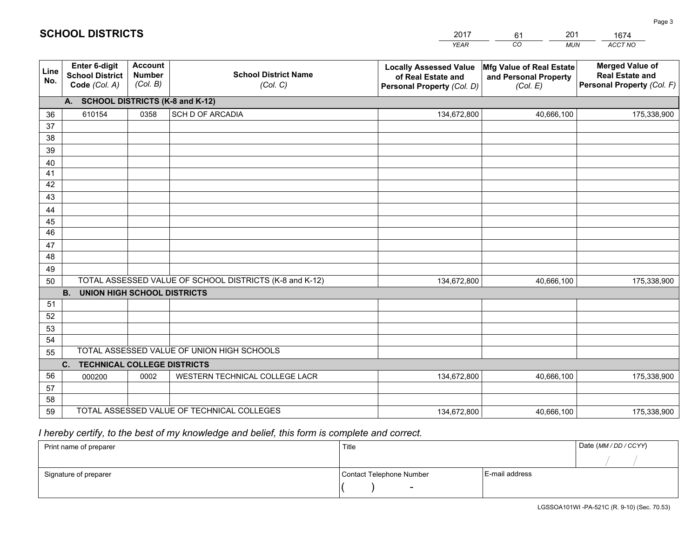|             |                                                                 |                                             |                                                         | <b>YEAR</b>                                                                       | CO<br><b>MUN</b>                                              | ACCT NO                                                                        |
|-------------|-----------------------------------------------------------------|---------------------------------------------|---------------------------------------------------------|-----------------------------------------------------------------------------------|---------------------------------------------------------------|--------------------------------------------------------------------------------|
| Line<br>No. | <b>Enter 6-digit</b><br><b>School District</b><br>Code (Col. A) | <b>Account</b><br><b>Number</b><br>(Col. B) | <b>School District Name</b><br>(Col. C)                 | <b>Locally Assessed Value</b><br>of Real Estate and<br>Personal Property (Col. D) | Mfg Value of Real Estate<br>and Personal Property<br>(Col. E) | <b>Merged Value of</b><br><b>Real Estate and</b><br>Personal Property (Col. F) |
|             | A. SCHOOL DISTRICTS (K-8 and K-12)                              |                                             |                                                         |                                                                                   |                                                               |                                                                                |
| 36          | 610154                                                          | 0358                                        | SCH D OF ARCADIA                                        | 134,672,800                                                                       | 40,666,100                                                    | 175,338,900                                                                    |
| 37          |                                                                 |                                             |                                                         |                                                                                   |                                                               |                                                                                |
| 38          |                                                                 |                                             |                                                         |                                                                                   |                                                               |                                                                                |
| 39          |                                                                 |                                             |                                                         |                                                                                   |                                                               |                                                                                |
| 40          |                                                                 |                                             |                                                         |                                                                                   |                                                               |                                                                                |
| 41<br>42    |                                                                 |                                             |                                                         |                                                                                   |                                                               |                                                                                |
| 43          |                                                                 |                                             |                                                         |                                                                                   |                                                               |                                                                                |
| 44          |                                                                 |                                             |                                                         |                                                                                   |                                                               |                                                                                |
| 45          |                                                                 |                                             |                                                         |                                                                                   |                                                               |                                                                                |
| 46          |                                                                 |                                             |                                                         |                                                                                   |                                                               |                                                                                |
| 47          |                                                                 |                                             |                                                         |                                                                                   |                                                               |                                                                                |
| 48          |                                                                 |                                             |                                                         |                                                                                   |                                                               |                                                                                |
| 49          |                                                                 |                                             |                                                         |                                                                                   |                                                               |                                                                                |
| 50          |                                                                 |                                             | TOTAL ASSESSED VALUE OF SCHOOL DISTRICTS (K-8 and K-12) | 134,672,800                                                                       | 40,666,100                                                    | 175,338,900                                                                    |
|             | <b>B. UNION HIGH SCHOOL DISTRICTS</b>                           |                                             |                                                         |                                                                                   |                                                               |                                                                                |
| 51          |                                                                 |                                             |                                                         |                                                                                   |                                                               |                                                                                |
| 52          |                                                                 |                                             |                                                         |                                                                                   |                                                               |                                                                                |
| 53<br>54    |                                                                 |                                             |                                                         |                                                                                   |                                                               |                                                                                |
| 55          |                                                                 |                                             | TOTAL ASSESSED VALUE OF UNION HIGH SCHOOLS              |                                                                                   |                                                               |                                                                                |
|             | C.<br><b>TECHNICAL COLLEGE DISTRICTS</b>                        |                                             |                                                         |                                                                                   |                                                               |                                                                                |
| 56          | 000200                                                          | 0002                                        | WESTERN TECHNICAL COLLEGE LACR                          | 134,672,800                                                                       | 40,666,100                                                    | 175,338,900                                                                    |
| 57          |                                                                 |                                             |                                                         |                                                                                   |                                                               |                                                                                |
| 58          |                                                                 |                                             |                                                         |                                                                                   |                                                               |                                                                                |
| 59          |                                                                 |                                             | TOTAL ASSESSED VALUE OF TECHNICAL COLLEGES              | 134,672,800                                                                       | 40,666,100                                                    | 175,338,900                                                                    |

61

201

 *I hereby certify, to the best of my knowledge and belief, this form is complete and correct.*

**SCHOOL DISTRICTS**

| Print name of preparer | Title                    |                | Date (MM/DD/CCYY) |
|------------------------|--------------------------|----------------|-------------------|
|                        |                          |                |                   |
| Signature of preparer  | Contact Telephone Number | E-mail address |                   |
|                        | $\overline{\phantom{a}}$ |                |                   |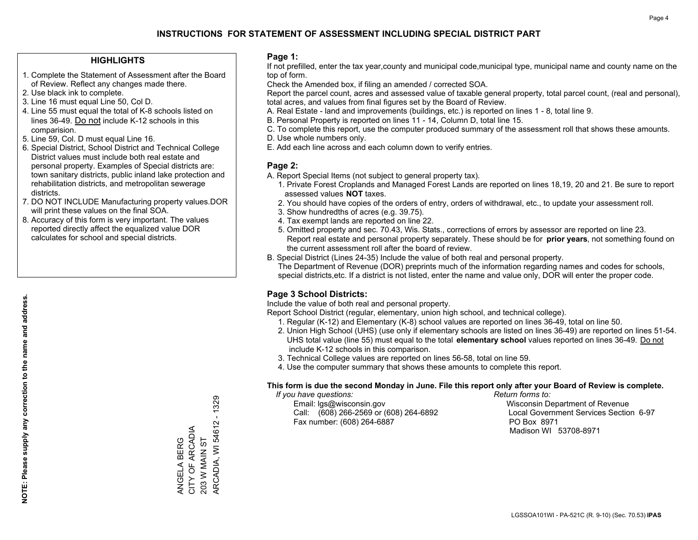#### **HIGHLIGHTS**

- 1. Complete the Statement of Assessment after the Board of Review. Reflect any changes made there.
- 2. Use black ink to complete.
- 3. Line 16 must equal Line 50, Col D.
- 4. Line 55 must equal the total of K-8 schools listed on lines 36-49. Do not include K-12 schools in this comparision.
- 5. Line 59, Col. D must equal Line 16.
- 6. Special District, School District and Technical College District values must include both real estate and personal property. Examples of Special districts are: town sanitary districts, public inland lake protection and rehabilitation districts, and metropolitan sewerage districts.
- 7. DO NOT INCLUDE Manufacturing property values.DOR will print these values on the final SOA.

ANGELA BERG CITY OF ARCADIA 203 W MAIN ST

ANGELA BERG<br>CITY OF ARCADIA **203 W MAIN ST**  ARCADIA, WI 54612 - 1329

ARCADIA, WI 54612 - 1329

 8. Accuracy of this form is very important. The values reported directly affect the equalized value DOR calculates for school and special districts.

#### **Page 1:**

 If not prefilled, enter the tax year,county and municipal code,municipal type, municipal name and county name on the top of form.

Check the Amended box, if filing an amended / corrected SOA.

 Report the parcel count, acres and assessed value of taxable general property, total parcel count, (real and personal), total acres, and values from final figures set by the Board of Review.

- A. Real Estate land and improvements (buildings, etc.) is reported on lines 1 8, total line 9.
- B. Personal Property is reported on lines 11 14, Column D, total line 15.
- C. To complete this report, use the computer produced summary of the assessment roll that shows these amounts.
- D. Use whole numbers only.
- E. Add each line across and each column down to verify entries.

#### **Page 2:**

- A. Report Special Items (not subject to general property tax).
- 1. Private Forest Croplands and Managed Forest Lands are reported on lines 18,19, 20 and 21. Be sure to report assessed values **NOT** taxes.
- 2. You should have copies of the orders of entry, orders of withdrawal, etc., to update your assessment roll.
	- 3. Show hundredths of acres (e.g. 39.75).
- 4. Tax exempt lands are reported on line 22.
- 5. Omitted property and sec. 70.43, Wis. Stats., corrections of errors by assessor are reported on line 23. Report real estate and personal property separately. These should be for **prior years**, not something found on the current assessment roll after the board of review.
- B. Special District (Lines 24-35) Include the value of both real and personal property.

 The Department of Revenue (DOR) preprints much of the information regarding names and codes for schools, special districts,etc. If a district is not listed, enter the name and value only, DOR will enter the proper code.

### **Page 3 School Districts:**

Include the value of both real and personal property.

Report School District (regular, elementary, union high school, and technical college).

- 1. Regular (K-12) and Elementary (K-8) school values are reported on lines 36-49, total on line 50.
- 2. Union High School (UHS) (use only if elementary schools are listed on lines 36-49) are reported on lines 51-54. UHS total value (line 55) must equal to the total **elementary school** values reported on lines 36-49. Do notinclude K-12 schools in this comparison.
- 3. Technical College values are reported on lines 56-58, total on line 59.
- 4. Use the computer summary that shows these amounts to complete this report.

#### **This form is due the second Monday in June. File this report only after your Board of Review is complete.**

 *If you have questions: Return forms to:*

 Email: lgs@wisconsin.gov Wisconsin Department of RevenueCall:  $(608)$  266-2569 or  $(608)$  264-6892 Fax number: (608) 264-6887 PO Box 8971

Local Government Services Section 6-97 Madison WI 53708-8971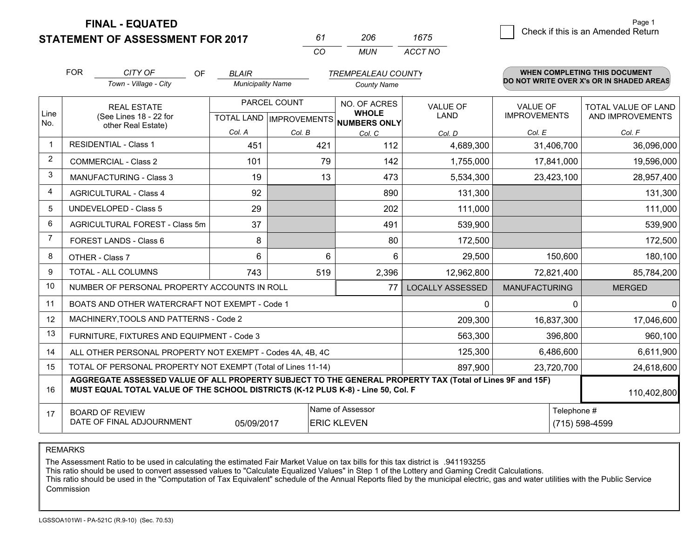**STATEMENT OF ASSESSMENT FOR 2017** 

| 61       | 206   | 1675    |
|----------|-------|---------|
| $\cdots$ | MI IN | ACCT NO |

|                | <b>FOR</b>                                                                                                                                   | CITY OF<br>OF                                                                                                                                                                                | <b>BLAIR</b>             |              | <b>TREMPEALEAU COUNTY</b>                |                         |                                        | <b>WHEN COMPLETING THIS DOCUMENT</b>     |
|----------------|----------------------------------------------------------------------------------------------------------------------------------------------|----------------------------------------------------------------------------------------------------------------------------------------------------------------------------------------------|--------------------------|--------------|------------------------------------------|-------------------------|----------------------------------------|------------------------------------------|
|                |                                                                                                                                              | Town - Village - City                                                                                                                                                                        | <b>Municipality Name</b> |              | <b>County Name</b>                       |                         |                                        | DO NOT WRITE OVER X's OR IN SHADED AREAS |
| Line           |                                                                                                                                              | <b>REAL ESTATE</b>                                                                                                                                                                           |                          | PARCEL COUNT | NO. OF ACRES<br><b>WHOLE</b>             | <b>VALUE OF</b><br>LAND | <b>VALUE OF</b><br><b>IMPROVEMENTS</b> | TOTAL VALUE OF LAND                      |
| No.            |                                                                                                                                              | (See Lines 18 - 22 for<br>other Real Estate)                                                                                                                                                 |                          |              | TOTAL LAND   IMPROVEMENTS   NUMBERS ONLY |                         |                                        | AND IMPROVEMENTS                         |
|                |                                                                                                                                              |                                                                                                                                                                                              | Col. A                   | Col. B       | Col. C                                   | Col. D                  | Col. E                                 | Col. F                                   |
| $\mathbf 1$    |                                                                                                                                              | <b>RESIDENTIAL - Class 1</b>                                                                                                                                                                 | 451                      | 421          | 112                                      | 4,689,300               | 31,406,700                             | 36,096,000                               |
| $\overline{2}$ |                                                                                                                                              | <b>COMMERCIAL - Class 2</b>                                                                                                                                                                  | 101                      | 79           | 142                                      | 1,755,000               | 17,841,000                             | 19,596,000                               |
| 3              |                                                                                                                                              | <b>MANUFACTURING - Class 3</b>                                                                                                                                                               | 19                       | 13           | 473                                      | 5,534,300               | 23,423,100                             | 28,957,400                               |
| $\overline{4}$ |                                                                                                                                              | <b>AGRICULTURAL - Class 4</b>                                                                                                                                                                | 92                       |              | 890                                      | 131,300                 |                                        | 131,300                                  |
| 5              |                                                                                                                                              | <b>UNDEVELOPED - Class 5</b>                                                                                                                                                                 | 29                       |              | 202                                      | 111,000                 |                                        | 111,000                                  |
| 6              |                                                                                                                                              | AGRICULTURAL FOREST - Class 5m                                                                                                                                                               | 37                       |              | 491                                      | 539,900                 |                                        | 539,900                                  |
| 7              |                                                                                                                                              | FOREST LANDS - Class 6                                                                                                                                                                       | 8                        |              | 80                                       | 172,500                 |                                        | 172,500                                  |
| 8              |                                                                                                                                              | OTHER - Class 7                                                                                                                                                                              | 6                        | 6            | 6                                        | 29,500                  | 150,600                                | 180,100                                  |
| 9              |                                                                                                                                              | TOTAL - ALL COLUMNS                                                                                                                                                                          | 743                      | 519          | 2,396                                    | 12,962,800              | 72,821,400                             | 85,784,200                               |
| 10             |                                                                                                                                              | NUMBER OF PERSONAL PROPERTY ACCOUNTS IN ROLL                                                                                                                                                 |                          |              | 77                                       | <b>LOCALLY ASSESSED</b> | <b>MANUFACTURING</b>                   | <b>MERGED</b>                            |
| 11             |                                                                                                                                              | BOATS AND OTHER WATERCRAFT NOT EXEMPT - Code 1                                                                                                                                               |                          |              |                                          | 0                       |                                        | $\Omega$<br>$\Omega$                     |
| 12             |                                                                                                                                              | MACHINERY, TOOLS AND PATTERNS - Code 2                                                                                                                                                       |                          |              |                                          | 209,300                 | 16,837,300                             | 17,046,600                               |
| 13             |                                                                                                                                              | FURNITURE, FIXTURES AND EQUIPMENT - Code 3                                                                                                                                                   |                          |              |                                          | 563,300                 | 396,800                                | 960,100                                  |
| 14             |                                                                                                                                              | ALL OTHER PERSONAL PROPERTY NOT EXEMPT - Codes 4A, 4B, 4C                                                                                                                                    |                          |              |                                          | 125,300                 | 6,486,600                              | 6,611,900                                |
| 15             |                                                                                                                                              | TOTAL OF PERSONAL PROPERTY NOT EXEMPT (Total of Lines 11-14)                                                                                                                                 |                          |              |                                          | 897,900                 | 23,720,700                             | 24,618,600                               |
| 16             |                                                                                                                                              | AGGREGATE ASSESSED VALUE OF ALL PROPERTY SUBJECT TO THE GENERAL PROPERTY TAX (Total of Lines 9F and 15F)<br>MUST EQUAL TOTAL VALUE OF THE SCHOOL DISTRICTS (K-12 PLUS K-8) - Line 50, Col. F |                          |              |                                          |                         |                                        | 110,402,800                              |
| 17             | Name of Assessor<br>Telephone #<br><b>BOARD OF REVIEW</b><br>DATE OF FINAL ADJOURNMENT<br><b>ERIC KLEVEN</b><br>(715) 598-4599<br>05/09/2017 |                                                                                                                                                                                              |                          |              |                                          |                         |                                        |                                          |

REMARKS

The Assessment Ratio to be used in calculating the estimated Fair Market Value on tax bills for this tax district is .941193255

This ratio should be used to convert assessed values to "Calculate Equalized Values" in Step 1 of the Lottery and Gaming Credit Calculations.<br>This ratio should be used in the "Computation of Tax Equivalent" schedule of the Commission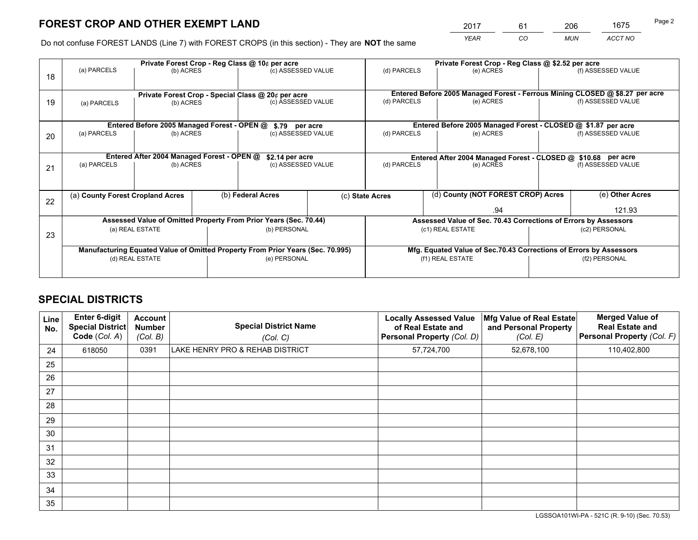*YEAR CO MUN ACCT NO* <sup>2017</sup> <sup>61</sup> <sup>206</sup> <sup>1675</sup>

Do not confuse FOREST LANDS (Line 7) with FOREST CROPS (in this section) - They are **NOT** the same

|    |                                                                                |                                             |                 | Private Forest Crop - Reg Class @ 10¢ per acre                   |  | Private Forest Crop - Reg Class @ \$2.52 per acre |                  |                                                                    |                    |                                                                              |
|----|--------------------------------------------------------------------------------|---------------------------------------------|-----------------|------------------------------------------------------------------|--|---------------------------------------------------|------------------|--------------------------------------------------------------------|--------------------|------------------------------------------------------------------------------|
| 18 | (a) PARCELS                                                                    | (b) ACRES                                   |                 | (c) ASSESSED VALUE                                               |  | (d) PARCELS                                       |                  | (e) ACRES                                                          |                    | (f) ASSESSED VALUE                                                           |
|    |                                                                                |                                             |                 | Private Forest Crop - Special Class @ 20¢ per acre               |  |                                                   |                  |                                                                    |                    | Entered Before 2005 Managed Forest - Ferrous Mining CLOSED @ \$8.27 per acre |
| 19 | (a) PARCELS                                                                    | (b) ACRES                                   |                 | (c) ASSESSED VALUE                                               |  | (d) PARCELS                                       |                  | (e) ACRES                                                          |                    | (f) ASSESSED VALUE                                                           |
|    |                                                                                | Entered Before 2005 Managed Forest - OPEN @ |                 | \$.79 per acre                                                   |  |                                                   |                  | Entered Before 2005 Managed Forest - CLOSED @ \$1.87 per acre      |                    |                                                                              |
|    | (a) PARCELS                                                                    | (b) ACRES                                   |                 | (c) ASSESSED VALUE                                               |  | (d) PARCELS                                       |                  | (e) ACRES                                                          |                    | (f) ASSESSED VALUE                                                           |
| 20 |                                                                                |                                             |                 |                                                                  |  |                                                   |                  |                                                                    |                    |                                                                              |
|    |                                                                                | Entered After 2004 Managed Forest - OPEN @  | \$2.14 per acre | Entered After 2004 Managed Forest - CLOSED @ \$10.68 per acre    |  |                                                   |                  |                                                                    |                    |                                                                              |
| 21 | (a) PARCELS                                                                    | (b) ACRES                                   |                 | (c) ASSESSED VALUE                                               |  | (d) PARCELS<br>(e) ACRES                          |                  |                                                                    | (f) ASSESSED VALUE |                                                                              |
|    |                                                                                |                                             |                 |                                                                  |  |                                                   |                  |                                                                    |                    |                                                                              |
|    | (a) County Forest Cropland Acres                                               |                                             |                 | (b) Federal Acres                                                |  | (c) State Acres                                   |                  | (d) County (NOT FOREST CROP) Acres                                 |                    | (e) Other Acres                                                              |
| 22 |                                                                                |                                             |                 |                                                                  |  |                                                   |                  | .94                                                                |                    | 121.93                                                                       |
|    |                                                                                |                                             |                 | Assessed Value of Omitted Property From Prior Years (Sec. 70.44) |  |                                                   |                  | Assessed Value of Sec. 70.43 Corrections of Errors by Assessors    |                    |                                                                              |
|    |                                                                                | (a) REAL ESTATE                             |                 | (b) PERSONAL                                                     |  |                                                   | (c1) REAL ESTATE |                                                                    |                    | (c2) PERSONAL                                                                |
| 23 |                                                                                |                                             |                 |                                                                  |  |                                                   |                  |                                                                    |                    |                                                                              |
|    | Manufacturing Equated Value of Omitted Property From Prior Years (Sec. 70.995) |                                             |                 |                                                                  |  |                                                   |                  | Mfg. Equated Value of Sec.70.43 Corrections of Errors by Assessors |                    |                                                                              |
|    |                                                                                | (d) REAL ESTATE                             |                 | (e) PERSONAL                                                     |  |                                                   | (f1) REAL ESTATE |                                                                    | (f2) PERSONAL      |                                                                              |
|    |                                                                                |                                             |                 |                                                                  |  |                                                   |                  |                                                                    |                    |                                                                              |

## **SPECIAL DISTRICTS**

| <b>Line</b><br>No. | Enter 6-digit<br><b>Special District</b><br>Code (Col. A) | <b>Account</b><br><b>Number</b><br>(Col. B) | <b>Special District Name</b><br>(Col. C) | <b>Locally Assessed Value</b><br>of Real Estate and<br>Personal Property (Col. D) | Mfg Value of Real Estate<br>and Personal Property<br>(Col. E) | <b>Merged Value of</b><br><b>Real Estate and</b><br>Personal Property (Col. F) |
|--------------------|-----------------------------------------------------------|---------------------------------------------|------------------------------------------|-----------------------------------------------------------------------------------|---------------------------------------------------------------|--------------------------------------------------------------------------------|
| 24                 | 618050                                                    | 0391                                        | LAKE HENRY PRO & REHAB DISTRICT          | 57,724,700                                                                        | 52,678,100                                                    | 110,402,800                                                                    |
| 25                 |                                                           |                                             |                                          |                                                                                   |                                                               |                                                                                |
| 26                 |                                                           |                                             |                                          |                                                                                   |                                                               |                                                                                |
| 27                 |                                                           |                                             |                                          |                                                                                   |                                                               |                                                                                |
| 28                 |                                                           |                                             |                                          |                                                                                   |                                                               |                                                                                |
| 29                 |                                                           |                                             |                                          |                                                                                   |                                                               |                                                                                |
| 30                 |                                                           |                                             |                                          |                                                                                   |                                                               |                                                                                |
| 31                 |                                                           |                                             |                                          |                                                                                   |                                                               |                                                                                |
| 32                 |                                                           |                                             |                                          |                                                                                   |                                                               |                                                                                |
| 33                 |                                                           |                                             |                                          |                                                                                   |                                                               |                                                                                |
| 34                 |                                                           |                                             |                                          |                                                                                   |                                                               |                                                                                |
| 35                 |                                                           |                                             |                                          |                                                                                   |                                                               |                                                                                |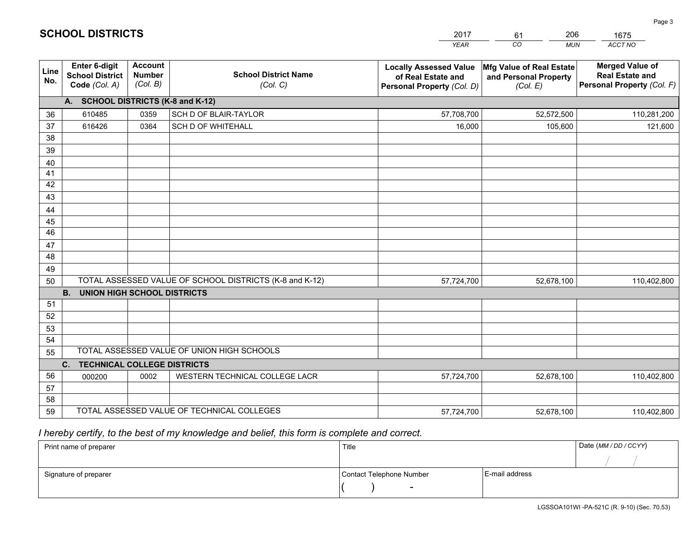|             |                                                                 |                                             |                                                         | <b>YEAR</b>                                                                       | CO<br><b>MUN</b>                                              | ACCT NO                                                                        |
|-------------|-----------------------------------------------------------------|---------------------------------------------|---------------------------------------------------------|-----------------------------------------------------------------------------------|---------------------------------------------------------------|--------------------------------------------------------------------------------|
| Line<br>No. | <b>Enter 6-digit</b><br><b>School District</b><br>Code (Col. A) | <b>Account</b><br><b>Number</b><br>(Col. B) | <b>School District Name</b><br>(Col. C)                 | <b>Locally Assessed Value</b><br>of Real Estate and<br>Personal Property (Col. D) | Mfg Value of Real Estate<br>and Personal Property<br>(Col. E) | <b>Merged Value of</b><br><b>Real Estate and</b><br>Personal Property (Col. F) |
|             | A. SCHOOL DISTRICTS (K-8 and K-12)                              |                                             |                                                         |                                                                                   |                                                               |                                                                                |
| 36          | 610485                                                          | 0359                                        | SCH D OF BLAIR-TAYLOR                                   | 57,708,700                                                                        | 52,572,500                                                    | 110,281,200                                                                    |
| 37          | 616426                                                          | 0364                                        | <b>SCH D OF WHITEHALL</b>                               | 16,000                                                                            | 105,600                                                       | 121,600                                                                        |
| 38          |                                                                 |                                             |                                                         |                                                                                   |                                                               |                                                                                |
| 39          |                                                                 |                                             |                                                         |                                                                                   |                                                               |                                                                                |
| 40          |                                                                 |                                             |                                                         |                                                                                   |                                                               |                                                                                |
| 41          |                                                                 |                                             |                                                         |                                                                                   |                                                               |                                                                                |
| 42          |                                                                 |                                             |                                                         |                                                                                   |                                                               |                                                                                |
| 43          |                                                                 |                                             |                                                         |                                                                                   |                                                               |                                                                                |
| 44          |                                                                 |                                             |                                                         |                                                                                   |                                                               |                                                                                |
| 45<br>46    |                                                                 |                                             |                                                         |                                                                                   |                                                               |                                                                                |
| 47          |                                                                 |                                             |                                                         |                                                                                   |                                                               |                                                                                |
| 48          |                                                                 |                                             |                                                         |                                                                                   |                                                               |                                                                                |
| 49          |                                                                 |                                             |                                                         |                                                                                   |                                                               |                                                                                |
| 50          |                                                                 |                                             | TOTAL ASSESSED VALUE OF SCHOOL DISTRICTS (K-8 and K-12) | 57,724,700                                                                        | 52,678,100                                                    | 110,402,800                                                                    |
|             | <b>B.</b><br><b>UNION HIGH SCHOOL DISTRICTS</b>                 |                                             |                                                         |                                                                                   |                                                               |                                                                                |
| 51          |                                                                 |                                             |                                                         |                                                                                   |                                                               |                                                                                |
| 52          |                                                                 |                                             |                                                         |                                                                                   |                                                               |                                                                                |
| 53          |                                                                 |                                             |                                                         |                                                                                   |                                                               |                                                                                |
| 54          |                                                                 |                                             |                                                         |                                                                                   |                                                               |                                                                                |
| 55          |                                                                 |                                             | TOTAL ASSESSED VALUE OF UNION HIGH SCHOOLS              |                                                                                   |                                                               |                                                                                |
|             | C.<br><b>TECHNICAL COLLEGE DISTRICTS</b>                        |                                             |                                                         |                                                                                   |                                                               |                                                                                |
| 56          | 000200                                                          | 0002                                        | WESTERN TECHNICAL COLLEGE LACR                          | 57,724,700                                                                        | 52,678,100                                                    | 110,402,800                                                                    |
| 57          |                                                                 |                                             |                                                         |                                                                                   |                                                               |                                                                                |
| 58          |                                                                 |                                             |                                                         |                                                                                   |                                                               |                                                                                |
| 59          |                                                                 |                                             | TOTAL ASSESSED VALUE OF TECHNICAL COLLEGES              | 57,724,700                                                                        | 52,678,100                                                    | 110,402,800                                                                    |

61

206

 *I hereby certify, to the best of my knowledge and belief, this form is complete and correct.*

**SCHOOL DISTRICTS**

| Print name of preparer | Title                    |                | Date (MM / DD / CCYY) |
|------------------------|--------------------------|----------------|-----------------------|
|                        |                          |                |                       |
| Signature of preparer  | Contact Telephone Number | E-mail address |                       |
|                        | $\sim$                   |                |                       |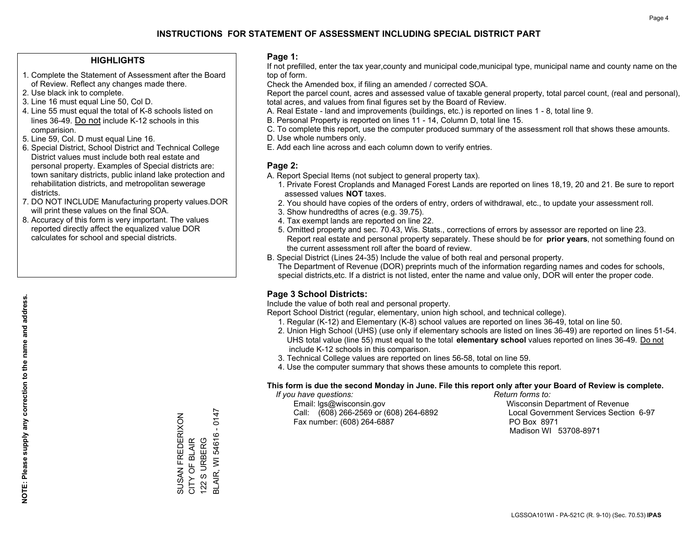#### **HIGHLIGHTS**

- 1. Complete the Statement of Assessment after the Board of Review. Reflect any changes made there.
- 2. Use black ink to complete.
- 3. Line 16 must equal Line 50, Col D.
- 4. Line 55 must equal the total of K-8 schools listed on lines 36-49. Do not include K-12 schools in this comparision.
- 5. Line 59, Col. D must equal Line 16.
- 6. Special District, School District and Technical College District values must include both real estate and personal property. Examples of Special districts are: town sanitary districts, public inland lake protection and rehabilitation districts, and metropolitan sewerage districts.
- 7. DO NOT INCLUDE Manufacturing property values.DOR will print these values on the final SOA.

SUSAN FREDERIXON CITY OF BLAIR 122 S URBERG

SUSAN FREDERIXON<br>CITY OF BLAIR<br>122 S URBERG

BLAIR, WI 54616 - 0147

3LAIR, WI 54616

0147  $\blacksquare$ 

 8. Accuracy of this form is very important. The values reported directly affect the equalized value DOR calculates for school and special districts.

#### **Page 1:**

 If not prefilled, enter the tax year,county and municipal code,municipal type, municipal name and county name on the top of form.

Check the Amended box, if filing an amended / corrected SOA.

 Report the parcel count, acres and assessed value of taxable general property, total parcel count, (real and personal), total acres, and values from final figures set by the Board of Review.

- A. Real Estate land and improvements (buildings, etc.) is reported on lines 1 8, total line 9.
- B. Personal Property is reported on lines 11 14, Column D, total line 15.
- C. To complete this report, use the computer produced summary of the assessment roll that shows these amounts.
- D. Use whole numbers only.
- E. Add each line across and each column down to verify entries.

#### **Page 2:**

- A. Report Special Items (not subject to general property tax).
- 1. Private Forest Croplands and Managed Forest Lands are reported on lines 18,19, 20 and 21. Be sure to report assessed values **NOT** taxes.
- 2. You should have copies of the orders of entry, orders of withdrawal, etc., to update your assessment roll.
	- 3. Show hundredths of acres (e.g. 39.75).
- 4. Tax exempt lands are reported on line 22.
- 5. Omitted property and sec. 70.43, Wis. Stats., corrections of errors by assessor are reported on line 23. Report real estate and personal property separately. These should be for **prior years**, not something found on the current assessment roll after the board of review.
- B. Special District (Lines 24-35) Include the value of both real and personal property.
- The Department of Revenue (DOR) preprints much of the information regarding names and codes for schools, special districts,etc. If a district is not listed, enter the name and value only, DOR will enter the proper code.

### **Page 3 School Districts:**

Include the value of both real and personal property.

Report School District (regular, elementary, union high school, and technical college).

- 1. Regular (K-12) and Elementary (K-8) school values are reported on lines 36-49, total on line 50.
- 2. Union High School (UHS) (use only if elementary schools are listed on lines 36-49) are reported on lines 51-54. UHS total value (line 55) must equal to the total **elementary school** values reported on lines 36-49. Do notinclude K-12 schools in this comparison.
- 3. Technical College values are reported on lines 56-58, total on line 59.
- 4. Use the computer summary that shows these amounts to complete this report.

#### **This form is due the second Monday in June. File this report only after your Board of Review is complete.**

 *If you have questions: Return forms to:*

 Email: lgs@wisconsin.gov Wisconsin Department of RevenueCall:  $(608)$  266-2569 or  $(608)$  264-6892 Fax number: (608) 264-6887 PO Box 8971

Local Government Services Section 6-97 Madison WI 53708-8971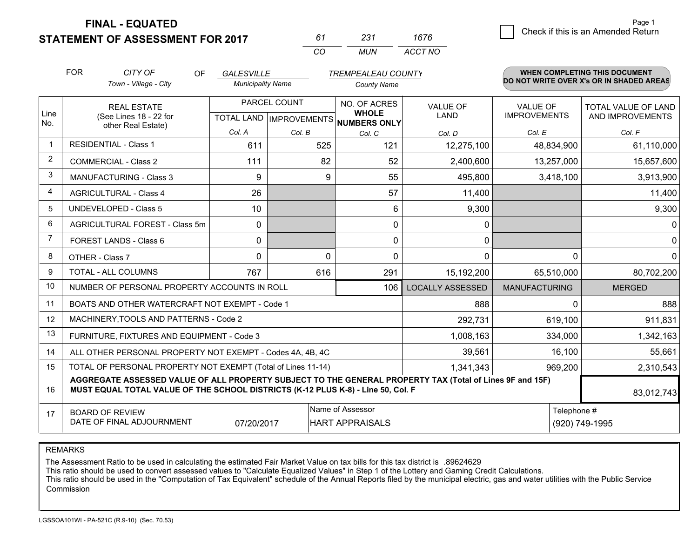**STATEMENT OF ASSESSMENT FOR 2017** 

*CO MUN <sup>61</sup> <sup>231</sup> ACCT NO1676*

|                | <b>FOR</b>                                 | CITY OF<br><b>OF</b>                                                                                                                                                                         | <b>GALESVILLE</b>        |          | <b>TREMPEALEAU COUNTY</b>                |                         |                                        | WHEN COMPLETING THIS DOCUMENT            |
|----------------|--------------------------------------------|----------------------------------------------------------------------------------------------------------------------------------------------------------------------------------------------|--------------------------|----------|------------------------------------------|-------------------------|----------------------------------------|------------------------------------------|
|                |                                            | Town - Village - City                                                                                                                                                                        | <b>Municipality Name</b> |          | <b>County Name</b>                       |                         |                                        | DO NOT WRITE OVER X's OR IN SHADED AREAS |
| Line           |                                            | <b>REAL ESTATE</b>                                                                                                                                                                           | PARCEL COUNT             |          | NO. OF ACRES<br><b>WHOLE</b>             | <b>VALUE OF</b><br>LAND | <b>VALUE OF</b><br><b>IMPROVEMENTS</b> | <b>TOTAL VALUE OF LAND</b>               |
| No.            |                                            | (See Lines 18 - 22 for<br>other Real Estate)                                                                                                                                                 |                          |          | TOTAL LAND   IMPROVEMENTS   NUMBERS ONLY |                         |                                        | AND IMPROVEMENTS                         |
|                |                                            |                                                                                                                                                                                              | Col. A                   | Col. B   | Col. C                                   | Col. D                  | Col. E                                 | Col. F                                   |
| $\mathbf 1$    |                                            | <b>RESIDENTIAL - Class 1</b>                                                                                                                                                                 | 611                      | 525      | 121                                      | 12,275,100              | 48,834,900                             | 61,110,000                               |
| 2              |                                            | <b>COMMERCIAL - Class 2</b>                                                                                                                                                                  | 111                      | 82       | 52                                       | 2,400,600               | 13,257,000                             | 15,657,600                               |
| 3              |                                            | <b>MANUFACTURING - Class 3</b>                                                                                                                                                               | 9                        | 9        | 55                                       | 495,800                 | 3,418,100                              | 3,913,900                                |
| $\overline{4}$ |                                            | <b>AGRICULTURAL - Class 4</b>                                                                                                                                                                | 26                       |          | 57                                       | 11,400                  |                                        | 11,400                                   |
| 5              |                                            | <b>UNDEVELOPED - Class 5</b>                                                                                                                                                                 | 10                       |          | 6                                        | 9,300                   |                                        | 9,300                                    |
| 6              |                                            | AGRICULTURAL FOREST - Class 5m                                                                                                                                                               | $\Omega$                 |          | $\Omega$                                 | 0                       |                                        | $\mathbf{0}$                             |
| 7              |                                            | FOREST LANDS - Class 6                                                                                                                                                                       | 0                        |          | $\mathbf{0}$                             | 0                       |                                        | $\mathbf 0$                              |
| 8              |                                            | OTHER - Class 7                                                                                                                                                                              | $\Omega$                 | $\Omega$ | $\Omega$                                 | 0                       | $\Omega$                               | $\mathbf 0$                              |
| 9              |                                            | TOTAL - ALL COLUMNS                                                                                                                                                                          | 767                      | 616      | 291                                      | 15,192,200              | 65,510,000                             | 80,702,200                               |
| 10             |                                            | NUMBER OF PERSONAL PROPERTY ACCOUNTS IN ROLL                                                                                                                                                 |                          |          | 106                                      | <b>LOCALLY ASSESSED</b> | <b>MANUFACTURING</b>                   | <b>MERGED</b>                            |
| 11             |                                            | BOATS AND OTHER WATERCRAFT NOT EXEMPT - Code 1                                                                                                                                               |                          |          |                                          | 888                     | $\Omega$                               | 888                                      |
| 12             |                                            | MACHINERY, TOOLS AND PATTERNS - Code 2                                                                                                                                                       |                          |          |                                          | 292,731                 | 619,100                                | 911,831                                  |
| 13             |                                            | FURNITURE, FIXTURES AND EQUIPMENT - Code 3                                                                                                                                                   |                          |          |                                          | 1,008,163               | 334,000                                | 1,342,163                                |
| 14             |                                            | ALL OTHER PERSONAL PROPERTY NOT EXEMPT - Codes 4A, 4B, 4C                                                                                                                                    |                          |          |                                          | 39,561                  | 16,100                                 | 55,661                                   |
| 15             |                                            | TOTAL OF PERSONAL PROPERTY NOT EXEMPT (Total of Lines 11-14)                                                                                                                                 |                          |          |                                          | 1,341,343               | 969,200                                | 2,310,543                                |
| 16             |                                            | AGGREGATE ASSESSED VALUE OF ALL PROPERTY SUBJECT TO THE GENERAL PROPERTY TAX (Total of Lines 9F and 15F)<br>MUST EQUAL TOTAL VALUE OF THE SCHOOL DISTRICTS (K-12 PLUS K-8) - Line 50, Col. F |                          |          |                                          |                         |                                        | 83,012,743                               |
| 17             | Name of Assessor<br><b>BOARD OF REVIEW</b> |                                                                                                                                                                                              |                          |          |                                          |                         |                                        | Telephone #                              |
|                |                                            | DATE OF FINAL ADJOURNMENT                                                                                                                                                                    | 07/20/2017               |          | <b>HART APPRAISALS</b>                   |                         |                                        | (920) 749-1995                           |

REMARKS

The Assessment Ratio to be used in calculating the estimated Fair Market Value on tax bills for this tax district is .89624629<br>This ratio should be used to convert assessed values to "Calculate Equalized Values" in Step 1 Commission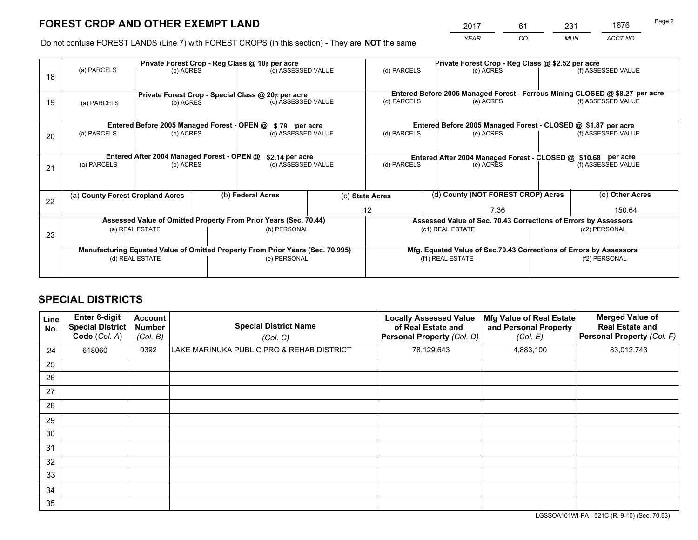*YEAR CO MUN ACCT NO* <sup>2017</sup> <sup>61</sup> <sup>231</sup> <sup>1676</sup>

Do not confuse FOREST LANDS (Line 7) with FOREST CROPS (in this section) - They are **NOT** the same

|    |                                  |                                                    |  | Private Forest Crop - Reg Class @ 10¢ per acre                                 |  | Private Forest Crop - Reg Class @ \$2.52 per acre                            |                                                                    |                    |                    |  |
|----|----------------------------------|----------------------------------------------------|--|--------------------------------------------------------------------------------|--|------------------------------------------------------------------------------|--------------------------------------------------------------------|--------------------|--------------------|--|
| 18 | (a) PARCELS                      | (b) ACRES                                          |  | (c) ASSESSED VALUE                                                             |  | (d) PARCELS                                                                  | (e) ACRES                                                          |                    | (f) ASSESSED VALUE |  |
|    |                                  | Private Forest Crop - Special Class @ 20¢ per acre |  |                                                                                |  | Entered Before 2005 Managed Forest - Ferrous Mining CLOSED @ \$8.27 per acre |                                                                    |                    |                    |  |
| 19 | (b) ACRES<br>(a) PARCELS         |                                                    |  | (c) ASSESSED VALUE                                                             |  | (d) PARCELS                                                                  | (e) ACRES                                                          |                    | (f) ASSESSED VALUE |  |
|    |                                  | Entered Before 2005 Managed Forest - OPEN @        |  |                                                                                |  |                                                                              | Entered Before 2005 Managed Forest - CLOSED @ \$1.87 per acre      |                    |                    |  |
| 20 | (a) PARCELS<br>(b) ACRES         |                                                    |  | \$.79 per acre<br>(c) ASSESSED VALUE                                           |  | (d) PARCELS<br>(e) ACRES                                                     |                                                                    |                    | (f) ASSESSED VALUE |  |
|    |                                  | Entered After 2004 Managed Forest - OPEN @         |  | \$2.14 per acre                                                                |  | Entered After 2004 Managed Forest - CLOSED @ \$10.68 per acre                |                                                                    |                    |                    |  |
| 21 | (a) PARCELS                      | (b) ACRES                                          |  | (c) ASSESSED VALUE                                                             |  | (d) PARCELS<br>(e) ACRES                                                     |                                                                    | (f) ASSESSED VALUE |                    |  |
|    | (a) County Forest Cropland Acres |                                                    |  | (b) Federal Acres                                                              |  | (d) County (NOT FOREST CROP) Acres<br>(c) State Acres                        |                                                                    |                    | (e) Other Acres    |  |
| 22 |                                  |                                                    |  |                                                                                |  | .12                                                                          | 7.36                                                               |                    | 150.64             |  |
|    |                                  |                                                    |  | Assessed Value of Omitted Property From Prior Years (Sec. 70.44)               |  |                                                                              | Assessed Value of Sec. 70.43 Corrections of Errors by Assessors    |                    |                    |  |
| 23 | (a) REAL ESTATE                  |                                                    |  | (b) PERSONAL                                                                   |  | (c1) REAL ESTATE                                                             |                                                                    |                    | (c2) PERSONAL      |  |
|    |                                  |                                                    |  | Manufacturing Equated Value of Omitted Property From Prior Years (Sec. 70.995) |  |                                                                              | Mfg. Equated Value of Sec.70.43 Corrections of Errors by Assessors |                    |                    |  |
|    | (d) REAL ESTATE                  |                                                    |  | (e) PERSONAL                                                                   |  | (f1) REAL ESTATE                                                             |                                                                    | (f2) PERSONAL      |                    |  |
|    |                                  |                                                    |  |                                                                                |  |                                                                              |                                                                    |                    |                    |  |

## **SPECIAL DISTRICTS**

| Line<br>No. | <b>Enter 6-digit</b><br><b>Special District</b><br>Code (Col. A) | Account<br><b>Number</b><br>(Col. B) | <b>Special District Name</b><br>(Col. C)  | <b>Locally Assessed Value</b><br>of Real Estate and<br>Personal Property (Col. D) | Mfg Value of Real Estate<br>and Personal Property<br>(Col. E) | <b>Merged Value of</b><br><b>Real Estate and</b><br>Personal Property (Col. F) |
|-------------|------------------------------------------------------------------|--------------------------------------|-------------------------------------------|-----------------------------------------------------------------------------------|---------------------------------------------------------------|--------------------------------------------------------------------------------|
| 24          | 618060                                                           | 0392                                 | LAKE MARINUKA PUBLIC PRO & REHAB DISTRICT | 78,129,643                                                                        | 4,883,100                                                     | 83,012,743                                                                     |
| 25          |                                                                  |                                      |                                           |                                                                                   |                                                               |                                                                                |
| 26          |                                                                  |                                      |                                           |                                                                                   |                                                               |                                                                                |
| 27          |                                                                  |                                      |                                           |                                                                                   |                                                               |                                                                                |
| 28          |                                                                  |                                      |                                           |                                                                                   |                                                               |                                                                                |
| 29          |                                                                  |                                      |                                           |                                                                                   |                                                               |                                                                                |
| 30          |                                                                  |                                      |                                           |                                                                                   |                                                               |                                                                                |
| 31          |                                                                  |                                      |                                           |                                                                                   |                                                               |                                                                                |
| 32          |                                                                  |                                      |                                           |                                                                                   |                                                               |                                                                                |
| 33          |                                                                  |                                      |                                           |                                                                                   |                                                               |                                                                                |
| 34          |                                                                  |                                      |                                           |                                                                                   |                                                               |                                                                                |
| 35          |                                                                  |                                      |                                           |                                                                                   |                                                               |                                                                                |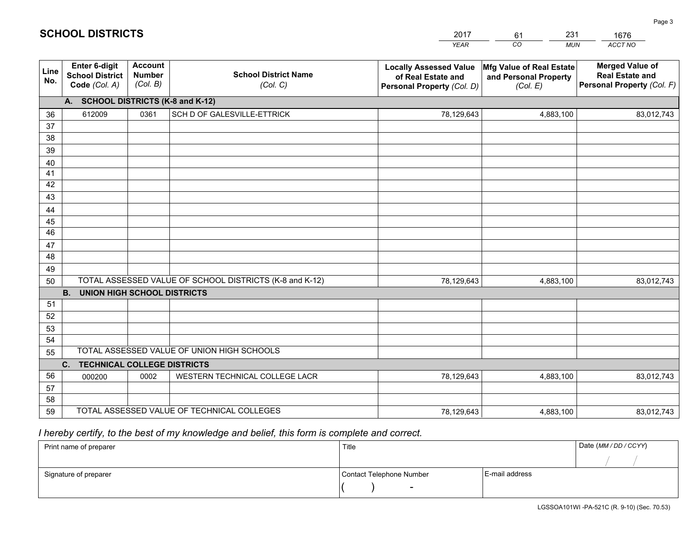|             |                                                                 |                                             |                                                         | <b>YEAR</b>                                                                       | CO<br><b>MUN</b>                                              | ACCT NO                                                                        |
|-------------|-----------------------------------------------------------------|---------------------------------------------|---------------------------------------------------------|-----------------------------------------------------------------------------------|---------------------------------------------------------------|--------------------------------------------------------------------------------|
| Line<br>No. | <b>Enter 6-digit</b><br><b>School District</b><br>Code (Col. A) | <b>Account</b><br><b>Number</b><br>(Col. B) | <b>School District Name</b><br>(Col. C)                 | <b>Locally Assessed Value</b><br>of Real Estate and<br>Personal Property (Col. D) | Mfg Value of Real Estate<br>and Personal Property<br>(Col. E) | <b>Merged Value of</b><br><b>Real Estate and</b><br>Personal Property (Col. F) |
|             | A. SCHOOL DISTRICTS (K-8 and K-12)                              |                                             |                                                         |                                                                                   |                                                               |                                                                                |
| 36          | 612009                                                          | 0361                                        | SCH D OF GALESVILLE-ETTRICK                             | 78,129,643                                                                        | 4,883,100                                                     | 83,012,743                                                                     |
| 37          |                                                                 |                                             |                                                         |                                                                                   |                                                               |                                                                                |
| 38          |                                                                 |                                             |                                                         |                                                                                   |                                                               |                                                                                |
| 39          |                                                                 |                                             |                                                         |                                                                                   |                                                               |                                                                                |
| 40          |                                                                 |                                             |                                                         |                                                                                   |                                                               |                                                                                |
| 41<br>42    |                                                                 |                                             |                                                         |                                                                                   |                                                               |                                                                                |
| 43          |                                                                 |                                             |                                                         |                                                                                   |                                                               |                                                                                |
|             |                                                                 |                                             |                                                         |                                                                                   |                                                               |                                                                                |
| 44<br>45    |                                                                 |                                             |                                                         |                                                                                   |                                                               |                                                                                |
| 46          |                                                                 |                                             |                                                         |                                                                                   |                                                               |                                                                                |
| 47          |                                                                 |                                             |                                                         |                                                                                   |                                                               |                                                                                |
| 48          |                                                                 |                                             |                                                         |                                                                                   |                                                               |                                                                                |
| 49          |                                                                 |                                             |                                                         |                                                                                   |                                                               |                                                                                |
| 50          |                                                                 |                                             | TOTAL ASSESSED VALUE OF SCHOOL DISTRICTS (K-8 and K-12) | 78,129,643                                                                        | 4,883,100                                                     | 83,012,743                                                                     |
|             | <b>B.</b><br>UNION HIGH SCHOOL DISTRICTS                        |                                             |                                                         |                                                                                   |                                                               |                                                                                |
| 51          |                                                                 |                                             |                                                         |                                                                                   |                                                               |                                                                                |
| 52          |                                                                 |                                             |                                                         |                                                                                   |                                                               |                                                                                |
| 53          |                                                                 |                                             |                                                         |                                                                                   |                                                               |                                                                                |
| 54          |                                                                 |                                             |                                                         |                                                                                   |                                                               |                                                                                |
| 55          |                                                                 |                                             | TOTAL ASSESSED VALUE OF UNION HIGH SCHOOLS              |                                                                                   |                                                               |                                                                                |
|             | C.<br><b>TECHNICAL COLLEGE DISTRICTS</b>                        |                                             |                                                         |                                                                                   |                                                               |                                                                                |
| 56          | 000200                                                          | 0002                                        | WESTERN TECHNICAL COLLEGE LACR                          | 78,129,643                                                                        | 4,883,100                                                     | 83,012,743                                                                     |
| 57<br>58    |                                                                 |                                             |                                                         |                                                                                   |                                                               |                                                                                |
| 59          |                                                                 |                                             | TOTAL ASSESSED VALUE OF TECHNICAL COLLEGES              | 78,129,643                                                                        | 4,883,100                                                     | 83,012,743                                                                     |
|             |                                                                 |                                             |                                                         |                                                                                   |                                                               |                                                                                |

61

231

 *I hereby certify, to the best of my knowledge and belief, this form is complete and correct.*

**SCHOOL DISTRICTS**

| Print name of preparer | Title                    |                | Date (MM / DD / CCYY) |
|------------------------|--------------------------|----------------|-----------------------|
|                        |                          |                |                       |
| Signature of preparer  | Contact Telephone Number | E-mail address |                       |
|                        | $\sim$                   |                |                       |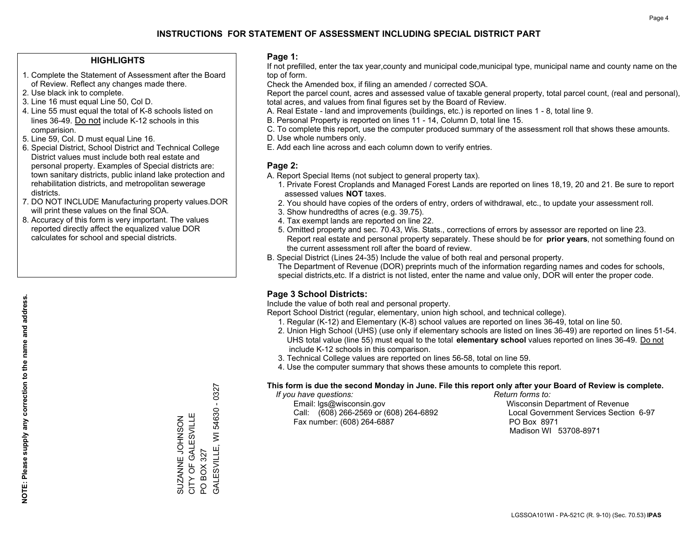#### **HIGHLIGHTS**

- 1. Complete the Statement of Assessment after the Board of Review. Reflect any changes made there.
- 2. Use black ink to complete.
- 3. Line 16 must equal Line 50, Col D.
- 4. Line 55 must equal the total of K-8 schools listed on lines 36-49. Do not include K-12 schools in this comparision.
- 5. Line 59, Col. D must equal Line 16.
- 6. Special District, School District and Technical College District values must include both real estate and personal property. Examples of Special districts are: town sanitary districts, public inland lake protection and rehabilitation districts, and metropolitan sewerage districts.
- 7. DO NOT INCLUDE Manufacturing property values.DOR will print these values on the final SOA.
- 8. Accuracy of this form is very important. The values reported directly affect the equalized value DOR calculates for school and special districts.

#### **Page 1:**

 If not prefilled, enter the tax year,county and municipal code,municipal type, municipal name and county name on the top of form.

Check the Amended box, if filing an amended / corrected SOA.

 Report the parcel count, acres and assessed value of taxable general property, total parcel count, (real and personal), total acres, and values from final figures set by the Board of Review.

- A. Real Estate land and improvements (buildings, etc.) is reported on lines 1 8, total line 9.
- B. Personal Property is reported on lines 11 14, Column D, total line 15.
- C. To complete this report, use the computer produced summary of the assessment roll that shows these amounts.
- D. Use whole numbers only.
- E. Add each line across and each column down to verify entries.

#### **Page 2:**

- A. Report Special Items (not subject to general property tax).
- 1. Private Forest Croplands and Managed Forest Lands are reported on lines 18,19, 20 and 21. Be sure to report assessed values **NOT** taxes.
- 2. You should have copies of the orders of entry, orders of withdrawal, etc., to update your assessment roll.
	- 3. Show hundredths of acres (e.g. 39.75).
- 4. Tax exempt lands are reported on line 22.
- 5. Omitted property and sec. 70.43, Wis. Stats., corrections of errors by assessor are reported on line 23. Report real estate and personal property separately. These should be for **prior years**, not something found on the current assessment roll after the board of review.
- B. Special District (Lines 24-35) Include the value of both real and personal property.

 The Department of Revenue (DOR) preprints much of the information regarding names and codes for schools, special districts,etc. If a district is not listed, enter the name and value only, DOR will enter the proper code.

### **Page 3 School Districts:**

Include the value of both real and personal property.

Report School District (regular, elementary, union high school, and technical college).

- 1. Regular (K-12) and Elementary (K-8) school values are reported on lines 36-49, total on line 50.
- 2. Union High School (UHS) (use only if elementary schools are listed on lines 36-49) are reported on lines 51-54. UHS total value (line 55) must equal to the total **elementary school** values reported on lines 36-49. Do notinclude K-12 schools in this comparison.
- 3. Technical College values are reported on lines 56-58, total on line 59.
- 4. Use the computer summary that shows these amounts to complete this report.

#### **This form is due the second Monday in June. File this report only after your Board of Review is complete.**

 *If you have questions: Return forms to:*

 Email: lgs@wisconsin.gov Wisconsin Department of RevenueCall:  $(608)$  266-2569 or  $(608)$  264-6892 Fax number: (608) 264-6887 PO Box 8971

Local Government Services Section 6-97 Madison WI 53708-8971

 $-0327$ GALESVILLE, WI 54630 - 0327 54630 CITY OF GALESVILLE SUZANNE JOHNSON<br>CITY OF GALESVILLE SUZANNE JOHNSON GALESVILLE, WI PO BOX 327 PO BOX 327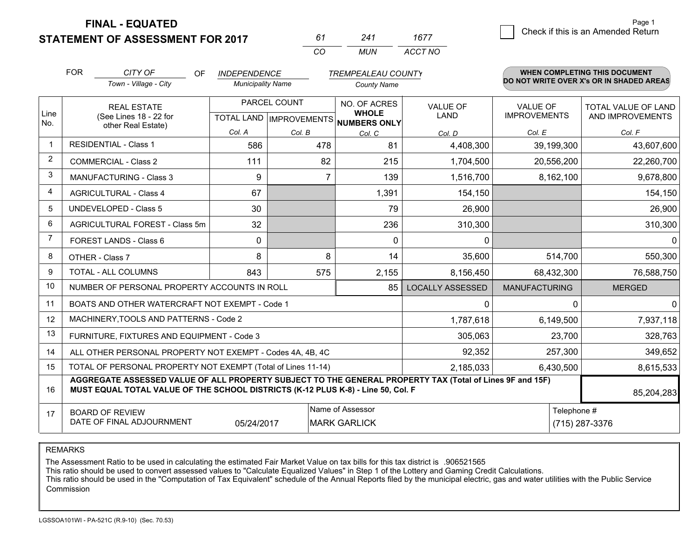**STATEMENT OF ASSESSMENT FOR 2017** 

*CO MUN <sup>61</sup> <sup>241</sup> ACCT NO1677*

|                | <b>FOR</b> | CITY OF<br><b>OF</b>                                                                                                                                                                         | <b>INDEPENDENCE</b>      |                | <b>TREMPEALEAU COUNTY</b>                                            |                                |                                        | WHEN COMPLETING THIS DOCUMENT            |
|----------------|------------|----------------------------------------------------------------------------------------------------------------------------------------------------------------------------------------------|--------------------------|----------------|----------------------------------------------------------------------|--------------------------------|----------------------------------------|------------------------------------------|
|                |            | Town - Village - City                                                                                                                                                                        | <b>Municipality Name</b> |                | <b>County Name</b>                                                   |                                |                                        | DO NOT WRITE OVER X's OR IN SHADED AREAS |
| Line<br>No.    |            | <b>REAL ESTATE</b><br>(See Lines 18 - 22 for                                                                                                                                                 |                          | PARCEL COUNT   | NO. OF ACRES<br><b>WHOLE</b><br>TOTAL LAND IMPROVEMENTS NUMBERS ONLY | <b>VALUE OF</b><br><b>LAND</b> | <b>VALUE OF</b><br><b>IMPROVEMENTS</b> | TOTAL VALUE OF LAND<br>AND IMPROVEMENTS  |
|                |            | other Real Estate)                                                                                                                                                                           | Col. A                   | Col. B         | Col. C                                                               | Col. D                         | Col. E                                 | Col. F                                   |
|                |            | <b>RESIDENTIAL - Class 1</b>                                                                                                                                                                 | 586                      | 478            | 81                                                                   | 4,408,300                      | 39,199,300                             | 43,607,600                               |
| 2              |            | <b>COMMERCIAL - Class 2</b>                                                                                                                                                                  | 111                      | 82             | 215                                                                  | 1,704,500                      | 20,556,200                             | 22,260,700                               |
| 3              |            | <b>MANUFACTURING - Class 3</b>                                                                                                                                                               | 9                        | $\overline{7}$ | 139                                                                  | 1,516,700                      | 8,162,100                              | 9,678,800                                |
| 4              |            | <b>AGRICULTURAL - Class 4</b>                                                                                                                                                                | 67                       |                | 1,391                                                                | 154,150                        |                                        | 154,150                                  |
| 5              |            | <b>UNDEVELOPED - Class 5</b>                                                                                                                                                                 | 30                       |                | 79                                                                   | 26,900                         |                                        | 26,900                                   |
| 6              |            | AGRICULTURAL FOREST - Class 5m                                                                                                                                                               | 32                       |                | 236                                                                  | 310,300                        |                                        | 310,300                                  |
| $\overline{7}$ |            | FOREST LANDS - Class 6                                                                                                                                                                       | $\mathbf 0$              |                | $\Omega$                                                             | $\Omega$                       |                                        | 0                                        |
| 8              |            | OTHER - Class 7                                                                                                                                                                              | 8                        | 8              | 14                                                                   | 35,600                         | 514,700                                | 550,300                                  |
| 9              |            | <b>TOTAL - ALL COLUMNS</b>                                                                                                                                                                   | 843                      | 575            | 2,155                                                                | 8,156,450                      | 68,432,300                             | 76,588,750                               |
| 10             |            | NUMBER OF PERSONAL PROPERTY ACCOUNTS IN ROLL                                                                                                                                                 |                          |                | 85                                                                   | <b>LOCALLY ASSESSED</b>        | <b>MANUFACTURING</b>                   | <b>MERGED</b>                            |
| 11             |            | BOATS AND OTHER WATERCRAFT NOT EXEMPT - Code 1                                                                                                                                               |                          |                |                                                                      | 0                              | $\Omega$                               | $\mathbf{0}$                             |
| 12             |            | MACHINERY, TOOLS AND PATTERNS - Code 2                                                                                                                                                       |                          |                |                                                                      | 1,787,618                      | 6,149,500                              | 7,937,118                                |
| 13             |            | FURNITURE, FIXTURES AND EQUIPMENT - Code 3                                                                                                                                                   |                          |                |                                                                      | 305,063                        | 23,700                                 | 328,763                                  |
| 14             |            | ALL OTHER PERSONAL PROPERTY NOT EXEMPT - Codes 4A, 4B, 4C                                                                                                                                    |                          |                |                                                                      | 92,352                         | 257,300                                | 349,652                                  |
| 15             |            | TOTAL OF PERSONAL PROPERTY NOT EXEMPT (Total of Lines 11-14)                                                                                                                                 |                          |                |                                                                      | 2,185,033                      | 6,430,500                              | 8,615,533                                |
| 16             |            | AGGREGATE ASSESSED VALUE OF ALL PROPERTY SUBJECT TO THE GENERAL PROPERTY TAX (Total of Lines 9F and 15F)<br>MUST EQUAL TOTAL VALUE OF THE SCHOOL DISTRICTS (K-12 PLUS K-8) - Line 50, Col. F |                          |                |                                                                      |                                |                                        | 85,204,283                               |
| 17             |            | <b>BOARD OF REVIEW</b><br>DATE OF FINAL ADJOURNMENT                                                                                                                                          | 05/24/2017               |                | Name of Assessor<br><b>MARK GARLICK</b>                              |                                | Telephone #                            | (715) 287-3376                           |

REMARKS

The Assessment Ratio to be used in calculating the estimated Fair Market Value on tax bills for this tax district is .906521565<br>This ratio should be used to convert assessed values to "Calculate Equalized Values" in Step 1 Commission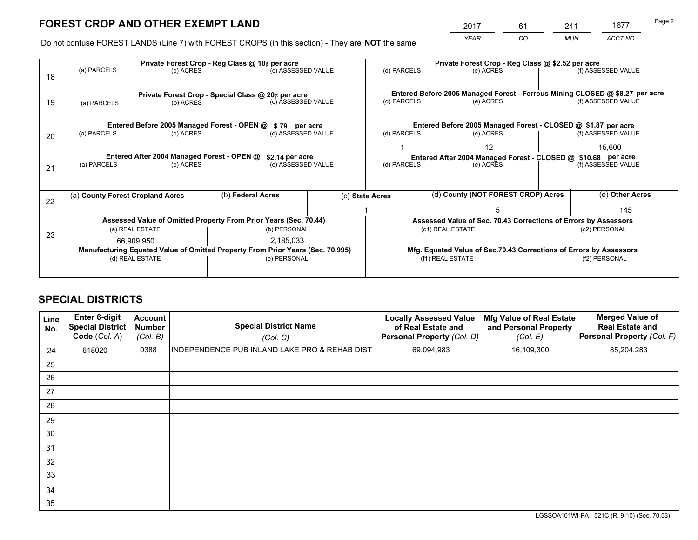*YEAR CO MUN ACCT NO* 2017 61 241 1677<br>2017 - 2018 1677

Do not confuse FOREST LANDS (Line 7) with FOREST CROPS (in this section) - They are **NOT** the same

|    |                                                               |                                             |  | Private Forest Crop - Reg Class @ 10¢ per acre                                 |  |                                                                              | Private Forest Crop - Reg Class @ \$2.52 per acre                  |               |                    |
|----|---------------------------------------------------------------|---------------------------------------------|--|--------------------------------------------------------------------------------|--|------------------------------------------------------------------------------|--------------------------------------------------------------------|---------------|--------------------|
| 18 | (a) PARCELS                                                   | (b) ACRES                                   |  | (c) ASSESSED VALUE                                                             |  | (d) PARCELS                                                                  | (e) ACRES                                                          |               | (f) ASSESSED VALUE |
|    |                                                               |                                             |  | Private Forest Crop - Special Class @ 20¢ per acre                             |  | Entered Before 2005 Managed Forest - Ferrous Mining CLOSED @ \$8.27 per acre |                                                                    |               |                    |
| 19 | (b) ACRES<br>(a) PARCELS                                      |                                             |  | (c) ASSESSED VALUE                                                             |  | (d) PARCELS                                                                  | (e) ACRES                                                          |               | (f) ASSESSED VALUE |
|    |                                                               | Entered Before 2005 Managed Forest - OPEN @ |  | \$.79 per acre                                                                 |  |                                                                              | Entered Before 2005 Managed Forest - CLOSED @ \$1.87 per acre      |               |                    |
| 20 | (a) PARCELS                                                   | (b) ACRES                                   |  | (c) ASSESSED VALUE                                                             |  | (d) PARCELS                                                                  | (e) ACRES                                                          |               | (f) ASSESSED VALUE |
|    |                                                               |                                             |  |                                                                                |  |                                                                              | 12                                                                 |               | 15,600             |
|    | Entered After 2004 Managed Forest - OPEN @<br>\$2.14 per acre |                                             |  |                                                                                |  | Entered After 2004 Managed Forest - CLOSED @ \$10.68 per acre                |                                                                    |               |                    |
| 21 | (a) PARCELS                                                   | (b) ACRES                                   |  | (c) ASSESSED VALUE                                                             |  | (d) PARCELS                                                                  | (e) ACRES                                                          |               |                    |
|    |                                                               |                                             |  |                                                                                |  |                                                                              |                                                                    |               |                    |
| 22 | (a) County Forest Cropland Acres                              |                                             |  | (b) Federal Acres                                                              |  | (d) County (NOT FOREST CROP) Acres<br>(c) State Acres                        |                                                                    |               | (e) Other Acres    |
|    |                                                               |                                             |  |                                                                                |  |                                                                              |                                                                    |               | 145                |
|    |                                                               |                                             |  | Assessed Value of Omitted Property From Prior Years (Sec. 70.44)               |  | Assessed Value of Sec. 70.43 Corrections of Errors by Assessors              |                                                                    |               |                    |
| 23 |                                                               | (a) REAL ESTATE                             |  | (b) PERSONAL                                                                   |  |                                                                              | (c1) REAL ESTATE                                                   |               | (c2) PERSONAL      |
|    |                                                               | 66.909.950                                  |  | 2,185,033                                                                      |  |                                                                              |                                                                    |               |                    |
|    |                                                               |                                             |  | Manufacturing Equated Value of Omitted Property From Prior Years (Sec. 70.995) |  |                                                                              | Mfg. Equated Value of Sec.70.43 Corrections of Errors by Assessors |               |                    |
|    |                                                               | (d) REAL ESTATE                             |  | (e) PERSONAL                                                                   |  |                                                                              | (f1) REAL ESTATE                                                   | (f2) PERSONAL |                    |
|    |                                                               |                                             |  |                                                                                |  |                                                                              |                                                                    |               |                    |

## **SPECIAL DISTRICTS**

| Line<br>No. | Enter 6-digit<br>Special District<br>Code (Col. A) | <b>Account</b><br><b>Number</b><br>(Col. B) | <b>Special District Name</b><br>(Col. C)      | <b>Locally Assessed Value</b><br>of Real Estate and<br><b>Personal Property (Col. D)</b> | Mfg Value of Real Estate<br>and Personal Property<br>(Col. E) | <b>Merged Value of</b><br><b>Real Estate and</b><br>Personal Property (Col. F) |
|-------------|----------------------------------------------------|---------------------------------------------|-----------------------------------------------|------------------------------------------------------------------------------------------|---------------------------------------------------------------|--------------------------------------------------------------------------------|
| 24          | 618020                                             | 0388                                        | INDEPENDENCE PUB INLAND LAKE PRO & REHAB DIST | 69,094,983                                                                               | 16,109,300                                                    | 85,204,283                                                                     |
| 25          |                                                    |                                             |                                               |                                                                                          |                                                               |                                                                                |
| 26          |                                                    |                                             |                                               |                                                                                          |                                                               |                                                                                |
| 27          |                                                    |                                             |                                               |                                                                                          |                                                               |                                                                                |
| 28          |                                                    |                                             |                                               |                                                                                          |                                                               |                                                                                |
| 29          |                                                    |                                             |                                               |                                                                                          |                                                               |                                                                                |
| 30          |                                                    |                                             |                                               |                                                                                          |                                                               |                                                                                |
| 31          |                                                    |                                             |                                               |                                                                                          |                                                               |                                                                                |
| 32          |                                                    |                                             |                                               |                                                                                          |                                                               |                                                                                |
| 33          |                                                    |                                             |                                               |                                                                                          |                                                               |                                                                                |
| 34          |                                                    |                                             |                                               |                                                                                          |                                                               |                                                                                |
| 35          |                                                    |                                             |                                               |                                                                                          |                                                               |                                                                                |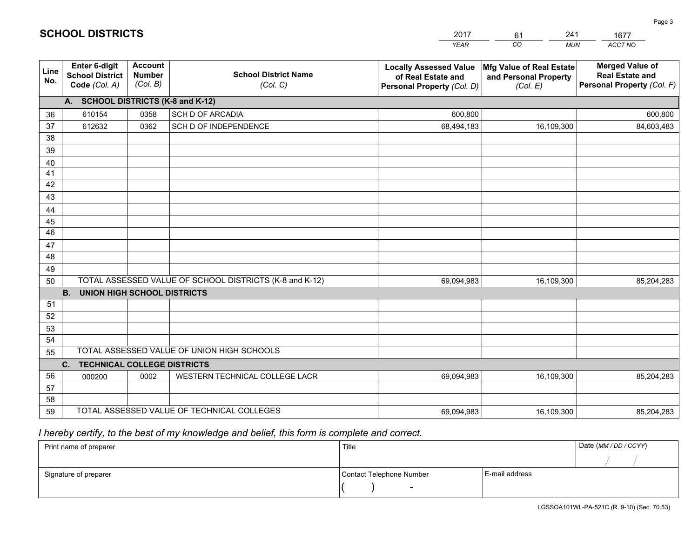|             |                                                                 |                                             |                                                         | <b>YEAR</b>                                                                       | CO.<br><b>MUN</b>                                             | ACCT NO                                                                        |
|-------------|-----------------------------------------------------------------|---------------------------------------------|---------------------------------------------------------|-----------------------------------------------------------------------------------|---------------------------------------------------------------|--------------------------------------------------------------------------------|
| Line<br>No. | <b>Enter 6-digit</b><br><b>School District</b><br>Code (Col. A) | <b>Account</b><br><b>Number</b><br>(Col. B) | <b>School District Name</b><br>(Col. C)                 | <b>Locally Assessed Value</b><br>of Real Estate and<br>Personal Property (Col. D) | Mfg Value of Real Estate<br>and Personal Property<br>(Col. E) | <b>Merged Value of</b><br><b>Real Estate and</b><br>Personal Property (Col. F) |
|             | A. SCHOOL DISTRICTS (K-8 and K-12)                              |                                             |                                                         |                                                                                   |                                                               |                                                                                |
| 36          | 610154                                                          | 0358                                        | SCH D OF ARCADIA                                        | 600,800                                                                           |                                                               | 600,800                                                                        |
| 37          | 612632                                                          | 0362                                        | SCH D OF INDEPENDENCE                                   | 68,494,183                                                                        | 16,109,300                                                    | 84,603,483                                                                     |
| 38          |                                                                 |                                             |                                                         |                                                                                   |                                                               |                                                                                |
| 39          |                                                                 |                                             |                                                         |                                                                                   |                                                               |                                                                                |
| 40          |                                                                 |                                             |                                                         |                                                                                   |                                                               |                                                                                |
| 41<br>42    |                                                                 |                                             |                                                         |                                                                                   |                                                               |                                                                                |
| 43          |                                                                 |                                             |                                                         |                                                                                   |                                                               |                                                                                |
| 44          |                                                                 |                                             |                                                         |                                                                                   |                                                               |                                                                                |
| 45          |                                                                 |                                             |                                                         |                                                                                   |                                                               |                                                                                |
| 46          |                                                                 |                                             |                                                         |                                                                                   |                                                               |                                                                                |
| 47          |                                                                 |                                             |                                                         |                                                                                   |                                                               |                                                                                |
| 48          |                                                                 |                                             |                                                         |                                                                                   |                                                               |                                                                                |
| 49          |                                                                 |                                             |                                                         |                                                                                   |                                                               |                                                                                |
| 50          |                                                                 |                                             | TOTAL ASSESSED VALUE OF SCHOOL DISTRICTS (K-8 and K-12) | 69,094,983                                                                        | 16,109,300                                                    | 85,204,283                                                                     |
|             | <b>B.</b><br><b>UNION HIGH SCHOOL DISTRICTS</b>                 |                                             |                                                         |                                                                                   |                                                               |                                                                                |
| 51          |                                                                 |                                             |                                                         |                                                                                   |                                                               |                                                                                |
| 52          |                                                                 |                                             |                                                         |                                                                                   |                                                               |                                                                                |
| 53          |                                                                 |                                             |                                                         |                                                                                   |                                                               |                                                                                |
| 54          |                                                                 |                                             | TOTAL ASSESSED VALUE OF UNION HIGH SCHOOLS              |                                                                                   |                                                               |                                                                                |
| 55          | C.<br><b>TECHNICAL COLLEGE DISTRICTS</b>                        |                                             |                                                         |                                                                                   |                                                               |                                                                                |
| 56          | 000200                                                          | 0002                                        | WESTERN TECHNICAL COLLEGE LACR                          | 69,094,983                                                                        | 16,109,300                                                    | 85,204,283                                                                     |
| 57          |                                                                 |                                             |                                                         |                                                                                   |                                                               |                                                                                |
| 58          |                                                                 |                                             |                                                         |                                                                                   |                                                               |                                                                                |
| 59          |                                                                 |                                             | TOTAL ASSESSED VALUE OF TECHNICAL COLLEGES              | 69,094,983                                                                        | 16,109,300                                                    | 85,204,283                                                                     |

61

241

 *I hereby certify, to the best of my knowledge and belief, this form is complete and correct.*

**SCHOOL DISTRICTS**

| Print name of preparer | Title                    |                | Date (MM / DD / CCYY) |
|------------------------|--------------------------|----------------|-----------------------|
|                        |                          |                |                       |
| Signature of preparer  | Contact Telephone Number | E-mail address |                       |
|                        | $\sim$                   |                |                       |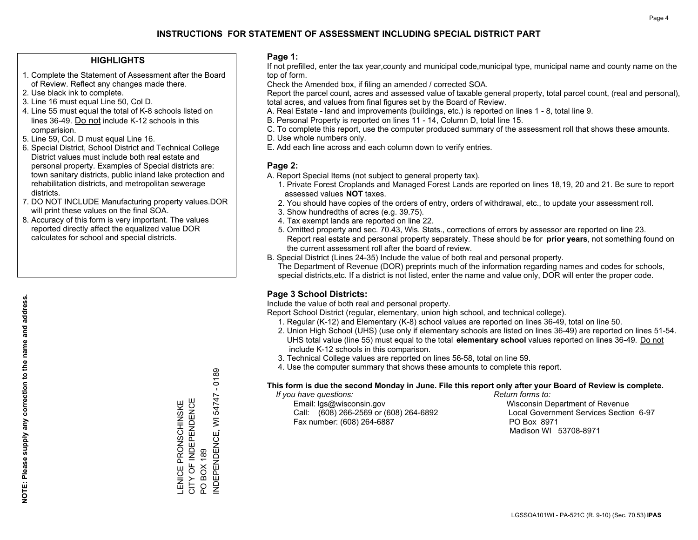#### **HIGHLIGHTS**

- 1. Complete the Statement of Assessment after the Board of Review. Reflect any changes made there.
- 2. Use black ink to complete.
- 3. Line 16 must equal Line 50, Col D.
- 4. Line 55 must equal the total of K-8 schools listed on lines 36-49. Do not include K-12 schools in this comparision.
- 5. Line 59, Col. D must equal Line 16.
- 6. Special District, School District and Technical College District values must include both real estate and personal property. Examples of Special districts are: town sanitary districts, public inland lake protection and rehabilitation districts, and metropolitan sewerage districts.
- 7. DO NOT INCLUDE Manufacturing property values.DOR will print these values on the final SOA.
- 8. Accuracy of this form is very important. The values reported directly affect the equalized value DOR calculates for school and special districts.

#### **Page 1:**

 If not prefilled, enter the tax year,county and municipal code,municipal type, municipal name and county name on the top of form.

Check the Amended box, if filing an amended / corrected SOA.

 Report the parcel count, acres and assessed value of taxable general property, total parcel count, (real and personal), total acres, and values from final figures set by the Board of Review.

- A. Real Estate land and improvements (buildings, etc.) is reported on lines 1 8, total line 9.
- B. Personal Property is reported on lines 11 14, Column D, total line 15.
- C. To complete this report, use the computer produced summary of the assessment roll that shows these amounts.
- D. Use whole numbers only.
- E. Add each line across and each column down to verify entries.

#### **Page 2:**

- A. Report Special Items (not subject to general property tax).
- 1. Private Forest Croplands and Managed Forest Lands are reported on lines 18,19, 20 and 21. Be sure to report assessed values **NOT** taxes.
- 2. You should have copies of the orders of entry, orders of withdrawal, etc., to update your assessment roll.
	- 3. Show hundredths of acres (e.g. 39.75).
- 4. Tax exempt lands are reported on line 22.
- 5. Omitted property and sec. 70.43, Wis. Stats., corrections of errors by assessor are reported on line 23. Report real estate and personal property separately. These should be for **prior years**, not something found on the current assessment roll after the board of review.
- B. Special District (Lines 24-35) Include the value of both real and personal property.
- The Department of Revenue (DOR) preprints much of the information regarding names and codes for schools, special districts,etc. If a district is not listed, enter the name and value only, DOR will enter the proper code.

### **Page 3 School Districts:**

Include the value of both real and personal property.

Report School District (regular, elementary, union high school, and technical college).

- 1. Regular (K-12) and Elementary (K-8) school values are reported on lines 36-49, total on line 50.
- 2. Union High School (UHS) (use only if elementary schools are listed on lines 36-49) are reported on lines 51-54. UHS total value (line 55) must equal to the total **elementary school** values reported on lines 36-49. Do notinclude K-12 schools in this comparison.
- 3. Technical College values are reported on lines 56-58, total on line 59.
- 4. Use the computer summary that shows these amounts to complete this report.

#### **This form is due the second Monday in June. File this report only after your Board of Review is complete.**

 *If you have questions: Return forms to:*

 Email: lgs@wisconsin.gov Wisconsin Department of RevenueCall:  $(608)$  266-2569 or  $(608)$  264-6892 Fax number: (608) 264-6887 PO Box 8971

Local Government Services Section 6-97

Madison WI 53708-8971

INDEPENDENCE, WI 54747 - 0189 54747 CITY OF INDEPENDENCE LENICE PRONSCHINSKE<br>CITY OF INDEPENDENCE LENICE PRONSCHINSKE INDEPENDENCE, WI **BOX 189** PO BOX 189  $\overline{Q}$ 

 $-0189$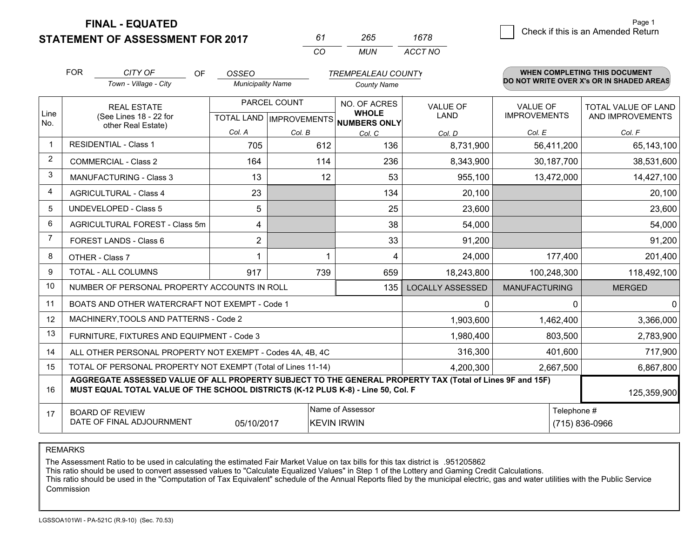**STATEMENT OF ASSESSMENT FOR 2017** 

| 67       | -165 | 1678    |
|----------|------|---------|
| $\cdots$ | MUN  | ACCT NO |

|                | <b>FOR</b> | CITY OF<br><b>OF</b>                                                                                                                                                                         | <b>OSSEO</b>             |              | <b>TREMPEALEAU COUNTY</b>              |                         |                                        | <b>WHEN COMPLETING THIS DOCUMENT</b>     |
|----------------|------------|----------------------------------------------------------------------------------------------------------------------------------------------------------------------------------------------|--------------------------|--------------|----------------------------------------|-------------------------|----------------------------------------|------------------------------------------|
|                |            | Town - Village - City                                                                                                                                                                        | <b>Municipality Name</b> |              | <b>County Name</b>                     |                         |                                        | DO NOT WRITE OVER X's OR IN SHADED AREAS |
| Line           |            | <b>REAL ESTATE</b>                                                                                                                                                                           |                          | PARCEL COUNT | NO. OF ACRES<br><b>WHOLE</b>           | <b>VALUE OF</b><br>LAND | <b>VALUE OF</b><br><b>IMPROVEMENTS</b> | TOTAL VALUE OF LAND                      |
| No.            |            | (See Lines 18 - 22 for<br>other Real Estate)                                                                                                                                                 |                          |              | TOTAL LAND IMPROVEMENTS NUMBERS ONLY   |                         |                                        | AND IMPROVEMENTS                         |
|                |            |                                                                                                                                                                                              | Col. A                   | Col. B       | Col. C                                 | Col. D                  | Col. E                                 | Col. F                                   |
|                |            | <b>RESIDENTIAL - Class 1</b>                                                                                                                                                                 | 705                      | 612          | 136                                    | 8,731,900               | 56,411,200                             | 65,143,100                               |
| 2              |            | <b>COMMERCIAL - Class 2</b>                                                                                                                                                                  | 164                      | 114          | 236                                    | 8,343,900               | 30,187,700                             | 38,531,600                               |
| 3              |            | <b>MANUFACTURING - Class 3</b>                                                                                                                                                               | 13                       | 12           | 53                                     | 955,100                 | 13,472,000                             | 14,427,100                               |
| 4              |            | <b>AGRICULTURAL - Class 4</b>                                                                                                                                                                | 23                       |              | 134                                    | 20,100                  |                                        | 20,100                                   |
| 5              |            | UNDEVELOPED - Class 5                                                                                                                                                                        | 5                        |              | 25                                     | 23,600                  |                                        | 23,600                                   |
| 6              |            | AGRICULTURAL FOREST - Class 5m                                                                                                                                                               | 4                        |              | 38                                     | 54,000                  |                                        | 54,000                                   |
| $\overline{7}$ |            | FOREST LANDS - Class 6                                                                                                                                                                       | $\overline{2}$           |              | 33                                     | 91,200                  |                                        | 91,200                                   |
| 8              |            | OTHER - Class 7                                                                                                                                                                              |                          |              | 4                                      | 24,000                  | 177,400                                | 201,400                                  |
| 9              |            | TOTAL - ALL COLUMNS                                                                                                                                                                          | 917                      | 739          | 659                                    | 18,243,800              | 100,248,300                            | 118,492,100                              |
| 10             |            | NUMBER OF PERSONAL PROPERTY ACCOUNTS IN ROLL                                                                                                                                                 |                          |              | 135                                    | <b>LOCALLY ASSESSED</b> | <b>MANUFACTURING</b>                   | <b>MERGED</b>                            |
| 11             |            | BOATS AND OTHER WATERCRAFT NOT EXEMPT - Code 1                                                                                                                                               |                          |              |                                        | 0                       |                                        | $\Omega$<br>$\Omega$                     |
| 12             |            | MACHINERY, TOOLS AND PATTERNS - Code 2                                                                                                                                                       |                          |              |                                        | 1,903,600               | 1,462,400                              | 3,366,000                                |
| 13             |            | FURNITURE, FIXTURES AND EQUIPMENT - Code 3                                                                                                                                                   |                          |              |                                        | 1,980,400               | 803,500                                | 2,783,900                                |
| 14             |            | ALL OTHER PERSONAL PROPERTY NOT EXEMPT - Codes 4A, 4B, 4C                                                                                                                                    |                          |              |                                        | 316,300                 | 401,600                                | 717,900                                  |
| 15             |            | TOTAL OF PERSONAL PROPERTY NOT EXEMPT (Total of Lines 11-14)                                                                                                                                 |                          |              |                                        | 4,200,300               | 2,667,500                              | 6,867,800                                |
| 16             |            | AGGREGATE ASSESSED VALUE OF ALL PROPERTY SUBJECT TO THE GENERAL PROPERTY TAX (Total of Lines 9F and 15F)<br>MUST EQUAL TOTAL VALUE OF THE SCHOOL DISTRICTS (K-12 PLUS K-8) - Line 50, Col. F |                          |              |                                        |                         |                                        | 125,359,900                              |
| 17             |            | <b>BOARD OF REVIEW</b><br>DATE OF FINAL ADJOURNMENT                                                                                                                                          | 05/10/2017               |              | Name of Assessor<br><b>KEVIN IRWIN</b> |                         |                                        | Telephone #<br>(715) 836-0966            |
|                |            |                                                                                                                                                                                              |                          |              |                                        |                         |                                        |                                          |

REMARKS

The Assessment Ratio to be used in calculating the estimated Fair Market Value on tax bills for this tax district is .951205862

This ratio should be used to convert assessed values to "Calculate Equalized Values" in Step 1 of the Lottery and Gaming Credit Calculations.<br>This ratio should be used in the "Computation of Tax Equivalent" schedule of the Commission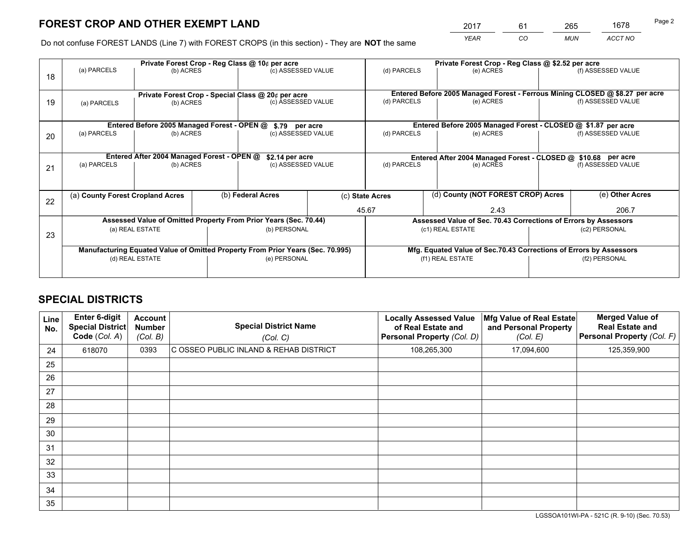*YEAR CO MUN ACCT NO* <sup>2017</sup> <sup>61</sup> <sup>265</sup> <sup>1678</sup>

Do not confuse FOREST LANDS (Line 7) with FOREST CROPS (in this section) - They are **NOT** the same

|    |                                                                                |                                             |  | Private Forest Crop - Reg Class @ 10¢ per acre                   |  | Private Forest Crop - Reg Class @ \$2.52 per acre                            |                                                               |                                                                    |                    |
|----|--------------------------------------------------------------------------------|---------------------------------------------|--|------------------------------------------------------------------|--|------------------------------------------------------------------------------|---------------------------------------------------------------|--------------------------------------------------------------------|--------------------|
| 18 | (a) PARCELS                                                                    | (b) ACRES                                   |  | (c) ASSESSED VALUE                                               |  | (d) PARCELS                                                                  | (e) ACRES                                                     |                                                                    | (f) ASSESSED VALUE |
|    |                                                                                |                                             |  |                                                                  |  |                                                                              |                                                               |                                                                    |                    |
|    |                                                                                |                                             |  | Private Forest Crop - Special Class @ 20¢ per acre               |  | Entered Before 2005 Managed Forest - Ferrous Mining CLOSED @ \$8.27 per acre |                                                               |                                                                    |                    |
| 19 | (a) PARCELS                                                                    | (b) ACRES                                   |  | (c) ASSESSED VALUE                                               |  | (d) PARCELS                                                                  | (e) ACRES                                                     |                                                                    | (f) ASSESSED VALUE |
|    |                                                                                |                                             |  |                                                                  |  |                                                                              |                                                               |                                                                    |                    |
|    |                                                                                | Entered Before 2005 Managed Forest - OPEN @ |  | \$.79 per acre                                                   |  |                                                                              | Entered Before 2005 Managed Forest - CLOSED @ \$1.87 per acre |                                                                    |                    |
| 20 | (a) PARCELS                                                                    | (b) ACRES                                   |  | (c) ASSESSED VALUE                                               |  | (d) PARCELS                                                                  | (e) ACRES                                                     |                                                                    | (f) ASSESSED VALUE |
|    |                                                                                |                                             |  |                                                                  |  |                                                                              |                                                               |                                                                    |                    |
|    | Entered After 2004 Managed Forest - OPEN @                                     |                                             |  | \$2.14 per acre                                                  |  | Entered After 2004 Managed Forest - CLOSED @ \$10.68 per acre                |                                                               |                                                                    |                    |
| 21 | (a) PARCELS                                                                    | (b) ACRES                                   |  | (c) ASSESSED VALUE                                               |  | (d) PARCELS<br>(e) ACRES                                                     |                                                               | (f) ASSESSED VALUE                                                 |                    |
|    |                                                                                |                                             |  |                                                                  |  |                                                                              |                                                               |                                                                    |                    |
|    |                                                                                |                                             |  |                                                                  |  |                                                                              | (d) County (NOT FOREST CROP) Acres                            |                                                                    |                    |
| 22 | (a) County Forest Cropland Acres                                               |                                             |  | (b) Federal Acres                                                |  | (c) State Acres                                                              |                                                               |                                                                    | (e) Other Acres    |
|    |                                                                                |                                             |  |                                                                  |  | 45.67<br>2.43                                                                |                                                               | 206.7                                                              |                    |
|    |                                                                                |                                             |  | Assessed Value of Omitted Property From Prior Years (Sec. 70.44) |  | Assessed Value of Sec. 70.43 Corrections of Errors by Assessors              |                                                               |                                                                    |                    |
| 23 | (a) REAL ESTATE                                                                |                                             |  | (b) PERSONAL                                                     |  | (c1) REAL ESTATE                                                             |                                                               | (c2) PERSONAL                                                      |                    |
|    |                                                                                |                                             |  |                                                                  |  |                                                                              |                                                               |                                                                    |                    |
|    | Manufacturing Equated Value of Omitted Property From Prior Years (Sec. 70.995) |                                             |  |                                                                  |  |                                                                              |                                                               | Mfg. Equated Value of Sec.70.43 Corrections of Errors by Assessors |                    |
|    | (d) REAL ESTATE                                                                |                                             |  | (e) PERSONAL                                                     |  |                                                                              | (f1) REAL ESTATE                                              | (f2) PERSONAL                                                      |                    |
|    |                                                                                |                                             |  |                                                                  |  |                                                                              |                                                               |                                                                    |                    |

## **SPECIAL DISTRICTS**

| <b>Line</b><br>No. | Enter 6-digit<br><b>Special District</b><br>Code (Col. A) | <b>Account</b><br><b>Number</b><br>(Col. B) | <b>Special District Name</b><br>(Col. C) | <b>Locally Assessed Value</b><br>of Real Estate and<br><b>Personal Property (Col. D)</b> | Mfg Value of Real Estate<br>and Personal Property<br>(Col. E) | <b>Merged Value of</b><br><b>Real Estate and</b><br>Personal Property (Col. F) |
|--------------------|-----------------------------------------------------------|---------------------------------------------|------------------------------------------|------------------------------------------------------------------------------------------|---------------------------------------------------------------|--------------------------------------------------------------------------------|
| 24                 | 618070                                                    | 0393                                        | C OSSEO PUBLIC INLAND & REHAB DISTRICT   | 108,265,300                                                                              | 17,094,600                                                    | 125,359,900                                                                    |
| 25                 |                                                           |                                             |                                          |                                                                                          |                                                               |                                                                                |
| 26                 |                                                           |                                             |                                          |                                                                                          |                                                               |                                                                                |
| 27                 |                                                           |                                             |                                          |                                                                                          |                                                               |                                                                                |
| 28                 |                                                           |                                             |                                          |                                                                                          |                                                               |                                                                                |
| 29                 |                                                           |                                             |                                          |                                                                                          |                                                               |                                                                                |
| 30                 |                                                           |                                             |                                          |                                                                                          |                                                               |                                                                                |
| 31                 |                                                           |                                             |                                          |                                                                                          |                                                               |                                                                                |
| 32                 |                                                           |                                             |                                          |                                                                                          |                                                               |                                                                                |
| 33                 |                                                           |                                             |                                          |                                                                                          |                                                               |                                                                                |
| 34                 |                                                           |                                             |                                          |                                                                                          |                                                               |                                                                                |
| 35                 |                                                           |                                             |                                          |                                                                                          |                                                               |                                                                                |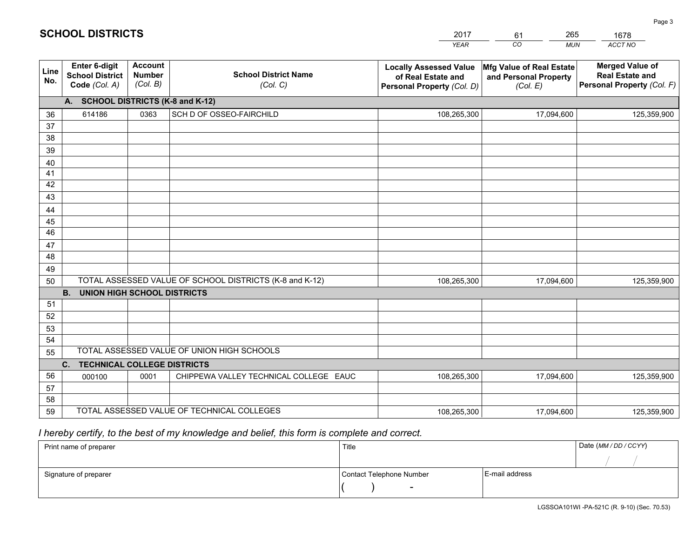|             |                                                          |                                             |                                                         | <b>YEAR</b>                                                                       | CO<br><b>MUN</b>                                              | ACCT NO                                                                        |
|-------------|----------------------------------------------------------|---------------------------------------------|---------------------------------------------------------|-----------------------------------------------------------------------------------|---------------------------------------------------------------|--------------------------------------------------------------------------------|
| Line<br>No. | Enter 6-digit<br><b>School District</b><br>Code (Col. A) | <b>Account</b><br><b>Number</b><br>(Col. B) | <b>School District Name</b><br>(Col. C)                 | <b>Locally Assessed Value</b><br>of Real Estate and<br>Personal Property (Col. D) | Mfg Value of Real Estate<br>and Personal Property<br>(Col. E) | <b>Merged Value of</b><br><b>Real Estate and</b><br>Personal Property (Col. F) |
|             | A. SCHOOL DISTRICTS (K-8 and K-12)                       |                                             |                                                         |                                                                                   |                                                               |                                                                                |
| 36          | 614186                                                   | 0363                                        | SCH D OF OSSEO-FAIRCHILD                                | 108,265,300                                                                       | 17,094,600                                                    | 125,359,900                                                                    |
| 37          |                                                          |                                             |                                                         |                                                                                   |                                                               |                                                                                |
| 38          |                                                          |                                             |                                                         |                                                                                   |                                                               |                                                                                |
| 39          |                                                          |                                             |                                                         |                                                                                   |                                                               |                                                                                |
| 40          |                                                          |                                             |                                                         |                                                                                   |                                                               |                                                                                |
| 41          |                                                          |                                             |                                                         |                                                                                   |                                                               |                                                                                |
| 42          |                                                          |                                             |                                                         |                                                                                   |                                                               |                                                                                |
| 43          |                                                          |                                             |                                                         |                                                                                   |                                                               |                                                                                |
| 44          |                                                          |                                             |                                                         |                                                                                   |                                                               |                                                                                |
| 45<br>46    |                                                          |                                             |                                                         |                                                                                   |                                                               |                                                                                |
| 47          |                                                          |                                             |                                                         |                                                                                   |                                                               |                                                                                |
| 48          |                                                          |                                             |                                                         |                                                                                   |                                                               |                                                                                |
| 49          |                                                          |                                             |                                                         |                                                                                   |                                                               |                                                                                |
| 50          |                                                          |                                             | TOTAL ASSESSED VALUE OF SCHOOL DISTRICTS (K-8 and K-12) | 108,265,300                                                                       | 17,094,600                                                    | 125,359,900                                                                    |
|             | <b>B.</b><br><b>UNION HIGH SCHOOL DISTRICTS</b>          |                                             |                                                         |                                                                                   |                                                               |                                                                                |
| 51          |                                                          |                                             |                                                         |                                                                                   |                                                               |                                                                                |
| 52          |                                                          |                                             |                                                         |                                                                                   |                                                               |                                                                                |
| 53          |                                                          |                                             |                                                         |                                                                                   |                                                               |                                                                                |
| 54          |                                                          |                                             |                                                         |                                                                                   |                                                               |                                                                                |
| 55          |                                                          |                                             | TOTAL ASSESSED VALUE OF UNION HIGH SCHOOLS              |                                                                                   |                                                               |                                                                                |
|             | C.<br><b>TECHNICAL COLLEGE DISTRICTS</b>                 |                                             |                                                         |                                                                                   |                                                               |                                                                                |
| 56          | 000100                                                   | 0001                                        | CHIPPEWA VALLEY TECHNICAL COLLEGE EAUC                  | 108,265,300                                                                       | 17,094,600                                                    | 125,359,900                                                                    |
| 57          |                                                          |                                             |                                                         |                                                                                   |                                                               |                                                                                |
| 58          |                                                          |                                             |                                                         |                                                                                   |                                                               |                                                                                |
| 59          |                                                          |                                             | TOTAL ASSESSED VALUE OF TECHNICAL COLLEGES              | 108,265,300                                                                       | 17,094,600                                                    | 125,359,900                                                                    |

61

265

# *I hereby certify, to the best of my knowledge and belief, this form is complete and correct.*

**SCHOOL DISTRICTS**

| Print name of preparer | Title                    |                | Date (MM / DD / CCYY) |
|------------------------|--------------------------|----------------|-----------------------|
|                        |                          |                |                       |
| Signature of preparer  | Contact Telephone Number | E-mail address |                       |
|                        | $\overline{\phantom{0}}$ |                |                       |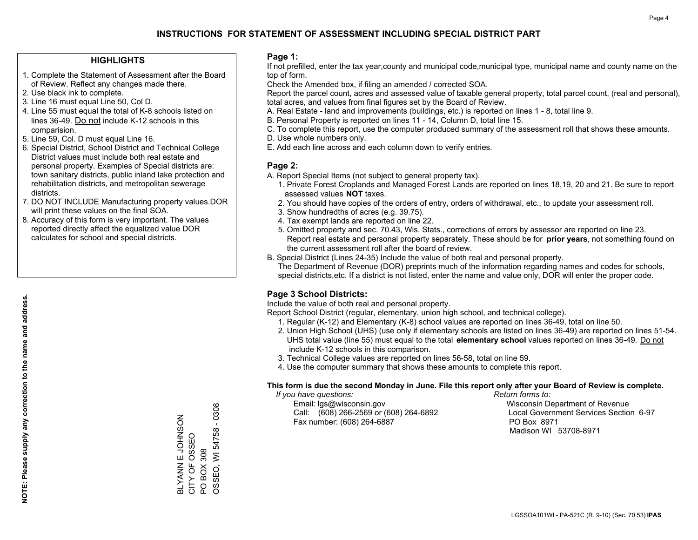#### **HIGHLIGHTS**

- 1. Complete the Statement of Assessment after the Board of Review. Reflect any changes made there.
- 2. Use black ink to complete.
- 3. Line 16 must equal Line 50, Col D.
- 4. Line 55 must equal the total of K-8 schools listed on lines 36-49. Do not include K-12 schools in this comparision.
- 5. Line 59, Col. D must equal Line 16.
- 6. Special District, School District and Technical College District values must include both real estate and personal property. Examples of Special districts are: town sanitary districts, public inland lake protection and rehabilitation districts, and metropolitan sewerage districts.
- 7. DO NOT INCLUDE Manufacturing property values.DOR will print these values on the final SOA.

ZOSNHOT II NAVAJ CITY OF OSSEO PO BOX 308

BLYANN E JOHNSON<br>CITY OF OSSEO

OSSEO, WI 54758 - 0308

PO BOX 308<br>OSSEO, WI 54758 - 0308

 8. Accuracy of this form is very important. The values reported directly affect the equalized value DOR calculates for school and special districts.

#### **Page 1:**

 If not prefilled, enter the tax year,county and municipal code,municipal type, municipal name and county name on the top of form.

Check the Amended box, if filing an amended / corrected SOA.

 Report the parcel count, acres and assessed value of taxable general property, total parcel count, (real and personal), total acres, and values from final figures set by the Board of Review.

- A. Real Estate land and improvements (buildings, etc.) is reported on lines 1 8, total line 9.
- B. Personal Property is reported on lines 11 14, Column D, total line 15.
- C. To complete this report, use the computer produced summary of the assessment roll that shows these amounts.
- D. Use whole numbers only.
- E. Add each line across and each column down to verify entries.

#### **Page 2:**

- A. Report Special Items (not subject to general property tax).
- 1. Private Forest Croplands and Managed Forest Lands are reported on lines 18,19, 20 and 21. Be sure to report assessed values **NOT** taxes.
- 2. You should have copies of the orders of entry, orders of withdrawal, etc., to update your assessment roll.
	- 3. Show hundredths of acres (e.g. 39.75).
- 4. Tax exempt lands are reported on line 22.
- 5. Omitted property and sec. 70.43, Wis. Stats., corrections of errors by assessor are reported on line 23. Report real estate and personal property separately. These should be for **prior years**, not something found on the current assessment roll after the board of review.
- B. Special District (Lines 24-35) Include the value of both real and personal property.

 The Department of Revenue (DOR) preprints much of the information regarding names and codes for schools, special districts,etc. If a district is not listed, enter the name and value only, DOR will enter the proper code.

### **Page 3 School Districts:**

Include the value of both real and personal property.

Report School District (regular, elementary, union high school, and technical college).

- 1. Regular (K-12) and Elementary (K-8) school values are reported on lines 36-49, total on line 50.
- 2. Union High School (UHS) (use only if elementary schools are listed on lines 36-49) are reported on lines 51-54. UHS total value (line 55) must equal to the total **elementary school** values reported on lines 36-49. Do notinclude K-12 schools in this comparison.
- 3. Technical College values are reported on lines 56-58, total on line 59.
- 4. Use the computer summary that shows these amounts to complete this report.

#### **This form is due the second Monday in June. File this report only after your Board of Review is complete.**

 *If you have questions: Return forms to:*

 Email: lgs@wisconsin.gov Wisconsin Department of RevenueCall:  $(608)$  266-2569 or  $(608)$  264-6892 Fax number: (608) 264-6887 PO Box 8971

Local Government Services Section 6-97

Madison WI 53708-8971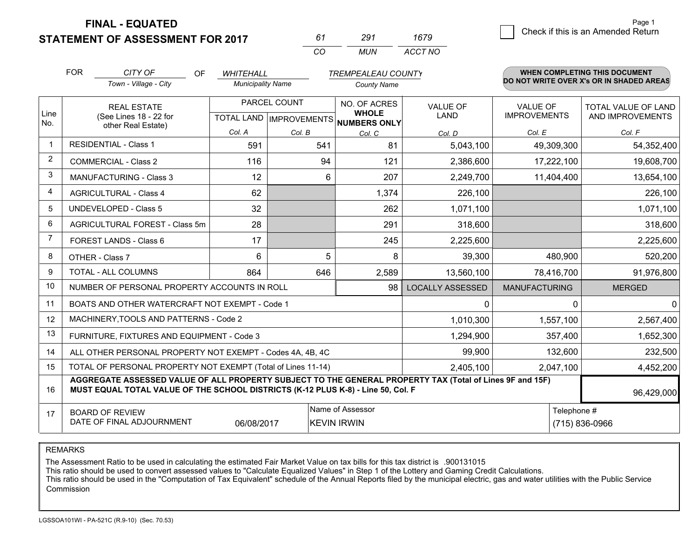**STATEMENT OF ASSESSMENT FOR 2017** 

| 61 | 291   | 1679    |
|----|-------|---------|
| cо | MI IN | ACCT NO |

|                | <b>FOR</b> | CITY OF<br><b>OF</b>                                                                                                                                                                         | <b>WHITEHALL</b>         |                                        | <b>TREMPEALEAU COUNTY</b>                                            |                                |                                        | WHEN COMPLETING THIS DOCUMENT                  |
|----------------|------------|----------------------------------------------------------------------------------------------------------------------------------------------------------------------------------------------|--------------------------|----------------------------------------|----------------------------------------------------------------------|--------------------------------|----------------------------------------|------------------------------------------------|
|                |            | Town - Village - City                                                                                                                                                                        | <b>Municipality Name</b> |                                        | <b>County Name</b>                                                   |                                |                                        | DO NOT WRITE OVER X's OR IN SHADED AREAS       |
| Line<br>No.    |            | <b>REAL ESTATE</b><br>(See Lines 18 - 22 for                                                                                                                                                 |                          | PARCEL COUNT                           | NO. OF ACRES<br><b>WHOLE</b><br>TOTAL LAND IMPROVEMENTS NUMBERS ONLY | <b>VALUE OF</b><br><b>LAND</b> | <b>VALUE OF</b><br><b>IMPROVEMENTS</b> | <b>TOTAL VALUE OF LAND</b><br>AND IMPROVEMENTS |
|                |            | other Real Estate)                                                                                                                                                                           | Col. A                   | Col. B                                 | Col. C                                                               | Col. D                         | Col. E                                 | Col. F                                         |
| $\mathbf 1$    |            | <b>RESIDENTIAL - Class 1</b>                                                                                                                                                                 | 591                      | 541                                    | 81                                                                   | 5,043,100                      | 49,309,300                             | 54,352,400                                     |
| 2              |            | <b>COMMERCIAL - Class 2</b>                                                                                                                                                                  | 116                      | 94                                     | 121                                                                  | 2,386,600                      | 17,222,100                             | 19,608,700                                     |
| 3              |            | <b>MANUFACTURING - Class 3</b>                                                                                                                                                               | 12                       | 6                                      | 207                                                                  | 2,249,700                      | 11,404,400                             | 13,654,100                                     |
| 4              |            | <b>AGRICULTURAL - Class 4</b>                                                                                                                                                                | 62                       |                                        | 1,374                                                                | 226,100                        |                                        | 226,100                                        |
| 5              |            | <b>UNDEVELOPED - Class 5</b>                                                                                                                                                                 | 32                       |                                        | 262                                                                  | 1,071,100                      |                                        | 1,071,100                                      |
| 6              |            | AGRICULTURAL FOREST - Class 5m                                                                                                                                                               | 28                       |                                        | 291                                                                  | 318,600                        |                                        | 318,600                                        |
| $\overline{7}$ |            | FOREST LANDS - Class 6                                                                                                                                                                       | 17                       |                                        | 245                                                                  | 2,225,600                      |                                        | 2,225,600                                      |
| 8              |            | OTHER - Class 7                                                                                                                                                                              | 6                        | 5                                      | 8                                                                    | 39,300                         | 480,900                                | 520,200                                        |
| 9              |            | TOTAL - ALL COLUMNS                                                                                                                                                                          | 864                      | 646                                    | 2,589                                                                | 13,560,100                     | 78,416,700                             | 91,976,800                                     |
| 10             |            | NUMBER OF PERSONAL PROPERTY ACCOUNTS IN ROLL                                                                                                                                                 |                          |                                        | 98                                                                   | <b>LOCALLY ASSESSED</b>        | <b>MANUFACTURING</b>                   | <b>MERGED</b>                                  |
| 11             |            | BOATS AND OTHER WATERCRAFT NOT EXEMPT - Code 1                                                                                                                                               |                          |                                        |                                                                      | $\Omega$                       |                                        | $\Omega$<br>$\Omega$                           |
| 12             |            | MACHINERY, TOOLS AND PATTERNS - Code 2                                                                                                                                                       |                          |                                        |                                                                      | 1,010,300                      | 1,557,100                              | 2,567,400                                      |
| 13             |            | FURNITURE, FIXTURES AND EQUIPMENT - Code 3                                                                                                                                                   |                          |                                        |                                                                      | 1,294,900                      | 357,400                                | 1,652,300                                      |
| 14             |            | ALL OTHER PERSONAL PROPERTY NOT EXEMPT - Codes 4A, 4B, 4C                                                                                                                                    |                          |                                        | 99,900                                                               | 132,600                        | 232,500                                |                                                |
| 15             |            | TOTAL OF PERSONAL PROPERTY NOT EXEMPT (Total of Lines 11-14)                                                                                                                                 |                          |                                        | 2,405,100                                                            | 2,047,100                      | 4,452,200                              |                                                |
| 16             |            | AGGREGATE ASSESSED VALUE OF ALL PROPERTY SUBJECT TO THE GENERAL PROPERTY TAX (Total of Lines 9F and 15F)<br>MUST EQUAL TOTAL VALUE OF THE SCHOOL DISTRICTS (K-12 PLUS K-8) - Line 50, Col. F |                          |                                        |                                                                      |                                |                                        | 96,429,000                                     |
| 17             |            | <b>BOARD OF REVIEW</b><br>DATE OF FINAL ADJOURNMENT                                                                                                                                          | 06/08/2017               | Name of Assessor<br><b>KEVIN IRWIN</b> |                                                                      |                                | Telephone #<br>(715) 836-0966          |                                                |

REMARKS

The Assessment Ratio to be used in calculating the estimated Fair Market Value on tax bills for this tax district is .900131015

This ratio should be used to convert assessed values to "Calculate Equalized Values" in Step 1 of the Lottery and Gaming Credit Calculations.<br>This ratio should be used in the "Computation of Tax Equivalent" schedule of the Commission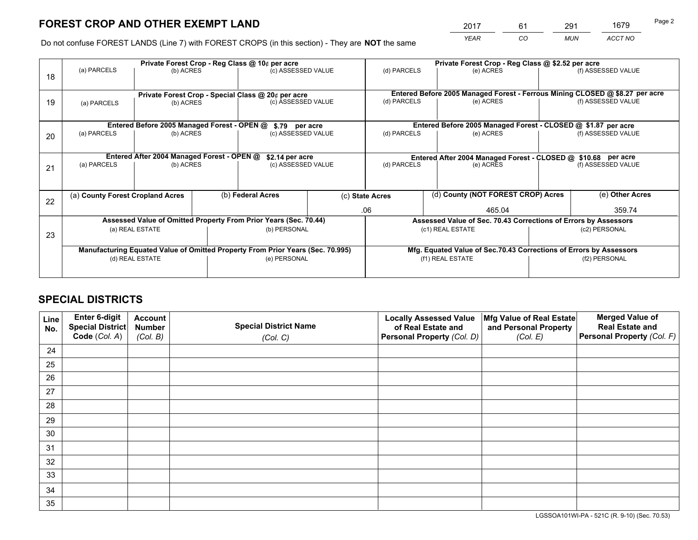*YEAR CO MUN ACCT NO* <sup>2017</sup> <sup>61</sup> <sup>291</sup> <sup>1679</sup>

Do not confuse FOREST LANDS (Line 7) with FOREST CROPS (in this section) - They are **NOT** the same

|    | Private Forest Crop - Reg Class @ 10¢ per acre                                 |                                             |  |                                                                          |  | Private Forest Crop - Reg Class @ \$2.52 per acre                  |                                                                              |  |                    |  |
|----|--------------------------------------------------------------------------------|---------------------------------------------|--|--------------------------------------------------------------------------|--|--------------------------------------------------------------------|------------------------------------------------------------------------------|--|--------------------|--|
| 18 | (a) PARCELS                                                                    | (b) ACRES                                   |  | (c) ASSESSED VALUE                                                       |  | (d) PARCELS                                                        | (e) ACRES                                                                    |  | (f) ASSESSED VALUE |  |
|    |                                                                                |                                             |  |                                                                          |  |                                                                    | Entered Before 2005 Managed Forest - Ferrous Mining CLOSED @ \$8.27 per acre |  |                    |  |
| 19 | (a) PARCELS                                                                    | (b) ACRES                                   |  | Private Forest Crop - Special Class @ 20¢ per acre<br>(c) ASSESSED VALUE |  | (d) PARCELS                                                        | (e) ACRES                                                                    |  | (f) ASSESSED VALUE |  |
|    |                                                                                | Entered Before 2005 Managed Forest - OPEN @ |  |                                                                          |  |                                                                    | Entered Before 2005 Managed Forest - CLOSED @ \$1.87 per acre                |  |                    |  |
| 20 | (a) PARCELS<br>(b) ACRES                                                       |                                             |  | \$.79 per acre<br>(c) ASSESSED VALUE                                     |  | (d) PARCELS<br>(e) ACRES                                           |                                                                              |  | (f) ASSESSED VALUE |  |
|    | Entered After 2004 Managed Forest - OPEN @                                     |                                             |  | \$2.14 per acre                                                          |  | Entered After 2004 Managed Forest - CLOSED @ \$10.68 per acre      |                                                                              |  |                    |  |
| 21 | (a) PARCELS<br>(b) ACRES                                                       |                                             |  | (c) ASSESSED VALUE                                                       |  | (d) PARCELS                                                        | (e) ACRES                                                                    |  | (f) ASSESSED VALUE |  |
|    |                                                                                |                                             |  |                                                                          |  |                                                                    |                                                                              |  |                    |  |
| 22 | (a) County Forest Cropland Acres                                               |                                             |  | (b) Federal Acres                                                        |  | (d) County (NOT FOREST CROP) Acres<br>(c) State Acres              |                                                                              |  | (e) Other Acres    |  |
|    |                                                                                |                                             |  |                                                                          |  | .06<br>465.04                                                      |                                                                              |  | 359.74             |  |
|    |                                                                                |                                             |  | Assessed Value of Omitted Property From Prior Years (Sec. 70.44)         |  | Assessed Value of Sec. 70.43 Corrections of Errors by Assessors    |                                                                              |  |                    |  |
| 23 | (a) REAL ESTATE                                                                |                                             |  | (b) PERSONAL                                                             |  | (c1) REAL ESTATE                                                   |                                                                              |  | (c2) PERSONAL      |  |
|    | Manufacturing Equated Value of Omitted Property From Prior Years (Sec. 70.995) |                                             |  |                                                                          |  | Mfg. Equated Value of Sec.70.43 Corrections of Errors by Assessors |                                                                              |  |                    |  |
|    | (d) REAL ESTATE                                                                |                                             |  | (e) PERSONAL                                                             |  |                                                                    | (f1) REAL ESTATE                                                             |  | (f2) PERSONAL      |  |
|    |                                                                                |                                             |  |                                                                          |  |                                                                    |                                                                              |  |                    |  |

## **SPECIAL DISTRICTS**

| Line<br>No. | Enter 6-digit<br>Special District<br>Code (Col. A) | <b>Account</b><br><b>Number</b> | <b>Special District Name</b> | <b>Locally Assessed Value</b><br>of Real Estate and | Mfg Value of Real Estate<br>and Personal Property | <b>Merged Value of</b><br><b>Real Estate and</b><br>Personal Property (Col. F) |
|-------------|----------------------------------------------------|---------------------------------|------------------------------|-----------------------------------------------------|---------------------------------------------------|--------------------------------------------------------------------------------|
|             |                                                    | (Col. B)                        | (Col. C)                     | Personal Property (Col. D)                          | (Col. E)                                          |                                                                                |
| 24          |                                                    |                                 |                              |                                                     |                                                   |                                                                                |
| 25          |                                                    |                                 |                              |                                                     |                                                   |                                                                                |
| 26          |                                                    |                                 |                              |                                                     |                                                   |                                                                                |
| 27          |                                                    |                                 |                              |                                                     |                                                   |                                                                                |
| 28          |                                                    |                                 |                              |                                                     |                                                   |                                                                                |
| 29          |                                                    |                                 |                              |                                                     |                                                   |                                                                                |
| 30          |                                                    |                                 |                              |                                                     |                                                   |                                                                                |
| 31          |                                                    |                                 |                              |                                                     |                                                   |                                                                                |
| 32          |                                                    |                                 |                              |                                                     |                                                   |                                                                                |
| 33          |                                                    |                                 |                              |                                                     |                                                   |                                                                                |
| 34          |                                                    |                                 |                              |                                                     |                                                   |                                                                                |
| 35          |                                                    |                                 |                              |                                                     |                                                   |                                                                                |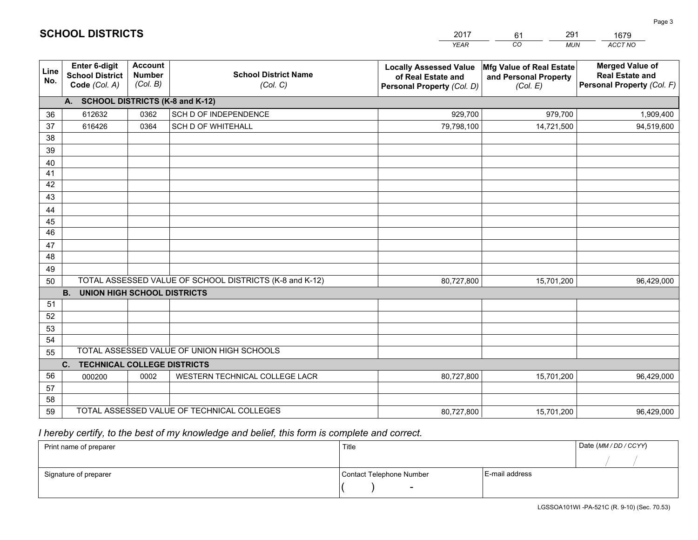|                 |                                                                 |                                             |                                                         | <b>YEAR</b>                                                                       | CO<br><b>MUN</b>                                              | ACCT NO                                                                        |
|-----------------|-----------------------------------------------------------------|---------------------------------------------|---------------------------------------------------------|-----------------------------------------------------------------------------------|---------------------------------------------------------------|--------------------------------------------------------------------------------|
| Line<br>No.     | <b>Enter 6-digit</b><br><b>School District</b><br>Code (Col. A) | <b>Account</b><br><b>Number</b><br>(Col. B) | <b>School District Name</b><br>(Col. C)                 | <b>Locally Assessed Value</b><br>of Real Estate and<br>Personal Property (Col. D) | Mfg Value of Real Estate<br>and Personal Property<br>(Col. E) | <b>Merged Value of</b><br><b>Real Estate and</b><br>Personal Property (Col. F) |
|                 | A. SCHOOL DISTRICTS (K-8 and K-12)                              |                                             |                                                         |                                                                                   |                                                               |                                                                                |
| 36              | 612632                                                          | 0362                                        | SCH D OF INDEPENDENCE                                   | 929,700                                                                           | 979,700                                                       | 1,909,400                                                                      |
| 37              | 616426                                                          | 0364                                        | <b>SCH D OF WHITEHALL</b>                               | 79,798,100                                                                        | 14,721,500                                                    | 94,519,600                                                                     |
| 38              |                                                                 |                                             |                                                         |                                                                                   |                                                               |                                                                                |
| 39              |                                                                 |                                             |                                                         |                                                                                   |                                                               |                                                                                |
| 40              |                                                                 |                                             |                                                         |                                                                                   |                                                               |                                                                                |
| 41              |                                                                 |                                             |                                                         |                                                                                   |                                                               |                                                                                |
| 42              |                                                                 |                                             |                                                         |                                                                                   |                                                               |                                                                                |
| 43              |                                                                 |                                             |                                                         |                                                                                   |                                                               |                                                                                |
| 44<br>45        |                                                                 |                                             |                                                         |                                                                                   |                                                               |                                                                                |
| $\overline{46}$ |                                                                 |                                             |                                                         |                                                                                   |                                                               |                                                                                |
| 47              |                                                                 |                                             |                                                         |                                                                                   |                                                               |                                                                                |
| 48              |                                                                 |                                             |                                                         |                                                                                   |                                                               |                                                                                |
| 49              |                                                                 |                                             |                                                         |                                                                                   |                                                               |                                                                                |
| 50              |                                                                 |                                             | TOTAL ASSESSED VALUE OF SCHOOL DISTRICTS (K-8 and K-12) | 80,727,800                                                                        | 15,701,200                                                    | 96,429,000                                                                     |
|                 | <b>B.</b><br><b>UNION HIGH SCHOOL DISTRICTS</b>                 |                                             |                                                         |                                                                                   |                                                               |                                                                                |
| 51              |                                                                 |                                             |                                                         |                                                                                   |                                                               |                                                                                |
| 52              |                                                                 |                                             |                                                         |                                                                                   |                                                               |                                                                                |
| 53              |                                                                 |                                             |                                                         |                                                                                   |                                                               |                                                                                |
| 54              |                                                                 |                                             |                                                         |                                                                                   |                                                               |                                                                                |
| 55              |                                                                 |                                             | TOTAL ASSESSED VALUE OF UNION HIGH SCHOOLS              |                                                                                   |                                                               |                                                                                |
|                 | C.<br><b>TECHNICAL COLLEGE DISTRICTS</b>                        |                                             |                                                         |                                                                                   |                                                               |                                                                                |
| 56              | 000200                                                          | 0002                                        | WESTERN TECHNICAL COLLEGE LACR                          | 80,727,800                                                                        | 15,701,200                                                    | 96,429,000                                                                     |
| 57              |                                                                 |                                             |                                                         |                                                                                   |                                                               |                                                                                |
| 58<br>59        |                                                                 |                                             | TOTAL ASSESSED VALUE OF TECHNICAL COLLEGES              |                                                                                   |                                                               |                                                                                |
|                 |                                                                 |                                             |                                                         | 80,727,800                                                                        | 15,701,200                                                    | 96,429,000                                                                     |

61

291

 *I hereby certify, to the best of my knowledge and belief, this form is complete and correct.*

**SCHOOL DISTRICTS**

| Print name of preparer | Title                    |                | Date (MM / DD / CCYY) |
|------------------------|--------------------------|----------------|-----------------------|
|                        |                          |                |                       |
| Signature of preparer  | Contact Telephone Number | E-mail address |                       |
|                        | $\sim$                   |                |                       |